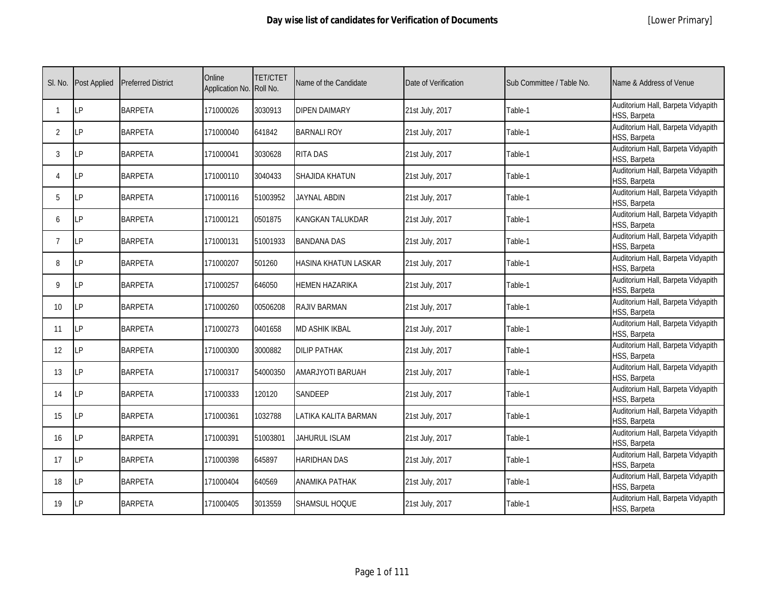| SI. No.         | <b>Post Applied</b> | <b>Preferred District</b> | Online<br>Application No. Roll No. | <b>TET/CTET</b> | Name of the Candidate       | Date of Verification | Sub Committee / Table No. | Name & Address of Venue                            |
|-----------------|---------------------|---------------------------|------------------------------------|-----------------|-----------------------------|----------------------|---------------------------|----------------------------------------------------|
| 1               | LP                  | <b>BARPETA</b>            | 171000026                          | 3030913         | <b>DIPEN DAIMARY</b>        | 21st July, 2017      | Table-1                   | Auditorium Hall, Barpeta Vidyapith<br>HSS, Barpeta |
| $\overline{2}$  | LP                  | <b>BARPETA</b>            | 171000040                          | 641842          | <b>BARNALI ROY</b>          | 21st July, 2017      | Table-1                   | Auditorium Hall, Barpeta Vidyapith<br>HSS, Barpeta |
| 3               | LP                  | <b>BARPETA</b>            | 171000041                          | 3030628         | <b>RITA DAS</b>             | 21st July, 2017      | Table-1                   | Auditorium Hall, Barpeta Vidyapith<br>HSS, Barpeta |
| 4               | LP                  | <b>BARPETA</b>            | 171000110                          | 3040433         | SHAJIDA KHATUN              | 21st July, 2017      | Table-1                   | Auditorium Hall, Barpeta Vidyapith<br>HSS, Barpeta |
| 5               | IP                  | <b>BARPETA</b>            | 171000116                          | 51003952        | JAYNAL ABDIN                | 21st July, 2017      | Table-1                   | Auditorium Hall, Barpeta Vidyapith<br>HSS, Barpeta |
| 6               | LP                  | <b>BARPETA</b>            | 171000121                          | 0501875         | KANGKAN TALUKDAR            | 21st July, 2017      | Table-1                   | Auditorium Hall, Barpeta Vidyapith<br>HSS, Barpeta |
| $\overline{7}$  | LP                  | <b>BARPETA</b>            | 171000131                          | 51001933        | <b>BANDANA DAS</b>          | 21st July, 2017      | Table-1                   | Auditorium Hall, Barpeta Vidyapith<br>HSS, Barpeta |
| 8               | LP                  | <b>BARPETA</b>            | 171000207                          | 501260          | <b>HASINA KHATUN LASKAR</b> | 21st July, 2017      | Table-1                   | Auditorium Hall, Barpeta Vidyapith<br>HSS, Barpeta |
| 9               | LP                  | <b>BARPETA</b>            | 171000257                          | 646050          | <b>HEMEN HAZARIKA</b>       | 21st July, 2017      | Table-1                   | Auditorium Hall, Barpeta Vidyapith<br>HSS, Barpeta |
| 10 <sup>°</sup> | LP                  | <b>BARPETA</b>            | 171000260                          | 00506208        | <b>RAJIV BARMAN</b>         | 21st July, 2017      | Table-1                   | Auditorium Hall, Barpeta Vidyapith<br>HSS, Barpeta |
| 11              | LP                  | <b>BARPETA</b>            | 171000273                          | 0401658         | <b>MD ASHIK IKBAL</b>       | 21st July, 2017      | Table-1                   | Auditorium Hall, Barpeta Vidyapith<br>HSS, Barpeta |
| 12              | LP                  | <b>BARPETA</b>            | 171000300                          | 3000882         | <b>DILIP PATHAK</b>         | 21st July, 2017      | Table-1                   | Auditorium Hall, Barpeta Vidyapith<br>HSS, Barpeta |
| 13              | LP                  | <b>BARPETA</b>            | 171000317                          | 54000350        | AMARJYOTI BARUAH            | 21st July, 2017      | Table-1                   | Auditorium Hall, Barpeta Vidyapith<br>HSS, Barpeta |
| 14              | LP                  | <b>BARPETA</b>            | 171000333                          | 120120          | SANDEEP                     | 21st July, 2017      | Table-1                   | Auditorium Hall, Barpeta Vidyapith<br>HSS, Barpeta |
| 15              | LP                  | <b>BARPETA</b>            | 171000361                          | 1032788         | LATIKA KALITA BARMAN        | 21st July, 2017      | Table-1                   | Auditorium Hall, Barpeta Vidyapith<br>HSS, Barpeta |
| 16              | LP                  | <b>BARPETA</b>            | 171000391                          | 51003801        | JAHURUL ISLAM               | 21st July, 2017      | Table-1                   | Auditorium Hall, Barpeta Vidyapith<br>HSS, Barpeta |
| 17              | LP                  | <b>BARPETA</b>            | 171000398                          | 645897          | <b>HARIDHAN DAS</b>         | 21st July, 2017      | Table-1                   | Auditorium Hall, Barpeta Vidyapith<br>HSS, Barpeta |
| 18              | LP                  | <b>BARPETA</b>            | 171000404                          | 640569          | <b>ANAMIKA PATHAK</b>       | 21st July, 2017      | Table-1                   | Auditorium Hall, Barpeta Vidyapith<br>HSS, Barpeta |
| 19              | LP                  | <b>BARPETA</b>            | 171000405                          | 3013559         | SHAMSUL HOQUE               | 21st July, 2017      | Table-1                   | Auditorium Hall, Barpeta Vidyapith<br>HSS, Barpeta |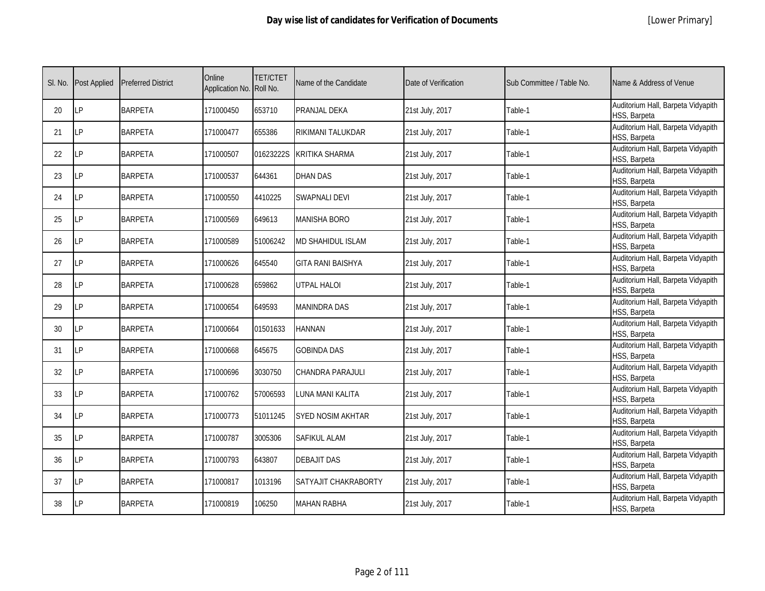|  | [Lower Primary] |
|--|-----------------|
|--|-----------------|

| SI. No. | <b>Post Applied</b> | <b>Preferred District</b> | Online<br>Application No. Roll No. | <b>TET/CTET</b> | Name of the Candidate    | Date of Verification | Sub Committee / Table No. | Name & Address of Venue                            |
|---------|---------------------|---------------------------|------------------------------------|-----------------|--------------------------|----------------------|---------------------------|----------------------------------------------------|
| 20      | LP                  | <b>BARPETA</b>            | 171000450                          | 653710          | PRANJAL DEKA             | 21st July, 2017      | Table-1                   | Auditorium Hall, Barpeta Vidyapith<br>HSS, Barpeta |
| 21      | LP                  | <b>BARPETA</b>            | 171000477                          | 655386          | RIKIMANI TALUKDAR        | 21st July, 2017      | Table-1                   | Auditorium Hall, Barpeta Vidyapith<br>HSS, Barpeta |
| 22      | LP                  | <b>BARPETA</b>            | 171000507                          | 01623222S       | <b>KRITIKA SHARMA</b>    | 21st July, 2017      | Table-1                   | Auditorium Hall, Barpeta Vidyapith<br>HSS, Barpeta |
| 23      | LP                  | <b>BARPETA</b>            | 171000537                          | 644361          | <b>DHAN DAS</b>          | 21st July, 2017      | Table-1                   | Auditorium Hall, Barpeta Vidyapith<br>HSS, Barpeta |
| 24      | LP                  | <b>BARPETA</b>            | 171000550                          | 4410225         | <b>SWAPNALI DEVI</b>     | 21st July, 2017      | Table-1                   | Auditorium Hall, Barpeta Vidyapith<br>HSS, Barpeta |
| 25      | I P                 | <b>BARPETA</b>            | 171000569                          | 649613          | <b>MANISHA BORO</b>      | 21st July, 2017      | Table-1                   | Auditorium Hall, Barpeta Vidyapith<br>HSS, Barpeta |
| 26      | LP                  | <b>BARPETA</b>            | 171000589                          | 51006242        | <b>MD SHAHIDUL ISLAM</b> | 21st July, 2017      | Table-1                   | Auditorium Hall, Barpeta Vidyapith<br>HSS, Barpeta |
| 27      | LP                  | <b>BARPETA</b>            | 171000626                          | 645540          | <b>GITA RANI BAISHYA</b> | 21st July, 2017      | Table-1                   | Auditorium Hall, Barpeta Vidyapith<br>HSS, Barpeta |
| 28      | LP                  | <b>BARPETA</b>            | 171000628                          | 659862          | <b>UTPAL HALOI</b>       | 21st July, 2017      | Table-1                   | Auditorium Hall, Barpeta Vidyapith<br>HSS, Barpeta |
| 29      | LP                  | <b>BARPETA</b>            | 171000654                          | 649593          | <b>MANINDRA DAS</b>      | 21st July, 2017      | Table-1                   | Auditorium Hall, Barpeta Vidyapith<br>HSS, Barpeta |
| 30      | LP                  | <b>BARPETA</b>            | 171000664                          | 01501633        | <b>HANNAN</b>            | 21st July, 2017      | Table-1                   | Auditorium Hall, Barpeta Vidyapith<br>HSS, Barpeta |
| 31      | LP                  | <b>BARPETA</b>            | 171000668                          | 645675          | <b>GOBINDA DAS</b>       | 21st July, 2017      | Table-1                   | Auditorium Hall, Barpeta Vidyapith<br>HSS, Barpeta |
| 32      | LP                  | <b>BARPETA</b>            | 171000696                          | 3030750         | CHANDRA PARAJULI         | 21st July, 2017      | Table-1                   | Auditorium Hall, Barpeta Vidyapith<br>HSS, Barpeta |
| 33      | LP                  | <b>BARPETA</b>            | 171000762                          | 57006593        | LUNA MANI KALITA         | 21st July, 2017      | Table-1                   | Auditorium Hall, Barpeta Vidyapith<br>HSS, Barpeta |
| 34      | LP                  | <b>BARPETA</b>            | 171000773                          | 51011245        | <b>SYED NOSIM AKHTAR</b> | 21st July, 2017      | Table-1                   | Auditorium Hall, Barpeta Vidyapith<br>HSS, Barpeta |
| 35      | LP                  | <b>BARPETA</b>            | 171000787                          | 3005306         | <b>SAFIKUL ALAM</b>      | 21st July, 2017      | Table-1                   | Auditorium Hall, Barpeta Vidyapith<br>HSS, Barpeta |
| 36      | <b>LP</b>           | <b>BARPETA</b>            | 171000793                          | 643807          | <b>DEBAJIT DAS</b>       | 21st July, 2017      | Table-1                   | Auditorium Hall, Barpeta Vidyapith<br>HSS, Barpeta |
| 37      | LP                  | <b>BARPETA</b>            | 171000817                          | 1013196         | SATYAJIT CHAKRABORTY     | 21st July, 2017      | Table-1                   | Auditorium Hall, Barpeta Vidyapith<br>HSS, Barpeta |
| 38      | LP                  | <b>BARPETA</b>            | 171000819                          | 106250          | <b>MAHAN RABHA</b>       | 21st July, 2017      | Table-1                   | Auditorium Hall, Barpeta Vidyapith<br>HSS, Barpeta |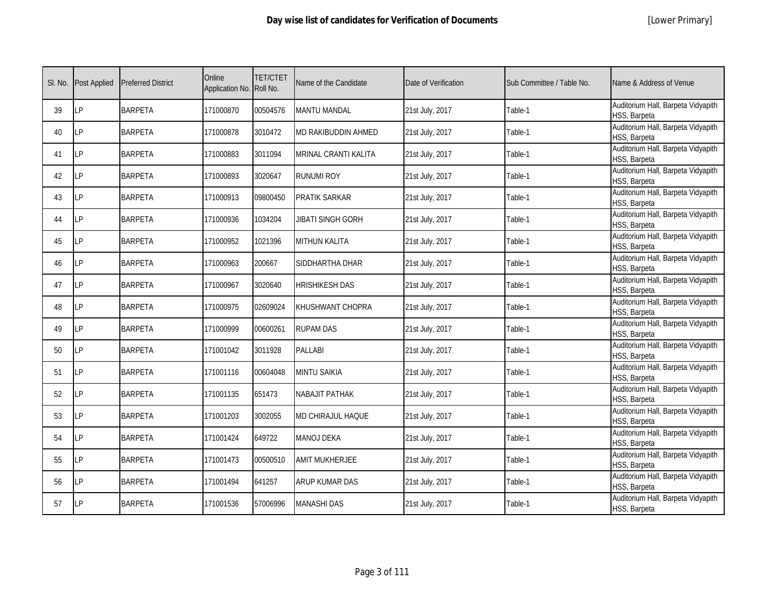|  | [Lower Primary] |
|--|-----------------|
|--|-----------------|

| SI. No. | <b>Post Applied</b> | <b>Preferred District</b> | Online<br>Application No. Roll No. | <b>TET/CTET</b> | Name of the Candidate    | Date of Verification | Sub Committee / Table No. | Name & Address of Venue                            |
|---------|---------------------|---------------------------|------------------------------------|-----------------|--------------------------|----------------------|---------------------------|----------------------------------------------------|
| 39      | LP                  | <b>BARPETA</b>            | 171000870                          | 00504576        | <b>MANTU MANDAL</b>      | 21st July, 2017      | Table-1                   | Auditorium Hall, Barpeta Vidyapith<br>HSS, Barpeta |
| 40      | LP                  | <b>BARPETA</b>            | 171000878                          | 3010472         | MD RAKIBUDDIN AHMED      | 21st July, 2017      | Table-1                   | Auditorium Hall, Barpeta Vidyapith<br>HSS, Barpeta |
| 41      | LP                  | <b>BARPETA</b>            | 171000883                          | 3011094         | MRINAL CRANTI KALITA     | 21st July, 2017      | Table-1                   | Auditorium Hall, Barpeta Vidyapith<br>HSS, Barpeta |
| 42      | LP                  | <b>BARPETA</b>            | 171000893                          | 3020647         | <b>RUNUMI ROY</b>        | 21st July, 2017      | Table-1                   | Auditorium Hall, Barpeta Vidyapith<br>HSS, Barpeta |
| 43      | LP                  | <b>BARPETA</b>            | 171000913                          | 09800450        | PRATIK SARKAR            | 21st July, 2017      | Table-1                   | Auditorium Hall, Barpeta Vidyapith<br>HSS, Barpeta |
| 44      | LP                  | <b>BARPETA</b>            | 171000936                          | 1034204         | <b>JIBATI SINGH GORH</b> | 21st July, 2017      | Table-1                   | Auditorium Hall, Barpeta Vidyapith<br>HSS, Barpeta |
| 45      | LP                  | <b>BARPETA</b>            | 171000952                          | 1021396         | <b>MITHUN KALITA</b>     | 21st July, 2017      | Table-1                   | Auditorium Hall, Barpeta Vidyapith<br>HSS, Barpeta |
| 46      | LP                  | <b>BARPETA</b>            | 171000963                          | 200667          | SIDDHARTHA DHAR          | 21st July, 2017      | Table-1                   | Auditorium Hall, Barpeta Vidyapith<br>HSS, Barpeta |
| 47      | LP                  | <b>BARPETA</b>            | 171000967                          | 3020640         | <b>HRISHIKESH DAS</b>    | 21st July, 2017      | Table-1                   | Auditorium Hall, Barpeta Vidyapith<br>HSS, Barpeta |
| 48      | LP                  | <b>BARPETA</b>            | 171000975                          | 02609024        | KHUSHWANT CHOPRA         | 21st July, 2017      | Table-1                   | Auditorium Hall, Barpeta Vidyapith<br>HSS, Barpeta |
| 49      | I P                 | <b>BARPETA</b>            | 171000999                          | 00600261        | <b>RUPAM DAS</b>         | 21st July, 2017      | Table-1                   | Auditorium Hall, Barpeta Vidyapith<br>HSS, Barpeta |
| 50      | LP                  | <b>BARPETA</b>            | 171001042                          | 3011928         | <b>PALLABI</b>           | 21st July, 2017      | Table-1                   | Auditorium Hall, Barpeta Vidyapith<br>HSS, Barpeta |
| 51      | LP                  | <b>BARPETA</b>            | 171001116                          | 00604048        | <b>MINTU SAIKIA</b>      | 21st July, 2017      | Table-1                   | Auditorium Hall, Barpeta Vidyapith<br>HSS, Barpeta |
| 52      | LP                  | <b>BARPETA</b>            | 171001135                          | 651473          | <b>NABAJIT PATHAK</b>    | 21st July, 2017      | Table-1                   | Auditorium Hall, Barpeta Vidyapith<br>HSS, Barpeta |
| 53      | LP                  | <b>BARPETA</b>            | 171001203                          | 3002055         | <b>MD CHIRAJUL HAQUE</b> | 21st July, 2017      | Table-1                   | Auditorium Hall, Barpeta Vidyapith<br>HSS, Barpeta |
| 54      | I P                 | <b>BARPETA</b>            | 171001424                          | 649722          | <b>MANOJ DEKA</b>        | 21st July, 2017      | Table-1                   | Auditorium Hall, Barpeta Vidyapith<br>HSS, Barpeta |
| 55      | LP                  | <b>BARPETA</b>            | 171001473                          | 00500510        | <b>AMIT MUKHERJEE</b>    | 21st July, 2017      | Table-1                   | Auditorium Hall, Barpeta Vidyapith<br>HSS, Barpeta |
| 56      | LP                  | <b>BARPETA</b>            | 171001494                          | 641257          | <b>ARUP KUMAR DAS</b>    | 21st July, 2017      | Table-1                   | Auditorium Hall, Barpeta Vidyapith<br>HSS, Barpeta |
| 57      | LP                  | <b>BARPETA</b>            | 171001536                          | 57006996        | <b>MANASHI DAS</b>       | 21st July, 2017      | Table-1                   | Auditorium Hall, Barpeta Vidyapith<br>HSS, Barpeta |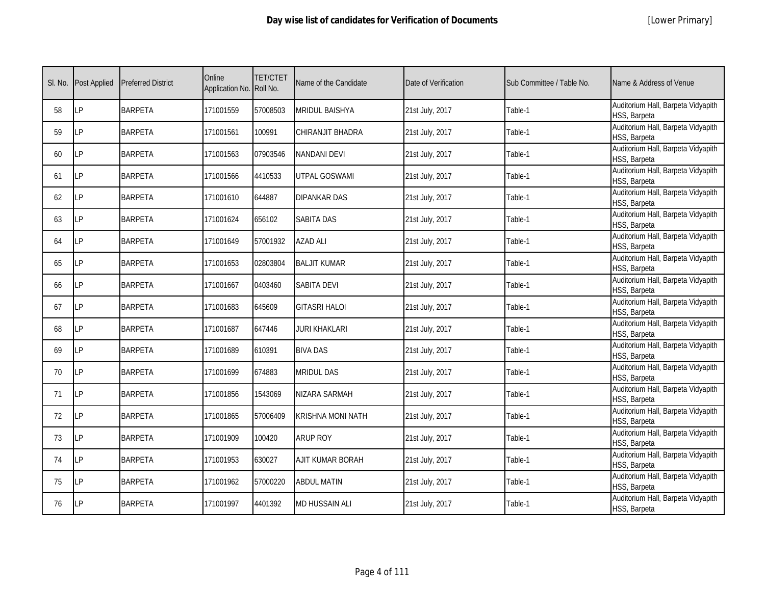|  | [Lower Primary] |
|--|-----------------|
|--|-----------------|

| SI. No. | <b>Post Applied</b> | <b>Preferred District</b> | Online<br>Application No. Roll No. | <b>TET/CTET</b> | Name of the Candidate    | Date of Verification | Sub Committee / Table No. | Name & Address of Venue                            |
|---------|---------------------|---------------------------|------------------------------------|-----------------|--------------------------|----------------------|---------------------------|----------------------------------------------------|
| 58      | LP                  | <b>BARPETA</b>            | 171001559                          | 57008503        | <b>MRIDUL BAISHYA</b>    | 21st July, 2017      | Table-1                   | Auditorium Hall, Barpeta Vidyapith<br>HSS, Barpeta |
| 59      | LP                  | <b>BARPETA</b>            | 171001561                          | 100991          | CHIRANJIT BHADRA         | 21st July, 2017      | Table-1                   | Auditorium Hall, Barpeta Vidyapith<br>HSS, Barpeta |
| 60      | LP                  | <b>BARPETA</b>            | 171001563                          | 07903546        | <b>NANDANI DEVI</b>      | 21st July, 2017      | Table-1                   | Auditorium Hall, Barpeta Vidyapith<br>HSS, Barpeta |
| 61      | LP                  | <b>BARPETA</b>            | 171001566                          | 4410533         | <b>UTPAL GOSWAMI</b>     | 21st July, 2017      | Table-1                   | Auditorium Hall, Barpeta Vidyapith<br>HSS, Barpeta |
| 62      | LP                  | <b>BARPETA</b>            | 171001610                          | 644887          | DIPANKAR DAS             | 21st July, 2017      | Table-1                   | Auditorium Hall, Barpeta Vidyapith<br>HSS, Barpeta |
| 63      | I P                 | <b>BARPETA</b>            | 171001624                          | 656102          | <b>SABITA DAS</b>        | 21st July, 2017      | Table-1                   | Auditorium Hall, Barpeta Vidyapith<br>HSS, Barpeta |
| 64      | LP                  | <b>BARPETA</b>            | 171001649                          | 57001932        | <b>AZAD ALI</b>          | 21st July, 2017      | Table-1                   | Auditorium Hall, Barpeta Vidyapith<br>HSS, Barpeta |
| 65      | LP                  | <b>BARPETA</b>            | 171001653                          | 02803804        | <b>BALJIT KUMAR</b>      | 21st July, 2017      | Table-1                   | Auditorium Hall, Barpeta Vidyapith<br>HSS, Barpeta |
| 66      | LP                  | <b>BARPETA</b>            | 171001667                          | 0403460         | SABITA DEVI              | 21st July, 2017      | Table-1                   | Auditorium Hall, Barpeta Vidyapith<br>HSS, Barpeta |
| 67      | LP                  | <b>BARPETA</b>            | 171001683                          | 645609          | <b>GITASRI HALOI</b>     | 21st July, 2017      | Table-1                   | Auditorium Hall, Barpeta Vidyapith<br>HSS, Barpeta |
| 68      | LP                  | <b>BARPETA</b>            | 171001687                          | 647446          | JURI KHAKLARI            | 21st July, 2017      | Table-1                   | Auditorium Hall, Barpeta Vidyapith<br>HSS, Barpeta |
| 69      | LP                  | <b>BARPETA</b>            | 171001689                          | 610391          | <b>BIVA DAS</b>          | 21st July, 2017      | Table-1                   | Auditorium Hall, Barpeta Vidyapith<br>HSS, Barpeta |
| 70      | LP                  | <b>BARPETA</b>            | 171001699                          | 674883          | <b>MRIDUL DAS</b>        | 21st July, 2017      | Table-1                   | Auditorium Hall, Barpeta Vidyapith<br>HSS, Barpeta |
| 71      | LP                  | <b>BARPETA</b>            | 171001856                          | 1543069         | NIZARA SARMAH            | 21st July, 2017      | Table-1                   | Auditorium Hall, Barpeta Vidyapith<br>HSS, Barpeta |
| 72      | LP                  | <b>BARPETA</b>            | 171001865                          | 57006409        | <b>KRISHNA MONI NATH</b> | 21st July, 2017      | Table-1                   | Auditorium Hall, Barpeta Vidyapith<br>HSS, Barpeta |
| 73      | LP                  | <b>BARPETA</b>            | 171001909                          | 100420          | <b>ARUP ROY</b>          | 21st July, 2017      | Table-1                   | Auditorium Hall, Barpeta Vidyapith<br>HSS, Barpeta |
| 74      | <b>LP</b>           | <b>BARPETA</b>            | 171001953                          | 630027          | AJIT KUMAR BORAH         | 21st July, 2017      | Table-1                   | Auditorium Hall, Barpeta Vidyapith<br>HSS, Barpeta |
| 75      | LP                  | <b>BARPETA</b>            | 171001962                          | 57000220        | <b>ABDUL MATIN</b>       | 21st July, 2017      | Table-1                   | Auditorium Hall, Barpeta Vidyapith<br>HSS, Barpeta |
| 76      | LP                  | <b>BARPETA</b>            | 171001997                          | 4401392         | <b>MD HUSSAIN ALI</b>    | 21st July, 2017      | Table-1                   | Auditorium Hall, Barpeta Vidyapith<br>HSS, Barpeta |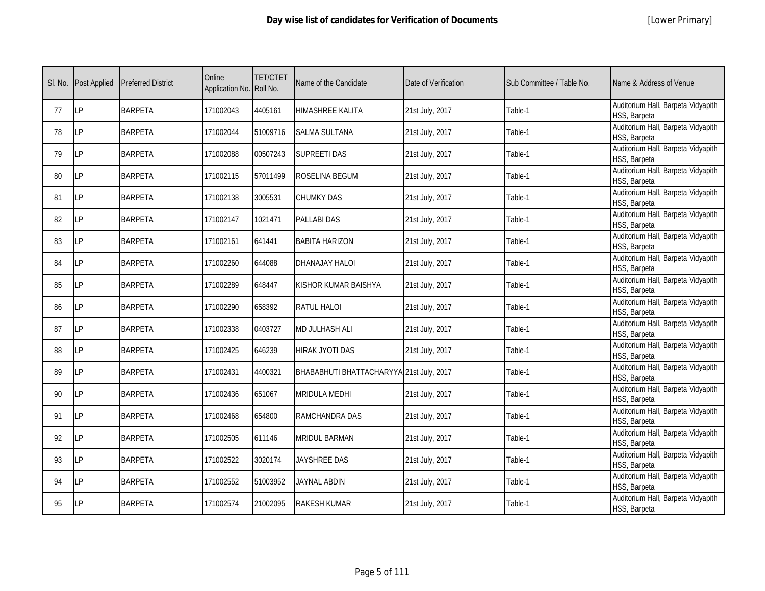|  | [Lower Primary] |
|--|-----------------|
|--|-----------------|

| SI. No. | <b>Post Applied</b> | <b>Preferred District</b> | Online<br>Application No. Roll No. | <b>TET/CTET</b> | Name of the Candidate                    | Date of Verification | Sub Committee / Table No. | Name & Address of Venue                            |
|---------|---------------------|---------------------------|------------------------------------|-----------------|------------------------------------------|----------------------|---------------------------|----------------------------------------------------|
| 77      | LP                  | <b>BARPETA</b>            | 171002043                          | 4405161         | <b>HIMASHREE KALITA</b>                  | 21st July, 2017      | Table-1                   | Auditorium Hall, Barpeta Vidyapith<br>HSS, Barpeta |
| 78      | LP                  | <b>BARPETA</b>            | 171002044                          | 51009716        | <b>SALMA SULTANA</b>                     | 21st July, 2017      | Table-1                   | Auditorium Hall, Barpeta Vidyapith<br>HSS, Barpeta |
| 79      | LP                  | <b>BARPETA</b>            | 171002088                          | 00507243        | <b>SUPREETI DAS</b>                      | 21st July, 2017      | Table-1                   | Auditorium Hall, Barpeta Vidyapith<br>HSS, Barpeta |
| 80      | LP                  | <b>BARPETA</b>            | 171002115                          | 57011499        | ROSELINA BEGUM                           | 21st July, 2017      | Table-1                   | Auditorium Hall, Barpeta Vidyapith<br>HSS, Barpeta |
| 81      | LP                  | <b>BARPETA</b>            | 171002138                          | 3005531         | <b>CHUMKY DAS</b>                        | 21st July, 2017      | Table-1                   | Auditorium Hall, Barpeta Vidyapith<br>HSS, Barpeta |
| 82      | LP                  | <b>BARPETA</b>            | 171002147                          | 1021471         | <b>PALLABI DAS</b>                       | 21st July, 2017      | Table-1                   | Auditorium Hall, Barpeta Vidyapith<br>HSS, Barpeta |
| 83      | LP                  | <b>BARPETA</b>            | 171002161                          | 641441          | <b>BABITA HARIZON</b>                    | 21st July, 2017      | Table-1                   | Auditorium Hall, Barpeta Vidyapith<br>HSS, Barpeta |
| 84      | LP                  | <b>BARPETA</b>            | 171002260                          | 644088          | DHANAJAY HALOI                           | 21st July, 2017      | Table-1                   | Auditorium Hall, Barpeta Vidyapith<br>HSS, Barpeta |
| 85      | LP                  | <b>BARPETA</b>            | 171002289                          | 648447          | KISHOR KUMAR BAISHYA                     | 21st July, 2017      | Table-1                   | Auditorium Hall, Barpeta Vidyapith<br>HSS, Barpeta |
| 86      | LP                  | <b>BARPETA</b>            | 171002290                          | 658392          | <b>RATUL HALOI</b>                       | 21st July, 2017      | Table-1                   | Auditorium Hall, Barpeta Vidyapith<br>HSS, Barpeta |
| 87      | LP                  | <b>BARPETA</b>            | 171002338                          | 0403727         | <b>MD JULHASH ALI</b>                    | 21st July, 2017      | Table-1                   | Auditorium Hall, Barpeta Vidyapith<br>HSS, Barpeta |
| 88      | LP                  | <b>BARPETA</b>            | 171002425                          | 646239          | <b>HIRAK JYOTI DAS</b>                   | 21st July, 2017      | Table-1                   | Auditorium Hall, Barpeta Vidyapith<br>HSS, Barpeta |
| 89      | LP                  | <b>BARPETA</b>            | 171002431                          | 4400321         | BHABABHUTI BHATTACHARYYA 21st July, 2017 |                      | Table-1                   | Auditorium Hall, Barpeta Vidyapith<br>HSS, Barpeta |
| 90      | LP                  | <b>BARPETA</b>            | 171002436                          | 651067          | MRIDULA MEDHI                            | 21st July, 2017      | Table-1                   | Auditorium Hall, Barpeta Vidyapith<br>HSS, Barpeta |
| 91      | LP                  | <b>BARPETA</b>            | 171002468                          | 654800          | RAMCHANDRA DAS                           | 21st July, 2017      | Table-1                   | Auditorium Hall, Barpeta Vidyapith<br>HSS, Barpeta |
| 92      | LP                  | <b>BARPETA</b>            | 171002505                          | 611146          | <b>MRIDUL BARMAN</b>                     | 21st July, 2017      | Table-1                   | Auditorium Hall, Barpeta Vidyapith<br>HSS, Barpeta |
| 93      | <b>LP</b>           | <b>BARPETA</b>            | 171002522                          | 3020174         | JAYSHREE DAS                             | 21st July, 2017      | Table-1                   | Auditorium Hall, Barpeta Vidyapith<br>HSS, Barpeta |
| 94      | LP                  | <b>BARPETA</b>            | 171002552                          | 51003952        | <b>JAYNAL ABDIN</b>                      | 21st July, 2017      | Table-1                   | Auditorium Hall, Barpeta Vidyapith<br>HSS, Barpeta |
| 95      | LP                  | <b>BARPETA</b>            | 171002574                          | 21002095        | <b>RAKESH KUMAR</b>                      | 21st July, 2017      | Table-1                   | Auditorium Hall, Barpeta Vidyapith<br>HSS, Barpeta |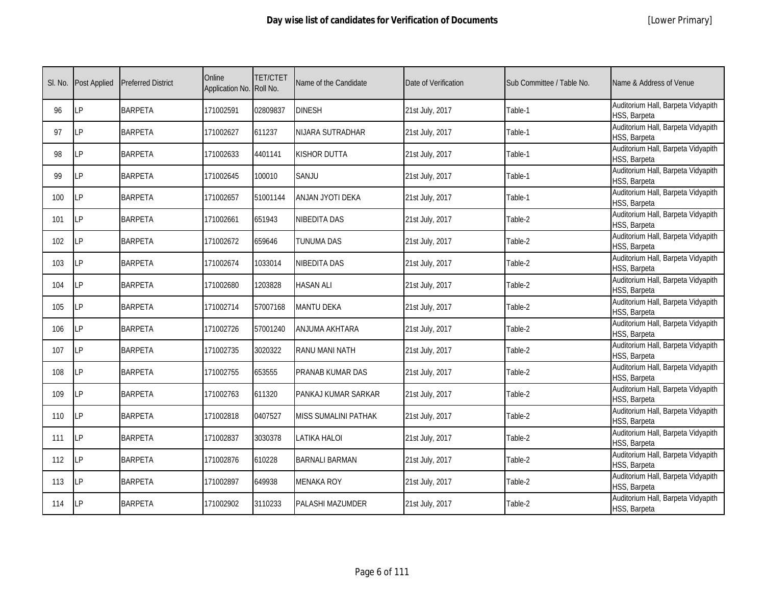|  | [Lower Primary] |
|--|-----------------|
|--|-----------------|

| SI. No. | <b>Post Applied</b> | <b>Preferred District</b> | Online<br>Application No. Roll No. | <b>TET/CTET</b> | Name of the Candidate       | Date of Verification | Sub Committee / Table No. | Name & Address of Venue                            |
|---------|---------------------|---------------------------|------------------------------------|-----------------|-----------------------------|----------------------|---------------------------|----------------------------------------------------|
| 96      | <b>LP</b>           | <b>BARPETA</b>            | 171002591                          | 02809837        | <b>DINESH</b>               | 21st July, 2017      | Table-1                   | Auditorium Hall, Barpeta Vidyapith<br>HSS, Barpeta |
| 97      | LP                  | <b>BARPETA</b>            | 171002627                          | 611237          | NIJARA SUTRADHAR            | 21st July, 2017      | Table-1                   | Auditorium Hall, Barpeta Vidyapith<br>HSS, Barpeta |
| 98      | <b>LP</b>           | <b>BARPETA</b>            | 171002633                          | 4401141         | KISHOR DUTTA                | 21st July, 2017      | Table-1                   | Auditorium Hall, Barpeta Vidyapith<br>HSS, Barpeta |
| 99      | LP                  | <b>BARPETA</b>            | 171002645                          | 100010          | SANJU                       | 21st July, 2017      | Table-1                   | Auditorium Hall, Barpeta Vidyapith<br>HSS, Barpeta |
| 100     | <b>ILP</b>          | <b>BARPETA</b>            | 171002657                          | 51001144        | ANJAN JYOTI DEKA            | 21st July, 2017      | Table-1                   | Auditorium Hall, Barpeta Vidyapith<br>HSS, Barpeta |
| 101     | <b>LP</b>           | <b>BARPETA</b>            | 171002661                          | 651943          | NIBEDITA DAS                | 21st July, 2017      | Table-2                   | Auditorium Hall, Barpeta Vidyapith<br>HSS, Barpeta |
| 102     | LP                  | <b>BARPETA</b>            | 171002672                          | 659646          | TUNUMA DAS                  | 21st July, 2017      | Table-2                   | Auditorium Hall, Barpeta Vidyapith<br>HSS, Barpeta |
| 103     | LP                  | <b>BARPETA</b>            | 171002674                          | 1033014         | NIBEDITA DAS                | 21st July, 2017      | Table-2                   | Auditorium Hall, Barpeta Vidyapith<br>HSS, Barpeta |
| 104     | <b>LP</b>           | <b>BARPETA</b>            | 171002680                          | 1203828         | <b>HASAN ALI</b>            | 21st July, 2017      | Table-2                   | Auditorium Hall, Barpeta Vidyapith<br>HSS, Barpeta |
| 105     | <b>LP</b>           | <b>BARPETA</b>            | 171002714                          | 57007168        | <b>MANTU DEKA</b>           | 21st July, 2017      | Table-2                   | Auditorium Hall, Barpeta Vidyapith<br>HSS, Barpeta |
| 106     | LP                  | <b>BARPETA</b>            | 171002726                          | 57001240        | ANJUMA AKHTARA              | 21st July, 2017      | Table-2                   | Auditorium Hall, Barpeta Vidyapith<br>HSS, Barpeta |
| 107     | LP                  | <b>BARPETA</b>            | 171002735                          | 3020322         | RANU MANI NATH              | 21st July, 2017      | Table-2                   | Auditorium Hall, Barpeta Vidyapith<br>HSS, Barpeta |
| 108     | LP                  | <b>BARPETA</b>            | 171002755                          | 653555          | PRANAB KUMAR DAS            | 21st July, 2017      | Table-2                   | Auditorium Hall, Barpeta Vidyapith<br>HSS, Barpeta |
| 109     | <b>LP</b>           | <b>BARPETA</b>            | 171002763                          | 611320          | PANKAJ KUMAR SARKAR         | 21st July, 2017      | Table-2                   | Auditorium Hall, Barpeta Vidyapith<br>HSS, Barpeta |
| 110     | LP                  | <b>BARPETA</b>            | 171002818                          | 0407527         | <b>MISS SUMALINI PATHAK</b> | 21st July, 2017      | Table-2                   | Auditorium Hall, Barpeta Vidyapith<br>HSS, Barpeta |
| 111     | <b>ILP</b>          | <b>BARPETA</b>            | 171002837                          | 3030378         | LATIKA HALOI                | 21st July, 2017      | Table-2                   | Auditorium Hall, Barpeta Vidyapith<br>HSS, Barpeta |
| 112     | LP                  | <b>BARPETA</b>            | 171002876                          | 610228          | <b>BARNALI BARMAN</b>       | 21st July, 2017      | Table-2                   | Auditorium Hall, Barpeta Vidyapith<br>HSS, Barpeta |
| 113     | <b>LP</b>           | <b>BARPETA</b>            | 171002897                          | 649938          | <b>MENAKA ROY</b>           | 21st July, 2017      | Table-2                   | Auditorium Hall, Barpeta Vidyapith<br>HSS, Barpeta |
| 114     | <b>ILP</b>          | <b>BARPETA</b>            | 171002902                          | 3110233         | PALASHI MAZUMDER            | 21st July, 2017      | Table-2                   | Auditorium Hall, Barpeta Vidyapith<br>HSS, Barpeta |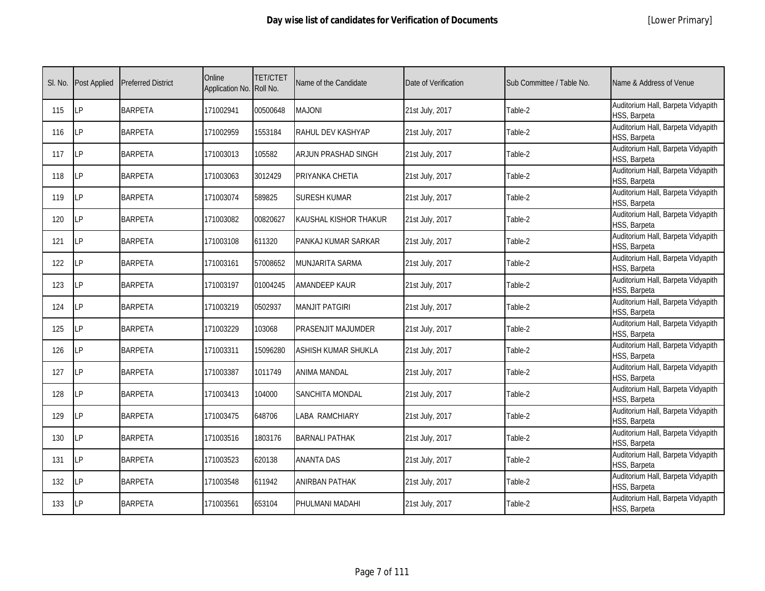|  | [Lower Primary] |
|--|-----------------|
|--|-----------------|

| SI. No. | <b>Post Applied</b> | <b>Preferred District</b> | Online<br>Application No. Roll No. | <b>TET/CTET</b> | Name of the Candidate | Date of Verification | Sub Committee / Table No. | Name & Address of Venue                            |
|---------|---------------------|---------------------------|------------------------------------|-----------------|-----------------------|----------------------|---------------------------|----------------------------------------------------|
| 115     | LP                  | <b>BARPETA</b>            | 171002941                          | 00500648        | <b>MAJONI</b>         | 21st July, 2017      | Table-2                   | Auditorium Hall, Barpeta Vidyapith<br>HSS, Barpeta |
| 116     | LP                  | <b>BARPETA</b>            | 171002959                          | 1553184         | RAHUL DEV KASHYAP     | 21st July, 2017      | Table-2                   | Auditorium Hall, Barpeta Vidyapith<br>HSS, Barpeta |
| 117     | LP                  | <b>BARPETA</b>            | 171003013                          | 105582          | ARJUN PRASHAD SINGH   | 21st July, 2017      | Table-2                   | Auditorium Hall, Barpeta Vidyapith<br>HSS, Barpeta |
| 118     | LP                  | <b>BARPETA</b>            | 171003063                          | 3012429         | PRIYANKA CHETIA       | 21st July, 2017      | Table-2                   | Auditorium Hall, Barpeta Vidyapith<br>HSS, Barpeta |
| 119     | LP                  | <b>BARPETA</b>            | 171003074                          | 589825          | <b>SURESH KUMAR</b>   | 21st July, 2017      | Table-2                   | Auditorium Hall, Barpeta Vidyapith<br>HSS, Barpeta |
| 120     | LP                  | <b>BARPETA</b>            | 171003082                          | 00820627        | KAUSHAL KISHOR THAKUR | 21st July, 2017      | Table-2                   | Auditorium Hall, Barpeta Vidyapith<br>HSS, Barpeta |
| 121     | <b>LP</b>           | <b>BARPETA</b>            | 171003108                          | 611320          | PANKAJ KUMAR SARKAR   | 21st July, 2017      | Table-2                   | Auditorium Hall, Barpeta Vidyapith<br>HSS, Barpeta |
| 122     | LP                  | <b>BARPETA</b>            | 171003161                          | 57008652        | MUNJARITA SARMA       | 21st July, 2017      | Table-2                   | Auditorium Hall, Barpeta Vidyapith<br>HSS, Barpeta |
| 123     | LP                  | <b>BARPETA</b>            | 171003197                          | 01004245        | <b>AMANDEEP KAUR</b>  | 21st July, 2017      | Table-2                   | Auditorium Hall, Barpeta Vidyapith<br>HSS, Barpeta |
| 124     | LP                  | <b>BARPETA</b>            | 171003219                          | 0502937         | <b>MANJIT PATGIRI</b> | 21st July, 2017      | Table-2                   | Auditorium Hall, Barpeta Vidyapith<br>HSS, Barpeta |
| 125     | LP                  | <b>BARPETA</b>            | 171003229                          | 103068          | PRASENJIT MAJUMDER    | 21st July, 2017      | Table-2                   | Auditorium Hall, Barpeta Vidyapith<br>HSS, Barpeta |
| 126     | LP                  | <b>BARPETA</b>            | 171003311                          | 15096280        | ASHISH KUMAR SHUKLA   | 21st July, 2017      | Table-2                   | Auditorium Hall, Barpeta Vidyapith<br>HSS, Barpeta |
| 127     | LP                  | <b>BARPETA</b>            | 171003387                          | 1011749         | <b>ANIMA MANDAL</b>   | 21st July, 2017      | Table-2                   | Auditorium Hall, Barpeta Vidyapith<br>HSS, Barpeta |
| 128     | LP                  | <b>BARPETA</b>            | 171003413                          | 104000          | SANCHITA MONDAL       | 21st July, 2017      | Table-2                   | Auditorium Hall, Barpeta Vidyapith<br>HSS, Barpeta |
| 129     | LP                  | <b>BARPETA</b>            | 171003475                          | 648706          | <b>LABA RAMCHIARY</b> | 21st July, 2017      | Table-2                   | Auditorium Hall, Barpeta Vidyapith<br>HSS, Barpeta |
| 130     | LP                  | <b>BARPETA</b>            | 171003516                          | 1803176         | <b>BARNALI PATHAK</b> | 21st July, 2017      | Table-2                   | Auditorium Hall, Barpeta Vidyapith<br>HSS, Barpeta |
| 131     | <b>LP</b>           | <b>BARPETA</b>            | 171003523                          | 620138          | <b>ANANTA DAS</b>     | 21st July, 2017      | Table-2                   | Auditorium Hall, Barpeta Vidyapith<br>HSS, Barpeta |
| 132     | LP                  | <b>BARPETA</b>            | 171003548                          | 611942          | <b>ANIRBAN PATHAK</b> | 21st July, 2017      | Table-2                   | Auditorium Hall, Barpeta Vidyapith<br>HSS, Barpeta |
| 133     | LР                  | <b>BARPETA</b>            | 171003561                          | 653104          | PHULMANI MADAHI       | 21st July, 2017      | Table-2                   | Auditorium Hall, Barpeta Vidyapith<br>HSS, Barpeta |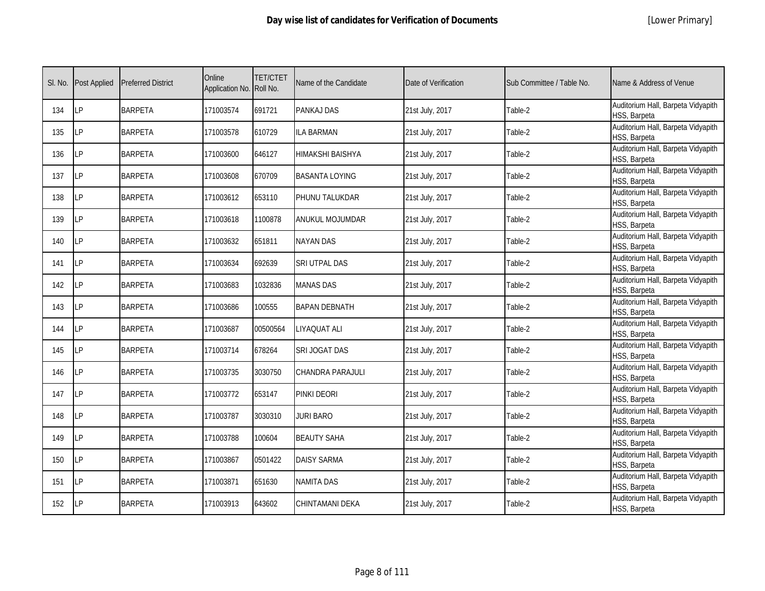| SI. No. | <b>Post Applied</b> | <b>Preferred District</b> | Online<br>Application No. Roll No. | <b>TET/CTET</b> | Name of the Candidate | Date of Verification | Sub Committee / Table No. | Name & Address of Venue                            |
|---------|---------------------|---------------------------|------------------------------------|-----------------|-----------------------|----------------------|---------------------------|----------------------------------------------------|
| 134     | LP                  | <b>BARPETA</b>            | 171003574                          | 691721          | PANKAJ DAS            | 21st July, 2017      | Table-2                   | Auditorium Hall, Barpeta Vidyapith<br>HSS, Barpeta |
| 135     | <b>LP</b>           | <b>BARPETA</b>            | 171003578                          | 610729          | <b>LA BARMAN</b>      | 21st July, 2017      | Table-2                   | Auditorium Hall, Barpeta Vidyapith<br>HSS, Barpeta |
| 136     | LP                  | <b>BARPETA</b>            | 171003600                          | 646127          | HIMAKSHI BAISHYA      | 21st July, 2017      | Table-2                   | Auditorium Hall, Barpeta Vidyapith<br>HSS, Barpeta |
| 137     | LP                  | <b>BARPETA</b>            | 171003608                          | 670709          | <b>BASANTA LOYING</b> | 21st July, 2017      | Table-2                   | Auditorium Hall, Barpeta Vidyapith<br>HSS, Barpeta |
| 138     | LP                  | <b>BARPETA</b>            | 171003612                          | 653110          | PHUNU TALUKDAR        | 21st July, 2017      | Table-2                   | Auditorium Hall, Barpeta Vidyapith<br>HSS, Barpeta |
| 139     | LP                  | <b>BARPETA</b>            | 171003618                          | 1100878         | ANUKUL MOJUMDAR       | 21st July, 2017      | Table-2                   | Auditorium Hall, Barpeta Vidyapith<br>HSS, Barpeta |
| 140     | LP                  | <b>BARPETA</b>            | 171003632                          | 651811          | <b>NAYAN DAS</b>      | 21st July, 2017      | Table-2                   | Auditorium Hall, Barpeta Vidyapith<br>HSS, Barpeta |
| 141     | LP                  | <b>BARPETA</b>            | 171003634                          | 692639          | <b>SRI UTPAL DAS</b>  | 21st July, 2017      | Table-2                   | Auditorium Hall, Barpeta Vidyapith<br>HSS, Barpeta |
| 142     | <b>LP</b>           | <b>BARPETA</b>            | 171003683                          | 1032836         | <b>MANAS DAS</b>      | 21st July, 2017      | Table-2                   | Auditorium Hall, Barpeta Vidyapith<br>HSS, Barpeta |
| 143     | <b>LP</b>           | <b>BARPETA</b>            | 171003686                          | 100555          | <b>BAPAN DEBNATH</b>  | 21st July, 2017      | Table-2                   | Auditorium Hall, Barpeta Vidyapith<br>HSS, Barpeta |
| 144     | LP                  | <b>BARPETA</b>            | 171003687                          | 00500564        | LIYAQUAT ALI          | 21st July, 2017      | Table-2                   | Auditorium Hall, Barpeta Vidyapith<br>HSS, Barpeta |
| 145     | <b>LP</b>           | <b>BARPETA</b>            | 171003714                          | 678264          | SRI JOGAT DAS         | 21st July, 2017      | Table-2                   | Auditorium Hall, Barpeta Vidyapith<br>HSS, Barpeta |
| 146     | <b>LP</b>           | <b>BARPETA</b>            | 171003735                          | 3030750         | CHANDRA PARAJULI      | 21st July, 2017      | Table-2                   | Auditorium Hall, Barpeta Vidyapith<br>HSS, Barpeta |
| 147     | LP                  | <b>BARPETA</b>            | 171003772                          | 653147          | PINKI DEORI           | 21st July, 2017      | Table-2                   | Auditorium Hall, Barpeta Vidyapith<br>HSS, Barpeta |
| 148     | <b>LP</b>           | <b>BARPETA</b>            | 171003787                          | 3030310         | <b>JURI BARO</b>      | 21st July, 2017      | Table-2                   | Auditorium Hall, Barpeta Vidyapith<br>HSS, Barpeta |
| 149     | <b>LP</b>           | <b>BARPETA</b>            | 171003788                          | 100604          | <b>BEAUTY SAHA</b>    | 21st July, 2017      | Table-2                   | Auditorium Hall, Barpeta Vidyapith<br>HSS, Barpeta |
| 150     | <b>LP</b>           | <b>BARPETA</b>            | 171003867                          | 0501422         | <b>DAISY SARMA</b>    | 21st July, 2017      | Table-2                   | Auditorium Hall, Barpeta Vidyapith<br>HSS, Barpeta |
| 151     | LP                  | <b>BARPETA</b>            | 171003871                          | 651630          | <b>NAMITA DAS</b>     | 21st July, 2017      | Table-2                   | Auditorium Hall, Barpeta Vidyapith<br>HSS, Barpeta |
| 152     | <b>LP</b>           | <b>BARPETA</b>            | 171003913                          | 643602          | CHINTAMANI DEKA       | 21st July, 2017      | Table-2                   | Auditorium Hall, Barpeta Vidyapith<br>HSS, Barpeta |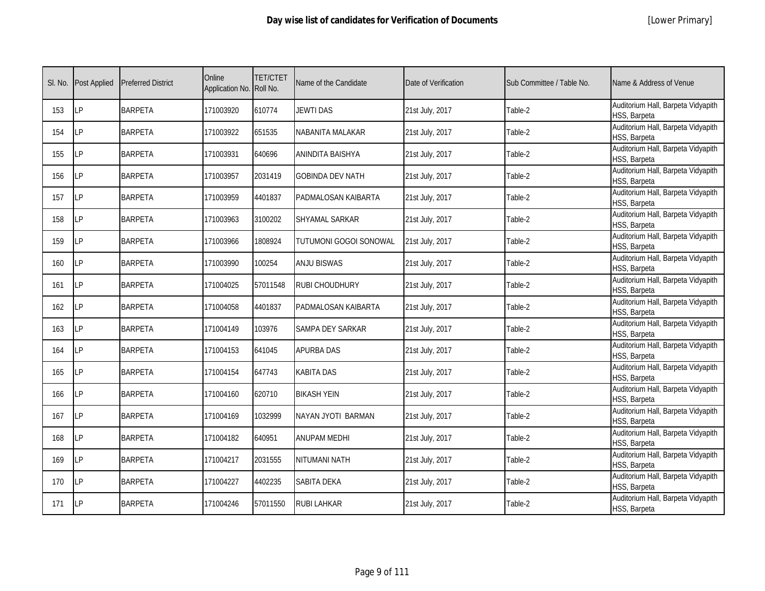|  | [Lower Primary] |
|--|-----------------|
|--|-----------------|

| SI. No. | <b>Post Applied</b> | <b>Preferred District</b> | Online<br>Application No. Roll No. | <b>TET/CTET</b> | Name of the Candidate   | Date of Verification | Sub Committee / Table No. | Name & Address of Venue                            |
|---------|---------------------|---------------------------|------------------------------------|-----------------|-------------------------|----------------------|---------------------------|----------------------------------------------------|
| 153     | LP                  | <b>BARPETA</b>            | 171003920                          | 610774          | <b>JEWTI DAS</b>        | 21st July, 2017      | Table-2                   | Auditorium Hall, Barpeta Vidyapith<br>HSS, Barpeta |
| 154     | LP                  | <b>BARPETA</b>            | 171003922                          | 651535          | NABANITA MALAKAR        | 21st July, 2017      | Table-2                   | Auditorium Hall, Barpeta Vidyapith<br>HSS, Barpeta |
| 155     | LP                  | <b>BARPETA</b>            | 171003931                          | 640696          | ANINDITA BAISHYA        | 21st July, 2017      | Table-2                   | Auditorium Hall, Barpeta Vidyapith<br>HSS, Barpeta |
| 156     | LP                  | <b>BARPETA</b>            | 171003957                          | 2031419         | <b>GOBINDA DEV NATH</b> | 21st July, 2017      | Table-2                   | Auditorium Hall, Barpeta Vidyapith<br>HSS, Barpeta |
| 157     | <b>LP</b>           | <b>BARPETA</b>            | 171003959                          | 4401837         | PADMALOSAN KAIBARTA     | 21st July, 2017      | Table-2                   | Auditorium Hall, Barpeta Vidyapith<br>HSS, Barpeta |
| 158     | LP                  | <b>BARPETA</b>            | 171003963                          | 3100202         | SHYAMAL SARKAR          | 21st July, 2017      | Table-2                   | Auditorium Hall, Barpeta Vidyapith<br>HSS, Barpeta |
| 159     | LP                  | <b>BARPETA</b>            | 171003966                          | 1808924         | TUTUMONI GOGOI SONOWAL  | 21st July, 2017      | Table-2                   | Auditorium Hall, Barpeta Vidyapith<br>HSS, Barpeta |
| 160     | LP                  | <b>BARPETA</b>            | 171003990                          | 100254          | <b>ANJU BISWAS</b>      | 21st July, 2017      | Table-2                   | Auditorium Hall, Barpeta Vidyapith<br>HSS, Barpeta |
| 161     | LP                  | <b>BARPETA</b>            | 171004025                          | 57011548        | <b>RUBI CHOUDHURY</b>   | 21st July, 2017      | Table-2                   | Auditorium Hall, Barpeta Vidyapith<br>HSS, Barpeta |
| 162     | LP                  | <b>BARPETA</b>            | 171004058                          | 4401837         | PADMALOSAN KAIBARTA     | 21st July, 2017      | Table-2                   | Auditorium Hall, Barpeta Vidyapith<br>HSS, Barpeta |
| 163     | LP                  | <b>BARPETA</b>            | 171004149                          | 103976          | SAMPA DEY SARKAR        | 21st July, 2017      | Table-2                   | Auditorium Hall, Barpeta Vidyapith<br>HSS, Barpeta |
| 164     | LP                  | <b>BARPETA</b>            | 171004153                          | 641045          | <b>APURBA DAS</b>       | 21st July, 2017      | Table-2                   | Auditorium Hall, Barpeta Vidyapith<br>HSS, Barpeta |
| 165     | LP                  | <b>BARPETA</b>            | 171004154                          | 647743          | <b>KABITA DAS</b>       | 21st July, 2017      | Table-2                   | Auditorium Hall, Barpeta Vidyapith<br>HSS, Barpeta |
| 166     | LP                  | <b>BARPETA</b>            | 171004160                          | 620710          | <b>BIKASH YEIN</b>      | 21st July, 2017      | Table-2                   | Auditorium Hall, Barpeta Vidyapith<br>HSS, Barpeta |
| 167     | LP                  | <b>BARPETA</b>            | 171004169                          | 1032999         | NAYAN JYOTI BARMAN      | 21st July, 2017      | Table-2                   | Auditorium Hall, Barpeta Vidyapith<br>HSS, Barpeta |
| 168     | LP                  | <b>BARPETA</b>            | 171004182                          | 640951          | <b>ANUPAM MEDHI</b>     | 21st July, 2017      | Table-2                   | Auditorium Hall, Barpeta Vidyapith<br>HSS, Barpeta |
| 169     | <b>LP</b>           | <b>BARPETA</b>            | 171004217                          | 2031555         | NITUMANI NATH           | 21st July, 2017      | Table-2                   | Auditorium Hall, Barpeta Vidyapith<br>HSS, Barpeta |
| 170     | LP                  | <b>BARPETA</b>            | 171004227                          | 4402235         | <b>SABITA DEKA</b>      | 21st July, 2017      | Table-2                   | Auditorium Hall, Barpeta Vidyapith<br>HSS, Barpeta |
| 171     | LP                  | <b>BARPETA</b>            | 171004246                          | 57011550        | <b>RUBI LAHKAR</b>      | 21st July, 2017      | Table-2                   | Auditorium Hall, Barpeta Vidyapith<br>HSS, Barpeta |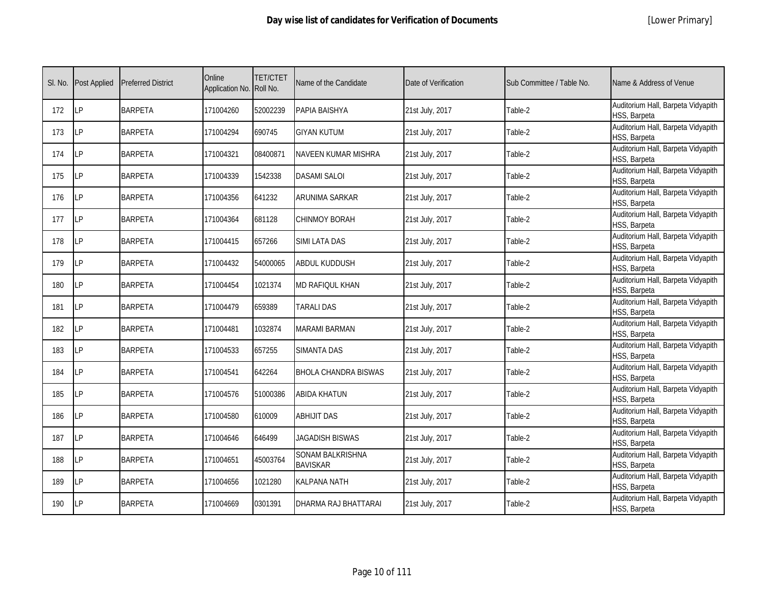|  | [Lower Primary] |
|--|-----------------|
|--|-----------------|

| SI. No. | <b>Post Applied</b> | <b>Preferred District</b> | Online<br>Application No. Roll No. | <b>TET/CTET</b> | Name of the Candidate               | Date of Verification | Sub Committee / Table No. | Name & Address of Venue                            |
|---------|---------------------|---------------------------|------------------------------------|-----------------|-------------------------------------|----------------------|---------------------------|----------------------------------------------------|
| 172     | LP                  | <b>BARPETA</b>            | 171004260                          | 52002239        | PAPIA BAISHYA                       | 21st July, 2017      | Table-2                   | Auditorium Hall, Barpeta Vidyapith<br>HSS, Barpeta |
| 173     | <b>ILP</b>          | <b>BARPETA</b>            | 171004294                          | 690745          | <b>GIYAN KUTUM</b>                  | 21st July, 2017      | Table-2                   | Auditorium Hall, Barpeta Vidyapith<br>HSS, Barpeta |
| 174     | LP                  | <b>BARPETA</b>            | 171004321                          | 08400871        | NAVEEN KUMAR MISHRA                 | 21st July, 2017      | Table-2                   | Auditorium Hall, Barpeta Vidyapith<br>HSS, Barpeta |
| 175     | LΡ                  | <b>BARPETA</b>            | 171004339                          | 1542338         | <b>DASAMI SALOI</b>                 | 21st July, 2017      | Table-2                   | Auditorium Hall, Barpeta Vidyapith<br>HSS, Barpeta |
| 176     | <b>LP</b>           | <b>BARPETA</b>            | 171004356                          | 641232          | ARUNIMA SARKAR                      | 21st July, 2017      | Table-2                   | Auditorium Hall, Barpeta Vidyapith<br>HSS, Barpeta |
| 177     | LP                  | <b>BARPETA</b>            | 171004364                          | 681128          | CHINMOY BORAH                       | 21st July, 2017      | Table-2                   | Auditorium Hall, Barpeta Vidyapith<br>HSS, Barpeta |
| 178     | <b>LP</b>           | <b>BARPETA</b>            | 171004415                          | 657266          | SIMI LATA DAS                       | 21st July, 2017      | Table-2                   | Auditorium Hall, Barpeta Vidyapith<br>HSS, Barpeta |
| 179     | LP                  | <b>BARPETA</b>            | 171004432                          | 54000065        | ABDUL KUDDUSH                       | 21st July, 2017      | Table-2                   | Auditorium Hall, Barpeta Vidyapith<br>HSS, Barpeta |
| 180     | LP                  | <b>BARPETA</b>            | 171004454                          | 1021374         | MD RAFIQUL KHAN                     | 21st July, 2017      | Table-2                   | Auditorium Hall, Barpeta Vidyapith<br>HSS, Barpeta |
| 181     | LP                  | <b>BARPETA</b>            | 171004479                          | 659389          | <b>TARALI DAS</b>                   | 21st July, 2017      | Table-2                   | Auditorium Hall, Barpeta Vidyapith<br>HSS, Barpeta |
| 182     | <b>LP</b>           | <b>BARPETA</b>            | 171004481                          | 1032874         | <b>MARAMI BARMAN</b>                | 21st July, 2017      | Table-2                   | Auditorium Hall, Barpeta Vidyapith<br>HSS, Barpeta |
| 183     | <b>LP</b>           | <b>BARPETA</b>            | 171004533                          | 657255          | <b>SIMANTA DAS</b>                  | 21st July, 2017      | Table-2                   | Auditorium Hall, Barpeta Vidyapith<br>HSS, Barpeta |
| 184     | <b>LP</b>           | <b>BARPETA</b>            | 171004541                          | 642264          | <b>BHOLA CHANDRA BISWAS</b>         | 21st July, 2017      | Table-2                   | Auditorium Hall, Barpeta Vidyapith<br>HSS, Barpeta |
| 185     | <b>LP</b>           | <b>BARPETA</b>            | 171004576                          | 51000386        | ABIDA KHATUN                        | 21st July, 2017      | Table-2                   | Auditorium Hall, Barpeta Vidyapith<br>HSS, Barpeta |
| 186     | <b>LP</b>           | <b>BARPETA</b>            | 171004580                          | 610009          | <b>ABHIJIT DAS</b>                  | 21st July, 2017      | Table-2                   | Auditorium Hall, Barpeta Vidyapith<br>HSS, Barpeta |
| 187     | LP                  | <b>BARPETA</b>            | 171004646                          | 646499          | <b>JAGADISH BISWAS</b>              | 21st July, 2017      | Table-2                   | Auditorium Hall, Barpeta Vidyapith<br>HSS, Barpeta |
| 188     | <b>LP</b>           | <b>BARPETA</b>            | 171004651                          | 45003764        | SONAM BALKRISHNA<br><b>BAVISKAR</b> | 21st July, 2017      | Table-2                   | Auditorium Hall, Barpeta Vidyapith<br>HSS, Barpeta |
| 189     | <b>LP</b>           | <b>BARPETA</b>            | 171004656                          | 1021280         | KALPANA NATH                        | 21st July, 2017      | Table-2                   | Auditorium Hall, Barpeta Vidyapith<br>HSS, Barpeta |
| 190     | <b>ILP</b>          | <b>BARPETA</b>            | 171004669                          | 0301391         | DHARMA RAJ BHATTARAI                | 21st July, 2017      | Table-2                   | Auditorium Hall, Barpeta Vidyapith<br>HSS, Barpeta |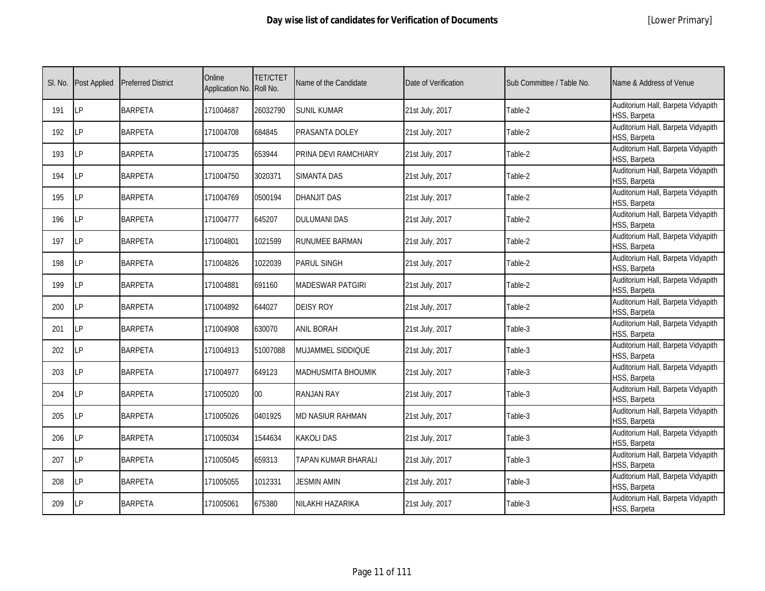|  | [Lower Primary] |
|--|-----------------|
|--|-----------------|

| SI. No. | <b>Post Applied</b> | <b>Preferred District</b> | Online<br>Application No. Roll No. | <b>TET/CTET</b> | Name of the Candidate     | Date of Verification | Sub Committee / Table No. | Name & Address of Venue                            |
|---------|---------------------|---------------------------|------------------------------------|-----------------|---------------------------|----------------------|---------------------------|----------------------------------------------------|
| 191     | LP                  | <b>BARPETA</b>            | 171004687                          | 26032790        | <b>SUNIL KUMAR</b>        | 21st July, 2017      | Table-2                   | Auditorium Hall, Barpeta Vidyapith<br>HSS, Barpeta |
| 192     | <b>ILP</b>          | <b>BARPETA</b>            | 171004708                          | 684845          | PRASANTA DOLEY            | 21st July, 2017      | Table-2                   | Auditorium Hall, Barpeta Vidyapith<br>HSS, Barpeta |
| 193     | LP                  | <b>BARPETA</b>            | 171004735                          | 653944          | PRINA DEVI RAMCHIARY      | 21st July, 2017      | Table-2                   | Auditorium Hall, Barpeta Vidyapith<br>HSS, Barpeta |
| 194     | LP                  | <b>BARPETA</b>            | 171004750                          | 3020371         | <b>SIMANTA DAS</b>        | 21st July, 2017      | Table-2                   | Auditorium Hall, Barpeta Vidyapith<br>HSS, Barpeta |
| 195     | <b>LP</b>           | <b>BARPETA</b>            | 171004769                          | 0500194         | <b>DHANJIT DAS</b>        | 21st July, 2017      | Table-2                   | Auditorium Hall, Barpeta Vidyapith<br>HSS, Barpeta |
| 196     | LP                  | <b>BARPETA</b>            | 171004777                          | 645207          | <b>DULUMANI DAS</b>       | 21st July, 2017      | Table-2                   | Auditorium Hall, Barpeta Vidyapith<br>HSS, Barpeta |
| 197     | <b>LP</b>           | <b>BARPETA</b>            | 171004801                          | 1021599         | RUNUMEE BARMAN            | 21st July, 2017      | Table-2                   | Auditorium Hall, Barpeta Vidyapith<br>HSS, Barpeta |
| 198     | LP                  | <b>BARPETA</b>            | 171004826                          | 1022039         | <b>PARUL SINGH</b>        | 21st July, 2017      | Table-2                   | Auditorium Hall, Barpeta Vidyapith<br>HSS, Barpeta |
| 199     | LP                  | <b>BARPETA</b>            | 171004881                          | 691160          | <b>MADESWAR PATGIRI</b>   | 21st July, 2017      | Table-2                   | Auditorium Hall, Barpeta Vidyapith<br>HSS, Barpeta |
| 200     | LP                  | <b>BARPETA</b>            | 171004892                          | 644027          | <b>DEISY ROY</b>          | 21st July, 2017      | Table-2                   | Auditorium Hall, Barpeta Vidyapith<br>HSS, Barpeta |
| 201     | LP                  | <b>BARPETA</b>            | 171004908                          | 630070          | <b>ANIL BORAH</b>         | 21st July, 2017      | Table-3                   | Auditorium Hall, Barpeta Vidyapith<br>HSS, Barpeta |
| 202     | LP                  | <b>BARPETA</b>            | 171004913                          | 51007088        | MUJAMMEL SIDDIQUE         | 21st July, 2017      | Table-3                   | Auditorium Hall, Barpeta Vidyapith<br>HSS, Barpeta |
| 203     | <b>LP</b>           | <b>BARPETA</b>            | 171004977                          | 649123          | <b>MADHUSMITA BHOUMIK</b> | 21st July, 2017      | Table-3                   | Auditorium Hall, Barpeta Vidyapith<br>HSS, Barpeta |
| 204     | <b>LP</b>           | <b>BARPETA</b>            | 171005020                          | $00\,$          | <b>RANJAN RAY</b>         | 21st July, 2017      | Table-3                   | Auditorium Hall, Barpeta Vidyapith<br>HSS, Barpeta |
| 205     | LP                  | <b>BARPETA</b>            | 171005026                          | 0401925         | MD NASIUR RAHMAN          | 21st July, 2017      | Table-3                   | Auditorium Hall, Barpeta Vidyapith<br>HSS, Barpeta |
| 206     | LP                  | <b>BARPETA</b>            | 171005034                          | 1544634         | <b>KAKOLI DAS</b>         | 21st July, 2017      | Table-3                   | Auditorium Hall, Barpeta Vidyapith<br>HSS, Barpeta |
| 207     | <b>LP</b>           | <b>BARPETA</b>            | 171005045                          | 659313          | TAPAN KUMAR BHARALI       | 21st July, 2017      | Table-3                   | Auditorium Hall, Barpeta Vidyapith<br>HSS, Barpeta |
| 208     | <b>LP</b>           | <b>BARPETA</b>            | 171005055                          | 1012331         | <b>JESMIN AMIN</b>        | 21st July, 2017      | Table-3                   | Auditorium Hall, Barpeta Vidyapith<br>HSS, Barpeta |
| 209     | LP                  | <b>BARPETA</b>            | 171005061                          | 675380          | NILAKHI HAZARIKA          | 21st July, 2017      | Table-3                   | Auditorium Hall, Barpeta Vidyapith<br>HSS, Barpeta |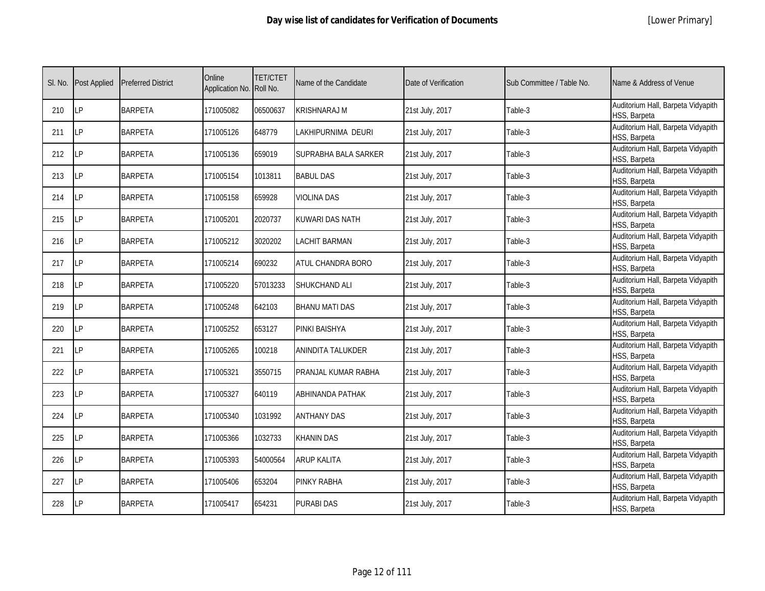|  | [Lower Primary] |
|--|-----------------|
|--|-----------------|

| SI. No. | Post Applied | <b>Preferred District</b> | Online<br>Application No. Roll No. | <b>TET/CTET</b> | Name of the Candidate | Date of Verification | Sub Committee / Table No. | Name & Address of Venue                            |
|---------|--------------|---------------------------|------------------------------------|-----------------|-----------------------|----------------------|---------------------------|----------------------------------------------------|
| 210     | LP           | <b>BARPETA</b>            | 171005082                          | 06500637        | <b>KRISHNARAJ M</b>   | 21st July, 2017      | Table-3                   | Auditorium Hall, Barpeta Vidyapith<br>HSS, Barpeta |
| 211     | LP           | <b>BARPETA</b>            | 171005126                          | 648779          | LAKHIPURNIMA DEURI    | 21st July, 2017      | Table-3                   | Auditorium Hall, Barpeta Vidyapith<br>HSS, Barpeta |
| 212     | LP           | <b>BARPETA</b>            | 171005136                          | 659019          | SUPRABHA BALA SARKER  | 21st July, 2017      | Table-3                   | Auditorium Hall, Barpeta Vidyapith<br>HSS, Barpeta |
| 213     | LP           | <b>BARPETA</b>            | 171005154                          | 1013811         | <b>BABUL DAS</b>      | 21st July, 2017      | Table-3                   | Auditorium Hall, Barpeta Vidyapith<br>HSS, Barpeta |
| 214     | LP           | <b>BARPETA</b>            | 171005158                          | 659928          | <b>VIOLINA DAS</b>    | 21st July, 2017      | Table-3                   | Auditorium Hall, Barpeta Vidyapith<br>HSS, Barpeta |
| 215     | LP           | <b>BARPETA</b>            | 171005201                          | 2020737         | KUWARI DAS NATH       | 21st July, 2017      | Table-3                   | Auditorium Hall, Barpeta Vidyapith<br>HSS, Barpeta |
| 216     | LP           | <b>BARPETA</b>            | 171005212                          | 3020202         | <b>LACHIT BARMAN</b>  | 21st July, 2017      | Table-3                   | Auditorium Hall, Barpeta Vidyapith<br>HSS, Barpeta |
| 217     | LP           | <b>BARPETA</b>            | 171005214                          | 690232          | ATUL CHANDRA BORO     | 21st July, 2017      | Table-3                   | Auditorium Hall, Barpeta Vidyapith<br>HSS, Barpeta |
| 218     | LP           | <b>BARPETA</b>            | 171005220                          | 57013233        | SHUKCHAND ALI         | 21st July, 2017      | Table-3                   | Auditorium Hall, Barpeta Vidyapith<br>HSS, Barpeta |
| 219     | LP           | <b>BARPETA</b>            | 171005248                          | 642103          | <b>BHANU MATI DAS</b> | 21st July, 2017      | Table-3                   | Auditorium Hall, Barpeta Vidyapith<br>HSS, Barpeta |
| 220     | IP           | <b>BARPETA</b>            | 171005252                          | 653127          | <b>PINKI BAISHYA</b>  | 21st July, 2017      | Table-3                   | Auditorium Hall, Barpeta Vidyapith<br>HSS, Barpeta |
| 221     | <b>LP</b>    | <b>BARPETA</b>            | 171005265                          | 100218          | ANINDITA TALUKDER     | 21st July, 2017      | Table-3                   | Auditorium Hall, Barpeta Vidyapith<br>HSS, Barpeta |
| 222     | LP           | <b>BARPETA</b>            | 171005321                          | 3550715         | PRANJAL KUMAR RABHA   | 21st July, 2017      | Table-3                   | Auditorium Hall, Barpeta Vidyapith<br>HSS, Barpeta |
| 223     | LP           | <b>BARPETA</b>            | 171005327                          | 640119          | ABHINANDA PATHAK      | 21st July, 2017      | Table-3                   | Auditorium Hall, Barpeta Vidyapith<br>HSS, Barpeta |
| 224     | LP           | <b>BARPETA</b>            | 171005340                          | 1031992         | <b>ANTHANY DAS</b>    | 21st July, 2017      | Table-3                   | Auditorium Hall, Barpeta Vidyapith<br>HSS, Barpeta |
| 225     | LP           | <b>BARPETA</b>            | 171005366                          | 1032733         | <b>KHANIN DAS</b>     | 21st July, 2017      | Table-3                   | Auditorium Hall, Barpeta Vidyapith<br>HSS, Barpeta |
| 226     | <b>LP</b>    | <b>BARPETA</b>            | 171005393                          | 54000564        | <b>ARUP KALITA</b>    | 21st July, 2017      | Table-3                   | Auditorium Hall, Barpeta Vidyapith<br>HSS, Barpeta |
| 227     | LP           | <b>BARPETA</b>            | 171005406                          | 653204          | <b>PINKY RABHA</b>    | 21st July, 2017      | Table-3                   | Auditorium Hall, Barpeta Vidyapith<br>HSS, Barpeta |
| 228     | LP           | <b>BARPETA</b>            | 171005417                          | 654231          | <b>PURABI DAS</b>     | 21st July, 2017      | Table-3                   | Auditorium Hall, Barpeta Vidyapith<br>HSS, Barpeta |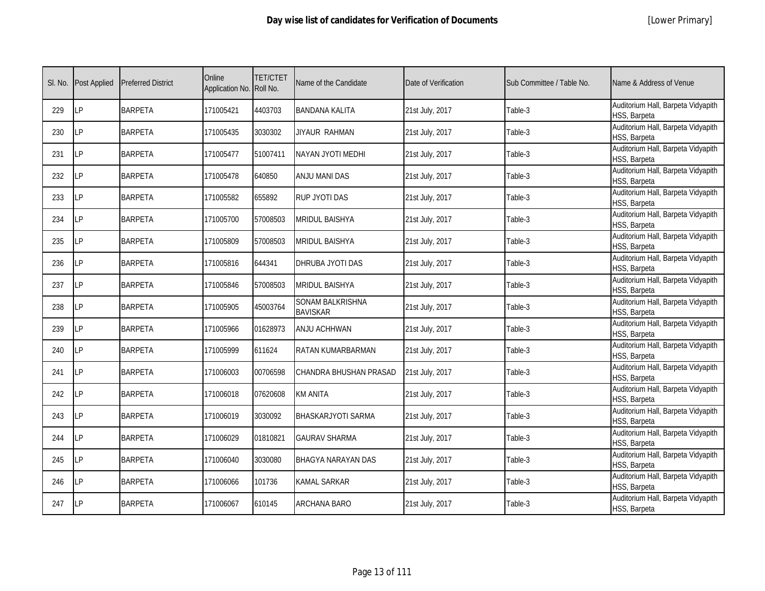|  | [Lower Primary] |
|--|-----------------|
|--|-----------------|

| SI. No. | <b>Post Applied</b> | <b>Preferred District</b> | Online<br>Application No. Roll No. | <b>TET/CTET</b> | Name of the Candidate               | Date of Verification | Sub Committee / Table No. | Name & Address of Venue                            |
|---------|---------------------|---------------------------|------------------------------------|-----------------|-------------------------------------|----------------------|---------------------------|----------------------------------------------------|
| 229     | LP                  | <b>BARPETA</b>            | 171005421                          | 4403703         | BANDANA KALITA                      | 21st July, 2017      | Table-3                   | Auditorium Hall, Barpeta Vidyapith<br>HSS, Barpeta |
| 230     | <b>ILP</b>          | <b>BARPETA</b>            | 171005435                          | 3030302         | JIYAUR RAHMAN                       | 21st July, 2017      | Table-3                   | Auditorium Hall, Barpeta Vidyapith<br>HSS, Barpeta |
| 231     | <b>LP</b>           | <b>BARPETA</b>            | 171005477                          | 51007411        | NAYAN JYOTI MEDHI                   | 21st July, 2017      | Table-3                   | Auditorium Hall, Barpeta Vidyapith<br>HSS, Barpeta |
| 232     | LP                  | <b>BARPETA</b>            | 171005478                          | 640850          | ANJU MANI DAS                       | 21st July, 2017      | Table-3                   | Auditorium Hall, Barpeta Vidyapith<br>HSS, Barpeta |
| 233     | LP                  | <b>BARPETA</b>            | 171005582                          | 655892          | RUP JYOTI DAS                       | 21st July, 2017      | Table-3                   | Auditorium Hall, Barpeta Vidyapith<br>HSS, Barpeta |
| 234     | <b>LP</b>           | <b>BARPETA</b>            | 171005700                          | 57008503        | <b>MRIDUL BAISHYA</b>               | 21st July, 2017      | Table-3                   | Auditorium Hall, Barpeta Vidyapith<br>HSS, Barpeta |
| 235     | LP                  | <b>BARPETA</b>            | 171005809                          | 57008503        | MRIDUL BAISHYA                      | 21st July, 2017      | Table-3                   | Auditorium Hall, Barpeta Vidyapith<br>HSS, Barpeta |
| 236     | <b>LP</b>           | <b>BARPETA</b>            | 171005816                          | 644341          | DHRUBA JYOTI DAS                    | 21st July, 2017      | Table-3                   | Auditorium Hall, Barpeta Vidyapith<br>HSS, Barpeta |
| 237     | <b>LP</b>           | <b>BARPETA</b>            | 171005846                          | 57008503        | <b>MRIDUL BAISHYA</b>               | 21st July, 2017      | Table-3                   | Auditorium Hall, Barpeta Vidyapith<br>HSS, Barpeta |
| 238     | LP                  | <b>BARPETA</b>            | 171005905                          | 45003764        | SONAM BALKRISHNA<br><b>BAVISKAR</b> | 21st July, 2017      | Table-3                   | Auditorium Hall, Barpeta Vidyapith<br>HSS, Barpeta |
| 239     | LP                  | <b>BARPETA</b>            | 171005966                          | 01628973        | ANJU ACHHWAN                        | 21st July, 2017      | Table-3                   | Auditorium Hall, Barpeta Vidyapith<br>HSS, Barpeta |
| 240     | LP                  | <b>BARPETA</b>            | 171005999                          | 611624          | RATAN KUMARBARMAN                   | 21st July, 2017      | Table-3                   | Auditorium Hall, Barpeta Vidyapith<br>HSS, Barpeta |
| 241     | <b>ILP</b>          | <b>BARPETA</b>            | 171006003                          | 00706598        | CHANDRA BHUSHAN PRASAD              | 21st July, 2017      | Table-3                   | Auditorium Hall, Barpeta Vidyapith<br>HSS, Barpeta |
| 242     | LP                  | <b>BARPETA</b>            | 171006018                          | 07620608        | <b>KM ANITA</b>                     | 21st July, 2017      | Table-3                   | Auditorium Hall, Barpeta Vidyapith<br>HSS, Barpeta |
| 243     | <b>LP</b>           | <b>BARPETA</b>            | 171006019                          | 3030092         | BHASKARJYOTI SARMA                  | 21st July, 2017      | Table-3                   | Auditorium Hall, Barpeta Vidyapith<br>HSS, Barpeta |
| 244     | <b>LP</b>           | <b>BARPETA</b>            | 171006029                          | 01810821        | <b>GAURAV SHARMA</b>                | 21st July, 2017      | Table-3                   | Auditorium Hall, Barpeta Vidyapith<br>HSS, Barpeta |
| 245     | LP                  | <b>BARPETA</b>            | 171006040                          | 3030080         | BHAGYA NARAYAN DAS                  | 21st July, 2017      | Table-3                   | Auditorium Hall, Barpeta Vidyapith<br>HSS, Barpeta |
| 246     | <b>LP</b>           | <b>BARPETA</b>            | 171006066                          | 101736          | <b>KAMAL SARKAR</b>                 | 21st July, 2017      | Table-3                   | Auditorium Hall, Barpeta Vidyapith<br>HSS, Barpeta |
| 247     | <b>LP</b>           | <b>BARPETA</b>            | 171006067                          | 610145          | ARCHANA BARO                        | 21st July, 2017      | Table-3                   | Auditorium Hall, Barpeta Vidyapith<br>HSS, Barpeta |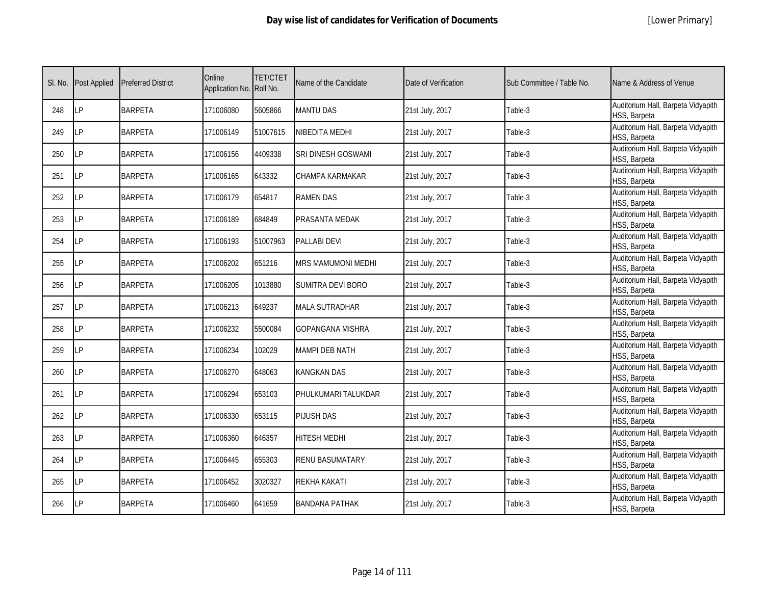| SI. No. | <b>Post Applied</b> | <b>Preferred District</b> | Online<br>Application No. Roll No. | <b>TET/CTET</b> | Name of the Candidate   | Date of Verification | Sub Committee / Table No. | Name & Address of Venue                            |
|---------|---------------------|---------------------------|------------------------------------|-----------------|-------------------------|----------------------|---------------------------|----------------------------------------------------|
| 248     | LP                  | <b>BARPETA</b>            | 171006080                          | 5605866         | <b>MANTU DAS</b>        | 21st July, 2017      | Table-3                   | Auditorium Hall, Barpeta Vidyapith<br>HSS, Barpeta |
| 249     | LP                  | <b>BARPETA</b>            | 171006149                          | 51007615        | NIBEDITA MEDHI          | 21st July, 2017      | Table-3                   | Auditorium Hall, Barpeta Vidyapith<br>HSS, Barpeta |
| 250     | LP                  | <b>BARPETA</b>            | 171006156                          | 4409338         | SRI DINESH GOSWAMI      | 21st July, 2017      | Table-3                   | Auditorium Hall, Barpeta Vidyapith<br>HSS, Barpeta |
| 251     | LP                  | <b>BARPETA</b>            | 171006165                          | 643332          | CHAMPA KARMAKAR         | 21st July, 2017      | Table-3                   | Auditorium Hall, Barpeta Vidyapith<br>HSS, Barpeta |
| 252     | LP                  | <b>BARPETA</b>            | 171006179                          | 654817          | <b>RAMEN DAS</b>        | 21st July, 2017      | Table-3                   | Auditorium Hall, Barpeta Vidyapith<br>HSS, Barpeta |
| 253     | LP                  | <b>BARPETA</b>            | 171006189                          | 684849          | PRASANTA MEDAK          | 21st July, 2017      | Table-3                   | Auditorium Hall, Barpeta Vidyapith<br>HSS, Barpeta |
| 254     | LP                  | <b>BARPETA</b>            | 171006193                          | 51007963        | <b>PALLABI DEVI</b>     | 21st July, 2017      | Table-3                   | Auditorium Hall, Barpeta Vidyapith<br>HSS, Barpeta |
| 255     | LP                  | <b>BARPETA</b>            | 171006202                          | 651216          | MRS MAMUMONI MEDHI      | 21st July, 2017      | Table-3                   | Auditorium Hall, Barpeta Vidyapith<br>HSS, Barpeta |
| 256     | LP                  | <b>BARPETA</b>            | 171006205                          | 1013880         | SUMITRA DEVI BORO       | 21st July, 2017      | Table-3                   | Auditorium Hall, Barpeta Vidyapith<br>HSS, Barpeta |
| 257     | LP                  | <b>BARPETA</b>            | 171006213                          | 649237          | <b>MALA SUTRADHAR</b>   | 21st July, 2017      | Table-3                   | Auditorium Hall, Barpeta Vidyapith<br>HSS, Barpeta |
| 258     | LP                  | <b>BARPETA</b>            | 171006232                          | 5500084         | <b>GOPANGANA MISHRA</b> | 21st July, 2017      | Table-3                   | Auditorium Hall, Barpeta Vidyapith<br>HSS, Barpeta |
| 259     | LP                  | <b>BARPETA</b>            | 171006234                          | 102029          | MAMPI DEB NATH          | 21st July, 2017      | Table-3                   | Auditorium Hall, Barpeta Vidyapith<br>HSS, Barpeta |
| 260     | LP                  | <b>BARPETA</b>            | 171006270                          | 648063          | <b>KANGKAN DAS</b>      | 21st July, 2017      | Table-3                   | Auditorium Hall, Barpeta Vidyapith<br>HSS, Barpeta |
| 261     | LP                  | <b>BARPETA</b>            | 171006294                          | 653103          | PHULKUMARI TALUKDAR     | 21st July, 2017      | Table-3                   | Auditorium Hall, Barpeta Vidyapith<br>HSS, Barpeta |
| 262     | LP                  | <b>BARPETA</b>            | 171006330                          | 653115          | <b>PIJUSH DAS</b>       | 21st July, 2017      | Table-3                   | Auditorium Hall, Barpeta Vidyapith<br>HSS, Barpeta |
| 263     | LP                  | <b>BARPETA</b>            | 171006360                          | 646357          | <b>HITESH MEDHI</b>     | 21st July, 2017      | Table-3                   | Auditorium Hall, Barpeta Vidyapith<br>HSS, Barpeta |
| 264     | <b>LP</b>           | <b>BARPETA</b>            | 171006445                          | 655303          | <b>RENU BASUMATARY</b>  | 21st July, 2017      | Table-3                   | Auditorium Hall, Barpeta Vidyapith<br>HSS, Barpeta |
| 265     | LP                  | <b>BARPETA</b>            | 171006452                          | 3020327         | REKHA KAKATI            | 21st July, 2017      | Table-3                   | Auditorium Hall, Barpeta Vidyapith<br>HSS, Barpeta |
| 266     | LP                  | <b>BARPETA</b>            | 171006460                          | 641659          | <b>BANDANA PATHAK</b>   | 21st July, 2017      | Table-3                   | Auditorium Hall, Barpeta Vidyapith<br>HSS, Barpeta |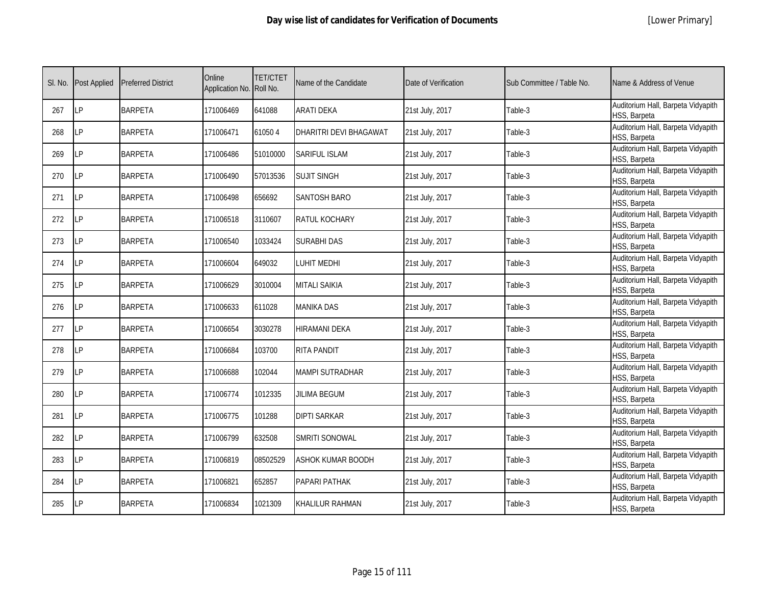| SI. No. | Post Applied | <b>Preferred District</b> | Online<br>Application No. Roll No. | <b>TET/CTET</b> | Name of the Candidate    | Date of Verification | Sub Committee / Table No. | Name & Address of Venue                            |
|---------|--------------|---------------------------|------------------------------------|-----------------|--------------------------|----------------------|---------------------------|----------------------------------------------------|
| 267     | LP           | <b>BARPETA</b>            | 171006469                          | 641088          | <b>ARATI DEKA</b>        | 21st July, 2017      | Table-3                   | Auditorium Hall, Barpeta Vidyapith<br>HSS, Barpeta |
| 268     | LP           | <b>BARPETA</b>            | 171006471                          | 610504          | DHARITRI DEVI BHAGAWAT   | 21st July, 2017      | Table-3                   | Auditorium Hall, Barpeta Vidyapith<br>HSS, Barpeta |
| 269     | LP           | <b>BARPETA</b>            | 171006486                          | 51010000        | <b>SARIFUL ISLAM</b>     | 21st July, 2017      | Table-3                   | Auditorium Hall, Barpeta Vidyapith<br>HSS, Barpeta |
| 270     | LP           | <b>BARPETA</b>            | 171006490                          | 57013536        | <b>SUJIT SINGH</b>       | 21st July, 2017      | Table-3                   | Auditorium Hall, Barpeta Vidyapith<br>HSS, Barpeta |
| 271     | LP           | <b>BARPETA</b>            | 171006498                          | 656692          | <b>SANTOSH BARO</b>      | 21st July, 2017      | Table-3                   | Auditorium Hall, Barpeta Vidyapith<br>HSS, Barpeta |
| 272     | LP           | <b>BARPETA</b>            | 171006518                          | 3110607         | RATUL KOCHARY            | 21st July, 2017      | Table-3                   | Auditorium Hall, Barpeta Vidyapith<br>HSS, Barpeta |
| 273     | LP           | <b>BARPETA</b>            | 171006540                          | 1033424         | SURABHI DAS              | 21st July, 2017      | Table-3                   | Auditorium Hall, Barpeta Vidyapith<br>HSS, Barpeta |
| 274     | LP           | <b>BARPETA</b>            | 171006604                          | 649032          | <b>UHIT MEDHI</b>        | 21st July, 2017      | Table-3                   | Auditorium Hall, Barpeta Vidyapith<br>HSS, Barpeta |
| 275     | LP           | <b>BARPETA</b>            | 171006629                          | 3010004         | <b>MITALI SAIKIA</b>     | 21st July, 2017      | Table-3                   | Auditorium Hall, Barpeta Vidyapith<br>HSS, Barpeta |
| 276     | LP           | <b>BARPETA</b>            | 171006633                          | 611028          | <b>MANIKA DAS</b>        | 21st July, 2017      | Table-3                   | Auditorium Hall, Barpeta Vidyapith<br>HSS, Barpeta |
| 277     | LP           | <b>BARPETA</b>            | 171006654                          | 3030278         | <b>HIRAMANI DEKA</b>     | 21st July, 2017      | Table-3                   | Auditorium Hall, Barpeta Vidyapith<br>HSS, Barpeta |
| 278     | LP           | <b>BARPETA</b>            | 171006684                          | 103700          | <b>RITA PANDIT</b>       | 21st July, 2017      | Table-3                   | Auditorium Hall, Barpeta Vidyapith<br>HSS, Barpeta |
| 279     | LP           | <b>BARPETA</b>            | 171006688                          | 102044          | <b>MAMPI SUTRADHAR</b>   | 21st July, 2017      | Table-3                   | Auditorium Hall, Barpeta Vidyapith<br>HSS, Barpeta |
| 280     | LP           | <b>BARPETA</b>            | 171006774                          | 1012335         | <b>JILIMA BEGUM</b>      | 21st July, 2017      | Table-3                   | Auditorium Hall, Barpeta Vidyapith<br>HSS, Barpeta |
| 281     | LP           | <b>BARPETA</b>            | 171006775                          | 101288          | <b>DIPTI SARKAR</b>      | 21st July, 2017      | Table-3                   | Auditorium Hall, Barpeta Vidyapith<br>HSS, Barpeta |
| 282     | LP           | <b>BARPETA</b>            | 171006799                          | 632508          | <b>SMRITI SONOWAL</b>    | 21st July, 2017      | Table-3                   | Auditorium Hall, Barpeta Vidyapith<br>HSS, Barpeta |
| 283     | LP           | <b>BARPETA</b>            | 171006819                          | 08502529        | <b>ASHOK KUMAR BOODH</b> | 21st July, 2017      | Table-3                   | Auditorium Hall, Barpeta Vidyapith<br>HSS, Barpeta |
| 284     | LP           | <b>BARPETA</b>            | 171006821                          | 652857          | PAPARI PATHAK            | 21st July, 2017      | Table-3                   | Auditorium Hall, Barpeta Vidyapith<br>HSS, Barpeta |
| 285     | LP           | <b>BARPETA</b>            | 171006834                          | 1021309         | KHALILUR RAHMAN          | 21st July, 2017      | Table-3                   | Auditorium Hall, Barpeta Vidyapith<br>HSS, Barpeta |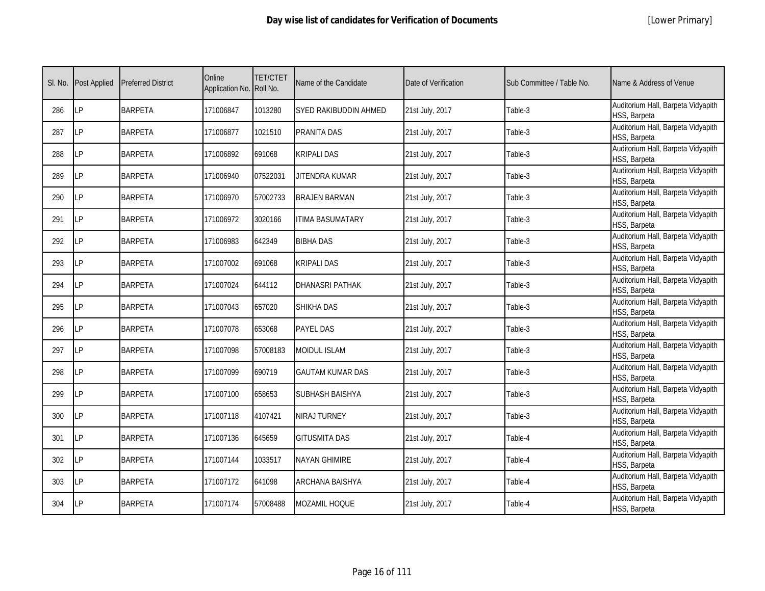|  | [Lower Primary] |
|--|-----------------|
|--|-----------------|

| SI. No. | <b>Post Applied</b> | <b>Preferred District</b> | Online<br>Application No. Roll No. | <b>TET/CTET</b> | Name of the Candidate   | Date of Verification | Sub Committee / Table No. | Name & Address of Venue                            |
|---------|---------------------|---------------------------|------------------------------------|-----------------|-------------------------|----------------------|---------------------------|----------------------------------------------------|
| 286     | <b>LP</b>           | <b>BARPETA</b>            | 171006847                          | 1013280         | SYED RAKIBUDDIN AHMED   | 21st July, 2017      | Table-3                   | Auditorium Hall, Barpeta Vidyapith<br>HSS, Barpeta |
| 287     | <b>LP</b>           | <b>BARPETA</b>            | 171006877                          | 1021510         | PRANITA DAS             | 21st July, 2017      | Table-3                   | Auditorium Hall, Barpeta Vidyapith<br>HSS, Barpeta |
| 288     | LP                  | <b>BARPETA</b>            | 171006892                          | 691068          | KRIPALI DAS             | 21st July, 2017      | Table-3                   | Auditorium Hall, Barpeta Vidyapith<br>HSS, Barpeta |
| 289     | LP                  | <b>BARPETA</b>            | 171006940                          | 07522031        | JITENDRA KUMAR          | 21st July, 2017      | Table-3                   | Auditorium Hall, Barpeta Vidyapith<br>HSS, Barpeta |
| 290     | LP                  | <b>BARPETA</b>            | 171006970                          | 57002733        | <b>BRAJEN BARMAN</b>    | 21st July, 2017      | Table-3                   | Auditorium Hall, Barpeta Vidyapith<br>HSS, Barpeta |
| 291     | LP                  | <b>BARPETA</b>            | 171006972                          | 3020166         | <b>ITIMA BASUMATARY</b> | 21st July, 2017      | Table-3                   | Auditorium Hall, Barpeta Vidyapith<br>HSS, Barpeta |
| 292     | <b>LP</b>           | <b>BARPETA</b>            | 171006983                          | 642349          | <b>BIBHA DAS</b>        | 21st July, 2017      | Table-3                   | Auditorium Hall, Barpeta Vidyapith<br>HSS, Barpeta |
| 293     | LP                  | <b>BARPETA</b>            | 171007002                          | 691068          | <b>KRIPALI DAS</b>      | 21st July, 2017      | Table-3                   | Auditorium Hall, Barpeta Vidyapith<br>HSS, Barpeta |
| 294     | <b>LP</b>           | <b>BARPETA</b>            | 171007024                          | 644112          | <b>DHANASRI PATHAK</b>  | 21st July, 2017      | Table-3                   | Auditorium Hall, Barpeta Vidyapith<br>HSS, Barpeta |
| 295     | LP                  | <b>BARPETA</b>            | 171007043                          | 657020          | SHIKHA DAS              | 21st July, 2017      | Table-3                   | Auditorium Hall, Barpeta Vidyapith<br>HSS, Barpeta |
| 296     | LP                  | <b>BARPETA</b>            | 171007078                          | 653068          | PAYEL DAS               | 21st July, 2017      | Table-3                   | Auditorium Hall, Barpeta Vidyapith<br>HSS, Barpeta |
| 297     | <b>LP</b>           | <b>BARPETA</b>            | 171007098                          | 57008183        | <b>MOIDUL ISLAM</b>     | 21st July, 2017      | Table-3                   | Auditorium Hall, Barpeta Vidyapith<br>HSS, Barpeta |
| 298     | <b>LP</b>           | <b>BARPETA</b>            | 171007099                          | 690719          | <b>GAUTAM KUMAR DAS</b> | 21st July, 2017      | Table-3                   | Auditorium Hall, Barpeta Vidyapith<br>HSS, Barpeta |
| 299     | <b>LP</b>           | <b>BARPETA</b>            | 171007100                          | 658653          | SUBHASH BAISHYA         | 21st July, 2017      | Table-3                   | Auditorium Hall, Barpeta Vidyapith<br>HSS, Barpeta |
| 300     | <b>LP</b>           | <b>BARPETA</b>            | 171007118                          | 4107421         | NIRAJ TURNEY            | 21st July, 2017      | Table-3                   | Auditorium Hall, Barpeta Vidyapith<br>HSS, Barpeta |
| 301     | LP                  | <b>BARPETA</b>            | 171007136                          | 645659          | <b>GITUSMITA DAS</b>    | 21st July, 2017      | Table-4                   | Auditorium Hall, Barpeta Vidyapith<br>HSS, Barpeta |
| 302     | <b>LP</b>           | <b>BARPETA</b>            | 171007144                          | 1033517         | <b>NAYAN GHIMIRE</b>    | 21st July, 2017      | Table-4                   | Auditorium Hall, Barpeta Vidyapith<br>HSS, Barpeta |
| 303     | <b>LP</b>           | <b>BARPETA</b>            | 171007172                          | 641098          | ARCHANA BAISHYA         | 21st July, 2017      | Table-4                   | Auditorium Hall, Barpeta Vidyapith<br>HSS, Barpeta |
| 304     | <b>LP</b>           | <b>BARPETA</b>            | 171007174                          | 57008488        | <b>MOZAMIL HOQUE</b>    | 21st July, 2017      | Table-4                   | Auditorium Hall, Barpeta Vidyapith<br>HSS, Barpeta |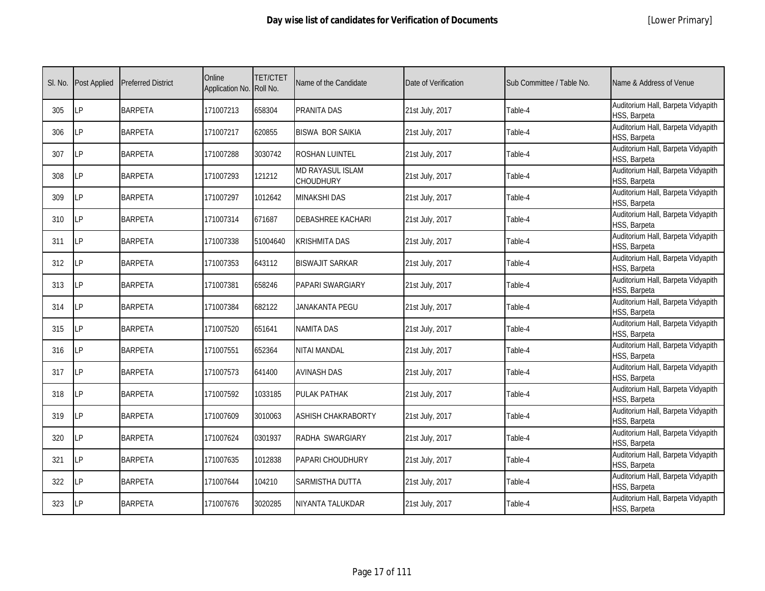|  | [Lower Primary] |
|--|-----------------|
|--|-----------------|

| SI. No. | <b>Post Applied</b> | <b>Preferred District</b> | Online<br>Application No. Roll No. | <b>TET/CTET</b> | Name of the Candidate                | Date of Verification | Sub Committee / Table No. | Name & Address of Venue                            |
|---------|---------------------|---------------------------|------------------------------------|-----------------|--------------------------------------|----------------------|---------------------------|----------------------------------------------------|
| 305     | <b>LP</b>           | <b>BARPETA</b>            | 171007213                          | 658304          | PRANITA DAS                          | 21st July, 2017      | Table-4                   | Auditorium Hall, Barpeta Vidyapith<br>HSS, Barpeta |
| 306     | <b>LP</b>           | <b>BARPETA</b>            | 171007217                          | 620855          | <b>BISWA BOR SAIKIA</b>              | 21st July, 2017      | Table-4                   | Auditorium Hall, Barpeta Vidyapith<br>HSS, Barpeta |
| 307     | LP                  | <b>BARPETA</b>            | 171007288                          | 3030742         | ROSHAN LUINTEL                       | 21st July, 2017      | Table-4                   | Auditorium Hall, Barpeta Vidyapith<br>HSS, Barpeta |
| 308     | LP                  | <b>BARPETA</b>            | 171007293                          | 121212          | <b>MD RAYASUL ISLAM</b><br>CHOUDHURY | 21st July, 2017      | Table-4                   | Auditorium Hall, Barpeta Vidyapith<br>HSS, Barpeta |
| 309     | <b>LP</b>           | <b>BARPETA</b>            | 171007297                          | 1012642         | <b>MINAKSHI DAS</b>                  | 21st July, 2017      | Table-4                   | Auditorium Hall, Barpeta Vidyapith<br>HSS, Barpeta |
| 310     | <b>LP</b>           | <b>BARPETA</b>            | 171007314                          | 671687          | <b>DEBASHREE KACHARI</b>             | 21st July, 2017      | Table-4                   | Auditorium Hall, Barpeta Vidyapith<br>HSS, Barpeta |
| 311     | <b>ILP</b>          | <b>BARPETA</b>            | 171007338                          | 51004640        | <b>KRISHMITA DAS</b>                 | 21st July, 2017      | Table-4                   | Auditorium Hall, Barpeta Vidyapith<br>HSS, Barpeta |
| 312     | <b>LP</b>           | <b>BARPETA</b>            | 171007353                          | 643112          | <b>BISWAJIT SARKAR</b>               | 21st July, 2017      | Table-4                   | Auditorium Hall, Barpeta Vidyapith<br>HSS, Barpeta |
| 313     | LΡ                  | <b>BARPETA</b>            | 171007381                          | 658246          | PAPARI SWARGIARY                     | 21st July, 2017      | Table-4                   | Auditorium Hall, Barpeta Vidyapith<br>HSS, Barpeta |
| 314     | LP                  | <b>BARPETA</b>            | 171007384                          | 682122          | JANAKANTA PEGU                       | 21st July, 2017      | Table-4                   | Auditorium Hall, Barpeta Vidyapith<br>HSS, Barpeta |
| 315     | LP                  | <b>BARPETA</b>            | 171007520                          | 651641          | <b>NAMITA DAS</b>                    | 21st July, 2017      | Table-4                   | Auditorium Hall, Barpeta Vidyapith<br>HSS, Barpeta |
| 316     | LP                  | <b>BARPETA</b>            | 171007551                          | 652364          | NITAI MANDAL                         | 21st July, 2017      | Table-4                   | Auditorium Hall, Barpeta Vidyapith<br>HSS, Barpeta |
| 317     | LP                  | <b>BARPETA</b>            | 171007573                          | 641400          | <b>AVINASH DAS</b>                   | 21st July, 2017      | Table-4                   | Auditorium Hall, Barpeta Vidyapith<br>HSS, Barpeta |
| 318     | <b>LP</b>           | <b>BARPETA</b>            | 171007592                          | 1033185         | PULAK PATHAK                         | 21st July, 2017      | Table-4                   | Auditorium Hall, Barpeta Vidyapith<br>HSS, Barpeta |
| 319     | <b>LP</b>           | <b>BARPETA</b>            | 171007609                          | 3010063         | <b>ASHISH CHAKRABORTY</b>            | 21st July, 2017      | Table-4                   | Auditorium Hall, Barpeta Vidyapith<br>HSS, Barpeta |
| 320     | <b>LP</b>           | <b>BARPETA</b>            | 171007624                          | 0301937         | RADHA SWARGIARY                      | 21st July, 2017      | Table-4                   | Auditorium Hall, Barpeta Vidyapith<br>HSS, Barpeta |
| 321     | <b>ILP</b>          | <b>BARPETA</b>            | 171007635                          | 1012838         | PAPARI CHOUDHURY                     | 21st July, 2017      | Table-4                   | Auditorium Hall, Barpeta Vidyapith<br>HSS, Barpeta |
| 322     | <b>LP</b>           | <b>BARPETA</b>            | 171007644                          | 104210          | SARMISTHA DUTTA                      | 21st July, 2017      | Table-4                   | Auditorium Hall, Barpeta Vidyapith<br>HSS, Barpeta |
| 323     | LP                  | <b>BARPETA</b>            | 171007676                          | 3020285         | NIYANTA TALUKDAR                     | 21st July, 2017      | Table-4                   | Auditorium Hall, Barpeta Vidyapith<br>HSS, Barpeta |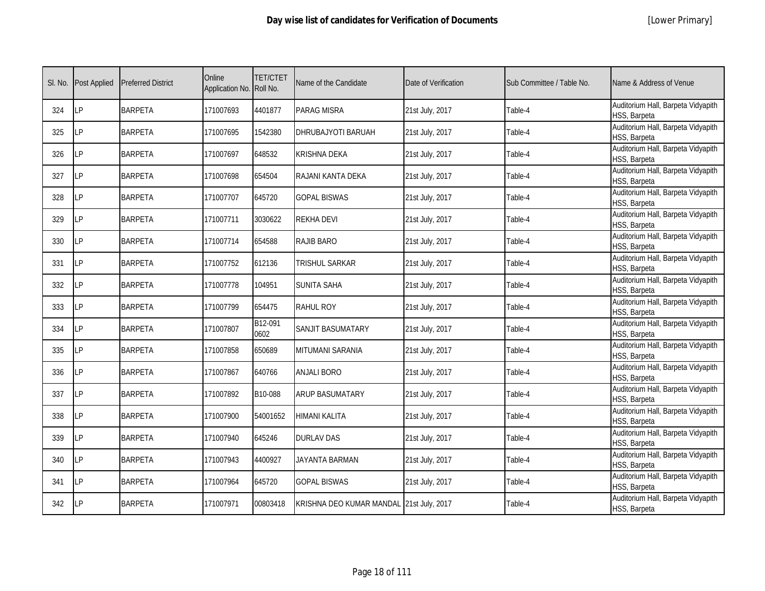| SI. No. | <b>Post Applied</b> | <b>Preferred District</b> | Online<br>Application No. Roll No. | <b>TET/CTET</b> | Name of the Candidate                    | Date of Verification | Sub Committee / Table No. | Name & Address of Venue                            |
|---------|---------------------|---------------------------|------------------------------------|-----------------|------------------------------------------|----------------------|---------------------------|----------------------------------------------------|
| 324     | <b>LP</b>           | <b>BARPETA</b>            | 171007693                          | 4401877         | <b>PARAG MISRA</b>                       | 21st July, 2017      | Table-4                   | Auditorium Hall, Barpeta Vidyapith<br>HSS, Barpeta |
| 325     | <b>LP</b>           | <b>BARPETA</b>            | 171007695                          | 1542380         | DHRUBAJYOTI BARUAH                       | 21st July, 2017      | Table-4                   | Auditorium Hall, Barpeta Vidyapith<br>HSS, Barpeta |
| 326     | <b>LP</b>           | <b>BARPETA</b>            | 171007697                          | 648532          | <b>KRISHNA DEKA</b>                      | 21st July, 2017      | Table-4                   | Auditorium Hall, Barpeta Vidyapith<br>HSS, Barpeta |
| 327     | LP                  | <b>BARPETA</b>            | 171007698                          | 654504          | RAJANI KANTA DEKA                        | 21st July, 2017      | Table-4                   | Auditorium Hall, Barpeta Vidyapith<br>HSS, Barpeta |
| 328     | LP                  | <b>BARPETA</b>            | 171007707                          | 645720          | <b>GOPAL BISWAS</b>                      | 21st July, 2017      | Table-4                   | Auditorium Hall, Barpeta Vidyapith<br>HSS, Barpeta |
| 329     | I P                 | <b>BARPETA</b>            | 171007711                          | 3030622         | <b>REKHA DEVI</b>                        | 21st July, 2017      | Table-4                   | Auditorium Hall, Barpeta Vidyapith<br>HSS, Barpeta |
| 330     | LP                  | <b>BARPETA</b>            | 171007714                          | 654588          | <b>RAJIB BARO</b>                        | 21st July, 2017      | Table-4                   | Auditorium Hall, Barpeta Vidyapith<br>HSS, Barpeta |
| 331     | LP                  | <b>BARPETA</b>            | 171007752                          | 612136          | TRISHUL SARKAR                           | 21st July, 2017      | Table-4                   | Auditorium Hall, Barpeta Vidyapith<br>HSS, Barpeta |
| 332     | LP                  | <b>BARPETA</b>            | 171007778                          | 104951          | <b>SUNITA SAHA</b>                       | 21st July, 2017      | Table-4                   | Auditorium Hall, Barpeta Vidyapith<br>HSS, Barpeta |
| 333     | LP                  | <b>BARPETA</b>            | 171007799                          | 654475          | <b>RAHUL ROY</b>                         | 21st July, 2017      | Table-4                   | Auditorium Hall, Barpeta Vidyapith<br>HSS, Barpeta |
| 334     | LP                  | <b>BARPETA</b>            | 171007807                          | B12-091<br>0602 | SANJIT BASUMATARY                        | 21st July, 2017      | Table-4                   | Auditorium Hall, Barpeta Vidyapith<br>HSS, Barpeta |
| 335     | LP                  | <b>BARPETA</b>            | 171007858                          | 650689          | MITUMANI SARANIA                         | 21st July, 2017      | Table-4                   | Auditorium Hall, Barpeta Vidyapith<br>HSS, Barpeta |
| 336     | LP                  | <b>BARPETA</b>            | 171007867                          | 640766          | <b>ANJALI BORO</b>                       | 21st July, 2017      | Table-4                   | Auditorium Hall, Barpeta Vidyapith<br>HSS, Barpeta |
| 337     | LP                  | <b>BARPETA</b>            | 171007892                          | B10-088         | <b>ARUP BASUMATARY</b>                   | 21st July, 2017      | Table-4                   | Auditorium Hall, Barpeta Vidyapith<br>HSS, Barpeta |
| 338     | LP                  | <b>BARPETA</b>            | 171007900                          | 54001652        | <b>HIMANI KALITA</b>                     | 21st July, 2017      | Table-4                   | Auditorium Hall, Barpeta Vidyapith<br>HSS, Barpeta |
| 339     | IP                  | <b>BARPETA</b>            | 171007940                          | 645246          | <b>DURLAV DAS</b>                        | 21st July, 2017      | Table-4                   | Auditorium Hall, Barpeta Vidyapith<br>HSS, Barpeta |
| 340     | LP                  | <b>BARPETA</b>            | 171007943                          | 4400927         | JAYANTA BARMAN                           | 21st July, 2017      | Table-4                   | Auditorium Hall, Barpeta Vidyapith<br>HSS, Barpeta |
| 341     | LP                  | <b>BARPETA</b>            | 171007964                          | 645720          | <b>GOPAL BISWAS</b>                      | 21st July, 2017      | Table-4                   | Auditorium Hall, Barpeta Vidyapith<br>HSS, Barpeta |
| 342     | LP                  | <b>BARPETA</b>            | 171007971                          | 00803418        | KRISHNA DEO KUMAR MANDAL 21st July, 2017 |                      | Table-4                   | Auditorium Hall, Barpeta Vidyapith<br>HSS, Barpeta |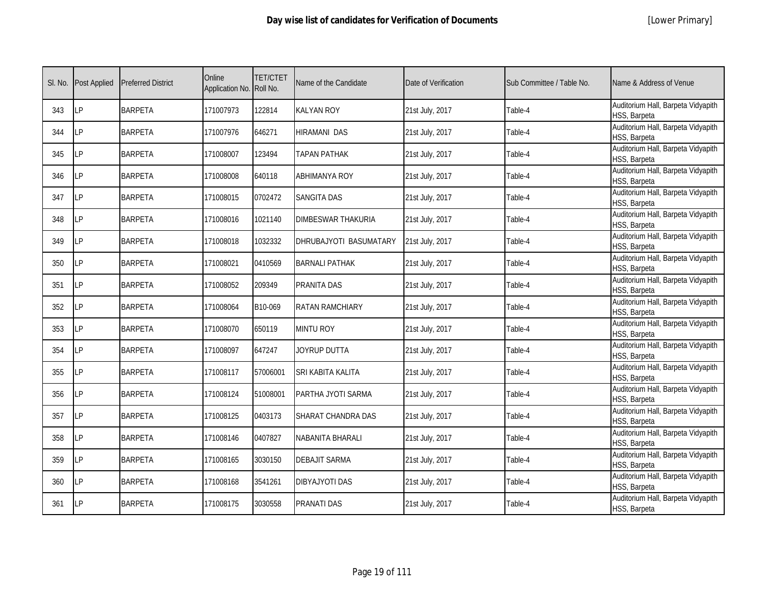| SI. No. | <b>Post Applied</b> | <b>Preferred District</b> | Online<br>Application No. Roll No. | <b>TET/CTET</b> | Name of the Candidate     | Date of Verification | Sub Committee / Table No. | Name & Address of Venue                            |
|---------|---------------------|---------------------------|------------------------------------|-----------------|---------------------------|----------------------|---------------------------|----------------------------------------------------|
| 343     | LP                  | <b>BARPETA</b>            | 171007973                          | 122814          | <b>KALYAN ROY</b>         | 21st July, 2017      | Table-4                   | Auditorium Hall, Barpeta Vidyapith<br>HSS, Barpeta |
| 344     | LP                  | <b>BARPETA</b>            | 171007976                          | 646271          | <b>HIRAMANI DAS</b>       | 21st July, 2017      | Table-4                   | Auditorium Hall, Barpeta Vidyapith<br>HSS, Barpeta |
| 345     | LP                  | <b>BARPETA</b>            | 171008007                          | 123494          | TAPAN PATHAK              | 21st July, 2017      | Table-4                   | Auditorium Hall, Barpeta Vidyapith<br>HSS, Barpeta |
| 346     | LP                  | <b>BARPETA</b>            | 171008008                          | 640118          | <b>ABHIMANYA ROY</b>      | 21st July, 2017      | Table-4                   | Auditorium Hall, Barpeta Vidyapith<br>HSS, Barpeta |
| 347     | LP                  | <b>BARPETA</b>            | 171008015                          | 0702472         | SANGITA DAS               | 21st July, 2017      | Table-4                   | Auditorium Hall, Barpeta Vidyapith<br>HSS, Barpeta |
| 348     | LP                  | <b>BARPETA</b>            | 171008016                          | 1021140         | <b>DIMBESWAR THAKURIA</b> | 21st July, 2017      | Table-4                   | Auditorium Hall, Barpeta Vidyapith<br>HSS, Barpeta |
| 349     | LP                  | <b>BARPETA</b>            | 171008018                          | 1032332         | DHRUBAJYOTI BASUMATARY    | 21st July, 2017      | Table-4                   | Auditorium Hall, Barpeta Vidyapith<br>HSS, Barpeta |
| 350     | LP                  | <b>BARPETA</b>            | 171008021                          | 0410569         | <b>BARNALI PATHAK</b>     | 21st July, 2017      | Table-4                   | Auditorium Hall, Barpeta Vidyapith<br>HSS, Barpeta |
| 351     | LP                  | <b>BARPETA</b>            | 171008052                          | 209349          | <b>PRANITA DAS</b>        | 21st July, 2017      | Table-4                   | Auditorium Hall, Barpeta Vidyapith<br>HSS, Barpeta |
| 352     | LP                  | <b>BARPETA</b>            | 171008064                          | B10-069         | <b>RATAN RAMCHIARY</b>    | 21st July, 2017      | Table-4                   | Auditorium Hall, Barpeta Vidyapith<br>HSS, Barpeta |
| 353     | LP                  | <b>BARPETA</b>            | 171008070                          | 650119          | <b>MINTU ROY</b>          | 21st July, 2017      | Table-4                   | Auditorium Hall, Barpeta Vidyapith<br>HSS, Barpeta |
| 354     | LP                  | <b>BARPETA</b>            | 171008097                          | 647247          | JOYRUP DUTTA              | 21st July, 2017      | Table-4                   | Auditorium Hall, Barpeta Vidyapith<br>HSS, Barpeta |
| 355     | LP                  | <b>BARPETA</b>            | 171008117                          | 57006001        | SRI KABITA KALITA         | 21st July, 2017      | Table-4                   | Auditorium Hall, Barpeta Vidyapith<br>HSS, Barpeta |
| 356     | LP                  | <b>BARPETA</b>            | 171008124                          | 51008001        | PARTHA JYOTI SARMA        | 21st July, 2017      | Table-4                   | Auditorium Hall, Barpeta Vidyapith<br>HSS, Barpeta |
| 357     | LP                  | <b>BARPETA</b>            | 171008125                          | 0403173         | SHARAT CHANDRA DAS        | 21st July, 2017      | Table-4                   | Auditorium Hall, Barpeta Vidyapith<br>HSS, Barpeta |
| 358     | LP                  | <b>BARPETA</b>            | 171008146                          | 0407827         | NABANITA BHARALI          | 21st July, 2017      | Table-4                   | Auditorium Hall, Barpeta Vidyapith<br>HSS, Barpeta |
| 359     | LP                  | <b>BARPETA</b>            | 171008165                          | 3030150         | <b>DEBAJIT SARMA</b>      | 21st July, 2017      | Table-4                   | Auditorium Hall, Barpeta Vidyapith<br>HSS, Barpeta |
| 360     | LP                  | <b>BARPETA</b>            | 171008168                          | 3541261         | <b>DIBYAJYOTI DAS</b>     | 21st July, 2017      | Table-4                   | Auditorium Hall, Barpeta Vidyapith<br>HSS, Barpeta |
| 361     | LP                  | <b>BARPETA</b>            | 171008175                          | 3030558         | <b>PRANATI DAS</b>        | 21st July, 2017      | Table-4                   | Auditorium Hall, Barpeta Vidyapith<br>HSS, Barpeta |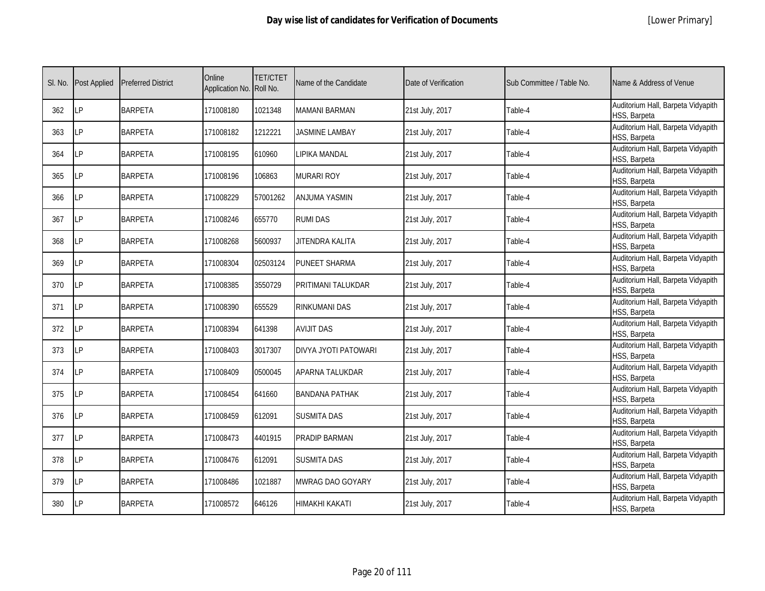|  | [Lower Primary] |
|--|-----------------|
|--|-----------------|

| SI. No. | <b>Post Applied</b> | <b>Preferred District</b> | Online<br>Application No. Roll No. | <b>TET/CTET</b> | Name of the Candidate | Date of Verification | Sub Committee / Table No. | Name & Address of Venue                            |
|---------|---------------------|---------------------------|------------------------------------|-----------------|-----------------------|----------------------|---------------------------|----------------------------------------------------|
| 362     | LP                  | <b>BARPETA</b>            | 171008180                          | 1021348         | <b>MAMANI BARMAN</b>  | 21st July, 2017      | Table-4                   | Auditorium Hall, Barpeta Vidyapith<br>HSS, Barpeta |
| 363     | LP                  | <b>BARPETA</b>            | 171008182                          | 1212221         | JASMINE LAMBAY        | 21st July, 2017      | Table-4                   | Auditorium Hall, Barpeta Vidyapith<br>HSS, Barpeta |
| 364     | LP                  | <b>BARPETA</b>            | 171008195                          | 610960          | LIPIKA MANDAL         | 21st July, 2017      | Table-4                   | Auditorium Hall, Barpeta Vidyapith<br>HSS, Barpeta |
| 365     | LP                  | <b>BARPETA</b>            | 171008196                          | 106863          | <b>MURARI ROY</b>     | 21st July, 2017      | Table-4                   | Auditorium Hall, Barpeta Vidyapith<br>HSS, Barpeta |
| 366     | LP                  | <b>BARPETA</b>            | 171008229                          | 57001262        | ANJUMA YASMIN         | 21st July, 2017      | Table-4                   | Auditorium Hall, Barpeta Vidyapith<br>HSS, Barpeta |
| 367     | LP                  | <b>BARPETA</b>            | 171008246                          | 655770          | <b>RUMI DAS</b>       | 21st July, 2017      | Table-4                   | Auditorium Hall, Barpeta Vidyapith<br>HSS, Barpeta |
| 368     | LP                  | <b>BARPETA</b>            | 171008268                          | 5600937         | JITENDRA KALITA       | 21st July, 2017      | Table-4                   | Auditorium Hall, Barpeta Vidyapith<br>HSS, Barpeta |
| 369     | LP                  | <b>BARPETA</b>            | 171008304                          | 02503124        | <b>PUNEET SHARMA</b>  | 21st July, 2017      | Table-4                   | Auditorium Hall, Barpeta Vidyapith<br>HSS, Barpeta |
| 370     | LP                  | <b>BARPETA</b>            | 171008385                          | 3550729         | PRITIMANI TALUKDAR    | 21st July, 2017      | Table-4                   | Auditorium Hall, Barpeta Vidyapith<br>HSS, Barpeta |
| 371     | LP                  | <b>BARPETA</b>            | 171008390                          | 655529          | <b>RINKUMANI DAS</b>  | 21st July, 2017      | Table-4                   | Auditorium Hall, Barpeta Vidyapith<br>HSS, Barpeta |
| 372     | LP                  | <b>BARPETA</b>            | 171008394                          | 641398          | <b>AVIJIT DAS</b>     | 21st July, 2017      | Table-4                   | Auditorium Hall, Barpeta Vidyapith<br>HSS, Barpeta |
| 373     | LP                  | <b>BARPETA</b>            | 171008403                          | 3017307         | DIVYA JYOTI PATOWARI  | 21st July, 2017      | Table-4                   | Auditorium Hall, Barpeta Vidyapith<br>HSS, Barpeta |
| 374     | LP                  | <b>BARPETA</b>            | 171008409                          | 0500045         | APARNA TALUKDAR       | 21st July, 2017      | Table-4                   | Auditorium Hall, Barpeta Vidyapith<br>HSS, Barpeta |
| 375     | LP                  | <b>BARPETA</b>            | 171008454                          | 641660          | <b>BANDANA PATHAK</b> | 21st July, 2017      | Table-4                   | Auditorium Hall, Barpeta Vidyapith<br>HSS, Barpeta |
| 376     | LP                  | <b>BARPETA</b>            | 171008459                          | 612091          | <b>SUSMITA DAS</b>    | 21st July, 2017      | Table-4                   | Auditorium Hall, Barpeta Vidyapith<br>HSS, Barpeta |
| 377     | LP                  | <b>BARPETA</b>            | 171008473                          | 4401915         | PRADIP BARMAN         | 21st July, 2017      | Table-4                   | Auditorium Hall, Barpeta Vidyapith<br>HSS, Barpeta |
| 378     | LP                  | <b>BARPETA</b>            | 171008476                          | 612091          | <b>SUSMITA DAS</b>    | 21st July, 2017      | Table-4                   | Auditorium Hall, Barpeta Vidyapith<br>HSS, Barpeta |
| 379     | LP                  | <b>BARPETA</b>            | 171008486                          | 1021887         | MWRAG DAO GOYARY      | 21st July, 2017      | Table-4                   | Auditorium Hall, Barpeta Vidyapith<br>HSS, Barpeta |
| 380     | LP                  | <b>BARPETA</b>            | 171008572                          | 646126          | HIMAKHI KAKATI        | 21st July, 2017      | Table-4                   | Auditorium Hall, Barpeta Vidyapith<br>HSS, Barpeta |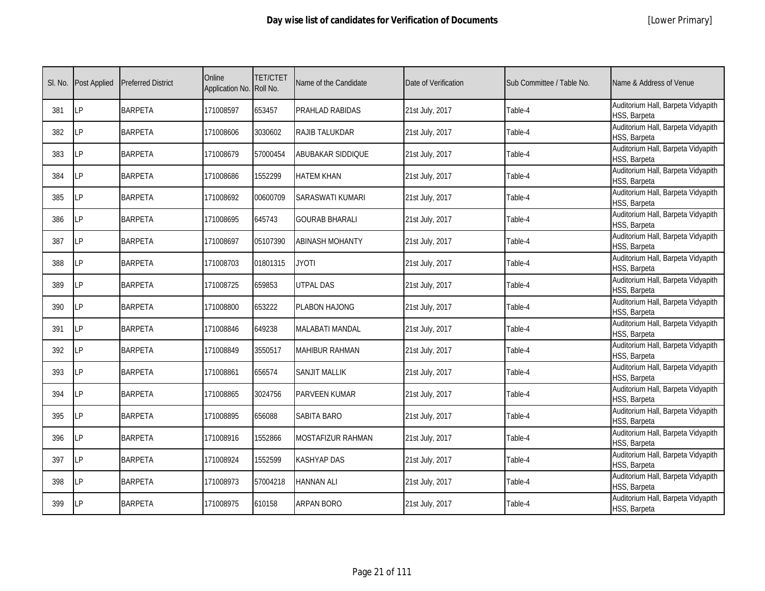|  | [Lower Primary] |
|--|-----------------|
|--|-----------------|

| SI. No. | <b>Post Applied</b> | <b>Preferred District</b> | Online<br>Application No. Roll No. | <b>TET/CTET</b> | Name of the Candidate  | Date of Verification | Sub Committee / Table No. | Name & Address of Venue                            |
|---------|---------------------|---------------------------|------------------------------------|-----------------|------------------------|----------------------|---------------------------|----------------------------------------------------|
| 381     | LP                  | <b>BARPETA</b>            | 171008597                          | 653457          | PRAHLAD RABIDAS        | 21st July, 2017      | Table-4                   | Auditorium Hall, Barpeta Vidyapith<br>HSS, Barpeta |
| 382     | LP                  | <b>BARPETA</b>            | 171008606                          | 3030602         | RAJIB TALUKDAR         | 21st July, 2017      | Table-4                   | Auditorium Hall, Barpeta Vidyapith<br>HSS, Barpeta |
| 383     | <b>LP</b>           | <b>BARPETA</b>            | 171008679                          | 57000454        | ABUBAKAR SIDDIQUE      | 21st July, 2017      | Table-4                   | Auditorium Hall, Barpeta Vidyapith<br>HSS, Barpeta |
| 384     | LP                  | <b>BARPETA</b>            | 171008686                          | 1552299         | <b>HATEM KHAN</b>      | 21st July, 2017      | Table-4                   | Auditorium Hall, Barpeta Vidyapith<br>HSS, Barpeta |
| 385     | <b>LP</b>           | <b>BARPETA</b>            | 171008692                          | 00600709        | SARASWATI KUMARI       | 21st July, 2017      | Table-4                   | Auditorium Hall, Barpeta Vidyapith<br>HSS, Barpeta |
| 386     | LP                  | <b>BARPETA</b>            | 171008695                          | 645743          | <b>GOURAB BHARALI</b>  | 21st July, 2017      | Table-4                   | Auditorium Hall, Barpeta Vidyapith<br>HSS, Barpeta |
| 387     | <b>LP</b>           | <b>BARPETA</b>            | 171008697                          | 05107390        | ABINASH MOHANTY        | 21st July, 2017      | Table-4                   | Auditorium Hall, Barpeta Vidyapith<br>HSS, Barpeta |
| 388     | LP                  | <b>BARPETA</b>            | 171008703                          | 01801315        | <b>JYOTI</b>           | 21st July, 2017      | Table-4                   | Auditorium Hall, Barpeta Vidyapith<br>HSS, Barpeta |
| 389     | LP                  | <b>BARPETA</b>            | 171008725                          | 659853          | <b>UTPAL DAS</b>       | 21st July, 2017      | Table-4                   | Auditorium Hall, Barpeta Vidyapith<br>HSS, Barpeta |
| 390     | LP                  | <b>BARPETA</b>            | 171008800                          | 653222          | PLABON HAJONG          | 21st July, 2017      | Table-4                   | Auditorium Hall, Barpeta Vidyapith<br>HSS, Barpeta |
| 391     | LP                  | <b>BARPETA</b>            | 171008846                          | 649238          | <b>MALABATI MANDAL</b> | 21st July, 2017      | Table-4                   | Auditorium Hall, Barpeta Vidyapith<br>HSS, Barpeta |
| 392     | LP                  | <b>BARPETA</b>            | 171008849                          | 3550517         | MAHIBUR RAHMAN         | 21st July, 2017      | Table-4                   | Auditorium Hall, Barpeta Vidyapith<br>HSS, Barpeta |
| 393     | <b>LP</b>           | <b>BARPETA</b>            | 171008861                          | 656574          | <b>SANJIT MALLIK</b>   | 21st July, 2017      | Table-4                   | Auditorium Hall, Barpeta Vidyapith<br>HSS, Barpeta |
| 394     | <b>LP</b>           | <b>BARPETA</b>            | 171008865                          | 3024756         | PARVEEN KUMAR          | 21st July, 2017      | Table-4                   | Auditorium Hall, Barpeta Vidyapith<br>HSS, Barpeta |
| 395     | LP                  | <b>BARPETA</b>            | 171008895                          | 656088          | SABITA BARO            | 21st July, 2017      | Table-4                   | Auditorium Hall, Barpeta Vidyapith<br>HSS, Barpeta |
| 396     | LP                  | <b>BARPETA</b>            | 171008916                          | 1552866         | MOSTAFIZUR RAHMAN      | 21st July, 2017      | Table-4                   | Auditorium Hall, Barpeta Vidyapith<br>HSS, Barpeta |
| 397     | <b>LP</b>           | <b>BARPETA</b>            | 171008924                          | 1552599         | KASHYAP DAS            | 21st July, 2017      | Table-4                   | Auditorium Hall, Barpeta Vidyapith<br>HSS, Barpeta |
| 398     | <b>LP</b>           | <b>BARPETA</b>            | 171008973                          | 57004218        | <b>HANNAN ALI</b>      | 21st July, 2017      | Table-4                   | Auditorium Hall, Barpeta Vidyapith<br>HSS, Barpeta |
| 399     | LP                  | <b>BARPETA</b>            | 171008975                          | 610158          | <b>ARPAN BORO</b>      | 21st July, 2017      | Table-4                   | Auditorium Hall, Barpeta Vidyapith<br>HSS, Barpeta |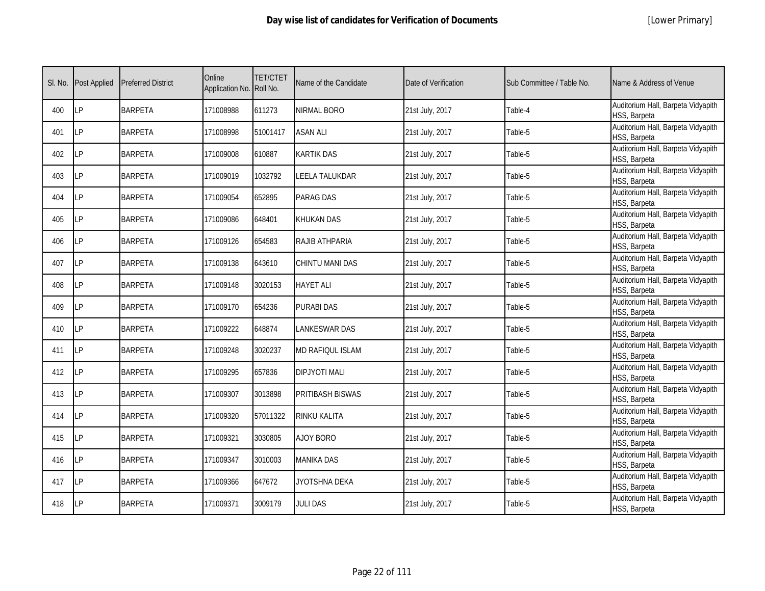|  | [Lower Primary] |
|--|-----------------|
|--|-----------------|

| SI. No. | <b>Post Applied</b> | <b>Preferred District</b> | Online<br>Application No. Roll No. | <b>TET/CTET</b> | Name of the Candidate   | Date of Verification | Sub Committee / Table No. | Name & Address of Venue                            |
|---------|---------------------|---------------------------|------------------------------------|-----------------|-------------------------|----------------------|---------------------------|----------------------------------------------------|
| 400     | <b>ILP</b>          | <b>BARPETA</b>            | 171008988                          | 611273          | NIRMAL BORO             | 21st July, 2017      | Table-4                   | Auditorium Hall, Barpeta Vidyapith<br>HSS, Barpeta |
| 401     | <b>LP</b>           | <b>BARPETA</b>            | 171008998                          | 51001417        | <b>ASAN ALI</b>         | 21st July, 2017      | Table-5                   | Auditorium Hall, Barpeta Vidyapith<br>HSS, Barpeta |
| 402     | <b>LP</b>           | <b>BARPETA</b>            | 171009008                          | 610887          | KARTIK DAS              | 21st July, 2017      | Table-5                   | Auditorium Hall, Barpeta Vidyapith<br>HSS, Barpeta |
| 403     | LP                  | <b>BARPETA</b>            | 171009019                          | 1032792         | LEELA TALUKDAR          | 21st July, 2017      | Table-5                   | Auditorium Hall, Barpeta Vidyapith<br>HSS, Barpeta |
| 404     | <b>ILP</b>          | <b>BARPETA</b>            | 171009054                          | 652895          | PARAG DAS               | 21st July, 2017      | Table-5                   | Auditorium Hall, Barpeta Vidyapith<br>HSS, Barpeta |
| 405     | <b>LP</b>           | <b>BARPETA</b>            | 171009086                          | 648401          | <b>KHUKAN DAS</b>       | 21st July, 2017      | Table-5                   | Auditorium Hall, Barpeta Vidyapith<br>HSS, Barpeta |
| 406     | <b>LP</b>           | <b>BARPETA</b>            | 171009126                          | 654583          | RAJIB ATHPARIA          | 21st July, 2017      | Table-5                   | Auditorium Hall, Barpeta Vidyapith<br>HSS, Barpeta |
| 407     | <b>LP</b>           | <b>BARPETA</b>            | 171009138                          | 643610          | CHINTU MANI DAS         | 21st July, 2017      | Table-5                   | Auditorium Hall, Barpeta Vidyapith<br>HSS, Barpeta |
| 408     | LP                  | <b>BARPETA</b>            | 171009148                          | 3020153         | <b>HAYET ALI</b>        | 21st July, 2017      | Table-5                   | Auditorium Hall, Barpeta Vidyapith<br>HSS, Barpeta |
| 409     | LP                  | <b>BARPETA</b>            | 171009170                          | 654236          | PURABI DAS              | 21st July, 2017      | Table-5                   | Auditorium Hall, Barpeta Vidyapith<br>HSS, Barpeta |
| 410     | LP                  | <b>BARPETA</b>            | 171009222                          | 648874          | <b>LANKESWAR DAS</b>    | 21st July, 2017      | Table-5                   | Auditorium Hall, Barpeta Vidyapith<br>HSS, Barpeta |
| 411     | <b>ILP</b>          | <b>BARPETA</b>            | 171009248                          | 3020237         | <b>MD RAFIQUL ISLAM</b> | 21st July, 2017      | Table-5                   | Auditorium Hall, Barpeta Vidyapith<br>HSS, Barpeta |
| 412     | <b>ILP</b>          | <b>BARPETA</b>            | 171009295                          | 657836          | <b>DIPJYOTI MALI</b>    | 21st July, 2017      | Table-5                   | Auditorium Hall, Barpeta Vidyapith<br>HSS, Barpeta |
| 413     | LP                  | <b>BARPETA</b>            | 171009307                          | 3013898         | PRITIBASH BISWAS        | 21st July, 2017      | Table-5                   | Auditorium Hall, Barpeta Vidyapith<br>HSS, Barpeta |
| 414     | LP                  | <b>BARPETA</b>            | 171009320                          | 57011322        | RINKU KALITA            | 21st July, 2017      | Table-5                   | Auditorium Hall, Barpeta Vidyapith<br>HSS, Barpeta |
| 415     | <b>LP</b>           | <b>BARPETA</b>            | 171009321                          | 3030805         | <b>AJOY BORO</b>        | 21st July, 2017      | Table-5                   | Auditorium Hall, Barpeta Vidyapith<br>HSS, Barpeta |
| 416     | <b>ILP</b>          | <b>BARPETA</b>            | 171009347                          | 3010003         | <b>MANIKA DAS</b>       | 21st July, 2017      | Table-5                   | Auditorium Hall, Barpeta Vidyapith<br>HSS, Barpeta |
| 417     | LP                  | <b>BARPETA</b>            | 171009366                          | 647672          | JYOTSHNA DEKA           | 21st July, 2017      | Table-5                   | Auditorium Hall, Barpeta Vidyapith<br>HSS, Barpeta |
| 418     | LP                  | <b>BARPETA</b>            | 171009371                          | 3009179         | <b>JULI DAS</b>         | 21st July, 2017      | Table-5                   | Auditorium Hall, Barpeta Vidyapith<br>HSS, Barpeta |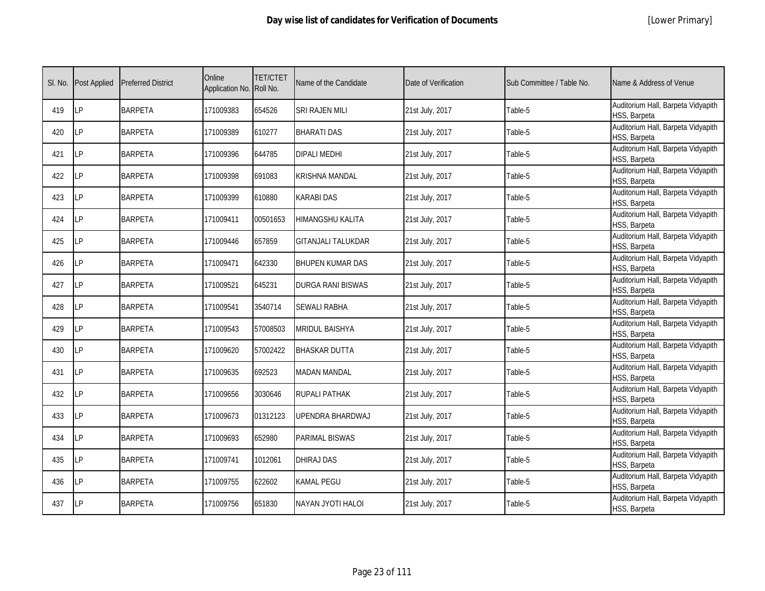|  | [Lower Primary] |
|--|-----------------|
|--|-----------------|

| SI. No. | <b>Post Applied</b> | <b>Preferred District</b> | Online<br>Application No. Roll No. | <b>TET/CTET</b> | Name of the Candidate     | Date of Verification | Sub Committee / Table No. | Name & Address of Venue                            |
|---------|---------------------|---------------------------|------------------------------------|-----------------|---------------------------|----------------------|---------------------------|----------------------------------------------------|
| 419     | LP                  | <b>BARPETA</b>            | 171009383                          | 654526          | <b>SRI RAJEN MILI</b>     | 21st July, 2017      | Table-5                   | Auditorium Hall, Barpeta Vidyapith<br>HSS, Barpeta |
| 420     | <b>ILP</b>          | <b>BARPETA</b>            | 171009389                          | 610277          | <b>BHARATI DAS</b>        | 21st July, 2017      | Table-5                   | Auditorium Hall, Barpeta Vidyapith<br>HSS, Barpeta |
| 421     | LP                  | <b>BARPETA</b>            | 171009396                          | 644785          | <b>DIPALI MEDHI</b>       | 21st July, 2017      | Table-5                   | Auditorium Hall, Barpeta Vidyapith<br>HSS, Barpeta |
| 422     | LΡ                  | <b>BARPETA</b>            | 171009398                          | 691083          | KRISHNA MANDAL            | 21st July, 2017      | Table-5                   | Auditorium Hall, Barpeta Vidyapith<br>HSS, Barpeta |
| 423     | LP                  | <b>BARPETA</b>            | 171009399                          | 610880          | <b>KARABI DAS</b>         | 21st July, 2017      | Table-5                   | Auditorium Hall, Barpeta Vidyapith<br>HSS, Barpeta |
| 424     | <b>LP</b>           | <b>BARPETA</b>            | 171009411                          | 00501653        | <b>HIMANGSHU KALITA</b>   | 21st July, 2017      | Table-5                   | Auditorium Hall, Barpeta Vidyapith<br>HSS, Barpeta |
| 425     | <b>LP</b>           | <b>BARPETA</b>            | 171009446                          | 657859          | <b>GITANJALI TALUKDAR</b> | 21st July, 2017      | Table-5                   | Auditorium Hall, Barpeta Vidyapith<br>HSS, Barpeta |
| 426     | <b>LP</b>           | <b>BARPETA</b>            | 171009471                          | 642330          | <b>BHUPEN KUMAR DAS</b>   | 21st July, 2017      | Table-5                   | Auditorium Hall, Barpeta Vidyapith<br>HSS, Barpeta |
| 427     | LP                  | <b>BARPETA</b>            | 171009521                          | 645231          | DURGA RANI BISWAS         | 21st July, 2017      | Table-5                   | Auditorium Hall, Barpeta Vidyapith<br>HSS, Barpeta |
| 428     | LP                  | <b>BARPETA</b>            | 171009541                          | 3540714         | <b>SEWALI RABHA</b>       | 21st July, 2017      | Table-5                   | Auditorium Hall, Barpeta Vidyapith<br>HSS, Barpeta |
| 429     | <b>LP</b>           | <b>BARPETA</b>            | 171009543                          | 57008503        | <b>MRIDUL BAISHYA</b>     | 21st July, 2017      | Table-5                   | Auditorium Hall, Barpeta Vidyapith<br>HSS, Barpeta |
| 430     | <b>LP</b>           | <b>BARPETA</b>            | 171009620                          | 57002422        | <b>BHASKAR DUTTA</b>      | 21st July, 2017      | Table-5                   | Auditorium Hall, Barpeta Vidyapith<br>HSS, Barpeta |
| 431     | <b>LP</b>           | <b>BARPETA</b>            | 171009635                          | 692523          | <b>MADAN MANDAL</b>       | 21st July, 2017      | Table-5                   | Auditorium Hall, Barpeta Vidyapith<br>HSS, Barpeta |
| 432     | <b>LP</b>           | <b>BARPETA</b>            | 171009656                          | 3030646         | RUPALI PATHAK             | 21st July, 2017      | Table-5                   | Auditorium Hall, Barpeta Vidyapith<br>HSS, Barpeta |
| 433     | <b>LP</b>           | <b>BARPETA</b>            | 171009673                          | 01312123        | UPENDRA BHARDWAJ          | 21st July, 2017      | Table-5                   | Auditorium Hall, Barpeta Vidyapith<br>HSS, Barpeta |
| 434     | <b>LP</b>           | <b>BARPETA</b>            | 171009693                          | 652980          | PARIMAL BISWAS            | 21st July, 2017      | Table-5                   | Auditorium Hall, Barpeta Vidyapith<br>HSS, Barpeta |
| 435     | <b>LP</b>           | <b>BARPETA</b>            | 171009741                          | 1012061         | DHIRAJ DAS                | 21st July, 2017      | Table-5                   | Auditorium Hall, Barpeta Vidyapith<br>HSS, Barpeta |
| 436     | <b>LP</b>           | <b>BARPETA</b>            | 171009755                          | 622602          | <b>KAMAL PEGU</b>         | 21st July, 2017      | Table-5                   | Auditorium Hall, Barpeta Vidyapith<br>HSS, Barpeta |
| 437     | <b>LP</b>           | <b>BARPETA</b>            | 171009756                          | 651830          | NAYAN JYOTI HALOI         | 21st July, 2017      | Table-5                   | Auditorium Hall, Barpeta Vidyapith<br>HSS, Barpeta |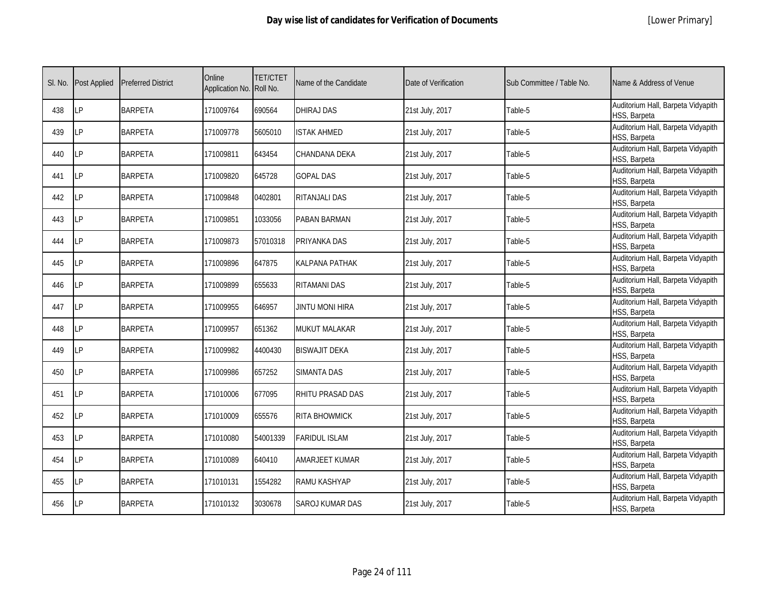|  | [Lower Primary] |
|--|-----------------|
|--|-----------------|

| SI. No. | Post Applied | <b>Preferred District</b> | Online<br>Application No. | <b>TET/CTET</b><br>Roll No. | Name of the Candidate | Date of Verification | Sub Committee / Table No. | Name & Address of Venue                            |
|---------|--------------|---------------------------|---------------------------|-----------------------------|-----------------------|----------------------|---------------------------|----------------------------------------------------|
| 438     | <b>LP</b>    | <b>BARPETA</b>            | 171009764                 | 690564                      | DHIRAJ DAS            | 21st July, 2017      | Table-5                   | Auditorium Hall, Barpeta Vidyapith<br>HSS, Barpeta |
| 439     | LP           | <b>BARPETA</b>            | 171009778                 | 5605010                     | <b>ISTAK AHMED</b>    | 21st July, 2017      | Table-5                   | Auditorium Hall, Barpeta Vidyapith<br>HSS, Barpeta |
| 440     | <b>LP</b>    | <b>BARPETA</b>            | 171009811                 | 643454                      | CHANDANA DEKA         | 21st July, 2017      | Table-5                   | Auditorium Hall, Barpeta Vidyapith<br>HSS, Barpeta |
| 441     | <b>LP</b>    | <b>BARPETA</b>            | 171009820                 | 645728                      | <b>GOPAL DAS</b>      | 21st July, 2017      | Table-5                   | Auditorium Hall, Barpeta Vidyapith<br>HSS, Barpeta |
| 442     | LP           | <b>BARPETA</b>            | 171009848                 | 0402801                     | RITANJALI DAS         | 21st July, 2017      | Table-5                   | Auditorium Hall, Barpeta Vidyapith<br>HSS, Barpeta |
| 443     | <b>LP</b>    | <b>BARPETA</b>            | 171009851                 | 1033056                     | PABAN BARMAN          | 21st July, 2017      | Table-5                   | Auditorium Hall, Barpeta Vidyapith<br>HSS, Barpeta |
| 444     | LP           | <b>BARPETA</b>            | 171009873                 | 57010318                    | PRIYANKA DAS          | 21st July, 2017      | Table-5                   | Auditorium Hall, Barpeta Vidyapith<br>HSS, Barpeta |
| 445     | LP           | <b>BARPETA</b>            | 171009896                 | 647875                      | KALPANA PATHAK        | 21st July, 2017      | Table-5                   | Auditorium Hall, Barpeta Vidyapith<br>HSS, Barpeta |
| 446     | LΡ           | <b>BARPETA</b>            | 171009899                 | 655633                      | RITAMANI DAS          | 21st July, 2017      | Table-5                   | Auditorium Hall, Barpeta Vidyapith<br>HSS, Barpeta |
| 447     | LP           | <b>BARPETA</b>            | 171009955                 | 646957                      | JINTU MONI HIRA       | 21st July, 2017      | Table-5                   | Auditorium Hall, Barpeta Vidyapith<br>HSS, Barpeta |
| 448     | LP           | <b>BARPETA</b>            | 171009957                 | 651362                      | <b>MUKUT MALAKAR</b>  | 21st July, 2017      | Table-5                   | Auditorium Hall, Barpeta Vidyapith<br>HSS, Barpeta |
| 449     | LP           | <b>BARPETA</b>            | 171009982                 | 4400430                     | <b>BISWAJIT DEKA</b>  | 21st July, 2017      | Table-5                   | Auditorium Hall, Barpeta Vidyapith<br>HSS, Barpeta |
| 450     | <b>LP</b>    | <b>BARPETA</b>            | 171009986                 | 657252                      | <b>SIMANTA DAS</b>    | 21st July, 2017      | Table-5                   | Auditorium Hall, Barpeta Vidyapith<br>HSS, Barpeta |
| 451     | LP           | <b>BARPETA</b>            | 171010006                 | 677095                      | RHITU PRASAD DAS      | 21st July, 2017      | Table-5                   | Auditorium Hall, Barpeta Vidyapith<br>HSS, Barpeta |
| 452     | <b>LP</b>    | <b>BARPETA</b>            | 171010009                 | 655576                      | <b>RITA BHOWMICK</b>  | 21st July, 2017      | Table-5                   | Auditorium Hall, Barpeta Vidyapith<br>HSS, Barpeta |
| 453     | <b>LP</b>    | <b>BARPETA</b>            | 171010080                 | 54001339                    | <b>FARIDUL ISLAM</b>  | 21st July, 2017      | Table-5                   | Auditorium Hall, Barpeta Vidyapith<br>HSS, Barpeta |
| 454     | <b>LP</b>    | <b>BARPETA</b>            | 171010089                 | 640410                      | AMARJEET KUMAR        | 21st July, 2017      | Table-5                   | Auditorium Hall, Barpeta Vidyapith<br>HSS, Barpeta |
| 455     | <b>LP</b>    | <b>BARPETA</b>            | 171010131                 | 1554282                     | RAMU KASHYAP          | 21st July, 2017      | Table-5                   | Auditorium Hall, Barpeta Vidyapith<br>HSS, Barpeta |
| 456     | <b>LP</b>    | <b>BARPETA</b>            | 171010132                 | 3030678                     | SAROJ KUMAR DAS       | 21st July, 2017      | Table-5                   | Auditorium Hall, Barpeta Vidyapith<br>HSS, Barpeta |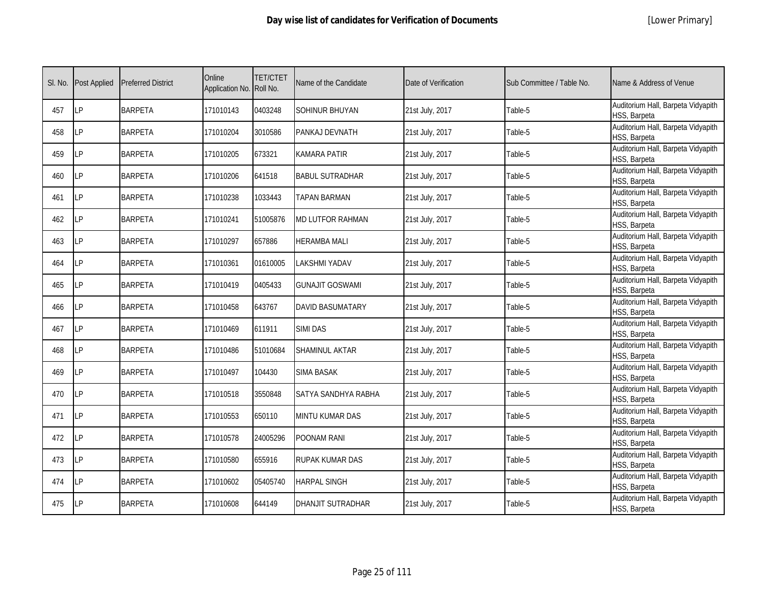|  | [Lower Primary] |
|--|-----------------|
|--|-----------------|

| SI. No. | <b>Post Applied</b> | <b>Preferred District</b> | Online<br>Application No. Roll No. | <b>TET/CTET</b> | Name of the Candidate   | Date of Verification | Sub Committee / Table No. | Name & Address of Venue                            |
|---------|---------------------|---------------------------|------------------------------------|-----------------|-------------------------|----------------------|---------------------------|----------------------------------------------------|
| 457     | LP                  | <b>BARPETA</b>            | 171010143                          | 0403248         | <b>SOHINUR BHUYAN</b>   | 21st July, 2017      | Table-5                   | Auditorium Hall, Barpeta Vidyapith<br>HSS, Barpeta |
| 458     | <b>LP</b>           | <b>BARPETA</b>            | 171010204                          | 3010586         | PANKAJ DEVNATH          | 21st July, 2017      | Table-5                   | Auditorium Hall, Barpeta Vidyapith<br>HSS, Barpeta |
| 459     | <b>LP</b>           | <b>BARPETA</b>            | 171010205                          | 673321          | KAMARA PATIR            | 21st July, 2017      | Table-5                   | Auditorium Hall, Barpeta Vidyapith<br>HSS, Barpeta |
| 460     | LΡ                  | <b>BARPETA</b>            | 171010206                          | 641518          | <b>BABUL SUTRADHAR</b>  | 21st July, 2017      | Table-5                   | Auditorium Hall, Barpeta Vidyapith<br>HSS, Barpeta |
| 461     | <b>LP</b>           | <b>BARPETA</b>            | 171010238                          | 1033443         | TAPAN BARMAN            | 21st July, 2017      | Table-5                   | Auditorium Hall, Barpeta Vidyapith<br>HSS, Barpeta |
| 462     | <b>LP</b>           | <b>BARPETA</b>            | 171010241                          | 51005876        | <b>MD LUTFOR RAHMAN</b> | 21st July, 2017      | Table-5                   | Auditorium Hall, Barpeta Vidyapith<br>HSS, Barpeta |
| 463     | <b>LP</b>           | <b>BARPETA</b>            | 171010297                          | 657886          | <b>HERAMBA MALI</b>     | 21st July, 2017      | Table-5                   | Auditorium Hall, Barpeta Vidyapith<br>HSS, Barpeta |
| 464     | LP                  | <b>BARPETA</b>            | 171010361                          | 01610005        | LAKSHMI YADAV           | 21st July, 2017      | Table-5                   | Auditorium Hall, Barpeta Vidyapith<br>HSS, Barpeta |
| 465     | LP                  | <b>BARPETA</b>            | 171010419                          | 0405433         | <b>GUNAJIT GOSWAMI</b>  | 21st July, 2017      | Table-5                   | Auditorium Hall, Barpeta Vidyapith<br>HSS, Barpeta |
| 466     | LP                  | <b>BARPETA</b>            | 171010458                          | 643767          | <b>DAVID BASUMATARY</b> | 21st July, 2017      | Table-5                   | Auditorium Hall, Barpeta Vidyapith<br>HSS, Barpeta |
| 467     | <b>LP</b>           | <b>BARPETA</b>            | 171010469                          | 611911          | <b>SIMI DAS</b>         | 21st July, 2017      | Table-5                   | Auditorium Hall, Barpeta Vidyapith<br>HSS, Barpeta |
| 468     | LP                  | <b>BARPETA</b>            | 171010486                          | 51010684        | SHAMINUL AKTAR          | 21st July, 2017      | Table-5                   | Auditorium Hall, Barpeta Vidyapith<br>HSS, Barpeta |
| 469     | LP                  | <b>BARPETA</b>            | 171010497                          | 104430          | <b>SIMA BASAK</b>       | 21st July, 2017      | Table-5                   | Auditorium Hall, Barpeta Vidyapith<br>HSS, Barpeta |
| 470     | LP                  | <b>BARPETA</b>            | 171010518                          | 3550848         | SATYA SANDHYA RABHA     | 21st July, 2017      | Table-5                   | Auditorium Hall, Barpeta Vidyapith<br>HSS, Barpeta |
| 471     | <b>LP</b>           | <b>BARPETA</b>            | 171010553                          | 650110          | MINTU KUMAR DAS         | 21st July, 2017      | Table-5                   | Auditorium Hall, Barpeta Vidyapith<br>HSS, Barpeta |
| 472     | LP                  | <b>BARPETA</b>            | 171010578                          | 24005296        | POONAM RANI             | 21st July, 2017      | Table-5                   | Auditorium Hall, Barpeta Vidyapith<br>HSS, Barpeta |
| 473     | <b>LP</b>           | <b>BARPETA</b>            | 171010580                          | 655916          | RUPAK KUMAR DAS         | 21st July, 2017      | Table-5                   | Auditorium Hall, Barpeta Vidyapith<br>HSS, Barpeta |
| 474     | <b>LP</b>           | <b>BARPETA</b>            | 171010602                          | 05405740        | <b>HARPAL SINGH</b>     | 21st July, 2017      | Table-5                   | Auditorium Hall, Barpeta Vidyapith<br>HSS, Barpeta |
| 475     | <b>LP</b>           | <b>BARPETA</b>            | 171010608                          | 644149          | DHANJIT SUTRADHAR       | 21st July, 2017      | Table-5                   | Auditorium Hall, Barpeta Vidyapith<br>HSS, Barpeta |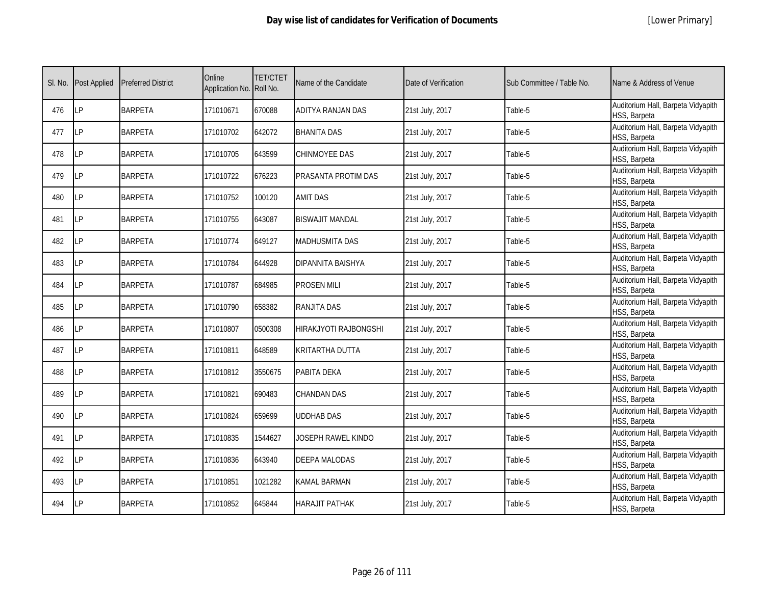|  | [Lower Primary] |
|--|-----------------|
|--|-----------------|

| SI. No. | <b>Post Applied</b> | <b>Preferred District</b> | Online<br>Application No. Roll No. | <b>TET/CTET</b> | Name of the Candidate  | Date of Verification | Sub Committee / Table No. | Name & Address of Venue                            |
|---------|---------------------|---------------------------|------------------------------------|-----------------|------------------------|----------------------|---------------------------|----------------------------------------------------|
| 476     | LP                  | <b>BARPETA</b>            | 171010671                          | 670088          | ADITYA RANJAN DAS      | 21st July, 2017      | Table-5                   | Auditorium Hall, Barpeta Vidyapith<br>HSS, Barpeta |
| 477     | <b>LP</b>           | <b>BARPETA</b>            | 171010702                          | 642072          | BHANITA DAS            | 21st July, 2017      | Table-5                   | Auditorium Hall, Barpeta Vidyapith<br>HSS, Barpeta |
| 478     | <b>LP</b>           | <b>BARPETA</b>            | 171010705                          | 643599          | CHINMOYEE DAS          | 21st July, 2017      | Table-5                   | Auditorium Hall, Barpeta Vidyapith<br>HSS, Barpeta |
| 479     | LΡ                  | <b>BARPETA</b>            | 171010722                          | 676223          | PRASANTA PROTIM DAS    | 21st July, 2017      | Table-5                   | Auditorium Hall, Barpeta Vidyapith<br>HSS, Barpeta |
| 480     | LP                  | <b>BARPETA</b>            | 171010752                          | 100120          | <b>AMIT DAS</b>        | 21st July, 2017      | Table-5                   | Auditorium Hall, Barpeta Vidyapith<br>HSS, Barpeta |
| 481     | LP                  | <b>BARPETA</b>            | 171010755                          | 643087          | <b>BISWAJIT MANDAL</b> | 21st July, 2017      | Table-5                   | Auditorium Hall, Barpeta Vidyapith<br>HSS, Barpeta |
| 482     | <b>LP</b>           | <b>BARPETA</b>            | 171010774                          | 649127          | MADHUSMITA DAS         | 21st July, 2017      | Table-5                   | Auditorium Hall, Barpeta Vidyapith<br>HSS, Barpeta |
| 483     | LP                  | <b>BARPETA</b>            | 171010784                          | 644928          | DIPANNITA BAISHYA      | 21st July, 2017      | Table-5                   | Auditorium Hall, Barpeta Vidyapith<br>HSS, Barpeta |
| 484     | LP                  | <b>BARPETA</b>            | 171010787                          | 684985          | PROSEN MILI            | 21st July, 2017      | Table-5                   | Auditorium Hall, Barpeta Vidyapith<br>HSS, Barpeta |
| 485     | LP                  | <b>BARPETA</b>            | 171010790                          | 658382          | RANJITA DAS            | 21st July, 2017      | Table-5                   | Auditorium Hall, Barpeta Vidyapith<br>HSS, Barpeta |
| 486     | <b>LP</b>           | <b>BARPETA</b>            | 171010807                          | 0500308         | HIRAKJYOTI RAJBONGSHI  | 21st July, 2017      | Table-5                   | Auditorium Hall, Barpeta Vidyapith<br>HSS, Barpeta |
| 487     | LP                  | <b>BARPETA</b>            | 171010811                          | 648589          | KRITARTHA DUTTA        | 21st July, 2017      | Table-5                   | Auditorium Hall, Barpeta Vidyapith<br>HSS, Barpeta |
| 488     | LP                  | <b>BARPETA</b>            | 171010812                          | 3550675         | PABITA DEKA            | 21st July, 2017      | Table-5                   | Auditorium Hall, Barpeta Vidyapith<br>HSS, Barpeta |
| 489     | <b>LP</b>           | <b>BARPETA</b>            | 171010821                          | 690483          | CHANDAN DAS            | 21st July, 2017      | Table-5                   | Auditorium Hall, Barpeta Vidyapith<br>HSS, Barpeta |
| 490     | <b>LP</b>           | <b>BARPETA</b>            | 171010824                          | 659699          | UDDHAB DAS             | 21st July, 2017      | Table-5                   | Auditorium Hall, Barpeta Vidyapith<br>HSS, Barpeta |
| 491     | <b>LP</b>           | <b>BARPETA</b>            | 171010835                          | 1544627         | JOSEPH RAWEL KINDO     | 21st July, 2017      | Table-5                   | Auditorium Hall, Barpeta Vidyapith<br>HSS, Barpeta |
| 492     | <b>LP</b>           | <b>BARPETA</b>            | 171010836                          | 643940          | DEEPA MALODAS          | 21st July, 2017      | Table-5                   | Auditorium Hall, Barpeta Vidyapith<br>HSS, Barpeta |
| 493     | <b>LP</b>           | <b>BARPETA</b>            | 171010851                          | 1021282         | KAMAL BARMAN           | 21st July, 2017      | Table-5                   | Auditorium Hall, Barpeta Vidyapith<br>HSS, Barpeta |
| 494     | <b>LP</b>           | <b>BARPETA</b>            | 171010852                          | 645844          | HARAJIT PATHAK         | 21st July, 2017      | Table-5                   | Auditorium Hall, Barpeta Vidyapith<br>HSS, Barpeta |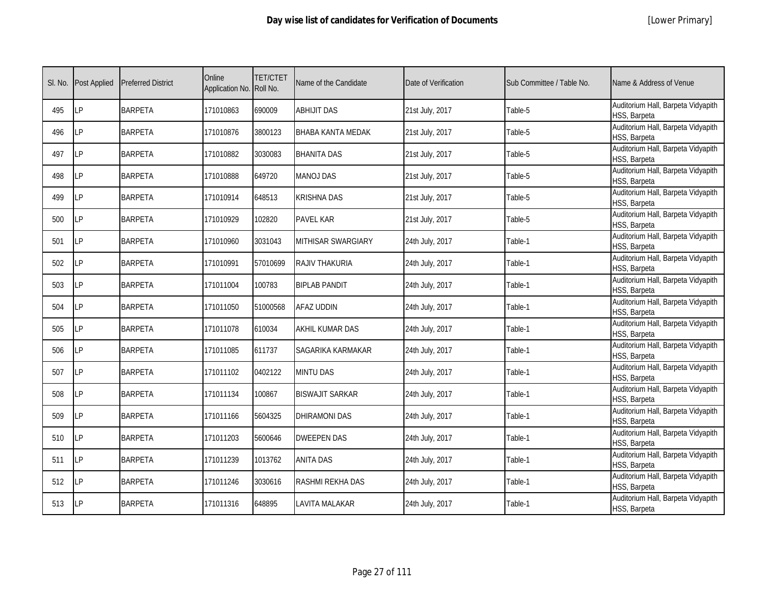|  | [Lower Primary] |
|--|-----------------|
|--|-----------------|

| SI. No. | <b>Post Applied</b> | <b>Preferred District</b> | Online<br>Application No. Roll No. | <b>TET/CTET</b> | Name of the Candidate  | Date of Verification | Sub Committee / Table No. | Name & Address of Venue                            |
|---------|---------------------|---------------------------|------------------------------------|-----------------|------------------------|----------------------|---------------------------|----------------------------------------------------|
| 495     | <b>LP</b>           | <b>BARPETA</b>            | 171010863                          | 690009          | <b>ABHIJIT DAS</b>     | 21st July, 2017      | Table-5                   | Auditorium Hall, Barpeta Vidyapith<br>HSS, Barpeta |
| 496     | <b>ILP</b>          | <b>BARPETA</b>            | 171010876                          | 3800123         | BHABA KANTA MEDAK      | 21st July, 2017      | Table-5                   | Auditorium Hall, Barpeta Vidyapith<br>HSS, Barpeta |
| 497     | LP                  | <b>BARPETA</b>            | 171010882                          | 3030083         | <b>BHANITA DAS</b>     | 21st July, 2017      | Table-5                   | Auditorium Hall, Barpeta Vidyapith<br>HSS, Barpeta |
| 498     | LP                  | <b>BARPETA</b>            | 171010888                          | 649720          | <b>MANOJ DAS</b>       | 21st July, 2017      | Table-5                   | Auditorium Hall, Barpeta Vidyapith<br>HSS, Barpeta |
| 499     | LP                  | <b>BARPETA</b>            | 171010914                          | 648513          | <b>KRISHNA DAS</b>     | 21st July, 2017      | Table-5                   | Auditorium Hall, Barpeta Vidyapith<br>HSS, Barpeta |
| 500     | <b>LP</b>           | <b>BARPETA</b>            | 171010929                          | 102820          | PAVEL KAR              | 21st July, 2017      | Table-5                   | Auditorium Hall, Barpeta Vidyapith<br>HSS, Barpeta |
| 501     | <b>LP</b>           | <b>BARPETA</b>            | 171010960                          | 3031043         | MITHISAR SWARGIARY     | 24th July, 2017      | Table-1                   | Auditorium Hall, Barpeta Vidyapith<br>HSS, Barpeta |
| 502     | LP                  | <b>BARPETA</b>            | 171010991                          | 57010699        | RAJIV THAKURIA         | 24th July, 2017      | Table-1                   | Auditorium Hall, Barpeta Vidyapith<br>HSS, Barpeta |
| 503     | LP                  | <b>BARPETA</b>            | 171011004                          | 100783          | <b>BIPLAB PANDIT</b>   | 24th July, 2017      | Table-1                   | Auditorium Hall, Barpeta Vidyapith<br>HSS, Barpeta |
| 504     | LP                  | <b>BARPETA</b>            | 171011050                          | 51000568        | AFAZ UDDIN             | 24th July, 2017      | Table-1                   | Auditorium Hall, Barpeta Vidyapith<br>HSS, Barpeta |
| 505     | LP                  | <b>BARPETA</b>            | 171011078                          | 610034          | AKHIL KUMAR DAS        | 24th July, 2017      | Table-1                   | Auditorium Hall, Barpeta Vidyapith<br>HSS, Barpeta |
| 506     | <b>LP</b>           | <b>BARPETA</b>            | 171011085                          | 611737          | SAGARIKA KARMAKAR      | 24th July, 2017      | Table-1                   | Auditorium Hall, Barpeta Vidyapith<br>HSS, Barpeta |
| 507     | LP                  | <b>BARPETA</b>            | 171011102                          | 0402122         | <b>MINTU DAS</b>       | 24th July, 2017      | Table-1                   | Auditorium Hall, Barpeta Vidyapith<br>HSS, Barpeta |
| 508     | LP                  | <b>BARPETA</b>            | 171011134                          | 100867          | <b>BISWAJIT SARKAR</b> | 24th July, 2017      | Table-1                   | Auditorium Hall, Barpeta Vidyapith<br>HSS, Barpeta |
| 509     | <b>LP</b>           | <b>BARPETA</b>            | 171011166                          | 5604325         | <b>DHIRAMONI DAS</b>   | 24th July, 2017      | Table-1                   | Auditorium Hall, Barpeta Vidyapith<br>HSS, Barpeta |
| 510     | <b>LP</b>           | <b>BARPETA</b>            | 171011203                          | 5600646         | <b>DWEEPEN DAS</b>     | 24th July, 2017      | Table-1                   | Auditorium Hall, Barpeta Vidyapith<br>HSS, Barpeta |
| 511     | LP                  | <b>BARPETA</b>            | 171011239                          | 1013762         | <b>ANITA DAS</b>       | 24th July, 2017      | Table-1                   | Auditorium Hall, Barpeta Vidyapith<br>HSS, Barpeta |
| 512     | LP                  | <b>BARPETA</b>            | 171011246                          | 3030616         | RASHMI REKHA DAS       | 24th July, 2017      | Table-1                   | Auditorium Hall, Barpeta Vidyapith<br>HSS, Barpeta |
| 513     | <b>LP</b>           | <b>BARPETA</b>            | 171011316                          | 648895          | LAVITA MALAKAR         | 24th July, 2017      | Table-1                   | Auditorium Hall, Barpeta Vidyapith<br>HSS, Barpeta |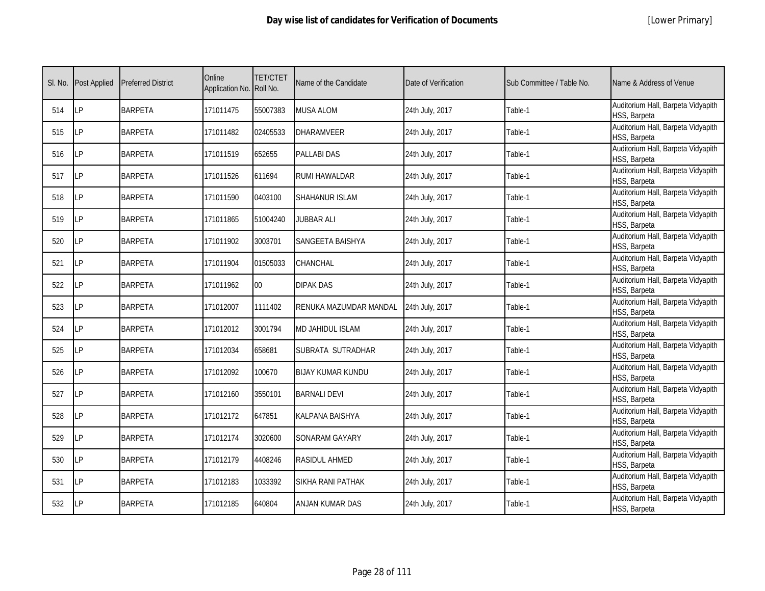| SI. No. | <b>Post Applied</b> | <b>Preferred District</b> | Online<br>Application No. Roll No. | <b>TET/CTET</b> | Name of the Candidate    | Date of Verification | Sub Committee / Table No. | Name & Address of Venue                            |
|---------|---------------------|---------------------------|------------------------------------|-----------------|--------------------------|----------------------|---------------------------|----------------------------------------------------|
| 514     | LP                  | <b>BARPETA</b>            | 171011475                          | 55007383        | <b>MUSA ALOM</b>         | 24th July, 2017      | Table-1                   | Auditorium Hall, Barpeta Vidyapith<br>HSS, Barpeta |
| 515     | LP                  | <b>BARPETA</b>            | 171011482                          | 02405533        | <b>DHARAMVEER</b>        | 24th July, 2017      | Table-1                   | Auditorium Hall, Barpeta Vidyapith<br>HSS, Barpeta |
| 516     | LP                  | <b>BARPETA</b>            | 171011519                          | 652655          | <b>PALLABI DAS</b>       | 24th July, 2017      | Table-1                   | Auditorium Hall, Barpeta Vidyapith<br>HSS, Barpeta |
| 517     | LP                  | <b>BARPETA</b>            | 171011526                          | 611694          | RUMI HAWALDAR            | 24th July, 2017      | Table-1                   | Auditorium Hall, Barpeta Vidyapith<br>HSS, Barpeta |
| 518     | LP                  | <b>BARPETA</b>            | 171011590                          | 0403100         | SHAHANUR ISLAM           | 24th July, 2017      | Table-1                   | Auditorium Hall, Barpeta Vidyapith<br>HSS, Barpeta |
| 519     | P                   | <b>BARPETA</b>            | 171011865                          | 51004240        | <b>JUBBAR ALI</b>        | 24th July, 2017      | Table-1                   | Auditorium Hall, Barpeta Vidyapith<br>HSS, Barpeta |
| 520     | LP                  | <b>BARPETA</b>            | 171011902                          | 3003701         | SANGEETA BAISHYA         | 24th July, 2017      | Table-1                   | Auditorium Hall, Barpeta Vidyapith<br>HSS, Barpeta |
| 521     | LP                  | <b>BARPETA</b>            | 171011904                          | 01505033        | <b>CHANCHAL</b>          | 24th July, 2017      | Table-1                   | Auditorium Hall, Barpeta Vidyapith<br>HSS, Barpeta |
| 522     | LP.                 | <b>BARPETA</b>            | 171011962                          | $00\,$          | <b>DIPAK DAS</b>         | 24th July, 2017      | Table-1                   | Auditorium Hall, Barpeta Vidyapith<br>HSS, Barpeta |
| 523     | LP                  | <b>BARPETA</b>            | 171012007                          | 1111402         | RENUKA MAZUMDAR MANDAL   | 24th July, 2017      | Table-1                   | Auditorium Hall, Barpeta Vidyapith<br>HSS, Barpeta |
| 524     | LP                  | <b>BARPETA</b>            | 171012012                          | 3001794         | <b>MD JAHIDUL ISLAM</b>  | 24th July, 2017      | Table-1                   | Auditorium Hall, Barpeta Vidyapith<br>HSS, Barpeta |
| 525     | LP                  | <b>BARPETA</b>            | 171012034                          | 658681          | SUBRATA SUTRADHAR        | 24th July, 2017      | Table-1                   | Auditorium Hall, Barpeta Vidyapith<br>HSS, Barpeta |
| 526     | LP                  | <b>BARPETA</b>            | 171012092                          | 100670          | <b>BIJAY KUMAR KUNDU</b> | 24th July, 2017      | Table-1                   | Auditorium Hall, Barpeta Vidyapith<br>HSS, Barpeta |
| 527     | LP                  | <b>BARPETA</b>            | 171012160                          | 3550101         | <b>BARNALI DEVI</b>      | 24th July, 2017      | Table-1                   | Auditorium Hall, Barpeta Vidyapith<br>HSS, Barpeta |
| 528     | LP                  | <b>BARPETA</b>            | 171012172                          | 647851          | KALPANA BAISHYA          | 24th July, 2017      | Table-1                   | Auditorium Hall, Barpeta Vidyapith<br>HSS, Barpeta |
| 529     | LP                  | <b>BARPETA</b>            | 171012174                          | 3020600         | SONARAM GAYARY           | 24th July, 2017      | Table-1                   | Auditorium Hall, Barpeta Vidyapith<br>HSS, Barpeta |
| 530     | LP                  | <b>BARPETA</b>            | 171012179                          | 4408246         | <b>RASIDUL AHMED</b>     | 24th July, 2017      | Table-1                   | Auditorium Hall, Barpeta Vidyapith<br>HSS, Barpeta |
| 531     | LP                  | <b>BARPETA</b>            | 171012183                          | 1033392         | SIKHA RANI PATHAK        | 24th July, 2017      | Table-1                   | Auditorium Hall, Barpeta Vidyapith<br>HSS, Barpeta |
| 532     | LP                  | <b>BARPETA</b>            | 171012185                          | 640804          | ANJAN KUMAR DAS          | 24th July, 2017      | Table-1                   | Auditorium Hall, Barpeta Vidyapith<br>HSS, Barpeta |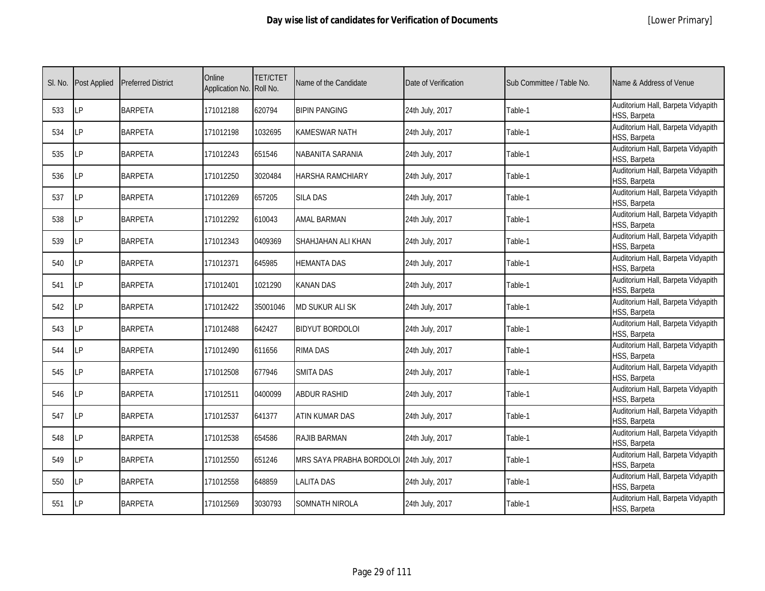| SI. No. | <b>Post Applied</b> | <b>Preferred District</b> | Online<br>Application No. Roll No. | <b>TET/CTET</b> | Name of the Candidate                    | Date of Verification | Sub Committee / Table No. | Name & Address of Venue                            |
|---------|---------------------|---------------------------|------------------------------------|-----------------|------------------------------------------|----------------------|---------------------------|----------------------------------------------------|
| 533     | LP                  | <b>BARPETA</b>            | 171012188                          | 620794          | <b>BIPIN PANGING</b>                     | 24th July, 2017      | Table-1                   | Auditorium Hall, Barpeta Vidyapith<br>HSS, Barpeta |
| 534     | LP                  | <b>BARPETA</b>            | 171012198                          | 1032695         | <b>KAMESWAR NATH</b>                     | 24th July, 2017      | Table-1                   | Auditorium Hall, Barpeta Vidyapith<br>HSS, Barpeta |
| 535     | LP                  | <b>BARPETA</b>            | 171012243                          | 651546          | NABANITA SARANIA                         | 24th July, 2017      | Table-1                   | Auditorium Hall, Barpeta Vidyapith<br>HSS, Barpeta |
| 536     | LP                  | <b>BARPETA</b>            | 171012250                          | 3020484         | <b>HARSHA RAMCHIARY</b>                  | 24th July, 2017      | Table-1                   | Auditorium Hall, Barpeta Vidyapith<br>HSS, Barpeta |
| 537     | LP                  | <b>BARPETA</b>            | 171012269                          | 657205          | <b>SILA DAS</b>                          | 24th July, 2017      | Table-1                   | Auditorium Hall, Barpeta Vidyapith<br>HSS, Barpeta |
| 538     | LP                  | <b>BARPETA</b>            | 171012292                          | 610043          | <b>AMAL BARMAN</b>                       | 24th July, 2017      | Table-1                   | Auditorium Hall, Barpeta Vidyapith<br>HSS, Barpeta |
| 539     | LP                  | <b>BARPETA</b>            | 171012343                          | 0409369         | SHAHJAHAN ALI KHAN                       | 24th July, 2017      | Table-1                   | Auditorium Hall, Barpeta Vidyapith<br>HSS, Barpeta |
| 540     | LP                  | <b>BARPETA</b>            | 171012371                          | 645985          | <b>HEMANTA DAS</b>                       | 24th July, 2017      | Table-1                   | Auditorium Hall, Barpeta Vidyapith<br>HSS, Barpeta |
| 541     | LP                  | <b>BARPETA</b>            | 171012401                          | 1021290         | <b>KANAN DAS</b>                         | 24th July, 2017      | Table-1                   | Auditorium Hall, Barpeta Vidyapith<br>HSS, Barpeta |
| 542     | LP                  | <b>BARPETA</b>            | 171012422                          | 35001046        | <b>MD SUKUR ALI SK</b>                   | 24th July, 2017      | Table-1                   | Auditorium Hall, Barpeta Vidyapith<br>HSS, Barpeta |
| 543     | LP                  | <b>BARPETA</b>            | 171012488                          | 642427          | <b>BIDYUT BORDOLOI</b>                   | 24th July, 2017      | Table-1                   | Auditorium Hall, Barpeta Vidyapith<br>HSS, Barpeta |
| 544     | LP                  | <b>BARPETA</b>            | 171012490                          | 611656          | <b>RIMA DAS</b>                          | 24th July, 2017      | Table-1                   | Auditorium Hall, Barpeta Vidyapith<br>HSS, Barpeta |
| 545     | LP                  | <b>BARPETA</b>            | 171012508                          | 677946          | <b>SMITA DAS</b>                         | 24th July, 2017      | Table-1                   | Auditorium Hall, Barpeta Vidyapith<br>HSS, Barpeta |
| 546     | LP.                 | <b>BARPETA</b>            | 171012511                          | 0400099         | <b>ABDUR RASHID</b>                      | 24th July, 2017      | Table-1                   | Auditorium Hall, Barpeta Vidyapith<br>HSS, Barpeta |
| 547     | LP                  | <b>BARPETA</b>            | 171012537                          | 641377          | ATIN KUMAR DAS                           | 24th July, 2017      | Table-1                   | Auditorium Hall, Barpeta Vidyapith<br>HSS, Barpeta |
| 548     | LP                  | <b>BARPETA</b>            | 171012538                          | 654586          | <b>RAJIB BARMAN</b>                      | 24th July, 2017      | Table-1                   | Auditorium Hall, Barpeta Vidyapith<br>HSS, Barpeta |
| 549     | LP                  | <b>BARPETA</b>            | 171012550                          | 651246          | MRS SAYA PRABHA BORDOLOI 24th July, 2017 |                      | Table-1                   | Auditorium Hall, Barpeta Vidyapith<br>HSS, Barpeta |
| 550     | LP                  | <b>BARPETA</b>            | 171012558                          | 648859          | <b>LALITA DAS</b>                        | 24th July, 2017      | Table-1                   | Auditorium Hall, Barpeta Vidyapith<br>HSS, Barpeta |
| 551     | LP                  | <b>BARPETA</b>            | 171012569                          | 3030793         | SOMNATH NIROLA                           | 24th July, 2017      | Table-1                   | Auditorium Hall, Barpeta Vidyapith<br>HSS, Barpeta |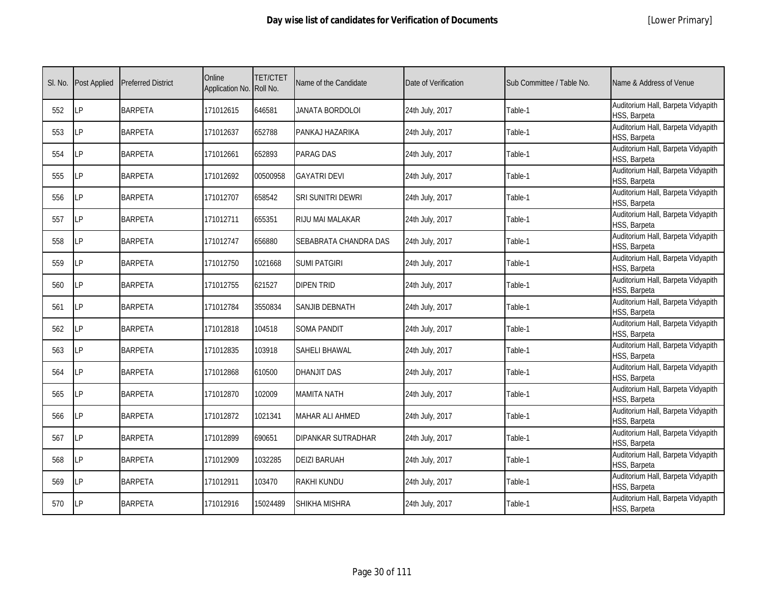|  | [Lower Primary] |
|--|-----------------|
|--|-----------------|

| SI. No. | <b>Post Applied</b> | <b>Preferred District</b> | Online<br>Application No. Roll No. | <b>TET/CTET</b> | Name of the Candidate  | Date of Verification | Sub Committee / Table No. | Name & Address of Venue                            |
|---------|---------------------|---------------------------|------------------------------------|-----------------|------------------------|----------------------|---------------------------|----------------------------------------------------|
| 552     | LP                  | <b>BARPETA</b>            | 171012615                          | 646581          | <b>JANATA BORDOLOI</b> | 24th July, 2017      | Table-1                   | Auditorium Hall, Barpeta Vidyapith<br>HSS, Barpeta |
| 553     | <b>LP</b>           | <b>BARPETA</b>            | 171012637                          | 652788          | PANKAJ HAZARIKA        | 24th July, 2017      | Table-1                   | Auditorium Hall, Barpeta Vidyapith<br>HSS, Barpeta |
| 554     | <b>LP</b>           | <b>BARPETA</b>            | 171012661                          | 652893          | PARAG DAS              | 24th July, 2017      | Table-1                   | Auditorium Hall, Barpeta Vidyapith<br>HSS, Barpeta |
| 555     | LP                  | <b>BARPETA</b>            | 171012692                          | 00500958        | <b>GAYATRI DEVI</b>    | 24th July, 2017      | Table-1                   | Auditorium Hall, Barpeta Vidyapith<br>HSS, Barpeta |
| 556     | <b>LP</b>           | <b>BARPETA</b>            | 171012707                          | 658542          | SRI SUNITRI DEWRI      | 24th July, 2017      | Table-1                   | Auditorium Hall, Barpeta Vidyapith<br>HSS, Barpeta |
| 557     | <b>LP</b>           | <b>BARPETA</b>            | 171012711                          | 655351          | RIJU MAI MALAKAR       | 24th July, 2017      | Table-1                   | Auditorium Hall, Barpeta Vidyapith<br>HSS, Barpeta |
| 558     | <b>LP</b>           | <b>BARPETA</b>            | 171012747                          | 656880          | SEBABRATA CHANDRA DAS  | 24th July, 2017      | Table-1                   | Auditorium Hall, Barpeta Vidyapith<br>HSS, Barpeta |
| 559     | LP                  | <b>BARPETA</b>            | 171012750                          | 1021668         | <b>SUMI PATGIRI</b>    | 24th July, 2017      | Table-1                   | Auditorium Hall, Barpeta Vidyapith<br>HSS, Barpeta |
| 560     | LΡ                  | <b>BARPETA</b>            | 171012755                          | 621527          | DIPEN TRID             | 24th July, 2017      | Table-1                   | Auditorium Hall, Barpeta Vidyapith<br>HSS, Barpeta |
| 561     | LP                  | <b>BARPETA</b>            | 171012784                          | 3550834         | <b>SANJIB DEBNATH</b>  | 24th July, 2017      | Table-1                   | Auditorium Hall, Barpeta Vidyapith<br>HSS, Barpeta |
| 562     | LP                  | <b>BARPETA</b>            | 171012818                          | 104518          | <b>SOMA PANDIT</b>     | 24th July, 2017      | Table-1                   | Auditorium Hall, Barpeta Vidyapith<br>HSS, Barpeta |
| 563     | LP                  | <b>BARPETA</b>            | 171012835                          | 103918          | SAHELI BHAWAL          | 24th July, 2017      | Table-1                   | Auditorium Hall, Barpeta Vidyapith<br>HSS, Barpeta |
| 564     | LP                  | <b>BARPETA</b>            | 171012868                          | 610500          | <b>DHANJIT DAS</b>     | 24th July, 2017      | Table-1                   | Auditorium Hall, Barpeta Vidyapith<br>HSS, Barpeta |
| 565     | <b>LP</b>           | <b>BARPETA</b>            | 171012870                          | 102009          | MAMITA NATH            | 24th July, 2017      | Table-1                   | Auditorium Hall, Barpeta Vidyapith<br>HSS, Barpeta |
| 566     | <b>LP</b>           | <b>BARPETA</b>            | 171012872                          | 1021341         | MAHAR ALI AHMED        | 24th July, 2017      | Table-1                   | Auditorium Hall, Barpeta Vidyapith<br>HSS, Barpeta |
| 567     | LP                  | <b>BARPETA</b>            | 171012899                          | 690651          | DIPANKAR SUTRADHAR     | 24th July, 2017      | Table-1                   | Auditorium Hall, Barpeta Vidyapith<br>HSS, Barpeta |
| 568     | LP                  | <b>BARPETA</b>            | 171012909                          | 1032285         | <b>DEIZI BARUAH</b>    | 24th July, 2017      | Table-1                   | Auditorium Hall, Barpeta Vidyapith<br>HSS, Barpeta |
| 569     | <b>LP</b>           | <b>BARPETA</b>            | 171012911                          | 103470          | RAKHI KUNDU            | 24th July, 2017      | Table-1                   | Auditorium Hall, Barpeta Vidyapith<br>HSS, Barpeta |
| 570     | <b>LP</b>           | <b>BARPETA</b>            | 171012916                          | 15024489        | SHIKHA MISHRA          | 24th July, 2017      | Table-1                   | Auditorium Hall, Barpeta Vidyapith<br>HSS, Barpeta |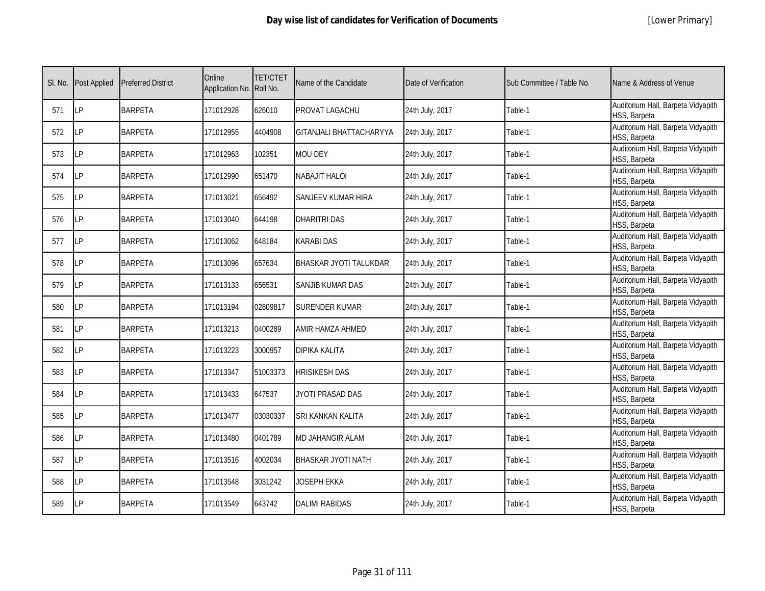| SI. No. | Post Applied | <b>Preferred District</b> | Online<br>Application No. Roll No. | <b>TET/CTET</b> | Name of the Candidate     | Date of Verification | Sub Committee / Table No. | Name & Address of Venue                            |
|---------|--------------|---------------------------|------------------------------------|-----------------|---------------------------|----------------------|---------------------------|----------------------------------------------------|
| 571     | LP           | <b>BARPETA</b>            | 171012928                          | 626010          | PROVAT LAGACHU            | 24th July, 2017      | Table-1                   | Auditorium Hall, Barpeta Vidyapith<br>HSS, Barpeta |
| 572     | LР           | <b>BARPETA</b>            | 171012955                          | 4404908         | GITANJALI BHATTACHARYYA   | 24th July, 2017      | Table-1                   | Auditorium Hall, Barpeta Vidyapith<br>HSS, Barpeta |
| 573     | LP           | <b>BARPETA</b>            | 171012963                          | 102351          | <b>MOU DEY</b>            | 24th July, 2017      | Table-1                   | Auditorium Hall, Barpeta Vidyapith<br>HSS, Barpeta |
| 574     | LP           | <b>BARPETA</b>            | 171012990                          | 651470          | NABAJIT HALOI             | 24th July, 2017      | Table-1                   | Auditorium Hall, Barpeta Vidyapith<br>HSS, Barpeta |
| 575     | LP           | <b>BARPETA</b>            | 171013021                          | 656492          | SANJEEV KUMAR HIRA        | 24th July, 2017      | Table-1                   | Auditorium Hall, Barpeta Vidyapith<br>HSS, Barpeta |
| 576     | LP           | <b>BARPETA</b>            | 171013040                          | 644198          | <b>DHARITRI DAS</b>       | 24th July, 2017      | Table-1                   | Auditorium Hall, Barpeta Vidyapith<br>HSS, Barpeta |
| 577     | LP           | <b>BARPETA</b>            | 171013062                          | 648184          | <b>KARABI DAS</b>         | 24th July, 2017      | Table-1                   | Auditorium Hall, Barpeta Vidyapith<br>HSS, Barpeta |
| 578     | LP           | <b>BARPETA</b>            | 171013096                          | 657634          | BHASKAR JYOTI TALUKDAR    | 24th July, 2017      | Table-1                   | Auditorium Hall, Barpeta Vidyapith<br>HSS, Barpeta |
| 579     | LP           | <b>BARPETA</b>            | 171013133                          | 656531          | SANJIB KUMAR DAS          | 24th July, 2017      | Table-1                   | Auditorium Hall, Barpeta Vidyapith<br>HSS, Barpeta |
| 580     | LP           | <b>BARPETA</b>            | 171013194                          | 02809817        | <b>SURENDER KUMAR</b>     | 24th July, 2017      | Table-1                   | Auditorium Hall, Barpeta Vidyapith<br>HSS, Barpeta |
| 581     | LP           | <b>BARPETA</b>            | 171013213                          | 0400289         | AMIR HAMZA AHMED          | 24th July, 2017      | Table-1                   | Auditorium Hall, Barpeta Vidyapith<br>HSS, Barpeta |
| 582     | LP           | <b>BARPETA</b>            | 171013223                          | 3000957         | DIPIKA KALITA             | 24th July, 2017      | Table-1                   | Auditorium Hall, Barpeta Vidyapith<br>HSS, Barpeta |
| 583     | LP           | <b>BARPETA</b>            | 171013347                          | 51003373        | <b>HRISIKESH DAS</b>      | 24th July, 2017      | Table-1                   | Auditorium Hall, Barpeta Vidyapith<br>HSS, Barpeta |
| 584     | LP           | <b>BARPETA</b>            | 171013433                          | 647537          | JYOTI PRASAD DAS          | 24th July, 2017      | Table-1                   | Auditorium Hall, Barpeta Vidyapith<br>HSS, Barpeta |
| 585     | LP           | <b>BARPETA</b>            | 171013477                          | 03030337        | SRI KANKAN KALITA         | 24th July, 2017      | Table-1                   | Auditorium Hall, Barpeta Vidyapith<br>HSS, Barpeta |
| 586     | LP           | <b>BARPETA</b>            | 171013480                          | 0401789         | MD JAHANGIR ALAM          | 24th July, 2017      | Table-1                   | Auditorium Hall, Barpeta Vidyapith<br>HSS, Barpeta |
| 587     | LP           | <b>BARPETA</b>            | 171013516                          | 4002034         | <b>BHASKAR JYOTI NATH</b> | 24th July, 2017      | Table-1                   | Auditorium Hall, Barpeta Vidyapith<br>HSS, Barpeta |
| 588     | LP           | <b>BARPETA</b>            | 171013548                          | 3031242         | <b>JOSEPH EKKA</b>        | 24th July, 2017      | Table-1                   | Auditorium Hall, Barpeta Vidyapith<br>HSS, Barpeta |
| 589     | LP           | <b>BARPETA</b>            | 171013549                          | 643742          | <b>DALIMI RABIDAS</b>     | 24th July, 2017      | Table-1                   | Auditorium Hall, Barpeta Vidyapith<br>HSS, Barpeta |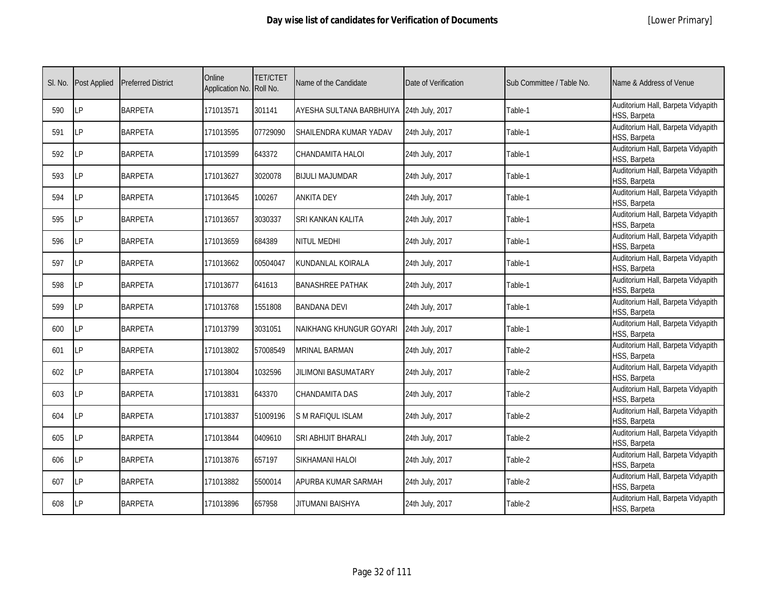| SI. No. | <b>Post Applied</b> | <b>Preferred District</b> | Online<br>Application No. Roll No. | <b>TET/CTET</b> | Name of the Candidate      | Date of Verification | Sub Committee / Table No. | Name & Address of Venue                            |
|---------|---------------------|---------------------------|------------------------------------|-----------------|----------------------------|----------------------|---------------------------|----------------------------------------------------|
| 590     | LР                  | <b>BARPETA</b>            | 171013571                          | 301141          | AYESHA SULTANA BARBHUIYA   | 24th July, 2017      | Table-1                   | Auditorium Hall, Barpeta Vidyapith<br>HSS, Barpeta |
| 591     | LP                  | <b>BARPETA</b>            | 171013595                          | 07729090        | SHAILENDRA KUMAR YADAV     | 24th July, 2017      | Table-1                   | Auditorium Hall, Barpeta Vidyapith<br>HSS, Barpeta |
| 592     | LP                  | <b>BARPETA</b>            | 171013599                          | 643372          | CHANDAMITA HALOI           | 24th July, 2017      | Table-1                   | Auditorium Hall, Barpeta Vidyapith<br>HSS, Barpeta |
| 593     | LP                  | <b>BARPETA</b>            | 171013627                          | 3020078         | <b>BIJULI MAJUMDAR</b>     | 24th July, 2017      | Table-1                   | Auditorium Hall, Barpeta Vidyapith<br>HSS, Barpeta |
| 594     | LP                  | <b>BARPETA</b>            | 171013645                          | 100267          | <b>ANKITA DEY</b>          | 24th July, 2017      | Table-1                   | Auditorium Hall, Barpeta Vidyapith<br>HSS, Barpeta |
| 595     | LP                  | <b>BARPETA</b>            | 171013657                          | 3030337         | SRI KANKAN KALITA          | 24th July, 2017      | Table-1                   | Auditorium Hall, Barpeta Vidyapith<br>HSS, Barpeta |
| 596     | LР                  | <b>BARPETA</b>            | 171013659                          | 684389          | NITUL MEDHI                | 24th July, 2017      | Table-1                   | Auditorium Hall, Barpeta Vidyapith<br>HSS, Barpeta |
| 597     | LP                  | <b>BARPETA</b>            | 171013662                          | 00504047        | KUNDANLAL KOIRALA          | 24th July, 2017      | Table-1                   | Auditorium Hall, Barpeta Vidyapith<br>HSS, Barpeta |
| 598     | LP                  | <b>BARPETA</b>            | 171013677                          | 641613          | <b>BANASHREE PATHAK</b>    | 24th July, 2017      | Table-1                   | Auditorium Hall, Barpeta Vidyapith<br>HSS, Barpeta |
| 599     | LP                  | <b>BARPETA</b>            | 171013768                          | 1551808         | <b>BANDANA DEVI</b>        | 24th July, 2017      | Table-1                   | Auditorium Hall, Barpeta Vidyapith<br>HSS, Barpeta |
| 600     | <b>LP</b>           | <b>BARPETA</b>            | 171013799                          | 3031051         | NAIKHANG KHUNGUR GOYARI    | 24th July, 2017      | Table-1                   | Auditorium Hall, Barpeta Vidyapith<br>HSS, Barpeta |
| 601     | LP                  | <b>BARPETA</b>            | 171013802                          | 57008549        | <b>MRINAL BARMAN</b>       | 24th July, 2017      | Table-2                   | Auditorium Hall, Barpeta Vidyapith<br>HSS, Barpeta |
| 602     | LР                  | <b>BARPETA</b>            | 171013804                          | 1032596         | <b>JILIMONI BASUMATARY</b> | 24th July, 2017      | Table-2                   | Auditorium Hall, Barpeta Vidyapith<br>HSS, Barpeta |
| 603     | LP                  | <b>BARPETA</b>            | 171013831                          | 643370          | CHANDAMITA DAS             | 24th July, 2017      | Table-2                   | Auditorium Hall, Barpeta Vidyapith<br>HSS, Barpeta |
| 604     | LP                  | <b>BARPETA</b>            | 171013837                          | 51009196        | <b>S M RAFIQUL ISLAM</b>   | 24th July, 2017      | Table-2                   | Auditorium Hall, Barpeta Vidyapith<br>HSS, Barpeta |
| 605     | LP                  | <b>BARPETA</b>            | 171013844                          | 0409610         | <b>SRI ABHIJIT BHARALI</b> | 24th July, 2017      | Table-2                   | Auditorium Hall, Barpeta Vidyapith<br>HSS, Barpeta |
| 606     | LP                  | <b>BARPETA</b>            | 171013876                          | 657197          | SIKHAMANI HALOI            | 24th July, 2017      | Table-2                   | Auditorium Hall, Barpeta Vidyapith<br>HSS, Barpeta |
| 607     | LP                  | <b>BARPETA</b>            | 171013882                          | 5500014         | APURBA KUMAR SARMAH        | 24th July, 2017      | Table-2                   | Auditorium Hall, Barpeta Vidyapith<br>HSS, Barpeta |
| 608     | LP                  | <b>BARPETA</b>            | 171013896                          | 657958          | JITUMANI BAISHYA           | 24th July, 2017      | Table-2                   | Auditorium Hall, Barpeta Vidyapith<br>HSS, Barpeta |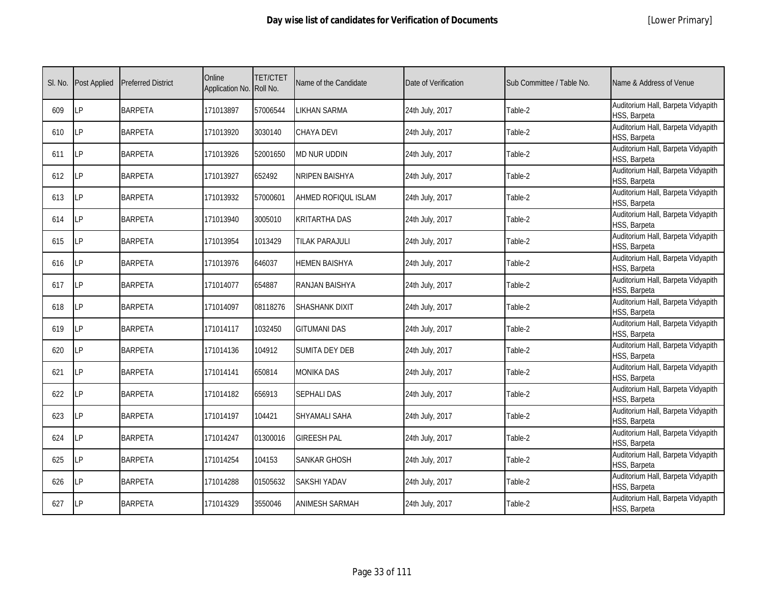|  | [Lower Primary] |
|--|-----------------|
|--|-----------------|

| SI. No. | <b>Post Applied</b> | <b>Preferred District</b> | Online<br>Application No. Roll No. | <b>TET/CTET</b> | Name of the Candidate | Date of Verification | Sub Committee / Table No. | Name & Address of Venue                            |
|---------|---------------------|---------------------------|------------------------------------|-----------------|-----------------------|----------------------|---------------------------|----------------------------------------------------|
| 609     | LP                  | <b>BARPETA</b>            | 171013897                          | 57006544        | <b>LIKHAN SARMA</b>   | 24th July, 2017      | Table-2                   | Auditorium Hall, Barpeta Vidyapith<br>HSS, Barpeta |
| 610     | <b>ILP</b>          | <b>BARPETA</b>            | 171013920                          | 3030140         | CHAYA DEVI            | 24th July, 2017      | Table-2                   | Auditorium Hall, Barpeta Vidyapith<br>HSS, Barpeta |
| 611     | LP                  | <b>BARPETA</b>            | 171013926                          | 52001650        | MD NUR UDDIN          | 24th July, 2017      | Table-2                   | Auditorium Hall, Barpeta Vidyapith<br>HSS, Barpeta |
| 612     | LP                  | <b>BARPETA</b>            | 171013927                          | 652492          | NRIPEN BAISHYA        | 24th July, 2017      | Table-2                   | Auditorium Hall, Barpeta Vidyapith<br>HSS, Barpeta |
| 613     | <b>LP</b>           | <b>BARPETA</b>            | 171013932                          | 57000601        | AHMED ROFIQUL ISLAM   | 24th July, 2017      | Table-2                   | Auditorium Hall, Barpeta Vidyapith<br>HSS, Barpeta |
| 614     | LP                  | <b>BARPETA</b>            | 171013940                          | 3005010         | <b>KRITARTHA DAS</b>  | 24th July, 2017      | Table-2                   | Auditorium Hall, Barpeta Vidyapith<br>HSS, Barpeta |
| 615     | LP                  | <b>BARPETA</b>            | 171013954                          | 1013429         | TILAK PARAJULI        | 24th July, 2017      | Table-2                   | Auditorium Hall, Barpeta Vidyapith<br>HSS, Barpeta |
| 616     | <b>LP</b>           | <b>BARPETA</b>            | 171013976                          | 646037          | HEMEN BAISHYA         | 24th July, 2017      | Table-2                   | Auditorium Hall, Barpeta Vidyapith<br>HSS, Barpeta |
| 617     | LP                  | <b>BARPETA</b>            | 171014077                          | 654887          | RANJAN BAISHYA        | 24th July, 2017      | Table-2                   | Auditorium Hall, Barpeta Vidyapith<br>HSS, Barpeta |
| 618     | LP                  | <b>BARPETA</b>            | 171014097                          | 08118276        | <b>SHASHANK DIXIT</b> | 24th July, 2017      | Table-2                   | Auditorium Hall, Barpeta Vidyapith<br>HSS, Barpeta |
| 619     | LP                  | <b>BARPETA</b>            | 171014117                          | 1032450         | <b>GITUMANI DAS</b>   | 24th July, 2017      | Table-2                   | Auditorium Hall, Barpeta Vidyapith<br>HSS, Barpeta |
| 620     | <b>LP</b>           | <b>BARPETA</b>            | 171014136                          | 104912          | SUMITA DEY DEB        | 24th July, 2017      | Table-2                   | Auditorium Hall, Barpeta Vidyapith<br>HSS, Barpeta |
| 621     | LP                  | <b>BARPETA</b>            | 171014141                          | 650814          | <b>MONIKA DAS</b>     | 24th July, 2017      | Table-2                   | Auditorium Hall, Barpeta Vidyapith<br>HSS, Barpeta |
| 622     | <b>LP</b>           | <b>BARPETA</b>            | 171014182                          | 656913          | <b>SEPHALI DAS</b>    | 24th July, 2017      | Table-2                   | Auditorium Hall, Barpeta Vidyapith<br>HSS, Barpeta |
| 623     | <b>LP</b>           | <b>BARPETA</b>            | 171014197                          | 104421          | SHYAMALI SAHA         | 24th July, 2017      | Table-2                   | Auditorium Hall, Barpeta Vidyapith<br>HSS, Barpeta |
| 624     | LP                  | <b>BARPETA</b>            | 171014247                          | 01300016        | <b>GIREESH PAL</b>    | 24th July, 2017      | Table-2                   | Auditorium Hall, Barpeta Vidyapith<br>HSS, Barpeta |
| 625     | <b>LP</b>           | <b>BARPETA</b>            | 171014254                          | 104153          | SANKAR GHOSH          | 24th July, 2017      | Table-2                   | Auditorium Hall, Barpeta Vidyapith<br>HSS, Barpeta |
| 626     | <b>LP</b>           | <b>BARPETA</b>            | 171014288                          | 01505632        | <b>SAKSHI YADAV</b>   | 24th July, 2017      | Table-2                   | Auditorium Hall, Barpeta Vidyapith<br>HSS, Barpeta |
| 627     | <b>LP</b>           | <b>BARPETA</b>            | 171014329                          | 3550046         | ANIMESH SARMAH        | 24th July, 2017      | Table-2                   | Auditorium Hall, Barpeta Vidyapith<br>HSS, Barpeta |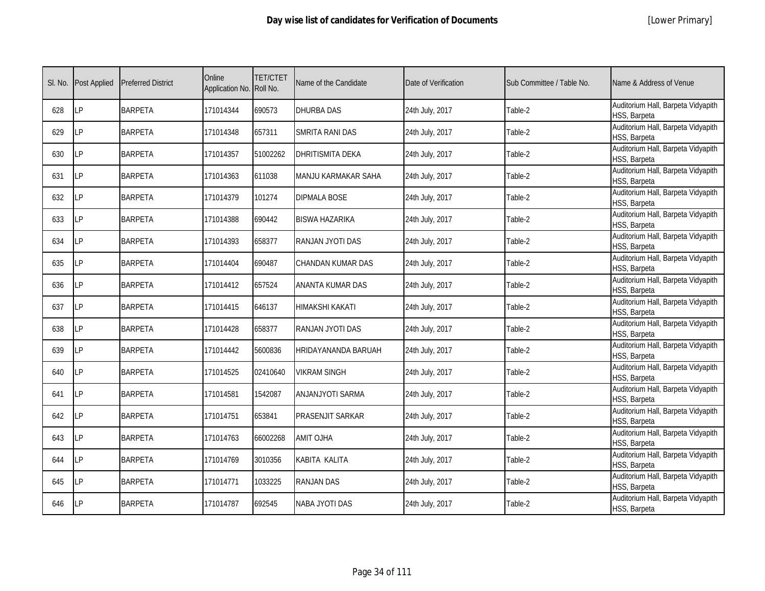|  | [Lower Primary] |
|--|-----------------|
|--|-----------------|

| SI. No. | <b>Post Applied</b> | <b>Preferred District</b> | Online<br>Application No. Roll No. | <b>TET/CTET</b> | Name of the Candidate   | Date of Verification | Sub Committee / Table No. | Name & Address of Venue                            |
|---------|---------------------|---------------------------|------------------------------------|-----------------|-------------------------|----------------------|---------------------------|----------------------------------------------------|
| 628     | <b>LP</b>           | <b>BARPETA</b>            | 171014344                          | 690573          | <b>DHURBA DAS</b>       | 24th July, 2017      | Table-2                   | Auditorium Hall, Barpeta Vidyapith<br>HSS, Barpeta |
| 629     | LP                  | <b>BARPETA</b>            | 171014348                          | 657311          | SMRITA RANI DAS         | 24th July, 2017      | Table-2                   | Auditorium Hall, Barpeta Vidyapith<br>HSS, Barpeta |
| 630     | <b>LP</b>           | <b>BARPETA</b>            | 171014357                          | 51002262        | <b>DHRITISMITA DEKA</b> | 24th July, 2017      | Table-2                   | Auditorium Hall, Barpeta Vidyapith<br>HSS, Barpeta |
| 631     | LP                  | <b>BARPETA</b>            | 171014363                          | 611038          | MANJU KARMAKAR SAHA     | 24th July, 2017      | Table-2                   | Auditorium Hall, Barpeta Vidyapith<br>HSS, Barpeta |
| 632     | LP                  | <b>BARPETA</b>            | 171014379                          | 101274          | DIPMALA BOSE            | 24th July, 2017      | Table-2                   | Auditorium Hall, Barpeta Vidyapith<br>HSS, Barpeta |
| 633     | <b>LP</b>           | <b>BARPETA</b>            | 171014388                          | 690442          | <b>BISWA HAZARIKA</b>   | 24th July, 2017      | Table-2                   | Auditorium Hall, Barpeta Vidyapith<br>HSS, Barpeta |
| 634     | LP                  | <b>BARPETA</b>            | 171014393                          | 658377          | RANJAN JYOTI DAS        | 24th July, 2017      | Table-2                   | Auditorium Hall, Barpeta Vidyapith<br>HSS, Barpeta |
| 635     | LP                  | <b>BARPETA</b>            | 171014404                          | 690487          | CHANDAN KUMAR DAS       | 24th July, 2017      | Table-2                   | Auditorium Hall, Barpeta Vidyapith<br>HSS, Barpeta |
| 636     | LΡ                  | <b>BARPETA</b>            | 171014412                          | 657524          | ANANTA KUMAR DAS        | 24th July, 2017      | Table-2                   | Auditorium Hall, Barpeta Vidyapith<br>HSS, Barpeta |
| 637     | LP                  | <b>BARPETA</b>            | 171014415                          | 646137          | HIMAKSHI KAKATI         | 24th July, 2017      | Table-2                   | Auditorium Hall, Barpeta Vidyapith<br>HSS, Barpeta |
| 638     | LP                  | <b>BARPETA</b>            | 171014428                          | 658377          | RANJAN JYOTI DAS        | 24th July, 2017      | Table-2                   | Auditorium Hall, Barpeta Vidyapith<br>HSS, Barpeta |
| 639     | <b>ILP</b>          | <b>BARPETA</b>            | 171014442                          | 5600836         | HRIDAYANANDA BARUAH     | 24th July, 2017      | Table-2                   | Auditorium Hall, Barpeta Vidyapith<br>HSS, Barpeta |
| 640     | LP                  | <b>BARPETA</b>            | 171014525                          | 02410640        | <b>VIKRAM SINGH</b>     | 24th July, 2017      | Table-2                   | Auditorium Hall, Barpeta Vidyapith<br>HSS, Barpeta |
| 641     | LP                  | <b>BARPETA</b>            | 171014581                          | 1542087         | ANJANJYOTI SARMA        | 24th July, 2017      | Table-2                   | Auditorium Hall, Barpeta Vidyapith<br>HSS, Barpeta |
| 642     | LP                  | <b>BARPETA</b>            | 171014751                          | 653841          | PRASENJIT SARKAR        | 24th July, 2017      | Table-2                   | Auditorium Hall, Barpeta Vidyapith<br>HSS, Barpeta |
| 643     | <b>LP</b>           | <b>BARPETA</b>            | 171014763                          | 66002268        | <b>AMIT OJHA</b>        | 24th July, 2017      | Table-2                   | Auditorium Hall, Barpeta Vidyapith<br>HSS, Barpeta |
| 644     | LP                  | <b>BARPETA</b>            | 171014769                          | 3010356         | KABITA KALITA           | 24th July, 2017      | Table-2                   | Auditorium Hall, Barpeta Vidyapith<br>HSS, Barpeta |
| 645     | <b>LP</b>           | <b>BARPETA</b>            | 171014771                          | 1033225         | <b>RANJAN DAS</b>       | 24th July, 2017      | Table-2                   | Auditorium Hall, Barpeta Vidyapith<br>HSS, Barpeta |
| 646     | LP                  | <b>BARPETA</b>            | 171014787                          | 692545          | NABA JYOTI DAS          | 24th July, 2017      | Table-2                   | Auditorium Hall, Barpeta Vidyapith<br>HSS, Barpeta |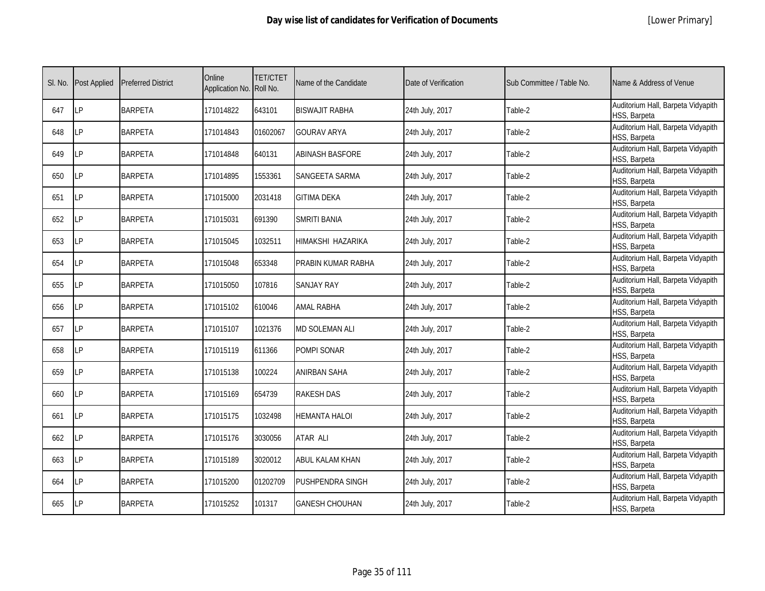| SI. No. | <b>Post Applied</b> | <b>Preferred District</b> | Online<br>Application No. | <b>TET/CTET</b><br>Roll No. | Name of the Candidate  | Date of Verification | Sub Committee / Table No. | Name & Address of Venue                            |
|---------|---------------------|---------------------------|---------------------------|-----------------------------|------------------------|----------------------|---------------------------|----------------------------------------------------|
| 647     | <b>ILP</b>          | <b>BARPETA</b>            | 171014822                 | 643101                      | BISWAJIT RABHA         | 24th July, 2017      | Table-2                   | Auditorium Hall, Barpeta Vidyapith<br>HSS, Barpeta |
| 648     | <b>LP</b>           | <b>BARPETA</b>            | 171014843                 | 01602067                    | <b>GOURAV ARYA</b>     | 24th July, 2017      | Table-2                   | Auditorium Hall, Barpeta Vidyapith<br>HSS, Barpeta |
| 649     | LP                  | <b>BARPETA</b>            | 171014848                 | 640131                      | <b>ABINASH BASFORE</b> | 24th July, 2017      | Table-2                   | Auditorium Hall, Barpeta Vidyapith<br>HSS, Barpeta |
| 650     | <b>LP</b>           | <b>BARPETA</b>            | 171014895                 | 1553361                     | SANGEETA SARMA         | 24th July, 2017      | Table-2                   | Auditorium Hall, Barpeta Vidyapith<br>HSS, Barpeta |
| 651     | LP                  | <b>BARPETA</b>            | 171015000                 | 2031418                     | <b>GITIMA DEKA</b>     | 24th July, 2017      | Table-2                   | Auditorium Hall, Barpeta Vidyapith<br>HSS, Barpeta |
| 652     | LP                  | <b>BARPETA</b>            | 171015031                 | 691390                      | <b>SMRITI BANIA</b>    | 24th July, 2017      | Table-2                   | Auditorium Hall, Barpeta Vidyapith<br>HSS, Barpeta |
| 653     | LP                  | <b>BARPETA</b>            | 171015045                 | 1032511                     | HIMAKSHI HAZARIKA      | 24th July, 2017      | Table-2                   | Auditorium Hall, Barpeta Vidyapith<br>HSS, Barpeta |
| 654     | LP                  | <b>BARPETA</b>            | 171015048                 | 653348                      | PRABIN KUMAR RABHA     | 24th July, 2017      | Table-2                   | Auditorium Hall, Barpeta Vidyapith<br>HSS, Barpeta |
| 655     | LP                  | <b>BARPETA</b>            | 171015050                 | 107816                      | <b>SANJAY RAY</b>      | 24th July, 2017      | Table-2                   | Auditorium Hall, Barpeta Vidyapith<br>HSS, Barpeta |
| 656     | LP                  | <b>BARPETA</b>            | 171015102                 | 610046                      | <b>AMAL RABHA</b>      | 24th July, 2017      | Table-2                   | Auditorium Hall, Barpeta Vidyapith<br>HSS, Barpeta |
| 657     | <b>LP</b>           | <b>BARPETA</b>            | 171015107                 | 1021376                     | <b>MD SOLEMAN ALI</b>  | 24th July, 2017      | Table-2                   | Auditorium Hall, Barpeta Vidyapith<br>HSS, Barpeta |
| 658     | <b>LP</b>           | <b>BARPETA</b>            | 171015119                 | 611366                      | POMPI SONAR            | 24th July, 2017      | Table-2                   | Auditorium Hall, Barpeta Vidyapith<br>HSS, Barpeta |
| 659     | LP                  | <b>BARPETA</b>            | 171015138                 | 100224                      | ANIRBAN SAHA           | 24th July, 2017      | Table-2                   | Auditorium Hall, Barpeta Vidyapith<br>HSS, Barpeta |
| 660     | LP                  | <b>BARPETA</b>            | 171015169                 | 654739                      | <b>RAKESH DAS</b>      | 24th July, 2017      | Table-2                   | Auditorium Hall, Barpeta Vidyapith<br>HSS, Barpeta |
| 661     | LP                  | <b>BARPETA</b>            | 171015175                 | 1032498                     | <b>HEMANTA HALOI</b>   | 24th July, 2017      | Table-2                   | Auditorium Hall, Barpeta Vidyapith<br>HSS, Barpeta |
| 662     | <b>LP</b>           | <b>BARPETA</b>            | 171015176                 | 3030056                     | <b>ATAR ALI</b>        | 24th July, 2017      | Table-2                   | Auditorium Hall, Barpeta Vidyapith<br>HSS, Barpeta |
| 663     | <b>ILP</b>          | <b>BARPETA</b>            | 171015189                 | 3020012                     | ABUL KALAM KHAN        | 24th July, 2017      | Table-2                   | Auditorium Hall, Barpeta Vidyapith<br>HSS, Barpeta |
| 664     | <b>LP</b>           | <b>BARPETA</b>            | 171015200                 | 01202709                    | PUSHPENDRA SINGH       | 24th July, 2017      | Table-2                   | Auditorium Hall, Barpeta Vidyapith<br>HSS, Barpeta |
| 665     | <b>LP</b>           | <b>BARPETA</b>            | 171015252                 | 101317                      | GANESH CHOUHAN         | 24th July, 2017      | Table-2                   | Auditorium Hall, Barpeta Vidyapith<br>HSS, Barpeta |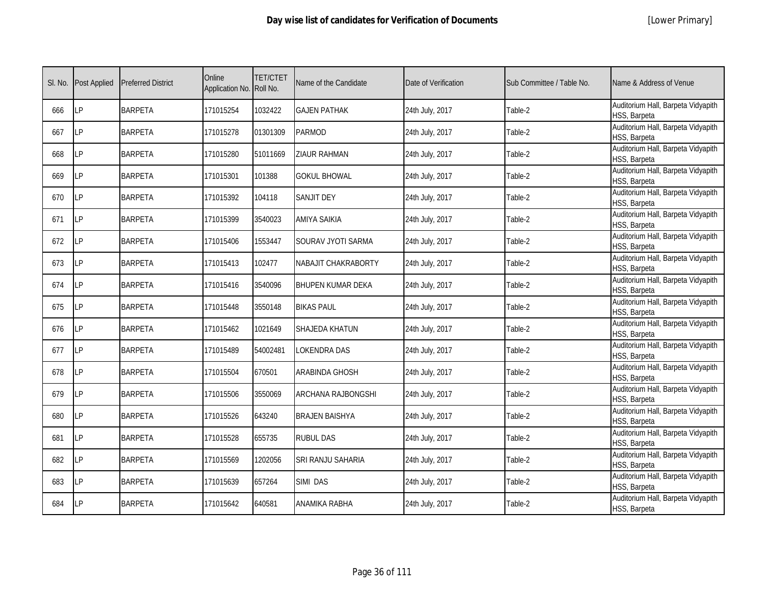| SI. No. | <b>Post Applied</b> | <b>Preferred District</b> | Online<br>Application No. | <b>TET/CTET</b><br>Roll No. | Name of the Candidate     | Date of Verification | Sub Committee / Table No. | Name & Address of Venue                            |
|---------|---------------------|---------------------------|---------------------------|-----------------------------|---------------------------|----------------------|---------------------------|----------------------------------------------------|
| 666     | <b>LP</b>           | <b>BARPETA</b>            | 171015254                 | 1032422                     | <b>GAJEN PATHAK</b>       | 24th July, 2017      | Table-2                   | Auditorium Hall, Barpeta Vidyapith<br>HSS, Barpeta |
| 667     | <b>LP</b>           | <b>BARPETA</b>            | 171015278                 | 01301309                    | <b>PARMOD</b>             | 24th July, 2017      | Table-2                   | Auditorium Hall, Barpeta Vidyapith<br>HSS, Barpeta |
| 668     | LP                  | <b>BARPETA</b>            | 171015280                 | 51011669                    | <b>ZIAUR RAHMAN</b>       | 24th July, 2017      | Table-2                   | Auditorium Hall, Barpeta Vidyapith<br>HSS, Barpeta |
| 669     | <b>LP</b>           | <b>BARPETA</b>            | 171015301                 | 101388                      | <b>GOKUL BHOWAL</b>       | 24th July, 2017      | Table-2                   | Auditorium Hall, Barpeta Vidyapith<br>HSS, Barpeta |
| 670     | LP                  | <b>BARPETA</b>            | 171015392                 | 104118                      | SANJIT DEY                | 24th July, 2017      | Table-2                   | Auditorium Hall, Barpeta Vidyapith<br>HSS, Barpeta |
| 671     | <b>ILP</b>          | <b>BARPETA</b>            | 171015399                 | 3540023                     | <b>AMIYA SAIKIA</b>       | 24th July, 2017      | Table-2                   | Auditorium Hall, Barpeta Vidyapith<br>HSS, Barpeta |
| 672     | <b>LP</b>           | <b>BARPETA</b>            | 171015406                 | 1553447                     | SOURAV JYOTI SARMA        | 24th July, 2017      | Table-2                   | Auditorium Hall, Barpeta Vidyapith<br>HSS, Barpeta |
| 673     | LP                  | <b>BARPETA</b>            | 171015413                 | 102477                      | NABAJIT CHAKRABORTY       | 24th July, 2017      | Table-2                   | Auditorium Hall, Barpeta Vidyapith<br>HSS, Barpeta |
| 674     | LP                  | <b>BARPETA</b>            | 171015416                 | 3540096                     | <b>BHUPEN KUMAR DEKA</b>  | 24th July, 2017      | Table-2                   | Auditorium Hall, Barpeta Vidyapith<br>HSS, Barpeta |
| 675     | <b>ILP</b>          | <b>BARPETA</b>            | 171015448                 | 3550148                     | <b>BIKAS PAUL</b>         | 24th July, 2017      | Table-2                   | Auditorium Hall, Barpeta Vidyapith<br>HSS, Barpeta |
| 676     | <b>LP</b>           | <b>BARPETA</b>            | 171015462                 | 1021649                     | <b>SHAJEDA KHATUN</b>     | 24th July, 2017      | Table-2                   | Auditorium Hall, Barpeta Vidyapith<br>HSS, Barpeta |
| 677     | <b>ILP</b>          | <b>BARPETA</b>            | 171015489                 | 54002481                    | LOKENDRA DAS              | 24th July, 2017      | Table-2                   | Auditorium Hall, Barpeta Vidyapith<br>HSS, Barpeta |
| 678     | LP                  | <b>BARPETA</b>            | 171015504                 | 670501                      | <b>ARABINDA GHOSH</b>     | 24th July, 2017      | Table-2                   | Auditorium Hall, Barpeta Vidyapith<br>HSS, Barpeta |
| 679     | LΡ                  | <b>BARPETA</b>            | 171015506                 | 3550069                     | <b>ARCHANA RAJBONGSHI</b> | 24th July, 2017      | Table-2                   | Auditorium Hall, Barpeta Vidyapith<br>HSS, Barpeta |
| 680     | LP                  | <b>BARPETA</b>            | 171015526                 | 643240                      | <b>BRAJEN BAISHYA</b>     | 24th July, 2017      | Table-2                   | Auditorium Hall, Barpeta Vidyapith<br>HSS, Barpeta |
| 681     | LP                  | <b>BARPETA</b>            | 171015528                 | 655735                      | <b>RUBUL DAS</b>          | 24th July, 2017      | Table-2                   | Auditorium Hall, Barpeta Vidyapith<br>HSS, Barpeta |
| 682     | <b>LP</b>           | <b>BARPETA</b>            | 171015569                 | 1202056                     | SRI RANJU SAHARIA         | 24th July, 2017      | Table-2                   | Auditorium Hall, Barpeta Vidyapith<br>HSS, Barpeta |
| 683     | <b>LP</b>           | <b>BARPETA</b>            | 171015639                 | 657264                      | SIMI DAS                  | 24th July, 2017      | Table-2                   | Auditorium Hall, Barpeta Vidyapith<br>HSS, Barpeta |
| 684     | LP                  | <b>BARPETA</b>            | 171015642                 | 640581                      | ANAMIKA RABHA             | 24th July, 2017      | Table-2                   | Auditorium Hall, Barpeta Vidyapith<br>HSS, Barpeta |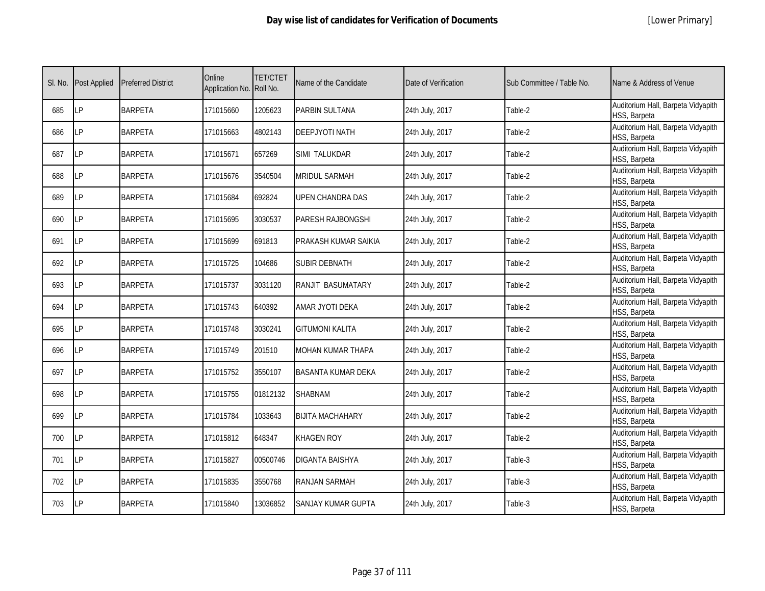|  | [Lower Primary] |
|--|-----------------|
|--|-----------------|

| SI. No. | <b>Post Applied</b> | <b>Preferred District</b> | Online<br>Application No. Roll No. | <b>TET/CTET</b> | Name of the Candidate     | Date of Verification | Sub Committee / Table No. | Name & Address of Venue                            |
|---------|---------------------|---------------------------|------------------------------------|-----------------|---------------------------|----------------------|---------------------------|----------------------------------------------------|
| 685     | LP                  | <b>BARPETA</b>            | 171015660                          | 1205623         | PARBIN SULTANA            | 24th July, 2017      | Table-2                   | Auditorium Hall, Barpeta Vidyapith<br>HSS, Barpeta |
| 686     | LP                  | <b>BARPETA</b>            | 171015663                          | 4802143         | DEEPJYOTI NATH            | 24th July, 2017      | Table-2                   | Auditorium Hall, Barpeta Vidyapith<br>HSS, Barpeta |
| 687     | LP                  | <b>BARPETA</b>            | 171015671                          | 657269          | SIMI TALUKDAR             | 24th July, 2017      | Table-2                   | Auditorium Hall, Barpeta Vidyapith<br>HSS, Barpeta |
| 688     | LP                  | <b>BARPETA</b>            | 171015676                          | 3540504         | MRIDUL SARMAH             | 24th July, 2017      | Table-2                   | Auditorium Hall, Barpeta Vidyapith<br>HSS, Barpeta |
| 689     | LP                  | <b>BARPETA</b>            | 171015684                          | 692824          | UPEN CHANDRA DAS          | 24th July, 2017      | Table-2                   | Auditorium Hall, Barpeta Vidyapith<br>HSS, Barpeta |
| 690     | <b>LP</b>           | <b>BARPETA</b>            | 171015695                          | 3030537         | PARESH RAJBONGSHI         | 24th July, 2017      | Table-2                   | Auditorium Hall, Barpeta Vidyapith<br>HSS, Barpeta |
| 691     | LP                  | <b>BARPETA</b>            | 171015699                          | 691813          | PRAKASH KUMAR SAIKIA      | 24th July, 2017      | Table-2                   | Auditorium Hall, Barpeta Vidyapith<br>HSS, Barpeta |
| 692     | LP                  | <b>BARPETA</b>            | 171015725                          | 104686          | <b>SUBIR DEBNATH</b>      | 24th July, 2017      | Table-2                   | Auditorium Hall, Barpeta Vidyapith<br>HSS, Barpeta |
| 693     | LΡ                  | <b>BARPETA</b>            | 171015737                          | 3031120         | RANJIT BASUMATARY         | 24th July, 2017      | Table-2                   | Auditorium Hall, Barpeta Vidyapith<br>HSS, Barpeta |
| 694     | LP                  | <b>BARPETA</b>            | 171015743                          | 640392          | AMAR JYOTI DEKA           | 24th July, 2017      | Table-2                   | Auditorium Hall, Barpeta Vidyapith<br>HSS, Barpeta |
| 695     | <b>LP</b>           | <b>BARPETA</b>            | 171015748                          | 3030241         | <b>GITUMONI KALITA</b>    | 24th July, 2017      | Table-2                   | Auditorium Hall, Barpeta Vidyapith<br>HSS, Barpeta |
| 696     | LP                  | <b>BARPETA</b>            | 171015749                          | 201510          | MOHAN KUMAR THAPA         | 24th July, 2017      | Table-2                   | Auditorium Hall, Barpeta Vidyapith<br>HSS, Barpeta |
| 697     | <b>LP</b>           | <b>BARPETA</b>            | 171015752                          | 3550107         | <b>BASANTA KUMAR DEKA</b> | 24th July, 2017      | Table-2                   | Auditorium Hall, Barpeta Vidyapith<br>HSS, Barpeta |
| 698     | <b>LP</b>           | <b>BARPETA</b>            | 171015755                          | 01812132        | <b>SHABNAM</b>            | 24th July, 2017      | Table-2                   | Auditorium Hall, Barpeta Vidyapith<br>HSS, Barpeta |
| 699     | <b>LP</b>           | <b>BARPETA</b>            | 171015784                          | 1033643         | <b>BIJITA MACHAHARY</b>   | 24th July, 2017      | Table-2                   | Auditorium Hall, Barpeta Vidyapith<br>HSS, Barpeta |
| 700     | LP                  | <b>BARPETA</b>            | 171015812                          | 648347          | KHAGEN ROY                | 24th July, 2017      | Table-2                   | Auditorium Hall, Barpeta Vidyapith<br>HSS, Barpeta |
| 701     | <b>LP</b>           | <b>BARPETA</b>            | 171015827                          | 00500746        | DIGANTA BAISHYA           | 24th July, 2017      | Table-3                   | Auditorium Hall, Barpeta Vidyapith<br>HSS, Barpeta |
| 702     | <b>LP</b>           | <b>BARPETA</b>            | 171015835                          | 3550768         | RANJAN SARMAH             | 24th July, 2017      | Table-3                   | Auditorium Hall, Barpeta Vidyapith<br>HSS, Barpeta |
| 703     | LP                  | <b>BARPETA</b>            | 171015840                          | 13036852        | SANJAY KUMAR GUPTA        | 24th July, 2017      | Table-3                   | Auditorium Hall, Barpeta Vidyapith<br>HSS, Barpeta |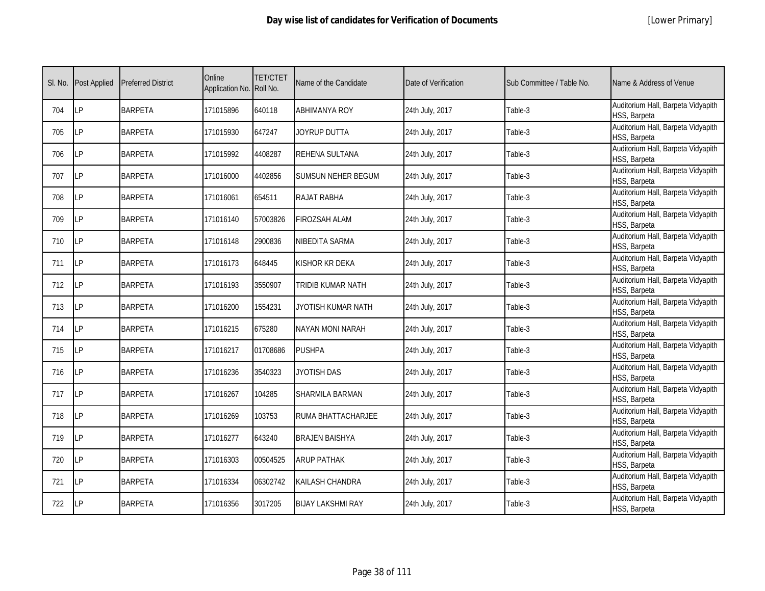|  | [Lower Primary] |
|--|-----------------|
|--|-----------------|

| SI. No. | <b>Post Applied</b> | <b>Preferred District</b> | Online<br>Application No. Roll No. | <b>TET/CTET</b> | Name of the Candidate     | Date of Verification | Sub Committee / Table No. | Name & Address of Venue                            |
|---------|---------------------|---------------------------|------------------------------------|-----------------|---------------------------|----------------------|---------------------------|----------------------------------------------------|
| 704     | <b>LP</b>           | <b>BARPETA</b>            | 171015896                          | 640118          | <b>ABHIMANYA ROY</b>      | 24th July, 2017      | Table-3                   | Auditorium Hall, Barpeta Vidyapith<br>HSS, Barpeta |
| 705     | LP                  | <b>BARPETA</b>            | 171015930                          | 647247          | JOYRUP DUTTA              | 24th July, 2017      | Table-3                   | Auditorium Hall, Barpeta Vidyapith<br>HSS, Barpeta |
| 706     | <b>LP</b>           | <b>BARPETA</b>            | 171015992                          | 4408287         | REHENA SULTANA            | 24th July, 2017      | Table-3                   | Auditorium Hall, Barpeta Vidyapith<br>HSS, Barpeta |
| 707     | LP                  | <b>BARPETA</b>            | 171016000                          | 4402856         | <b>SUMSUN NEHER BEGUM</b> | 24th July, 2017      | Table-3                   | Auditorium Hall, Barpeta Vidyapith<br>HSS, Barpeta |
| 708     | LP                  | <b>BARPETA</b>            | 171016061                          | 654511          | RAJAT RABHA               | 24th July, 2017      | Table-3                   | Auditorium Hall, Barpeta Vidyapith<br>HSS, Barpeta |
| 709     | <b>LP</b>           | <b>BARPETA</b>            | 171016140                          | 57003826        | <b>FIROZSAH ALAM</b>      | 24th July, 2017      | Table-3                   | Auditorium Hall, Barpeta Vidyapith<br>HSS, Barpeta |
| 710     | LP                  | <b>BARPETA</b>            | 171016148                          | 2900836         | NIBEDITA SARMA            | 24th July, 2017      | Table-3                   | Auditorium Hall, Barpeta Vidyapith<br>HSS, Barpeta |
| 711     | <b>ILP</b>          | <b>BARPETA</b>            | 171016173                          | 648445          | KISHOR KR DEKA            | 24th July, 2017      | Table-3                   | Auditorium Hall, Barpeta Vidyapith<br>HSS, Barpeta |
| 712     | LP                  | <b>BARPETA</b>            | 171016193                          | 3550907         | TRIDIB KUMAR NATH         | 24th July, 2017      | Table-3                   | Auditorium Hall, Barpeta Vidyapith<br>HSS, Barpeta |
| 713     | LP                  | <b>BARPETA</b>            | 171016200                          | 1554231         | JYOTISH KUMAR NATH        | 24th July, 2017      | Table-3                   | Auditorium Hall, Barpeta Vidyapith<br>HSS, Barpeta |
| 714     | LP                  | <b>BARPETA</b>            | 171016215                          | 675280          | <b>NAYAN MONI NARAH</b>   | 24th July, 2017      | Table-3                   | Auditorium Hall, Barpeta Vidyapith<br>HSS, Barpeta |
| 715     | <b>ILP</b>          | <b>BARPETA</b>            | 171016217                          | 01708686        | <b>PUSHPA</b>             | 24th July, 2017      | Table-3                   | Auditorium Hall, Barpeta Vidyapith<br>HSS, Barpeta |
| 716     | <b>ILP</b>          | <b>BARPETA</b>            | 171016236                          | 3540323         | JYOTISH DAS               | 24th July, 2017      | Table-3                   | Auditorium Hall, Barpeta Vidyapith<br>HSS, Barpeta |
| 717     | LP                  | <b>BARPETA</b>            | 171016267                          | 104285          | SHARMILA BARMAN           | 24th July, 2017      | Table-3                   | Auditorium Hall, Barpeta Vidyapith<br>HSS, Barpeta |
| 718     | <b>LP</b>           | <b>BARPETA</b>            | 171016269                          | 103753          | RUMA BHATTACHARJEE        | 24th July, 2017      | Table-3                   | Auditorium Hall, Barpeta Vidyapith<br>HSS, Barpeta |
| 719     | <b>LP</b>           | <b>BARPETA</b>            | 171016277                          | 643240          | <b>BRAJEN BAISHYA</b>     | 24th July, 2017      | Table-3                   | Auditorium Hall, Barpeta Vidyapith<br>HSS, Barpeta |
| 720     | LP                  | <b>BARPETA</b>            | 171016303                          | 00504525        | <b>ARUP PATHAK</b>        | 24th July, 2017      | Table-3                   | Auditorium Hall, Barpeta Vidyapith<br>HSS, Barpeta |
| 721     | LP                  | <b>BARPETA</b>            | 171016334                          | 06302742        | KAILASH CHANDRA           | 24th July, 2017      | Table-3                   | Auditorium Hall, Barpeta Vidyapith<br>HSS, Barpeta |
| 722     | <b>LP</b>           | <b>BARPETA</b>            | 171016356                          | 3017205         | <b>BIJAY LAKSHMI RAY</b>  | 24th July, 2017      | Table-3                   | Auditorium Hall, Barpeta Vidyapith<br>HSS, Barpeta |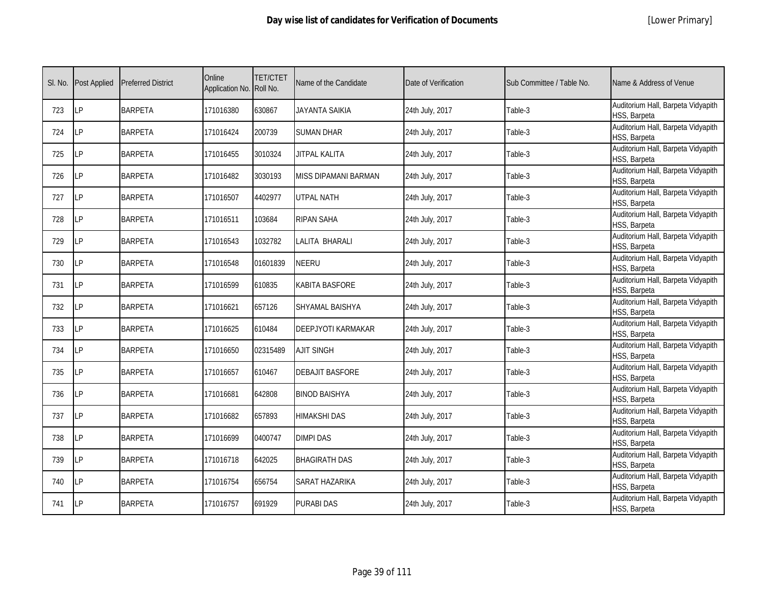|  | [Lower Primary] |
|--|-----------------|
|--|-----------------|

| SI. No. | <b>Post Applied</b> | <b>Preferred District</b> | Online<br>Application No. Roll No. | <b>TET/CTET</b> | Name of the Candidate  | Date of Verification | Sub Committee / Table No. | Name & Address of Venue                            |
|---------|---------------------|---------------------------|------------------------------------|-----------------|------------------------|----------------------|---------------------------|----------------------------------------------------|
| 723     | <b>LP</b>           | <b>BARPETA</b>            | 171016380                          | 630867          | <b>JAYANTA SAIKIA</b>  | 24th July, 2017      | Table-3                   | Auditorium Hall, Barpeta Vidyapith<br>HSS, Barpeta |
| 724     | <b>LP</b>           | <b>BARPETA</b>            | 171016424                          | 200739          | <b>SUMAN DHAR</b>      | 24th July, 2017      | Table-3                   | Auditorium Hall, Barpeta Vidyapith<br>HSS, Barpeta |
| 725     | <b>LP</b>           | <b>BARPETA</b>            | 171016455                          | 3010324         | <b>JITPAL KALITA</b>   | 24th July, 2017      | Table-3                   | Auditorium Hall, Barpeta Vidyapith<br>HSS, Barpeta |
| 726     | LP                  | <b>BARPETA</b>            | 171016482                          | 3030193         | MISS DIPAMANI BARMAN   | 24th July, 2017      | Table-3                   | Auditorium Hall, Barpeta Vidyapith<br>HSS, Barpeta |
| 727     | LP                  | <b>BARPETA</b>            | 171016507                          | 4402977         | UTPAL NATH             | 24th July, 2017      | Table-3                   | Auditorium Hall, Barpeta Vidyapith<br>HSS, Barpeta |
| 728     | <b>LP</b>           | <b>BARPETA</b>            | 171016511                          | 103684          | <b>RIPAN SAHA</b>      | 24th July, 2017      | Table-3                   | Auditorium Hall, Barpeta Vidyapith<br>HSS, Barpeta |
| 729     | LP                  | <b>BARPETA</b>            | 171016543                          | 1032782         | LALITA BHARALI         | 24th July, 2017      | Table-3                   | Auditorium Hall, Barpeta Vidyapith<br>HSS, Barpeta |
| 730     | LP                  | <b>BARPETA</b>            | 171016548                          | 01601839        | NEERU                  | 24th July, 2017      | Table-3                   | Auditorium Hall, Barpeta Vidyapith<br>HSS, Barpeta |
| 731     | <b>LP</b>           | <b>BARPETA</b>            | 171016599                          | 610835          | KABITA BASFORE         | 24th July, 2017      | Table-3                   | Auditorium Hall, Barpeta Vidyapith<br>HSS, Barpeta |
| 732     | LP                  | <b>BARPETA</b>            | 171016621                          | 657126          | SHYAMAL BAISHYA        | 24th July, 2017      | Table-3                   | Auditorium Hall, Barpeta Vidyapith<br>HSS, Barpeta |
| 733     | LP                  | <b>BARPETA</b>            | 171016625                          | 610484          | DEEPJYOTI KARMAKAR     | 24th July, 2017      | Table-3                   | Auditorium Hall, Barpeta Vidyapith<br>HSS, Barpeta |
| 734     | LP                  | <b>BARPETA</b>            | 171016650                          | 02315489        | <b>AJIT SINGH</b>      | 24th July, 2017      | Table-3                   | Auditorium Hall, Barpeta Vidyapith<br>HSS, Barpeta |
| 735     | LP                  | <b>BARPETA</b>            | 171016657                          | 610467          | <b>DEBAJIT BASFORE</b> | 24th July, 2017      | Table-3                   | Auditorium Hall, Barpeta Vidyapith<br>HSS, Barpeta |
| 736     | <b>LP</b>           | <b>BARPETA</b>            | 171016681                          | 642808          | BINOD BAISHYA          | 24th July, 2017      | Table-3                   | Auditorium Hall, Barpeta Vidyapith<br>HSS, Barpeta |
| 737     | <b>LP</b>           | <b>BARPETA</b>            | 171016682                          | 657893          | HIMAKSHI DAS           | 24th July, 2017      | Table-3                   | Auditorium Hall, Barpeta Vidyapith<br>HSS, Barpeta |
| 738     | LP                  | <b>BARPETA</b>            | 171016699                          | 0400747         | <b>DIMPI DAS</b>       | 24th July, 2017      | Table-3                   | Auditorium Hall, Barpeta Vidyapith<br>HSS, Barpeta |
| 739     | LP                  | <b>BARPETA</b>            | 171016718                          | 642025          | <b>BHAGIRATH DAS</b>   | 24th July, 2017      | Table-3                   | Auditorium Hall, Barpeta Vidyapith<br>HSS, Barpeta |
| 740     | LP                  | <b>BARPETA</b>            | 171016754                          | 656754          | SARAT HAZARIKA         | 24th July, 2017      | Table-3                   | Auditorium Hall, Barpeta Vidyapith<br>HSS, Barpeta |
| 741     | <b>ILP</b>          | <b>BARPETA</b>            | 171016757                          | 691929          | PURABI DAS             | 24th July, 2017      | Table-3                   | Auditorium Hall, Barpeta Vidyapith<br>HSS, Barpeta |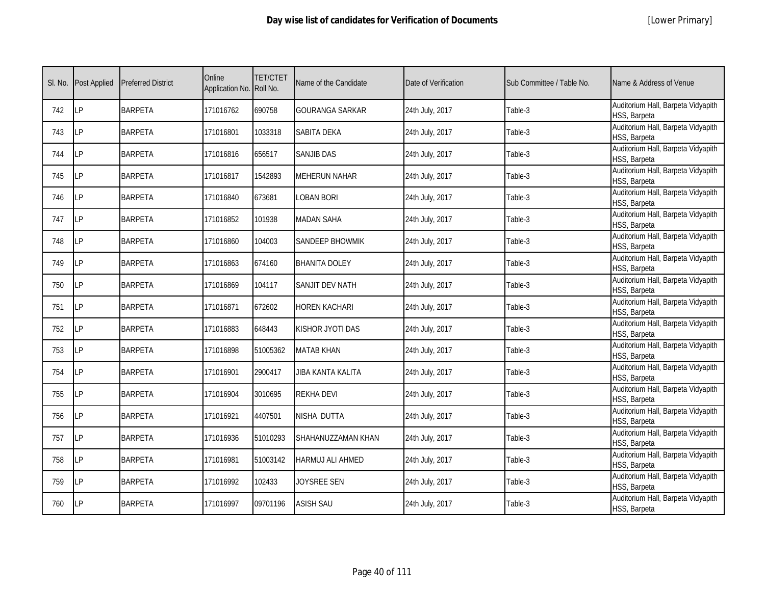|  | [Lower Primary] |
|--|-----------------|
|--|-----------------|

| SI. No. | <b>Post Applied</b> | <b>Preferred District</b> | Online<br>Application No. Roll No. | <b>TET/CTET</b> | Name of the Candidate    | Date of Verification | Sub Committee / Table No. | Name & Address of Venue                            |
|---------|---------------------|---------------------------|------------------------------------|-----------------|--------------------------|----------------------|---------------------------|----------------------------------------------------|
| 742     | <b>LP</b>           | <b>BARPETA</b>            | 171016762                          | 690758          | <b>GOURANGA SARKAR</b>   | 24th July, 2017      | Table-3                   | Auditorium Hall, Barpeta Vidyapith<br>HSS, Barpeta |
| 743     | <b>LP</b>           | <b>BARPETA</b>            | 171016801                          | 1033318         | SABITA DEKA              | 24th July, 2017      | Table-3                   | Auditorium Hall, Barpeta Vidyapith<br>HSS, Barpeta |
| 744     | LP                  | <b>BARPETA</b>            | 171016816                          | 656517          | <b>SANJIB DAS</b>        | 24th July, 2017      | Table-3                   | Auditorium Hall, Barpeta Vidyapith<br>HSS, Barpeta |
| 745     | LP                  | <b>BARPETA</b>            | 171016817                          | 1542893         | <b>MEHERUN NAHAR</b>     | 24th July, 2017      | Table-3                   | Auditorium Hall, Barpeta Vidyapith<br>HSS, Barpeta |
| 746     | <b>ILP</b>          | <b>BARPETA</b>            | 171016840                          | 673681          | LOBAN BORI               | 24th July, 2017      | Table-3                   | Auditorium Hall, Barpeta Vidyapith<br>HSS, Barpeta |
| 747     | LP                  | <b>BARPETA</b>            | 171016852                          | 101938          | <b>MADAN SAHA</b>        | 24th July, 2017      | Table-3                   | Auditorium Hall, Barpeta Vidyapith<br>HSS, Barpeta |
| 748     | <b>LP</b>           | <b>BARPETA</b>            | 171016860                          | 104003          | SANDEEP BHOWMIK          | 24th July, 2017      | Table-3                   | Auditorium Hall, Barpeta Vidyapith<br>HSS, Barpeta |
| 749     | LP                  | <b>BARPETA</b>            | 171016863                          | 674160          | <b>BHANITA DOLEY</b>     | 24th July, 2017      | Table-3                   | Auditorium Hall, Barpeta Vidyapith<br>HSS, Barpeta |
| 750     | <b>LP</b>           | <b>BARPETA</b>            | 171016869                          | 104117          | <b>SANJIT DEV NATH</b>   | 24th July, 2017      | Table-3                   | Auditorium Hall, Barpeta Vidyapith<br>HSS, Barpeta |
| 751     | LP                  | <b>BARPETA</b>            | 171016871                          | 672602          | HOREN KACHARI            | 24th July, 2017      | Table-3                   | Auditorium Hall, Barpeta Vidyapith<br>HSS, Barpeta |
| 752     | LP                  | <b>BARPETA</b>            | 171016883                          | 648443          | KISHOR JYOTI DAS         | 24th July, 2017      | Table-3                   | Auditorium Hall, Barpeta Vidyapith<br>HSS, Barpeta |
| 753     | LP                  | <b>BARPETA</b>            | 171016898                          | 51005362        | <b>MATAB KHAN</b>        | 24th July, 2017      | Table-3                   | Auditorium Hall, Barpeta Vidyapith<br>HSS, Barpeta |
| 754     | LP                  | <b>BARPETA</b>            | 171016901                          | 2900417         | <b>JIBA KANTA KALITA</b> | 24th July, 2017      | Table-3                   | Auditorium Hall, Barpeta Vidyapith<br>HSS, Barpeta |
| 755     | LP                  | <b>BARPETA</b>            | 171016904                          | 3010695         | <b>REKHA DEVI</b>        | 24th July, 2017      | Table-3                   | Auditorium Hall, Barpeta Vidyapith<br>HSS, Barpeta |
| 756     | <b>LP</b>           | <b>BARPETA</b>            | 171016921                          | 4407501         | NISHA DUTTA              | 24th July, 2017      | Table-3                   | Auditorium Hall, Barpeta Vidyapith<br>HSS, Barpeta |
| 757     | <b>LP</b>           | <b>BARPETA</b>            | 171016936                          | 51010293        | SHAHANUZZAMAN KHAN       | 24th July, 2017      | Table-3                   | Auditorium Hall, Barpeta Vidyapith<br>HSS, Barpeta |
| 758     | LP                  | <b>BARPETA</b>            | 171016981                          | 51003142        | HARMUJ ALI AHMED         | 24th July, 2017      | Table-3                   | Auditorium Hall, Barpeta Vidyapith<br>HSS, Barpeta |
| 759     | <b>LP</b>           | <b>BARPETA</b>            | 171016992                          | 102433          | JOYSREE SEN              | 24th July, 2017      | Table-3                   | Auditorium Hall, Barpeta Vidyapith<br>HSS, Barpeta |
| 760     | LP                  | <b>BARPETA</b>            | 171016997                          | 09701196        | <b>ASISH SAU</b>         | 24th July, 2017      | Table-3                   | Auditorium Hall, Barpeta Vidyapith<br>HSS, Barpeta |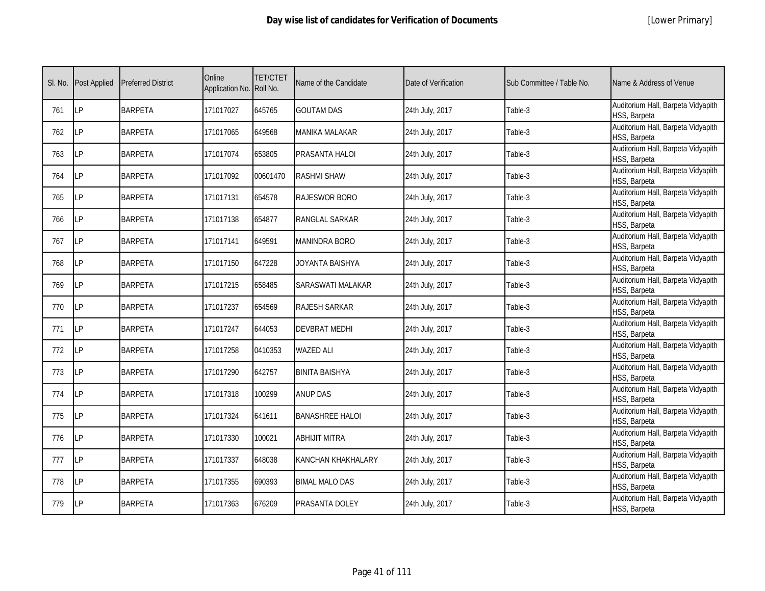|  | [Lower Primary] |
|--|-----------------|
|--|-----------------|

| SI. No. | Post Applied | <b>Preferred District</b> | Online<br>Application No. Roll No. | <b>TET/CTET</b> | Name of the Candidate  | Date of Verification | Sub Committee / Table No. | Name & Address of Venue                            |
|---------|--------------|---------------------------|------------------------------------|-----------------|------------------------|----------------------|---------------------------|----------------------------------------------------|
| 761     | LP           | <b>BARPETA</b>            | 171017027                          | 645765          | <b>GOUTAM DAS</b>      | 24th July, 2017      | Table-3                   | Auditorium Hall, Barpeta Vidyapith<br>HSS, Barpeta |
| 762     | LP           | <b>BARPETA</b>            | 171017065                          | 649568          | MANIKA MALAKAR         | 24th July, 2017      | Table-3                   | Auditorium Hall, Barpeta Vidyapith<br>HSS, Barpeta |
| 763     | <b>LP</b>    | <b>BARPETA</b>            | 171017074                          | 653805          | PRASANTA HALOI         | 24th July, 2017      | Table-3                   | Auditorium Hall, Barpeta Vidyapith<br>HSS, Barpeta |
| 764     | LP           | <b>BARPETA</b>            | 171017092                          | 00601470        | <b>RASHMI SHAW</b>     | 24th July, 2017      | Table-3                   | Auditorium Hall, Barpeta Vidyapith<br>HSS, Barpeta |
| 765     | LP           | <b>BARPETA</b>            | 171017131                          | 654578          | RAJESWOR BORO          | 24th July, 2017      | Table-3                   | Auditorium Hall, Barpeta Vidyapith<br>HSS, Barpeta |
| 766     | <b>LP</b>    | <b>BARPETA</b>            | 171017138                          | 654877          | RANGLAL SARKAR         | 24th July, 2017      | Table-3                   | Auditorium Hall, Barpeta Vidyapith<br>HSS, Barpeta |
| 767     | LP           | <b>BARPETA</b>            | 171017141                          | 649591          | <b>MANINDRA BORO</b>   | 24th July, 2017      | Table-3                   | Auditorium Hall, Barpeta Vidyapith<br>HSS, Barpeta |
| 768     | LP           | <b>BARPETA</b>            | 171017150                          | 647228          | JOYANTA BAISHYA        | 24th July, 2017      | Table-3                   | Auditorium Hall, Barpeta Vidyapith<br>HSS, Barpeta |
| 769     | LP           | <b>BARPETA</b>            | 171017215                          | 658485          | SARASWATI MALAKAR      | 24th July, 2017      | Table-3                   | Auditorium Hall, Barpeta Vidyapith<br>HSS, Barpeta |
| 770     | LP           | <b>BARPETA</b>            | 171017237                          | 654569          | RAJESH SARKAR          | 24th July, 2017      | Table-3                   | Auditorium Hall, Barpeta Vidyapith<br>HSS, Barpeta |
| 771     | <b>ILP</b>   | <b>BARPETA</b>            | 171017247                          | 644053          | <b>DEVBRAT MEDHI</b>   | 24th July, 2017      | Table-3                   | Auditorium Hall, Barpeta Vidyapith<br>HSS, Barpeta |
| 772     | LP           | <b>BARPETA</b>            | 171017258                          | 0410353         | <b>WAZED ALI</b>       | 24th July, 2017      | Table-3                   | Auditorium Hall, Barpeta Vidyapith<br>HSS, Barpeta |
| 773     | LP           | <b>BARPETA</b>            | 171017290                          | 642757          | <b>BINITA BAISHYA</b>  | 24th July, 2017      | Table-3                   | Auditorium Hall, Barpeta Vidyapith<br>HSS, Barpeta |
| 774     | LP           | <b>BARPETA</b>            | 171017318                          | 100299          | <b>ANUP DAS</b>        | 24th July, 2017      | Table-3                   | Auditorium Hall, Barpeta Vidyapith<br>HSS, Barpeta |
| 775     | <b>LP</b>    | <b>BARPETA</b>            | 171017324                          | 641611          | <b>BANASHREE HALOI</b> | 24th July, 2017      | Table-3                   | Auditorium Hall, Barpeta Vidyapith<br>HSS, Barpeta |
| 776     | <b>LP</b>    | <b>BARPETA</b>            | 171017330                          | 100021          | <b>ABHIJIT MITRA</b>   | 24th July, 2017      | Table-3                   | Auditorium Hall, Barpeta Vidyapith<br>HSS, Barpeta |
| 777     | LP           | <b>BARPETA</b>            | 171017337                          | 648038          | KANCHAN KHAKHALARY     | 24th July, 2017      | Table-3                   | Auditorium Hall, Barpeta Vidyapith<br>HSS, Barpeta |
| 778     | <b>LP</b>    | <b>BARPETA</b>            | 171017355                          | 690393          | <b>BIMAL MALO DAS</b>  | 24th July, 2017      | Table-3                   | Auditorium Hall, Barpeta Vidyapith<br>HSS, Barpeta |
| 779     | LP           | <b>BARPETA</b>            | 171017363                          | 676209          | PRASANTA DOLEY         | 24th July, 2017      | Table-3                   | Auditorium Hall, Barpeta Vidyapith<br>HSS, Barpeta |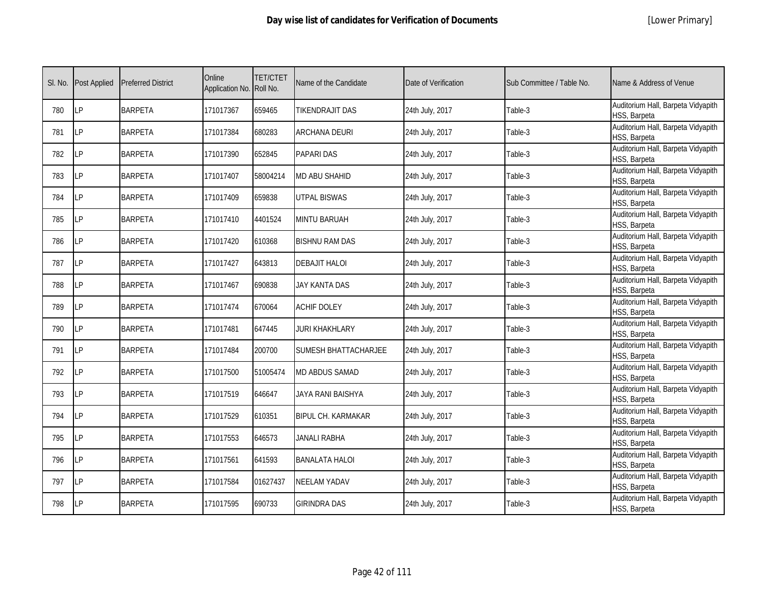|  | [Lower Primary] |
|--|-----------------|
|--|-----------------|

| SI. No. | <b>Post Applied</b> | <b>Preferred District</b> | Online<br>Application No. Roll No. | <b>TET/CTET</b> | Name of the Candidate     | Date of Verification | Sub Committee / Table No. | Name & Address of Venue                            |
|---------|---------------------|---------------------------|------------------------------------|-----------------|---------------------------|----------------------|---------------------------|----------------------------------------------------|
| 780     | <b>LP</b>           | <b>BARPETA</b>            | 171017367                          | 659465          | <b>TIKENDRAJIT DAS</b>    | 24th July, 2017      | Table-3                   | Auditorium Hall, Barpeta Vidyapith<br>HSS, Barpeta |
| 781     | <b>LP</b>           | <b>BARPETA</b>            | 171017384                          | 680283          | <b>ARCHANA DEURI</b>      | 24th July, 2017      | Table-3                   | Auditorium Hall, Barpeta Vidyapith<br>HSS, Barpeta |
| 782     | <b>LP</b>           | <b>BARPETA</b>            | 171017390                          | 652845          | <b>PAPARI DAS</b>         | 24th July, 2017      | Table-3                   | Auditorium Hall, Barpeta Vidyapith<br>HSS, Barpeta |
| 783     | LP                  | <b>BARPETA</b>            | 171017407                          | 58004214        | <b>MD ABU SHAHID</b>      | 24th July, 2017      | Table-3                   | Auditorium Hall, Barpeta Vidyapith<br>HSS, Barpeta |
| 784     | LP                  | <b>BARPETA</b>            | 171017409                          | 659838          | <b>UTPAL BISWAS</b>       | 24th July, 2017      | Table-3                   | Auditorium Hall, Barpeta Vidyapith<br>HSS, Barpeta |
| 785     | <b>LP</b>           | <b>BARPETA</b>            | 171017410                          | 4401524         | <b>MINTU BARUAH</b>       | 24th July, 2017      | Table-3                   | Auditorium Hall, Barpeta Vidyapith<br>HSS, Barpeta |
| 786     | LP                  | <b>BARPETA</b>            | 171017420                          | 610368          | BISHNU RAM DAS            | 24th July, 2017      | Table-3                   | Auditorium Hall, Barpeta Vidyapith<br>HSS, Barpeta |
| 787     | LP                  | <b>BARPETA</b>            | 171017427                          | 643813          | <b>DEBAJIT HALOI</b>      | 24th July, 2017      | Table-3                   | Auditorium Hall, Barpeta Vidyapith<br>HSS, Barpeta |
| 788     | LP                  | <b>BARPETA</b>            | 171017467                          | 690838          | <b>JAY KANTA DAS</b>      | 24th July, 2017      | Table-3                   | Auditorium Hall, Barpeta Vidyapith<br>HSS, Barpeta |
| 789     | <b>LP</b>           | <b>BARPETA</b>            | 171017474                          | 670064          | <b>ACHIF DOLEY</b>        | 24th July, 2017      | Table-3                   | Auditorium Hall, Barpeta Vidyapith<br>HSS, Barpeta |
| 790     | LP                  | <b>BARPETA</b>            | 171017481                          | 647445          | <b>JURI KHAKHLARY</b>     | 24th July, 2017      | Table-3                   | Auditorium Hall, Barpeta Vidyapith<br>HSS, Barpeta |
| 791     | LP                  | <b>BARPETA</b>            | 171017484                          | 200700          | SUMESH BHATTACHARJEE      | 24th July, 2017      | Table-3                   | Auditorium Hall, Barpeta Vidyapith<br>HSS, Barpeta |
| 792     | LP                  | <b>BARPETA</b>            | 171017500                          | 51005474        | <b>MD ABDUS SAMAD</b>     | 24th July, 2017      | Table-3                   | Auditorium Hall, Barpeta Vidyapith<br>HSS, Barpeta |
| 793     | LP                  | <b>BARPETA</b>            | 171017519                          | 646647          | JAYA RANI BAISHYA         | 24th July, 2017      | Table-3                   | Auditorium Hall, Barpeta Vidyapith<br>HSS, Barpeta |
| 794     | <b>LP</b>           | <b>BARPETA</b>            | 171017529                          | 610351          | <b>BIPUL CH. KARMAKAR</b> | 24th July, 2017      | Table-3                   | Auditorium Hall, Barpeta Vidyapith<br>HSS, Barpeta |
| 795     | <b>LP</b>           | <b>BARPETA</b>            | 171017553                          | 646573          | <b>JANALI RABHA</b>       | 24th July, 2017      | Table-3                   | Auditorium Hall, Barpeta Vidyapith<br>HSS, Barpeta |
| 796     | LP                  | <b>BARPETA</b>            | 171017561                          | 641593          | <b>BANALATA HALOI</b>     | 24th July, 2017      | Table-3                   | Auditorium Hall, Barpeta Vidyapith<br>HSS, Barpeta |
| 797     | LP                  | <b>BARPETA</b>            | 171017584                          | 01627437        | <b>NEELAM YADAV</b>       | 24th July, 2017      | Table-3                   | Auditorium Hall, Barpeta Vidyapith<br>HSS, Barpeta |
| 798     | LP                  | <b>BARPETA</b>            | 171017595                          | 690733          | GIRINDRA DAS              | 24th July, 2017      | Table-3                   | Auditorium Hall, Barpeta Vidyapith<br>HSS, Barpeta |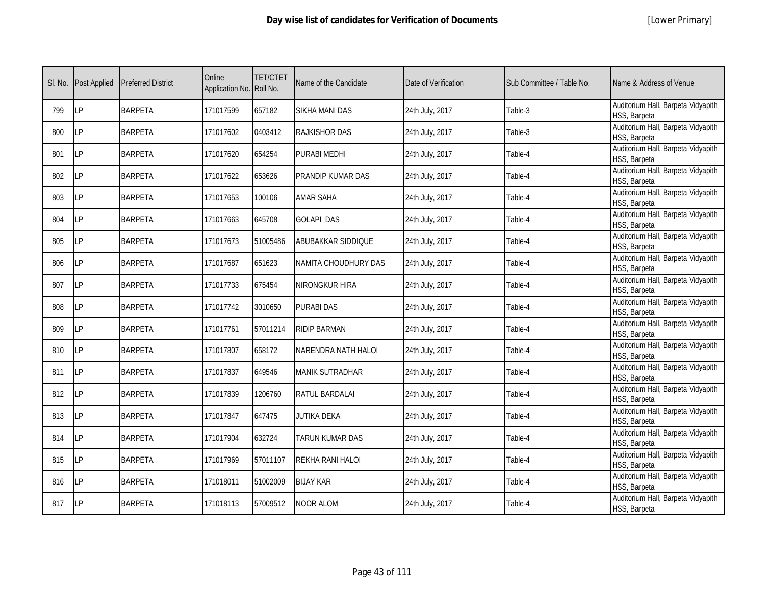|  | [Lower Primary] |
|--|-----------------|
|--|-----------------|

| SI. No. | <b>Post Applied</b> | <b>Preferred District</b> | Online<br>Application No. Roll No. | <b>TET/CTET</b> | Name of the Candidate  | Date of Verification | Sub Committee / Table No. | Name & Address of Venue                            |
|---------|---------------------|---------------------------|------------------------------------|-----------------|------------------------|----------------------|---------------------------|----------------------------------------------------|
| 799     | LP                  | <b>BARPETA</b>            | 171017599                          | 657182          | SIKHA MANI DAS         | 24th July, 2017      | Table-3                   | Auditorium Hall, Barpeta Vidyapith<br>HSS, Barpeta |
| 800     | <b>ILP</b>          | <b>BARPETA</b>            | 171017602                          | 0403412         | RAJKISHOR DAS          | 24th July, 2017      | Table-3                   | Auditorium Hall, Barpeta Vidyapith<br>HSS, Barpeta |
| 801     | LP                  | <b>BARPETA</b>            | 171017620                          | 654254          | PURABI MEDHI           | 24th July, 2017      | Table-4                   | Auditorium Hall, Barpeta Vidyapith<br>HSS, Barpeta |
| 802     | LP                  | <b>BARPETA</b>            | 171017622                          | 653626          | PRANDIP KUMAR DAS      | 24th July, 2017      | Table-4                   | Auditorium Hall, Barpeta Vidyapith<br>HSS, Barpeta |
| 803     | LP                  | <b>BARPETA</b>            | 171017653                          | 100106          | <b>AMAR SAHA</b>       | 24th July, 2017      | Table-4                   | Auditorium Hall, Barpeta Vidyapith<br>HSS, Barpeta |
| 804     | <b>LP</b>           | <b>BARPETA</b>            | 171017663                          | 645708          | <b>GOLAPI DAS</b>      | 24th July, 2017      | Table-4                   | Auditorium Hall, Barpeta Vidyapith<br>HSS, Barpeta |
| 805     | LP                  | <b>BARPETA</b>            | 171017673                          | 51005486        | ABUBAKKAR SIDDIQUE     | 24th July, 2017      | Table-4                   | Auditorium Hall, Barpeta Vidyapith<br>HSS, Barpeta |
| 806     | LP                  | <b>BARPETA</b>            | 171017687                          | 651623          | NAMITA CHOUDHURY DAS   | 24th July, 2017      | Table-4                   | Auditorium Hall, Barpeta Vidyapith<br>HSS, Barpeta |
| 807     | <b>LP</b>           | <b>BARPETA</b>            | 171017733                          | 675454          | NIRONGKUR HIRA         | 24th July, 2017      | Table-4                   | Auditorium Hall, Barpeta Vidyapith<br>HSS, Barpeta |
| 808     | LP                  | <b>BARPETA</b>            | 171017742                          | 3010650         | <b>PURABI DAS</b>      | 24th July, 2017      | Table-4                   | Auditorium Hall, Barpeta Vidyapith<br>HSS, Barpeta |
| 809     | <b>LP</b>           | <b>BARPETA</b>            | 171017761                          | 57011214        | <b>RIDIP BARMAN</b>    | 24th July, 2017      | Table-4                   | Auditorium Hall, Barpeta Vidyapith<br>HSS, Barpeta |
| 810     | LP                  | <b>BARPETA</b>            | 171017807                          | 658172          | NARENDRA NATH HALOI    | 24th July, 2017      | Table-4                   | Auditorium Hall, Barpeta Vidyapith<br>HSS, Barpeta |
| 811     | <b>ILP</b>          | <b>BARPETA</b>            | 171017837                          | 649546          | <b>MANIK SUTRADHAR</b> | 24th July, 2017      | Table-4                   | Auditorium Hall, Barpeta Vidyapith<br>HSS, Barpeta |
| 812     | LP                  | <b>BARPETA</b>            | 171017839                          | 1206760         | RATUL BARDALAI         | 24th July, 2017      | Table-4                   | Auditorium Hall, Barpeta Vidyapith<br>HSS, Barpeta |
| 813     | LP                  | <b>BARPETA</b>            | 171017847                          | 647475          | <b>JUTIKA DEKA</b>     | 24th July, 2017      | Table-4                   | Auditorium Hall, Barpeta Vidyapith<br>HSS, Barpeta |
| 814     | LP                  | <b>BARPETA</b>            | 171017904                          | 632724          | TARUN KUMAR DAS        | 24th July, 2017      | Table-4                   | Auditorium Hall, Barpeta Vidyapith<br>HSS, Barpeta |
| 815     | LP                  | <b>BARPETA</b>            | 171017969                          | 57011107        | REKHA RANI HALOI       | 24th July, 2017      | Table-4                   | Auditorium Hall, Barpeta Vidyapith<br>HSS, Barpeta |
| 816     | LP                  | <b>BARPETA</b>            | 171018011                          | 51002009        | <b>BIJAY KAR</b>       | 24th July, 2017      | Table-4                   | Auditorium Hall, Barpeta Vidyapith<br>HSS, Barpeta |
| 817     | <b>LP</b>           | <b>BARPETA</b>            | 171018113                          | 57009512        | NOOR ALOM              | 24th July, 2017      | Table-4                   | Auditorium Hall, Barpeta Vidyapith<br>HSS, Barpeta |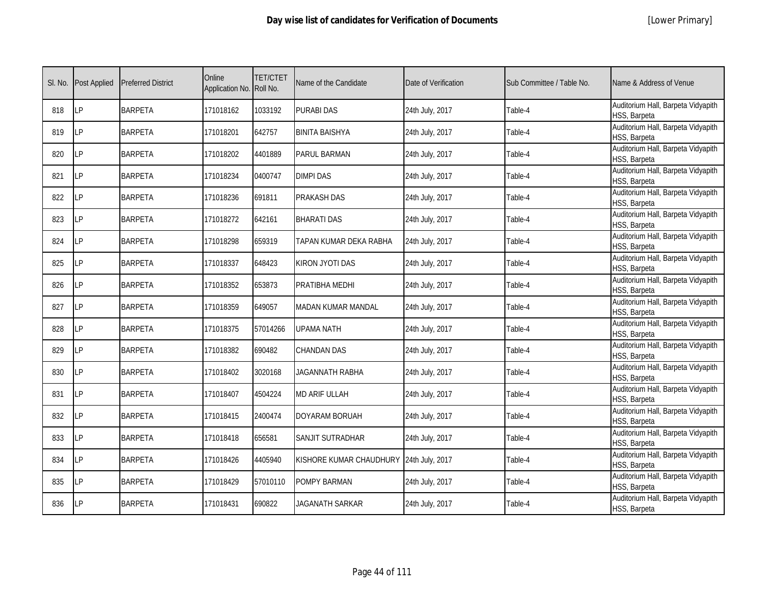| SI. No. | Post Applied | <b>Preferred District</b> | Online<br>Application No. Roll No. | <b>TET/CTET</b> | Name of the Candidate     | Date of Verification | Sub Committee / Table No. | Name & Address of Venue                            |
|---------|--------------|---------------------------|------------------------------------|-----------------|---------------------------|----------------------|---------------------------|----------------------------------------------------|
| 818     | LP           | <b>BARPETA</b>            | 171018162                          | 1033192         | <b>PURABI DAS</b>         | 24th July, 2017      | Table-4                   | Auditorium Hall, Barpeta Vidyapith<br>HSS, Barpeta |
| 819     | LP           | <b>BARPETA</b>            | 171018201                          | 642757          | <b>BINITA BAISHYA</b>     | 24th July, 2017      | Table-4                   | Auditorium Hall, Barpeta Vidyapith<br>HSS, Barpeta |
| 820     | LP           | <b>BARPETA</b>            | 171018202                          | 4401889         | <b>PARUL BARMAN</b>       | 24th July, 2017      | Table-4                   | Auditorium Hall, Barpeta Vidyapith<br>HSS, Barpeta |
| 821     | LP           | <b>BARPETA</b>            | 171018234                          | 0400747         | <b>DIMPI DAS</b>          | 24th July, 2017      | Table-4                   | Auditorium Hall, Barpeta Vidyapith<br>HSS, Barpeta |
| 822     | LP           | <b>BARPETA</b>            | 171018236                          | 691811          | PRAKASH DAS               | 24th July, 2017      | Table-4                   | Auditorium Hall, Barpeta Vidyapith<br>HSS, Barpeta |
| 823     | LP           | <b>BARPETA</b>            | 171018272                          | 642161          | <b>BHARATI DAS</b>        | 24th July, 2017      | Table-4                   | Auditorium Hall, Barpeta Vidyapith<br>HSS, Barpeta |
| 824     | LP           | <b>BARPETA</b>            | 171018298                          | 659319          | TAPAN KUMAR DEKA RABHA    | 24th July, 2017      | Table-4                   | Auditorium Hall, Barpeta Vidyapith<br>HSS, Barpeta |
| 825     | LP           | <b>BARPETA</b>            | 171018337                          | 648423          | KIRON JYOTI DAS           | 24th July, 2017      | Table-4                   | Auditorium Hall, Barpeta Vidyapith<br>HSS, Barpeta |
| 826     | LP           | <b>BARPETA</b>            | 171018352                          | 653873          | PRATIBHA MEDHI            | 24th July, 2017      | Table-4                   | Auditorium Hall, Barpeta Vidyapith<br>HSS, Barpeta |
| 827     | LP           | <b>BARPETA</b>            | 171018359                          | 649057          | <b>MADAN KUMAR MANDAL</b> | 24th July, 2017      | Table-4                   | Auditorium Hall, Barpeta Vidyapith<br>HSS, Barpeta |
| 828     | LP           | <b>BARPETA</b>            | 171018375                          | 57014266        | <b>UPAMA NATH</b>         | 24th July, 2017      | Table-4                   | Auditorium Hall, Barpeta Vidyapith<br>HSS, Barpeta |
| 829     | LP           | <b>BARPETA</b>            | 171018382                          | 690482          | <b>CHANDAN DAS</b>        | 24th July, 2017      | Table-4                   | Auditorium Hall, Barpeta Vidyapith<br>HSS, Barpeta |
| 830     | LP           | <b>BARPETA</b>            | 171018402                          | 3020168         | JAGANNATH RABHA           | 24th July, 2017      | Table-4                   | Auditorium Hall, Barpeta Vidyapith<br>HSS, Barpeta |
| 831     | LP           | <b>BARPETA</b>            | 171018407                          | 4504224         | MD ARIF ULLAH             | 24th July, 2017      | Table-4                   | Auditorium Hall, Barpeta Vidyapith<br>HSS, Barpeta |
| 832     | LP           | <b>BARPETA</b>            | 171018415                          | 2400474         | DOYARAM BORUAH            | 24th July, 2017      | Table-4                   | Auditorium Hall, Barpeta Vidyapith<br>HSS, Barpeta |
| 833     | I P          | <b>BARPETA</b>            | 171018418                          | 656581          | <b>SANJIT SUTRADHAR</b>   | 24th July, 2017      | Table-4                   | Auditorium Hall, Barpeta Vidyapith<br>HSS, Barpeta |
| 834     | LP           | <b>BARPETA</b>            | 171018426                          | 4405940         | KISHORE KUMAR CHAUDHURY   | 24th July, 2017      | Table-4                   | Auditorium Hall, Barpeta Vidyapith<br>HSS, Barpeta |
| 835     | LP           | <b>BARPETA</b>            | 171018429                          | 57010110        | POMPY BARMAN              | 24th July, 2017      | Table-4                   | Auditorium Hall, Barpeta Vidyapith<br>HSS, Barpeta |
| 836     | LP           | <b>BARPETA</b>            | 171018431                          | 690822          | JAGANATH SARKAR           | 24th July, 2017      | Table-4                   | Auditorium Hall, Barpeta Vidyapith<br>HSS, Barpeta |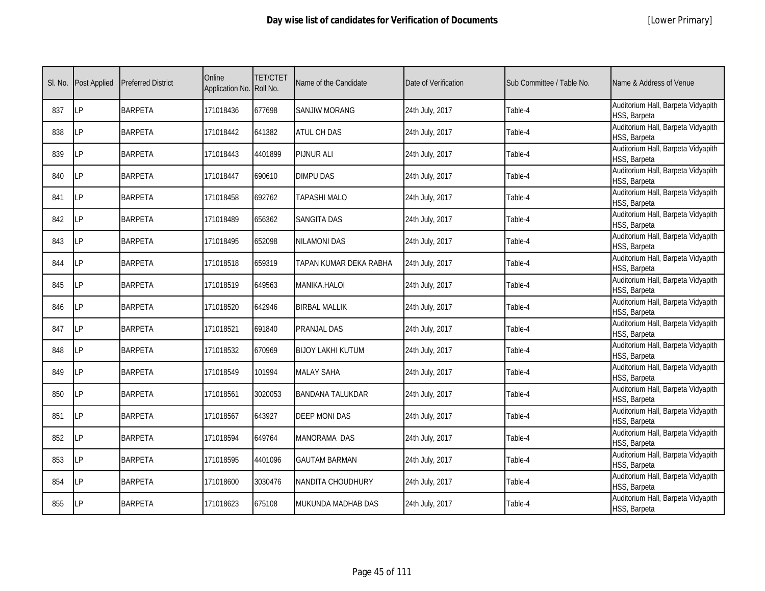|  | [Lower Primary] |
|--|-----------------|
|--|-----------------|

| SI. No. | <b>Post Applied</b> | <b>Preferred District</b> | Online<br>Application No. Roll No. | <b>TET/CTET</b> | Name of the Candidate    | Date of Verification | Sub Committee / Table No. | Name & Address of Venue                            |
|---------|---------------------|---------------------------|------------------------------------|-----------------|--------------------------|----------------------|---------------------------|----------------------------------------------------|
| 837     | LP                  | <b>BARPETA</b>            | 171018436                          | 677698          | <b>SANJIW MORANG</b>     | 24th July, 2017      | Table-4                   | Auditorium Hall, Barpeta Vidyapith<br>HSS, Barpeta |
| 838     | LP                  | <b>BARPETA</b>            | 171018442                          | 641382          | <b>ATUL CH DAS</b>       | 24th July, 2017      | Table-4                   | Auditorium Hall, Barpeta Vidyapith<br>HSS, Barpeta |
| 839     | LP                  | <b>BARPETA</b>            | 171018443                          | 4401899         | <b>PIJNUR ALI</b>        | 24th July, 2017      | Table-4                   | Auditorium Hall, Barpeta Vidyapith<br>HSS, Barpeta |
| 840     | LP                  | <b>BARPETA</b>            | 171018447                          | 690610          | <b>DIMPU DAS</b>         | 24th July, 2017      | Table-4                   | Auditorium Hall, Barpeta Vidyapith<br>HSS, Barpeta |
| 841     | LP                  | <b>BARPETA</b>            | 171018458                          | 692762          | TAPASHI MALO             | 24th July, 2017      | Table-4                   | Auditorium Hall, Barpeta Vidyapith<br>HSS, Barpeta |
| 842     | I P                 | <b>BARPETA</b>            | 171018489                          | 656362          | <b>SANGITA DAS</b>       | 24th July, 2017      | Table-4                   | Auditorium Hall, Barpeta Vidyapith<br>HSS, Barpeta |
| 843     | LP                  | <b>BARPETA</b>            | 171018495                          | 652098          | <b>NILAMONI DAS</b>      | 24th July, 2017      | Table-4                   | Auditorium Hall, Barpeta Vidyapith<br>HSS, Barpeta |
| 844     | LP                  | <b>BARPETA</b>            | 171018518                          | 659319          | TAPAN KUMAR DEKA RABHA   | 24th July, 2017      | Table-4                   | Auditorium Hall, Barpeta Vidyapith<br>HSS, Barpeta |
| 845     | LP                  | <b>BARPETA</b>            | 171018519                          | 649563          | <b>MANIKA.HALOI</b>      | 24th July, 2017      | Table-4                   | Auditorium Hall, Barpeta Vidyapith<br>HSS, Barpeta |
| 846     | LP                  | <b>BARPETA</b>            | 171018520                          | 642946          | <b>BIRBAL MALLIK</b>     | 24th July, 2017      | Table-4                   | Auditorium Hall, Barpeta Vidyapith<br>HSS, Barpeta |
| 847     | LP                  | <b>BARPETA</b>            | 171018521                          | 691840          | PRANJAL DAS              | 24th July, 2017      | Table-4                   | Auditorium Hall, Barpeta Vidyapith<br>HSS, Barpeta |
| 848     | LP                  | <b>BARPETA</b>            | 171018532                          | 670969          | <b>BIJOY LAKHI KUTUM</b> | 24th July, 2017      | Table-4                   | Auditorium Hall, Barpeta Vidyapith<br>HSS, Barpeta |
| 849     | LP                  | <b>BARPETA</b>            | 171018549                          | 101994          | <b>MALAY SAHA</b>        | 24th July, 2017      | Table-4                   | Auditorium Hall, Barpeta Vidyapith<br>HSS, Barpeta |
| 850     | LP.                 | <b>BARPETA</b>            | 171018561                          | 3020053         | <b>BANDANA TALUKDAR</b>  | 24th July, 2017      | Table-4                   | Auditorium Hall, Barpeta Vidyapith<br>HSS, Barpeta |
| 851     | LP                  | <b>BARPETA</b>            | 171018567                          | 643927          | <b>DEEP MONI DAS</b>     | 24th July, 2017      | Table-4                   | Auditorium Hall, Barpeta Vidyapith<br>HSS, Barpeta |
| 852     | LP                  | <b>BARPETA</b>            | 171018594                          | 649764          | <b>MANORAMA DAS</b>      | 24th July, 2017      | Table-4                   | Auditorium Hall, Barpeta Vidyapith<br>HSS, Barpeta |
| 853     | LP                  | <b>BARPETA</b>            | 171018595                          | 4401096         | <b>GAUTAM BARMAN</b>     | 24th July, 2017      | Table-4                   | Auditorium Hall, Barpeta Vidyapith<br>HSS, Barpeta |
| 854     | LP                  | <b>BARPETA</b>            | 171018600                          | 3030476         | NANDITA CHOUDHURY        | 24th July, 2017      | Table-4                   | Auditorium Hall, Barpeta Vidyapith<br>HSS, Barpeta |
| 855     | LP                  | <b>BARPETA</b>            | 171018623                          | 675108          | MUKUNDA MADHAB DAS       | 24th July, 2017      | Table-4                   | Auditorium Hall, Barpeta Vidyapith<br>HSS, Barpeta |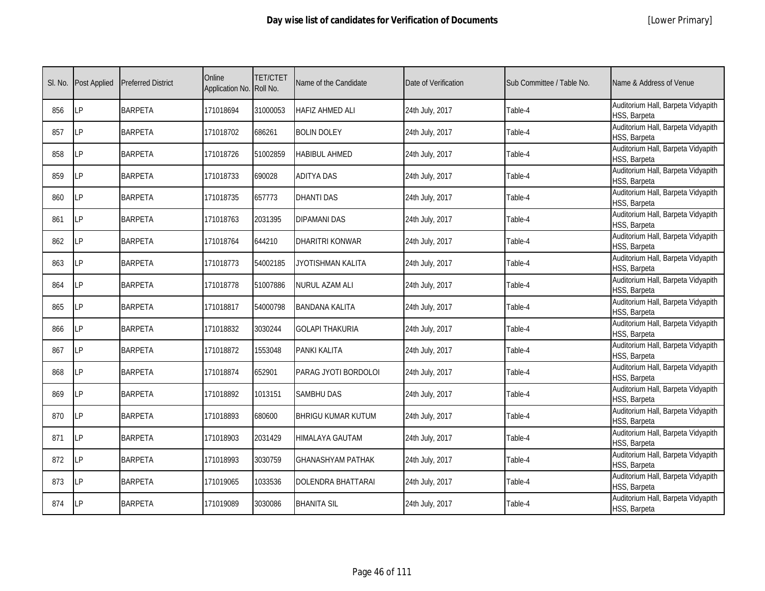| SI. No. | Post Applied | <b>Preferred District</b> | Online<br>Application No. Roll No. | <b>TET/CTET</b> | Name of the Candidate     | Date of Verification | Sub Committee / Table No. | Name & Address of Venue                            |
|---------|--------------|---------------------------|------------------------------------|-----------------|---------------------------|----------------------|---------------------------|----------------------------------------------------|
| 856     | LP           | <b>BARPETA</b>            | 171018694                          | 31000053        | <b>HAFIZ AHMED ALI</b>    | 24th July, 2017      | Table-4                   | Auditorium Hall, Barpeta Vidyapith<br>HSS, Barpeta |
| 857     | LP           | <b>BARPETA</b>            | 171018702                          | 686261          | <b>BOLIN DOLEY</b>        | 24th July, 2017      | Table-4                   | Auditorium Hall, Barpeta Vidyapith<br>HSS, Barpeta |
| 858     | LP           | <b>BARPETA</b>            | 171018726                          | 51002859        | <b>HABIBUL AHMED</b>      | 24th July, 2017      | Table-4                   | Auditorium Hall, Barpeta Vidyapith<br>HSS, Barpeta |
| 859     | LP           | <b>BARPETA</b>            | 171018733                          | 690028          | <b>ADITYA DAS</b>         | 24th July, 2017      | Table-4                   | Auditorium Hall, Barpeta Vidyapith<br>HSS, Barpeta |
| 860     | LP           | <b>BARPETA</b>            | 171018735                          | 657773          | <b>DHANTI DAS</b>         | 24th July, 2017      | Table-4                   | Auditorium Hall, Barpeta Vidyapith<br>HSS, Barpeta |
| 861     | LP           | <b>BARPETA</b>            | 171018763                          | 2031395         | <b>DIPAMANI DAS</b>       | 24th July, 2017      | Table-4                   | Auditorium Hall, Barpeta Vidyapith<br>HSS, Barpeta |
| 862     | LP           | <b>BARPETA</b>            | 171018764                          | 644210          | DHARITRI KONWAR           | 24th July, 2017      | Table-4                   | Auditorium Hall, Barpeta Vidyapith<br>HSS, Barpeta |
| 863     | LP           | <b>BARPETA</b>            | 171018773                          | 54002185        | JYOTISHMAN KALITA         | 24th July, 2017      | Table-4                   | Auditorium Hall, Barpeta Vidyapith<br>HSS, Barpeta |
| 864     | LP           | <b>BARPETA</b>            | 171018778                          | 51007886        | <b>NURUL AZAM ALI</b>     | 24th July, 2017      | Table-4                   | Auditorium Hall, Barpeta Vidyapith<br>HSS, Barpeta |
| 865     | LP           | <b>BARPETA</b>            | 171018817                          | 54000798        | <b>BANDANA KALITA</b>     | 24th July, 2017      | Table-4                   | Auditorium Hall, Barpeta Vidyapith<br>HSS, Barpeta |
| 866     | LP           | <b>BARPETA</b>            | 171018832                          | 3030244         | <b>GOLAPI THAKURIA</b>    | 24th July, 2017      | Table-4                   | Auditorium Hall, Barpeta Vidyapith<br>HSS, Barpeta |
| 867     | LP           | <b>BARPETA</b>            | 171018872                          | 1553048         | PANKI KALITA              | 24th July, 2017      | Table-4                   | Auditorium Hall, Barpeta Vidyapith<br>HSS, Barpeta |
| 868     | LP           | <b>BARPETA</b>            | 171018874                          | 652901          | PARAG JYOTI BORDOLOI      | 24th July, 2017      | Table-4                   | Auditorium Hall, Barpeta Vidyapith<br>HSS, Barpeta |
| 869     | LP           | <b>BARPETA</b>            | 171018892                          | 1013151         | <b>SAMBHU DAS</b>         | 24th July, 2017      | Table-4                   | Auditorium Hall, Barpeta Vidyapith<br>HSS, Barpeta |
| 870     | LP           | <b>BARPETA</b>            | 171018893                          | 680600          | <b>BHRIGU KUMAR KUTUM</b> | 24th July, 2017      | Table-4                   | Auditorium Hall, Barpeta Vidyapith<br>HSS, Barpeta |
| 871     | I P          | <b>BARPETA</b>            | 171018903                          | 2031429         | <b>HIMALAYA GAUTAM</b>    | 24th July, 2017      | Table-4                   | Auditorium Hall, Barpeta Vidyapith<br>HSS, Barpeta |
| 872     | LP           | <b>BARPETA</b>            | 171018993                          | 3030759         | <b>GHANASHYAM PATHAK</b>  | 24th July, 2017      | Table-4                   | Auditorium Hall, Barpeta Vidyapith<br>HSS, Barpeta |
| 873     | LP           | <b>BARPETA</b>            | 171019065                          | 1033536         | <b>DOLENDRA BHATTARAI</b> | 24th July, 2017      | Table-4                   | Auditorium Hall, Barpeta Vidyapith<br>HSS, Barpeta |
| 874     | LP           | <b>BARPETA</b>            | 171019089                          | 3030086         | <b>BHANITA SIL</b>        | 24th July, 2017      | Table-4                   | Auditorium Hall, Barpeta Vidyapith<br>HSS, Barpeta |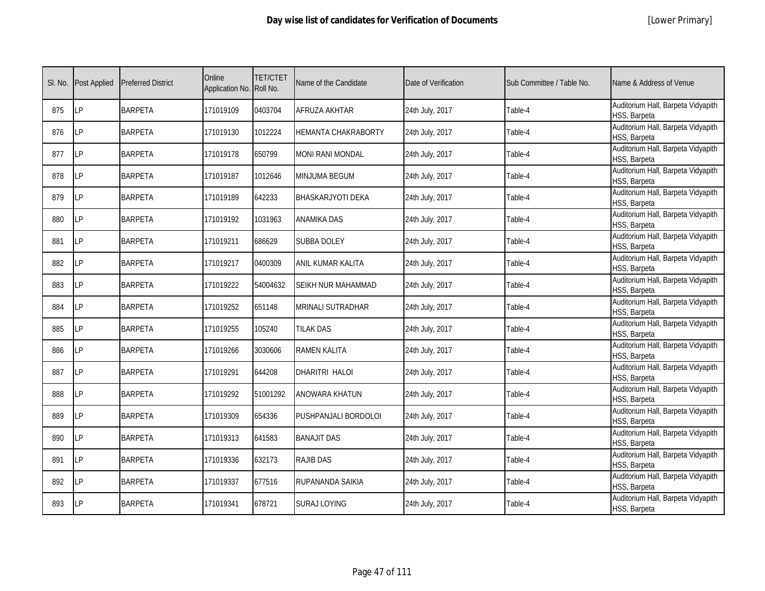| SI. No. | Post Applied | <b>Preferred District</b> | Online<br>Application No. Roll No. | <b>TET/CTET</b> | Name of the Candidate    | Date of Verification | Sub Committee / Table No. | Name & Address of Venue                            |
|---------|--------------|---------------------------|------------------------------------|-----------------|--------------------------|----------------------|---------------------------|----------------------------------------------------|
| 875     | LP           | <b>BARPETA</b>            | 171019109                          | 0403704         | AFRUZA AKHTAR            | 24th July, 2017      | Table-4                   | Auditorium Hall, Barpeta Vidyapith<br>HSS, Barpeta |
| 876     | LP           | <b>BARPETA</b>            | 171019130                          | 1012224         | HEMANTA CHAKRABORTY      | 24th July, 2017      | Table-4                   | Auditorium Hall, Barpeta Vidyapith<br>HSS, Barpeta |
| 877     | LP           | <b>BARPETA</b>            | 171019178                          | 650799          | MONI RANI MONDAL         | 24th July, 2017      | Table-4                   | Auditorium Hall, Barpeta Vidyapith<br>HSS, Barpeta |
| 878     | LP           | <b>BARPETA</b>            | 171019187                          | 1012646         | MINJUMA BEGUM            | 24th July, 2017      | Table-4                   | Auditorium Hall, Barpeta Vidyapith<br>HSS, Barpeta |
| 879     | LP           | <b>BARPETA</b>            | 171019189                          | 642233          | <b>BHASKARJYOTI DEKA</b> | 24th July, 2017      | Table-4                   | Auditorium Hall, Barpeta Vidyapith<br>HSS, Barpeta |
| 880     | LP           | <b>BARPETA</b>            | 171019192                          | 1031963         | <b>ANAMIKA DAS</b>       | 24th July, 2017      | Table-4                   | Auditorium Hall, Barpeta Vidyapith<br>HSS, Barpeta |
| 881     | LP           | <b>BARPETA</b>            | 171019211                          | 686629          | SUBBA DOLEY              | 24th July, 2017      | Table-4                   | Auditorium Hall, Barpeta Vidyapith<br>HSS, Barpeta |
| 882     | LP           | <b>BARPETA</b>            | 171019217                          | 0400309         | ANIL KUMAR KALITA        | 24th July, 2017      | Table-4                   | Auditorium Hall, Barpeta Vidyapith<br>HSS, Barpeta |
| 883     | LP           | <b>BARPETA</b>            | 171019222                          | 54004632        | SEIKH NUR MAHAMMAD       | 24th July, 2017      | Table-4                   | Auditorium Hall, Barpeta Vidyapith<br>HSS, Barpeta |
| 884     | LP           | <b>BARPETA</b>            | 171019252                          | 651148          | MRINALI SUTRADHAR        | 24th July, 2017      | Table-4                   | Auditorium Hall, Barpeta Vidyapith<br>HSS, Barpeta |
| 885     | LP           | <b>BARPETA</b>            | 171019255                          | 105240          | <b>TILAK DAS</b>         | 24th July, 2017      | Table-4                   | Auditorium Hall, Barpeta Vidyapith<br>HSS, Barpeta |
| 886     | LP           | <b>BARPETA</b>            | 171019266                          | 3030606         | <b>RAMEN KALITA</b>      | 24th July, 2017      | Table-4                   | Auditorium Hall, Barpeta Vidyapith<br>HSS, Barpeta |
| 887     | <b>LP</b>    | <b>BARPETA</b>            | 171019291                          | 644208          | DHARITRI HALOI           | 24th July, 2017      | Table-4                   | Auditorium Hall, Barpeta Vidyapith<br>HSS, Barpeta |
| 888     | LP           | <b>BARPETA</b>            | 171019292                          | 51001292        | ANOWARA KHATUN           | 24th July, 2017      | Table-4                   | Auditorium Hall, Barpeta Vidyapith<br>HSS, Barpeta |
| 889     | LP           | <b>BARPETA</b>            | 171019309                          | 654336          | PUSHPANJALI BORDOLOI     | 24th July, 2017      | Table-4                   | Auditorium Hall, Barpeta Vidyapith<br>HSS, Barpeta |
| 890     | LP           | <b>BARPETA</b>            | 171019313                          | 641583          | <b>BANAJIT DAS</b>       | 24th July, 2017      | Table-4                   | Auditorium Hall, Barpeta Vidyapith<br>HSS, Barpeta |
| 891     | LP           | <b>BARPETA</b>            | 171019336                          | 632173          | <b>RAJIB DAS</b>         | 24th July, 2017      | Table-4                   | Auditorium Hall, Barpeta Vidyapith<br>HSS, Barpeta |
| 892     | LP           | <b>BARPETA</b>            | 171019337                          | 677516          | RUPANANDA SAIKIA         | 24th July, 2017      | Table-4                   | Auditorium Hall, Barpeta Vidyapith<br>HSS, Barpeta |
| 893     | LP           | <b>BARPETA</b>            | 171019341                          | 678721          | <b>SURAJ LOYING</b>      | 24th July, 2017      | Table-4                   | Auditorium Hall, Barpeta Vidyapith<br>HSS, Barpeta |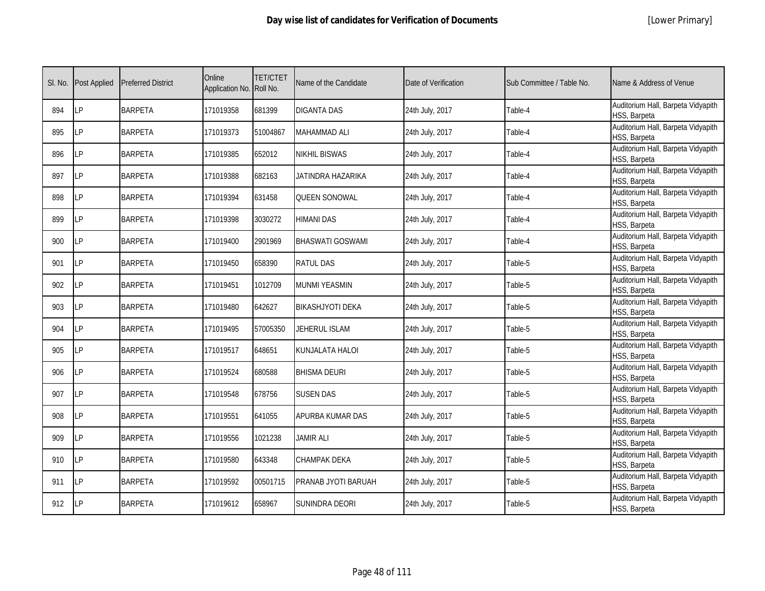|  | [Lower Primary] |
|--|-----------------|
|--|-----------------|

| SI. No. | <b>Post Applied</b> | <b>Preferred District</b> | Online<br>Application No. Roll No. | <b>TET/CTET</b> | Name of the Candidate   | Date of Verification | Sub Committee / Table No. | Name & Address of Venue                            |
|---------|---------------------|---------------------------|------------------------------------|-----------------|-------------------------|----------------------|---------------------------|----------------------------------------------------|
| 894     | LP                  | <b>BARPETA</b>            | 171019358                          | 681399          | <b>DIGANTA DAS</b>      | 24th July, 2017      | Table-4                   | Auditorium Hall, Barpeta Vidyapith<br>HSS, Barpeta |
| 895     | LP                  | <b>BARPETA</b>            | 171019373                          | 51004867        | MAHAMMAD ALI            | 24th July, 2017      | Table-4                   | Auditorium Hall, Barpeta Vidyapith<br>HSS, Barpeta |
| 896     | <b>LP</b>           | <b>BARPETA</b>            | 171019385                          | 652012          | NIKHIL BISWAS           | 24th July, 2017      | Table-4                   | Auditorium Hall, Barpeta Vidyapith<br>HSS, Barpeta |
| 897     | LΡ                  | <b>BARPETA</b>            | 171019388                          | 682163          | JATINDRA HAZARIKA       | 24th July, 2017      | Table-4                   | Auditorium Hall, Barpeta Vidyapith<br>HSS, Barpeta |
| 898     | <b>LP</b>           | <b>BARPETA</b>            | 171019394                          | 631458          | <b>QUEEN SONOWAL</b>    | 24th July, 2017      | Table-4                   | Auditorium Hall, Barpeta Vidyapith<br>HSS, Barpeta |
| 899     | LP                  | <b>BARPETA</b>            | 171019398                          | 3030272         | <b>HIMANI DAS</b>       | 24th July, 2017      | Table-4                   | Auditorium Hall, Barpeta Vidyapith<br>HSS, Barpeta |
| 900     | LP                  | <b>BARPETA</b>            | 171019400                          | 2901969         | <b>BHASWATI GOSWAMI</b> | 24th July, 2017      | Table-4                   | Auditorium Hall, Barpeta Vidyapith<br>HSS, Barpeta |
| 901     | <b>LP</b>           | <b>BARPETA</b>            | 171019450                          | 658390          | <b>RATUL DAS</b>        | 24th July, 2017      | Table-5                   | Auditorium Hall, Barpeta Vidyapith<br>HSS, Barpeta |
| 902     | LΡ                  | <b>BARPETA</b>            | 171019451                          | 1012709         | <b>MUNMI YEASMIN</b>    | 24th July, 2017      | Table-5                   | Auditorium Hall, Barpeta Vidyapith<br>HSS, Barpeta |
| 903     | LP                  | <b>BARPETA</b>            | 171019480                          | 642627          | BIKASHJYOTI DEKA        | 24th July, 2017      | Table-5                   | Auditorium Hall, Barpeta Vidyapith<br>HSS, Barpeta |
| 904     | <b>LP</b>           | <b>BARPETA</b>            | 171019495                          | 57005350        | <b>JEHERUL ISLAM</b>    | 24th July, 2017      | Table-5                   | Auditorium Hall, Barpeta Vidyapith<br>HSS, Barpeta |
| 905     | LP                  | <b>BARPETA</b>            | 171019517                          | 648651          | KUNJALATA HALOI         | 24th July, 2017      | Table-5                   | Auditorium Hall, Barpeta Vidyapith<br>HSS, Barpeta |
| 906     | <b>LP</b>           | <b>BARPETA</b>            | 171019524                          | 680588          | <b>BHISMA DEURI</b>     | 24th July, 2017      | Table-5                   | Auditorium Hall, Barpeta Vidyapith<br>HSS, Barpeta |
| 907     | <b>LP</b>           | <b>BARPETA</b>            | 171019548                          | 678756          | <b>SUSEN DAS</b>        | 24th July, 2017      | Table-5                   | Auditorium Hall, Barpeta Vidyapith<br>HSS, Barpeta |
| 908     | <b>LP</b>           | <b>BARPETA</b>            | 171019551                          | 641055          | APURBA KUMAR DAS        | 24th July, 2017      | Table-5                   | Auditorium Hall, Barpeta Vidyapith<br>HSS, Barpeta |
| 909     | <b>LP</b>           | <b>BARPETA</b>            | 171019556                          | 1021238         | <b>JAMIR ALI</b>        | 24th July, 2017      | Table-5                   | Auditorium Hall, Barpeta Vidyapith<br>HSS, Barpeta |
| 910     | <b>LP</b>           | <b>BARPETA</b>            | 171019580                          | 643348          | CHAMPAK DEKA            | 24th July, 2017      | Table-5                   | Auditorium Hall, Barpeta Vidyapith<br>HSS, Barpeta |
| 911     | <b>LP</b>           | <b>BARPETA</b>            | 171019592                          | 00501715        | PRANAB JYOTI BARUAH     | 24th July, 2017      | Table-5                   | Auditorium Hall, Barpeta Vidyapith<br>HSS, Barpeta |
| 912     | <b>LP</b>           | <b>BARPETA</b>            | 171019612                          | 658967          | SUNINDRA DEORI          | 24th July, 2017      | Table-5                   | Auditorium Hall, Barpeta Vidyapith<br>HSS, Barpeta |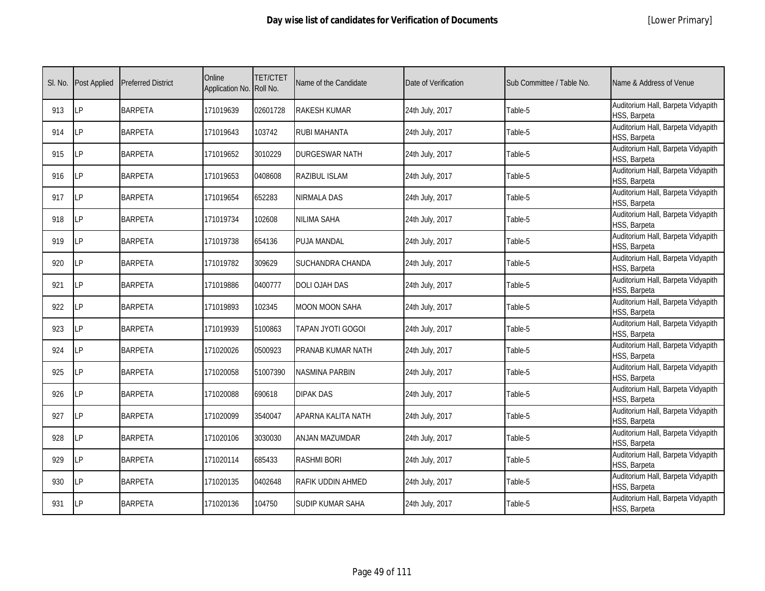|  | [Lower Primary] |
|--|-----------------|
|--|-----------------|

| SI. No. | <b>Post Applied</b> | <b>Preferred District</b> | Online<br>Application No. Roll No. | <b>TET/CTET</b> | Name of the Candidate   | Date of Verification | Sub Committee / Table No. | Name & Address of Venue                            |
|---------|---------------------|---------------------------|------------------------------------|-----------------|-------------------------|----------------------|---------------------------|----------------------------------------------------|
| 913     | <b>ILP</b>          | <b>BARPETA</b>            | 171019639                          | 02601728        | <b>RAKESH KUMAR</b>     | 24th July, 2017      | Table-5                   | Auditorium Hall, Barpeta Vidyapith<br>HSS, Barpeta |
| 914     | <b>ILP</b>          | <b>BARPETA</b>            | 171019643                          | 103742          | RUBI MAHANTA            | 24th July, 2017      | Table-5                   | Auditorium Hall, Barpeta Vidyapith<br>HSS, Barpeta |
| 915     | LP                  | <b>BARPETA</b>            | 171019652                          | 3010229         | <b>DURGESWAR NATH</b>   | 24th July, 2017      | Table-5                   | Auditorium Hall, Barpeta Vidyapith<br>HSS, Barpeta |
| 916     | LP                  | <b>BARPETA</b>            | 171019653                          | 0408608         | RAZIBUL ISLAM           | 24th July, 2017      | Table-5                   | Auditorium Hall, Barpeta Vidyapith<br>HSS, Barpeta |
| 917     | <b>ILP</b>          | <b>BARPETA</b>            | 171019654                          | 652283          | NIRMALA DAS             | 24th July, 2017      | Table-5                   | Auditorium Hall, Barpeta Vidyapith<br>HSS, Barpeta |
| 918     | LP                  | <b>BARPETA</b>            | 171019734                          | 102608          | NILIMA SAHA             | 24th July, 2017      | Table-5                   | Auditorium Hall, Barpeta Vidyapith<br>HSS, Barpeta |
| 919     | LP                  | <b>BARPETA</b>            | 171019738                          | 654136          | PUJA MANDAL             | 24th July, 2017      | Table-5                   | Auditorium Hall, Barpeta Vidyapith<br>HSS, Barpeta |
| 920     | <b>LP</b>           | <b>BARPETA</b>            | 171019782                          | 309629          | <b>SUCHANDRA CHANDA</b> | 24th July, 2017      | Table-5                   | Auditorium Hall, Barpeta Vidyapith<br>HSS, Barpeta |
| 921     | <b>LP</b>           | <b>BARPETA</b>            | 171019886                          | 0400777         | DOLI OJAH DAS           | 24th July, 2017      | Table-5                   | Auditorium Hall, Barpeta Vidyapith<br>HSS, Barpeta |
| 922     | LP                  | <b>BARPETA</b>            | 171019893                          | 102345          | MOON MOON SAHA          | 24th July, 2017      | Table-5                   | Auditorium Hall, Barpeta Vidyapith<br>HSS, Barpeta |
| 923     | LP                  | <b>BARPETA</b>            | 171019939                          | 5100863         | TAPAN JYOTI GOGOI       | 24th July, 2017      | Table-5                   | Auditorium Hall, Barpeta Vidyapith<br>HSS, Barpeta |
| 924     | <b>LP</b>           | <b>BARPETA</b>            | 171020026                          | 0500923         | PRANAB KUMAR NATH       | 24th July, 2017      | Table-5                   | Auditorium Hall, Barpeta Vidyapith<br>HSS, Barpeta |
| 925     | LP                  | <b>BARPETA</b>            | 171020058                          | 51007390        | NASMINA PARBIN          | 24th July, 2017      | Table-5                   | Auditorium Hall, Barpeta Vidyapith<br>HSS, Barpeta |
| 926     | LP                  | <b>BARPETA</b>            | 171020088                          | 690618          | <b>DIPAK DAS</b>        | 24th July, 2017      | Table-5                   | Auditorium Hall, Barpeta Vidyapith<br>HSS, Barpeta |
| 927     | <b>LP</b>           | <b>BARPETA</b>            | 171020099                          | 3540047         | APARNA KALITA NATH      | 24th July, 2017      | Table-5                   | Auditorium Hall, Barpeta Vidyapith<br>HSS, Barpeta |
| 928     | <b>LP</b>           | <b>BARPETA</b>            | 171020106                          | 3030030         | ANJAN MAZUMDAR          | 24th July, 2017      | Table-5                   | Auditorium Hall, Barpeta Vidyapith<br>HSS, Barpeta |
| 929     | <b>LP</b>           | <b>BARPETA</b>            | 171020114                          | 685433          | <b>RASHMI BORI</b>      | 24th July, 2017      | Table-5                   | Auditorium Hall, Barpeta Vidyapith<br>HSS, Barpeta |
| 930     | LP                  | <b>BARPETA</b>            | 171020135                          | 0402648         | RAFIK UDDIN AHMED       | 24th July, 2017      | Table-5                   | Auditorium Hall, Barpeta Vidyapith<br>HSS, Barpeta |
| 931     | <b>LP</b>           | <b>BARPETA</b>            | 171020136                          | 104750          | SUDIP KUMAR SAHA        | 24th July, 2017      | Table-5                   | Auditorium Hall, Barpeta Vidyapith<br>HSS, Barpeta |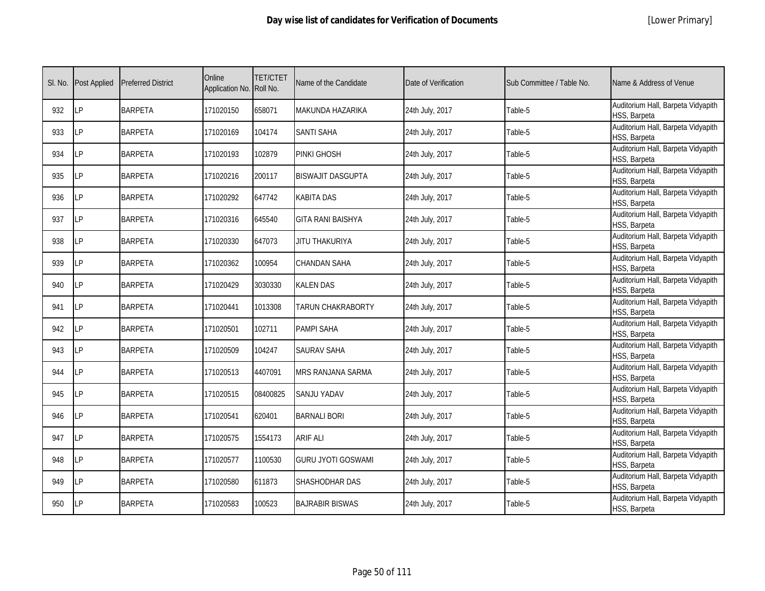|  | [Lower Primary] |
|--|-----------------|
|--|-----------------|

| SI. No. | <b>Post Applied</b> | <b>Preferred District</b> | Online<br>Application No. Roll No. | <b>TET/CTET</b> | Name of the Candidate     | Date of Verification | Sub Committee / Table No. | Name & Address of Venue                            |
|---------|---------------------|---------------------------|------------------------------------|-----------------|---------------------------|----------------------|---------------------------|----------------------------------------------------|
| 932     | <b>LP</b>           | <b>BARPETA</b>            | 171020150                          | 658071          | MAKUNDA HAZARIKA          | 24th July, 2017      | Table-5                   | Auditorium Hall, Barpeta Vidyapith<br>HSS, Barpeta |
| 933     | <b>LP</b>           | <b>BARPETA</b>            | 171020169                          | 104174          | <b>SANTI SAHA</b>         | 24th July, 2017      | Table-5                   | Auditorium Hall, Barpeta Vidyapith<br>HSS, Barpeta |
| 934     | LP                  | <b>BARPETA</b>            | 171020193                          | 102879          | PINKI GHOSH               | 24th July, 2017      | Table-5                   | Auditorium Hall, Barpeta Vidyapith<br>HSS, Barpeta |
| 935     | LP                  | <b>BARPETA</b>            | 171020216                          | 200117          | <b>BISWAJIT DASGUPTA</b>  | 24th July, 2017      | Table-5                   | Auditorium Hall, Barpeta Vidyapith<br>HSS, Barpeta |
| 936     | LP                  | <b>BARPETA</b>            | 171020292                          | 647742          | KABITA DAS                | 24th July, 2017      | Table-5                   | Auditorium Hall, Barpeta Vidyapith<br>HSS, Barpeta |
| 937     | LP                  | <b>BARPETA</b>            | 171020316                          | 645540          | <b>GITA RANI BAISHYA</b>  | 24th July, 2017      | Table-5                   | Auditorium Hall, Barpeta Vidyapith<br>HSS, Barpeta |
| 938     | LP                  | <b>BARPETA</b>            | 171020330                          | 647073          | JITU THAKURIYA            | 24th July, 2017      | Table-5                   | Auditorium Hall, Barpeta Vidyapith<br>HSS, Barpeta |
| 939     | LP                  | <b>BARPETA</b>            | 171020362                          | 100954          | CHANDAN SAHA              | 24th July, 2017      | Table-5                   | Auditorium Hall, Barpeta Vidyapith<br>HSS, Barpeta |
| 940     | LP                  | <b>BARPETA</b>            | 171020429                          | 3030330         | <b>KALEN DAS</b>          | 24th July, 2017      | Table-5                   | Auditorium Hall, Barpeta Vidyapith<br>HSS, Barpeta |
| 941     | LP                  | <b>BARPETA</b>            | 171020441                          | 1013308         | TARUN CHAKRABORTY         | 24th July, 2017      | Table-5                   | Auditorium Hall, Barpeta Vidyapith<br>HSS, Barpeta |
| 942     | <b>LP</b>           | <b>BARPETA</b>            | 171020501                          | 102711          | <b>PAMPI SAHA</b>         | 24th July, 2017      | Table-5                   | Auditorium Hall, Barpeta Vidyapith<br>HSS, Barpeta |
| 943     | <b>LP</b>           | <b>BARPETA</b>            | 171020509                          | 104247          | SAURAV SAHA               | 24th July, 2017      | Table-5                   | Auditorium Hall, Barpeta Vidyapith<br>HSS, Barpeta |
| 944     | LP                  | <b>BARPETA</b>            | 171020513                          | 4407091         | <b>MRS RANJANA SARMA</b>  | 24th July, 2017      | Table-5                   | Auditorium Hall, Barpeta Vidyapith<br>HSS, Barpeta |
| 945     | <b>LP</b>           | <b>BARPETA</b>            | 171020515                          | 08400825        | SANJU YADAV               | 24th July, 2017      | Table-5                   | Auditorium Hall, Barpeta Vidyapith<br>HSS, Barpeta |
| 946     | LP                  | <b>BARPETA</b>            | 171020541                          | 620401          | <b>BARNALI BORI</b>       | 24th July, 2017      | Table-5                   | Auditorium Hall, Barpeta Vidyapith<br>HSS, Barpeta |
| 947     | LP                  | <b>BARPETA</b>            | 171020575                          | 1554173         | <b>ARIF ALI</b>           | 24th July, 2017      | Table-5                   | Auditorium Hall, Barpeta Vidyapith<br>HSS, Barpeta |
| 948     | <b>LP</b>           | <b>BARPETA</b>            | 171020577                          | 1100530         | <b>GURU JYOTI GOSWAMI</b> | 24th July, 2017      | Table-5                   | Auditorium Hall, Barpeta Vidyapith<br>HSS, Barpeta |
| 949     | <b>LP</b>           | <b>BARPETA</b>            | 171020580                          | 611873          | SHASHODHAR DAS            | 24th July, 2017      | Table-5                   | Auditorium Hall, Barpeta Vidyapith<br>HSS, Barpeta |
| 950     | LP                  | <b>BARPETA</b>            | 171020583                          | 100523          | <b>BAJRABIR BISWAS</b>    | 24th July, 2017      | Table-5                   | Auditorium Hall, Barpeta Vidyapith<br>HSS, Barpeta |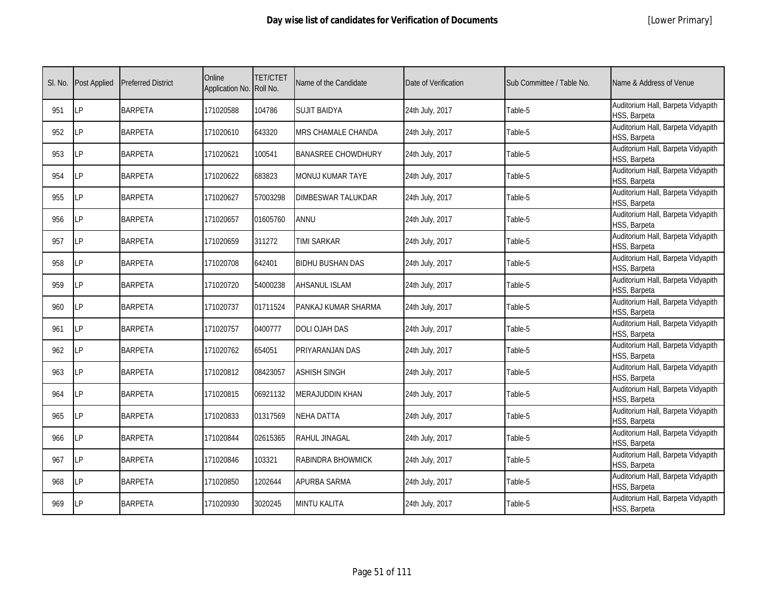|  | [Lower Primary] |
|--|-----------------|
|--|-----------------|

| SI. No. | <b>Post Applied</b> | <b>Preferred District</b> | Online<br>Application No. Roll No. | <b>TET/CTET</b> | Name of the Candidate     | Date of Verification | Sub Committee / Table No. | Name & Address of Venue                            |
|---------|---------------------|---------------------------|------------------------------------|-----------------|---------------------------|----------------------|---------------------------|----------------------------------------------------|
| 951     | <b>ILP</b>          | <b>BARPETA</b>            | 171020588                          | 104786          | <b>SUJIT BAIDYA</b>       | 24th July, 2017      | Table-5                   | Auditorium Hall, Barpeta Vidyapith<br>HSS, Barpeta |
| 952     | <b>LP</b>           | <b>BARPETA</b>            | 171020610                          | 643320          | MRS CHAMALE CHANDA        | 24th July, 2017      | Table-5                   | Auditorium Hall, Barpeta Vidyapith<br>HSS, Barpeta |
| 953     | <b>LP</b>           | <b>BARPETA</b>            | 171020621                          | 100541          | <b>BANASREE CHOWDHURY</b> | 24th July, 2017      | Table-5                   | Auditorium Hall, Barpeta Vidyapith<br>HSS, Barpeta |
| 954     | LP                  | <b>BARPETA</b>            | 171020622                          | 683823          | MONUJ KUMAR TAYE          | 24th July, 2017      | Table-5                   | Auditorium Hall, Barpeta Vidyapith<br>HSS, Barpeta |
| 955     | LP                  | <b>BARPETA</b>            | 171020627                          | 57003298        | DIMBESWAR TALUKDAR        | 24th July, 2017      | Table-5                   | Auditorium Hall, Barpeta Vidyapith<br>HSS, Barpeta |
| 956     | <b>LP</b>           | <b>BARPETA</b>            | 171020657                          | 01605760        | ANNU                      | 24th July, 2017      | Table-5                   | Auditorium Hall, Barpeta Vidyapith<br>HSS, Barpeta |
| 957     | LP                  | <b>BARPETA</b>            | 171020659                          | 311272          | <b>TIMI SARKAR</b>        | 24th July, 2017      | Table-5                   | Auditorium Hall, Barpeta Vidyapith<br>HSS, Barpeta |
| 958     | LP                  | <b>BARPETA</b>            | 171020708                          | 642401          | <b>BIDHU BUSHAN DAS</b>   | 24th July, 2017      | Table-5                   | Auditorium Hall, Barpeta Vidyapith<br>HSS, Barpeta |
| 959     | LP                  | <b>BARPETA</b>            | 171020720                          | 54000238        | <b>AHSANUL ISLAM</b>      | 24th July, 2017      | Table-5                   | Auditorium Hall, Barpeta Vidyapith<br>HSS, Barpeta |
| 960     | LP                  | <b>BARPETA</b>            | 171020737                          | 01711524        | PANKAJ KUMAR SHARMA       | 24th July, 2017      | Table-5                   | Auditorium Hall, Barpeta Vidyapith<br>HSS, Barpeta |
| 961     | LP                  | <b>BARPETA</b>            | 171020757                          | 0400777         | DOLI OJAH DAS             | 24th July, 2017      | Table-5                   | Auditorium Hall, Barpeta Vidyapith<br>HSS, Barpeta |
| 962     | <b>LP</b>           | <b>BARPETA</b>            | 171020762                          | 654051          | PRIYARANJAN DAS           | 24th July, 2017      | Table-5                   | Auditorium Hall, Barpeta Vidyapith<br>HSS, Barpeta |
| 963     | LP                  | <b>BARPETA</b>            | 171020812                          | 08423057        | <b>ASHISH SINGH</b>       | 24th July, 2017      | Table-5                   | Auditorium Hall, Barpeta Vidyapith<br>HSS, Barpeta |
| 964     | LP                  | <b>BARPETA</b>            | 171020815                          | 06921132        | MERAJUDDIN KHAN           | 24th July, 2017      | Table-5                   | Auditorium Hall, Barpeta Vidyapith<br>HSS, Barpeta |
| 965     | LP                  | <b>BARPETA</b>            | 171020833                          | 01317569        | NEHA DATTA                | 24th July, 2017      | Table-5                   | Auditorium Hall, Barpeta Vidyapith<br>HSS, Barpeta |
| 966     | <b>LP</b>           | <b>BARPETA</b>            | 171020844                          | 02615365        | RAHUL JINAGAL             | 24th July, 2017      | Table-5                   | Auditorium Hall, Barpeta Vidyapith<br>HSS, Barpeta |
| 967     | <b>LP</b>           | <b>BARPETA</b>            | 171020846                          | 103321          | RABINDRA BHOWMICK         | 24th July, 2017      | Table-5                   | Auditorium Hall, Barpeta Vidyapith<br>HSS, Barpeta |
| 968     | <b>LP</b>           | <b>BARPETA</b>            | 171020850                          | 1202644         | APURBA SARMA              | 24th July, 2017      | Table-5                   | Auditorium Hall, Barpeta Vidyapith<br>HSS, Barpeta |
| 969     | LP                  | <b>BARPETA</b>            | 171020930                          | 3020245         | MINTU KALITA              | 24th July, 2017      | Table-5                   | Auditorium Hall, Barpeta Vidyapith<br>HSS, Barpeta |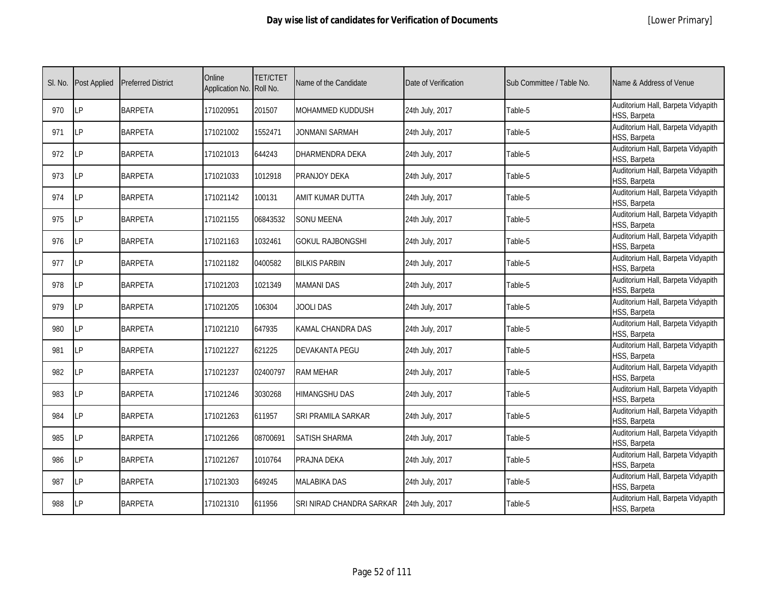| SI. No. | Post Applied | <b>Preferred District</b> | Online<br>Application No. Roll No. | <b>TET/CTET</b> | Name of the Candidate    | Date of Verification | Sub Committee / Table No. | Name & Address of Venue                            |
|---------|--------------|---------------------------|------------------------------------|-----------------|--------------------------|----------------------|---------------------------|----------------------------------------------------|
| 970     | LP           | <b>BARPETA</b>            | 171020951                          | 201507          | MOHAMMED KUDDUSH         | 24th July, 2017      | Table-5                   | Auditorium Hall, Barpeta Vidyapith<br>HSS, Barpeta |
| 971     | LP           | <b>BARPETA</b>            | 171021002                          | 1552471         | JONMANI SARMAH           | 24th July, 2017      | Table-5                   | Auditorium Hall, Barpeta Vidyapith<br>HSS, Barpeta |
| 972     | LP           | <b>BARPETA</b>            | 171021013                          | 644243          | DHARMENDRA DEKA          | 24th July, 2017      | Table-5                   | Auditorium Hall, Barpeta Vidyapith<br>HSS, Barpeta |
| 973     | LP           | <b>BARPETA</b>            | 171021033                          | 1012918         | PRANJOY DEKA             | 24th July, 2017      | Table-5                   | Auditorium Hall, Barpeta Vidyapith<br>HSS, Barpeta |
| 974     | LP           | <b>BARPETA</b>            | 171021142                          | 100131          | AMIT KUMAR DUTTA         | 24th July, 2017      | Table-5                   | Auditorium Hall, Barpeta Vidyapith<br>HSS, Barpeta |
| 975     | LP           | <b>BARPETA</b>            | 171021155                          | 06843532        | <b>SONU MEENA</b>        | 24th July, 2017      | Table-5                   | Auditorium Hall, Barpeta Vidyapith<br>HSS, Barpeta |
| 976     | LP           | <b>BARPETA</b>            | 171021163                          | 1032461         | <b>GOKUL RAJBONGSHI</b>  | 24th July, 2017      | Table-5                   | Auditorium Hall, Barpeta Vidyapith<br>HSS, Barpeta |
| 977     | LP           | <b>BARPETA</b>            | 171021182                          | 0400582         | <b>BILKIS PARBIN</b>     | 24th July, 2017      | Table-5                   | Auditorium Hall, Barpeta Vidyapith<br>HSS, Barpeta |
| 978     | LP           | <b>BARPETA</b>            | 171021203                          | 1021349         | <b>MAMANI DAS</b>        | 24th July, 2017      | Table-5                   | Auditorium Hall, Barpeta Vidyapith<br>HSS, Barpeta |
| 979     | LP           | <b>BARPETA</b>            | 171021205                          | 106304          | JOOLI DAS                | 24th July, 2017      | Table-5                   | Auditorium Hall, Barpeta Vidyapith<br>HSS, Barpeta |
| 980     | LP           | <b>BARPETA</b>            | 171021210                          | 647935          | KAMAL CHANDRA DAS        | 24th July, 2017      | Table-5                   | Auditorium Hall, Barpeta Vidyapith<br>HSS, Barpeta |
| 981     | LP           | <b>BARPETA</b>            | 171021227                          | 621225          | DEVAKANTA PEGU           | 24th July, 2017      | Table-5                   | Auditorium Hall, Barpeta Vidyapith<br>HSS, Barpeta |
| 982     | LP           | <b>BARPETA</b>            | 171021237                          | 02400797        | <b>RAM MEHAR</b>         | 24th July, 2017      | Table-5                   | Auditorium Hall, Barpeta Vidyapith<br>HSS, Barpeta |
| 983     | LP           | <b>BARPETA</b>            | 171021246                          | 3030268         | HIMANGSHU DAS            | 24th July, 2017      | Table-5                   | Auditorium Hall, Barpeta Vidyapith<br>HSS, Barpeta |
| 984     | LP           | <b>BARPETA</b>            | 171021263                          | 611957          | SRI PRAMILA SARKAR       | 24th July, 2017      | Table-5                   | Auditorium Hall, Barpeta Vidyapith<br>HSS, Barpeta |
| 985     | LP           | <b>BARPETA</b>            | 171021266                          | 08700691        | <b>SATISH SHARMA</b>     | 24th July, 2017      | Table-5                   | Auditorium Hall, Barpeta Vidyapith<br>HSS, Barpeta |
| 986     | LP           | <b>BARPETA</b>            | 171021267                          | 1010764         | PRAJNA DEKA              | 24th July, 2017      | Table-5                   | Auditorium Hall, Barpeta Vidyapith<br>HSS, Barpeta |
| 987     | LP           | <b>BARPETA</b>            | 171021303                          | 649245          | <b>MALABIKA DAS</b>      | 24th July, 2017      | Table-5                   | Auditorium Hall, Barpeta Vidyapith<br>HSS, Barpeta |
| 988     | LP           | <b>BARPETA</b>            | 171021310                          | 611956          | SRI NIRAD CHANDRA SARKAR | 24th July, 2017      | Table-5                   | Auditorium Hall, Barpeta Vidyapith<br>HSS, Barpeta |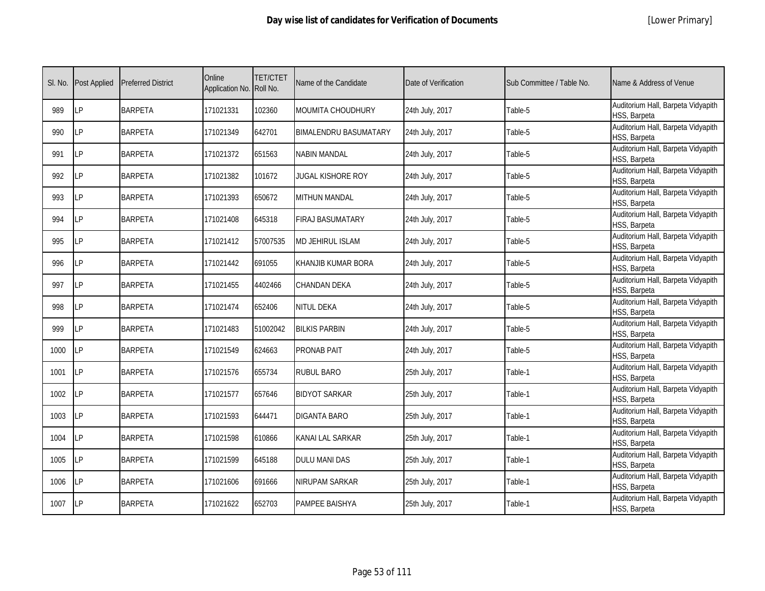| SI. No. | <b>Post Applied</b> | <b>Preferred District</b> | Online<br>Application No. Roll No. | <b>TET/CTET</b> | Name of the Candidate        | Date of Verification | Sub Committee / Table No. | Name & Address of Venue                            |
|---------|---------------------|---------------------------|------------------------------------|-----------------|------------------------------|----------------------|---------------------------|----------------------------------------------------|
| 989     | <b>LP</b>           | <b>BARPETA</b>            | 171021331                          | 102360          | MOUMITA CHOUDHURY            | 24th July, 2017      | Table-5                   | Auditorium Hall, Barpeta Vidyapith<br>HSS, Barpeta |
| 990     | LP                  | <b>BARPETA</b>            | 171021349                          | 642701          | <b>BIMALENDRU BASUMATARY</b> | 24th July, 2017      | Table-5                   | Auditorium Hall, Barpeta Vidyapith<br>HSS, Barpeta |
| 991     | <b>LP</b>           | <b>BARPETA</b>            | 171021372                          | 651563          | <b>NABIN MANDAL</b>          | 24th July, 2017      | Table-5                   | Auditorium Hall, Barpeta Vidyapith<br>HSS, Barpeta |
| 992     | LP                  | <b>BARPETA</b>            | 171021382                          | 101672          | <b>JUGAL KISHORE ROY</b>     | 24th July, 2017      | Table-5                   | Auditorium Hall, Barpeta Vidyapith<br>HSS, Barpeta |
| 993     | LP                  | <b>BARPETA</b>            | 171021393                          | 650672          | MITHUN MANDAL                | 24th July, 2017      | Table-5                   | Auditorium Hall, Barpeta Vidyapith<br>HSS, Barpeta |
| 994     | LP                  | <b>BARPETA</b>            | 171021408                          | 645318          | <b>FIRAJ BASUMATARY</b>      | 24th July, 2017      | Table-5                   | Auditorium Hall, Barpeta Vidyapith<br>HSS, Barpeta |
| 995     | <b>LP</b>           | <b>BARPETA</b>            | 171021412                          | 57007535        | <b>MD JEHIRUL ISLAM</b>      | 24th July, 2017      | Table-5                   | Auditorium Hall, Barpeta Vidyapith<br>HSS, Barpeta |
| 996     | LP                  | <b>BARPETA</b>            | 171021442                          | 691055          | KHANJIB KUMAR BORA           | 24th July, 2017      | Table-5                   | Auditorium Hall, Barpeta Vidyapith<br>HSS, Barpeta |
| 997     | LP                  | <b>BARPETA</b>            | 171021455                          | 4402466         | CHANDAN DEKA                 | 24th July, 2017      | Table-5                   | Auditorium Hall, Barpeta Vidyapith<br>HSS, Barpeta |
| 998     | LP                  | <b>BARPETA</b>            | 171021474                          | 652406          | <b>NITUL DEKA</b>            | 24th July, 2017      | Table-5                   | Auditorium Hall, Barpeta Vidyapith<br>HSS, Barpeta |
| 999     | LP                  | <b>BARPETA</b>            | 171021483                          | 51002042        | <b>BILKIS PARBIN</b>         | 24th July, 2017      | Table-5                   | Auditorium Hall, Barpeta Vidyapith<br>HSS, Barpeta |
| 1000    | <b>LP</b>           | <b>BARPETA</b>            | 171021549                          | 624663          | PRONAB PAIT                  | 24th July, 2017      | Table-5                   | Auditorium Hall, Barpeta Vidyapith<br>HSS, Barpeta |
| 1001    | LP                  | <b>BARPETA</b>            | 171021576                          | 655734          | <b>RUBUL BARO</b>            | 25th July, 2017      | Table-1                   | Auditorium Hall, Barpeta Vidyapith<br>HSS, Barpeta |
| 1002    | <b>LP</b>           | <b>BARPETA</b>            | 171021577                          | 657646          | <b>BIDYOT SARKAR</b>         | 25th July, 2017      | Table-1                   | Auditorium Hall, Barpeta Vidyapith<br>HSS, Barpeta |
| 1003    | <b>LP</b>           | <b>BARPETA</b>            | 171021593                          | 644471          | <b>DIGANTA BARO</b>          | 25th July, 2017      | Table-1                   | Auditorium Hall, Barpeta Vidyapith<br>HSS, Barpeta |
| 1004    | <b>ILP</b>          | <b>BARPETA</b>            | 171021598                          | 610866          | KANAI LAL SARKAR             | 25th July, 2017      | Table-1                   | Auditorium Hall, Barpeta Vidyapith<br>HSS, Barpeta |
| 1005    | LP                  | <b>BARPETA</b>            | 171021599                          | 645188          | <b>DULU MANI DAS</b>         | 25th July, 2017      | Table-1                   | Auditorium Hall, Barpeta Vidyapith<br>HSS, Barpeta |
| 1006    | <b>LP</b>           | <b>BARPETA</b>            | 171021606                          | 691666          | NIRUPAM SARKAR               | 25th July, 2017      | Table-1                   | Auditorium Hall, Barpeta Vidyapith<br>HSS, Barpeta |
| 1007    | LP                  | <b>BARPETA</b>            | 171021622                          | 652703          | PAMPEE BAISHYA               | 25th July, 2017      | Table-1                   | Auditorium Hall, Barpeta Vidyapith<br>HSS, Barpeta |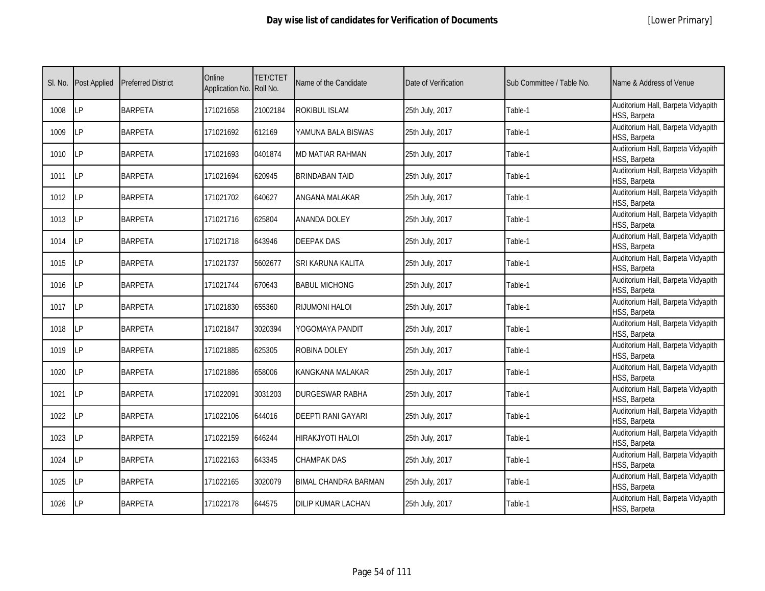|  | [Lower Primary] |
|--|-----------------|
|--|-----------------|

| SI. No. | <b>Post Applied</b> | <b>Preferred District</b> | Online<br>Application No. Roll No. | <b>TET/CTET</b> | Name of the Candidate       | Date of Verification | Sub Committee / Table No. | Name & Address of Venue                            |
|---------|---------------------|---------------------------|------------------------------------|-----------------|-----------------------------|----------------------|---------------------------|----------------------------------------------------|
| 1008    | LP                  | <b>BARPETA</b>            | 171021658                          | 21002184        | ROKIBUL ISLAM               | 25th July, 2017      | Table-1                   | Auditorium Hall, Barpeta Vidyapith<br>HSS, Barpeta |
| 1009    | <b>LP</b>           | <b>BARPETA</b>            | 171021692                          | 612169          | YAMUNA BALA BISWAS          | 25th July, 2017      | Table-1                   | Auditorium Hall, Barpeta Vidyapith<br>HSS, Barpeta |
| 1010    | LP                  | <b>BARPETA</b>            | 171021693                          | 0401874         | MD MATIAR RAHMAN            | 25th July, 2017      | Table-1                   | Auditorium Hall, Barpeta Vidyapith<br>HSS, Barpeta |
| 1011    | LP                  | <b>BARPETA</b>            | 171021694                          | 620945          | <b>BRINDABAN TAID</b>       | 25th July, 2017      | Table-1                   | Auditorium Hall, Barpeta Vidyapith<br>HSS, Barpeta |
| 1012    | <b>ILP</b>          | <b>BARPETA</b>            | 171021702                          | 640627          | ANGANA MALAKAR              | 25th July, 2017      | Table-1                   | Auditorium Hall, Barpeta Vidyapith<br>HSS, Barpeta |
| 1013    | LP                  | <b>BARPETA</b>            | 171021716                          | 625804          | <b>ANANDA DOLEY</b>         | 25th July, 2017      | Table-1                   | Auditorium Hall, Barpeta Vidyapith<br>HSS, Barpeta |
| 1014    | <b>ILP</b>          | <b>BARPETA</b>            | 171021718                          | 643946          | <b>DEEPAK DAS</b>           | 25th July, 2017      | Table-1                   | Auditorium Hall, Barpeta Vidyapith<br>HSS, Barpeta |
| 1015    | LP                  | <b>BARPETA</b>            | 171021737                          | 5602677         | SRI KARUNA KALITA           | 25th July, 2017      | Table-1                   | Auditorium Hall, Barpeta Vidyapith<br>HSS, Barpeta |
| 1016    | LP                  | <b>BARPETA</b>            | 171021744                          | 670643          | <b>BABUL MICHONG</b>        | 25th July, 2017      | Table-1                   | Auditorium Hall, Barpeta Vidyapith<br>HSS, Barpeta |
| 1017    | LP                  | <b>BARPETA</b>            | 171021830                          | 655360          | RIJUMONI HALOI              | 25th July, 2017      | Table-1                   | Auditorium Hall, Barpeta Vidyapith<br>HSS, Barpeta |
| 1018    | LP                  | <b>BARPETA</b>            | 171021847                          | 3020394         | YOGOMAYA PANDIT             | 25th July, 2017      | Table-1                   | Auditorium Hall, Barpeta Vidyapith<br>HSS, Barpeta |
| 1019    | <b>ILP</b>          | <b>BARPETA</b>            | 171021885                          | 625305          | ROBINA DOLEY                | 25th July, 2017      | Table-1                   | Auditorium Hall, Barpeta Vidyapith<br>HSS, Barpeta |
| 1020    | <b>LP</b>           | <b>BARPETA</b>            | 171021886                          | 658006          | KANGKANA MALAKAR            | 25th July, 2017      | Table-1                   | Auditorium Hall, Barpeta Vidyapith<br>HSS, Barpeta |
| 1021    | <b>LP</b>           | <b>BARPETA</b>            | 171022091                          | 3031203         | <b>DURGESWAR RABHA</b>      | 25th July, 2017      | Table-1                   | Auditorium Hall, Barpeta Vidyapith<br>HSS, Barpeta |
| 1022    | LP                  | <b>BARPETA</b>            | 171022106                          | 644016          | <b>DEEPTI RANI GAYARI</b>   | 25th July, 2017      | Table-1                   | Auditorium Hall, Barpeta Vidyapith<br>HSS, Barpeta |
| 1023    | <b>LP</b>           | <b>BARPETA</b>            | 171022159                          | 646244          | HIRAKJYOTI HALOI            | 25th July, 2017      | Table-1                   | Auditorium Hall, Barpeta Vidyapith<br>HSS, Barpeta |
| 1024    | LP                  | <b>BARPETA</b>            | 171022163                          | 643345          | CHAMPAK DAS                 | 25th July, 2017      | Table-1                   | Auditorium Hall, Barpeta Vidyapith<br>HSS, Barpeta |
| 1025    | <b>LP</b>           | <b>BARPETA</b>            | 171022165                          | 3020079         | <b>BIMAL CHANDRA BARMAN</b> | 25th July, 2017      | Table-1                   | Auditorium Hall, Barpeta Vidyapith<br>HSS, Barpeta |
| 1026    | <b>LP</b>           | <b>BARPETA</b>            | 171022178                          | 644575          | DILIP KUMAR LACHAN          | 25th July, 2017      | Table-1                   | Auditorium Hall, Barpeta Vidyapith<br>HSS, Barpeta |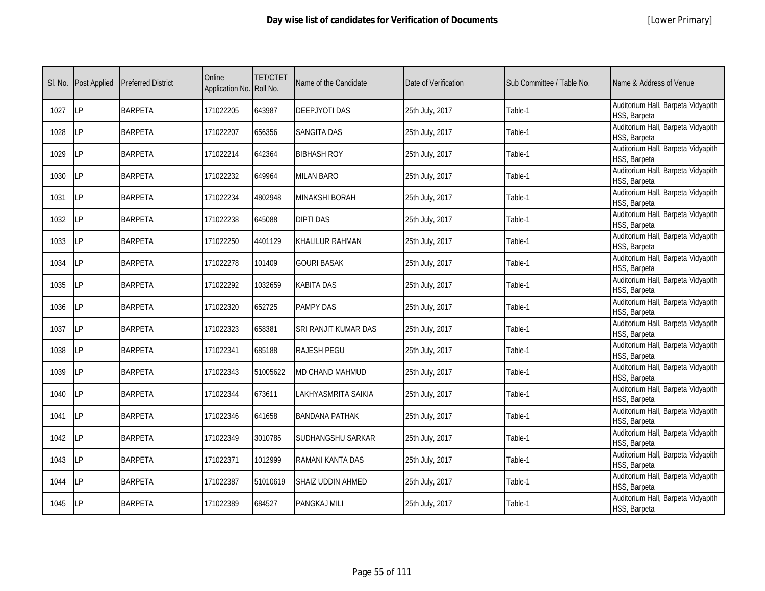| SI. No. | <b>Post Applied</b> | <b>Preferred District</b> | Online<br>Application No. Roll No. | <b>TET/CTET</b> | Name of the Candidate | Date of Verification | Sub Committee / Table No. | Name & Address of Venue                            |
|---------|---------------------|---------------------------|------------------------------------|-----------------|-----------------------|----------------------|---------------------------|----------------------------------------------------|
| 1027    | LP                  | <b>BARPETA</b>            | 171022205                          | 643987          | <b>DEEPJYOTI DAS</b>  | 25th July, 2017      | Table-1                   | Auditorium Hall, Barpeta Vidyapith<br>HSS, Barpeta |
| 1028    | <b>LP</b>           | <b>BARPETA</b>            | 171022207                          | 656356          | <b>SANGITA DAS</b>    | 25th July, 2017      | Table-1                   | Auditorium Hall, Barpeta Vidyapith<br>HSS, Barpeta |
| 1029    | LP                  | <b>BARPETA</b>            | 171022214                          | 642364          | <b>BIBHASH ROY</b>    | 25th July, 2017      | Table-1                   | Auditorium Hall, Barpeta Vidyapith<br>HSS, Barpeta |
| 1030    | LΡ                  | <b>BARPETA</b>            | 171022232                          | 649964          | <b>MILAN BARO</b>     | 25th July, 2017      | Table-1                   | Auditorium Hall, Barpeta Vidyapith<br>HSS, Barpeta |
| 1031    | LP                  | <b>BARPETA</b>            | 171022234                          | 4802948         | <b>MINAKSHI BORAH</b> | 25th July, 2017      | Table-1                   | Auditorium Hall, Barpeta Vidyapith<br>HSS, Barpeta |
| 1032    | LP                  | <b>BARPETA</b>            | 171022238                          | 645088          | <b>DIPTI DAS</b>      | 25th July, 2017      | Table-1                   | Auditorium Hall, Barpeta Vidyapith<br>HSS, Barpeta |
| 1033    | LP                  | <b>BARPETA</b>            | 171022250                          | 4401129         | KHALILUR RAHMAN       | 25th July, 2017      | Table-1                   | Auditorium Hall, Barpeta Vidyapith<br>HSS, Barpeta |
| 1034    | LP                  | <b>BARPETA</b>            | 171022278                          | 101409          | <b>GOURI BASAK</b>    | 25th July, 2017      | Table-1                   | Auditorium Hall, Barpeta Vidyapith<br>HSS, Barpeta |
| 1035    | <b>LP</b>           | <b>BARPETA</b>            | 171022292                          | 1032659         | KABITA DAS            | 25th July, 2017      | Table-1                   | Auditorium Hall, Barpeta Vidyapith<br>HSS, Barpeta |
| 1036    | LP                  | <b>BARPETA</b>            | 171022320                          | 652725          | <b>PAMPY DAS</b>      | 25th July, 2017      | Table-1                   | Auditorium Hall, Barpeta Vidyapith<br>HSS, Barpeta |
| 1037    | LP                  | <b>BARPETA</b>            | 171022323                          | 658381          | SRI RANJIT KUMAR DAS  | 25th July, 2017      | Table-1                   | Auditorium Hall, Barpeta Vidyapith<br>HSS, Barpeta |
| 1038    | <b>LP</b>           | <b>BARPETA</b>            | 171022341                          | 685188          | RAJESH PEGU           | 25th July, 2017      | Table-1                   | Auditorium Hall, Barpeta Vidyapith<br>HSS, Barpeta |
| 1039    | <b>LP</b>           | <b>BARPETA</b>            | 171022343                          | 51005622        | MD CHAND MAHMUD       | 25th July, 2017      | Table-1                   | Auditorium Hall, Barpeta Vidyapith<br>HSS, Barpeta |
| 1040    | LP                  | <b>BARPETA</b>            | 171022344                          | 673611          | LAKHYASMRITA SAIKIA   | 25th July, 2017      | Table-1                   | Auditorium Hall, Barpeta Vidyapith<br>HSS, Barpeta |
| 1041    | LP                  | <b>BARPETA</b>            | 171022346                          | 641658          | <b>BANDANA PATHAK</b> | 25th July, 2017      | Table-1                   | Auditorium Hall, Barpeta Vidyapith<br>HSS, Barpeta |
| 1042    | <b>LP</b>           | <b>BARPETA</b>            | 171022349                          | 3010785         | SUDHANGSHU SARKAR     | 25th July, 2017      | Table-1                   | Auditorium Hall, Barpeta Vidyapith<br>HSS, Barpeta |
| 1043    | <b>ILP</b>          | <b>BARPETA</b>            | 171022371                          | 1012999         | RAMANI KANTA DAS      | 25th July, 2017      | Table-1                   | Auditorium Hall, Barpeta Vidyapith<br>HSS, Barpeta |
| 1044    | <b>LP</b>           | <b>BARPETA</b>            | 171022387                          | 51010619        | SHAIZ UDDIN AHMED     | 25th July, 2017      | Table-1                   | Auditorium Hall, Barpeta Vidyapith<br>HSS, Barpeta |
| 1045    | <b>ILP</b>          | <b>BARPETA</b>            | 171022389                          | 684527          | PANGKAJ MILI          | 25th July, 2017      | Table-1                   | Auditorium Hall, Barpeta Vidyapith<br>HSS, Barpeta |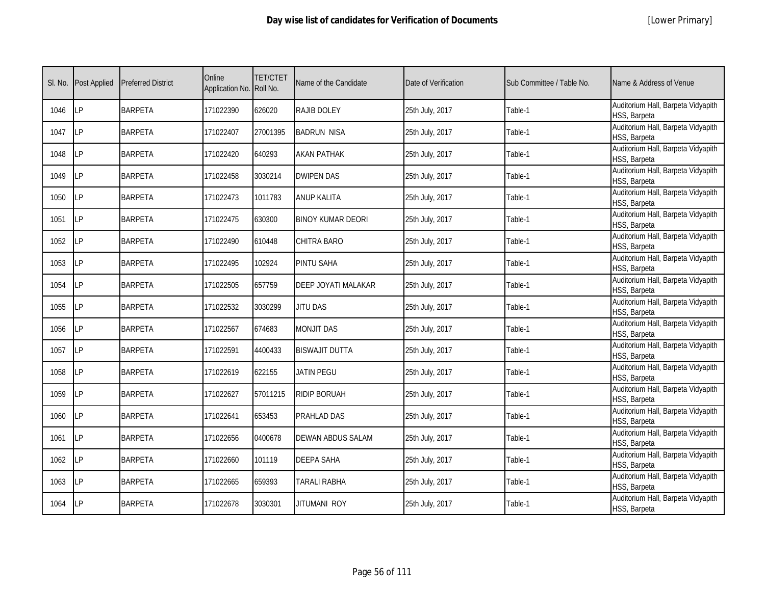| SI. No. | <b>Post Applied</b> | <b>Preferred District</b> | Online<br>Application No. | <b>TET/CTET</b><br>Roll No. | Name of the Candidate    | Date of Verification | Sub Committee / Table No. | Name & Address of Venue                            |
|---------|---------------------|---------------------------|---------------------------|-----------------------------|--------------------------|----------------------|---------------------------|----------------------------------------------------|
| 1046    | LP                  | <b>BARPETA</b>            | 171022390                 | 626020                      | RAJIB DOLEY              | 25th July, 2017      | Table-1                   | Auditorium Hall, Barpeta Vidyapith<br>HSS, Barpeta |
| 1047    | LP                  | <b>BARPETA</b>            | 171022407                 | 27001395                    | <b>BADRUN NISA</b>       | 25th July, 2017      | Table-1                   | Auditorium Hall, Barpeta Vidyapith<br>HSS, Barpeta |
| 1048    | LP                  | <b>BARPETA</b>            | 171022420                 | 640293                      | <b>AKAN PATHAK</b>       | 25th July, 2017      | Table-1                   | Auditorium Hall, Barpeta Vidyapith<br>HSS, Barpeta |
| 1049    | <b>LP</b>           | <b>BARPETA</b>            | 171022458                 | 3030214                     | <b>DWIPEN DAS</b>        | 25th July, 2017      | Table-1                   | Auditorium Hall, Barpeta Vidyapith<br>HSS, Barpeta |
| 1050    | LP                  | <b>BARPETA</b>            | 171022473                 | 1011783                     | <b>ANUP KALITA</b>       | 25th July, 2017      | Table-1                   | Auditorium Hall, Barpeta Vidyapith<br>HSS, Barpeta |
| 1051    | LP                  | <b>BARPETA</b>            | 171022475                 | 630300                      | <b>BINOY KUMAR DEORI</b> | 25th July, 2017      | Table-1                   | Auditorium Hall, Barpeta Vidyapith<br>HSS, Barpeta |
| 1052    | <b>LP</b>           | <b>BARPETA</b>            | 171022490                 | 610448                      | CHITRA BARO              | 25th July, 2017      | Table-1                   | Auditorium Hall, Barpeta Vidyapith<br>HSS, Barpeta |
| 1053    | LP                  | <b>BARPETA</b>            | 171022495                 | 102924                      | PINTU SAHA               | 25th July, 2017      | Table-1                   | Auditorium Hall, Barpeta Vidyapith<br>HSS, Barpeta |
| 1054    | <b>LP</b>           | <b>BARPETA</b>            | 171022505                 | 657759                      | DEEP JOYATI MALAKAR      | 25th July, 2017      | Table-1                   | Auditorium Hall, Barpeta Vidyapith<br>HSS, Barpeta |
| 1055    | LP                  | <b>BARPETA</b>            | 171022532                 | 3030299                     | <b>JITU DAS</b>          | 25th July, 2017      | Table-1                   | Auditorium Hall, Barpeta Vidyapith<br>HSS, Barpeta |
| 1056    | LP                  | <b>BARPETA</b>            | 171022567                 | 674683                      | <b>MONJIT DAS</b>        | 25th July, 2017      | Table-1                   | Auditorium Hall, Barpeta Vidyapith<br>HSS, Barpeta |
| 1057    | LP                  | <b>BARPETA</b>            | 171022591                 | 4400433                     | BISWAJIT DUTTA           | 25th July, 2017      | Table-1                   | Auditorium Hall, Barpeta Vidyapith<br>HSS, Barpeta |
| 1058    | LP                  | <b>BARPETA</b>            | 171022619                 | 622155                      | JATIN PEGU               | 25th July, 2017      | Table-1                   | Auditorium Hall, Barpeta Vidyapith<br>HSS, Barpeta |
| 1059    | LР                  | <b>BARPETA</b>            | 171022627                 | 57011215                    | <b>RIDIP BORUAH</b>      | 25th July, 2017      | Table-1                   | Auditorium Hall, Barpeta Vidyapith<br>HSS, Barpeta |
| 1060    | LP                  | <b>BARPETA</b>            | 171022641                 | 653453                      | PRAHLAD DAS              | 25th July, 2017      | Table-1                   | Auditorium Hall, Barpeta Vidyapith<br>HSS, Barpeta |
| 1061    | LP                  | <b>BARPETA</b>            | 171022656                 | 0400678                     | <b>DEWAN ABDUS SALAM</b> | 25th July, 2017      | Table-1                   | Auditorium Hall, Barpeta Vidyapith<br>HSS, Barpeta |
| 1062    | LP                  | <b>BARPETA</b>            | 171022660                 | 101119                      | <b>DEEPA SAHA</b>        | 25th July, 2017      | Table-1                   | Auditorium Hall, Barpeta Vidyapith<br>HSS, Barpeta |
| 1063    | LP                  | <b>BARPETA</b>            | 171022665                 | 659393                      | TARALI RABHA             | 25th July, 2017      | Table-1                   | Auditorium Hall, Barpeta Vidyapith<br>HSS, Barpeta |
| 1064    | LP                  | <b>BARPETA</b>            | 171022678                 | 3030301                     | JITUMANI ROY             | 25th July, 2017      | Table-1                   | Auditorium Hall, Barpeta Vidyapith<br>HSS, Barpeta |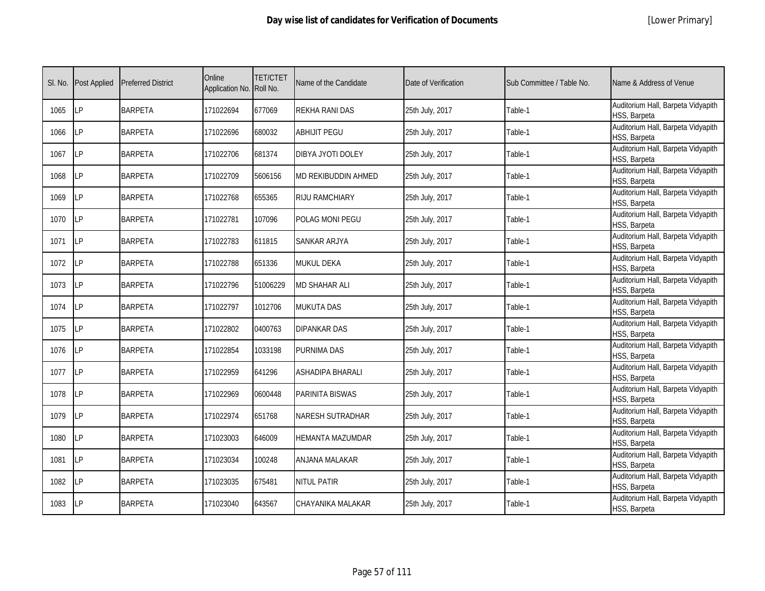|  | [Lower Primary] |  |
|--|-----------------|--|
|--|-----------------|--|

| SI. No. | <b>Post Applied</b> | <b>Preferred District</b> | Online<br>Application No. Roll No. | <b>TET/CTET</b> | Name of the Candidate   | Date of Verification | Sub Committee / Table No. | Name & Address of Venue                            |
|---------|---------------------|---------------------------|------------------------------------|-----------------|-------------------------|----------------------|---------------------------|----------------------------------------------------|
| 1065    | <b>ILP</b>          | <b>BARPETA</b>            | 171022694                          | 677069          | REKHA RANI DAS          | 25th July, 2017      | Table-1                   | Auditorium Hall, Barpeta Vidyapith<br>HSS, Barpeta |
| 1066    | <b>ILP</b>          | <b>BARPETA</b>            | 171022696                          | 680032          | <b>ABHIJIT PEGU</b>     | 25th July, 2017      | Table-1                   | Auditorium Hall, Barpeta Vidyapith<br>HSS, Barpeta |
| 1067    | LP                  | <b>BARPETA</b>            | 171022706                          | 681374          | DIBYA JYOTI DOLEY       | 25th July, 2017      | Table-1                   | Auditorium Hall, Barpeta Vidyapith<br>HSS, Barpeta |
| 1068    | LP                  | <b>BARPETA</b>            | 171022709                          | 5606156         | MD REKIBUDDIN AHMED     | 25th July, 2017      | Table-1                   | Auditorium Hall, Barpeta Vidyapith<br>HSS, Barpeta |
| 1069    | <b>ILP</b>          | <b>BARPETA</b>            | 171022768                          | 655365          | RIJU RAMCHIARY          | 25th July, 2017      | Table-1                   | Auditorium Hall, Barpeta Vidyapith<br>HSS, Barpeta |
| 1070    | LP                  | <b>BARPETA</b>            | 171022781                          | 107096          | POLAG MONI PEGU         | 25th July, 2017      | Table-1                   | Auditorium Hall, Barpeta Vidyapith<br>HSS, Barpeta |
| 1071    | <b>ILP</b>          | <b>BARPETA</b>            | 171022783                          | 611815          | SANKAR ARJYA            | 25th July, 2017      | Table-1                   | Auditorium Hall, Barpeta Vidyapith<br>HSS, Barpeta |
| 1072    | LP                  | <b>BARPETA</b>            | 171022788                          | 651336          | MUKUL DEKA              | 25th July, 2017      | Table-1                   | Auditorium Hall, Barpeta Vidyapith<br>HSS, Barpeta |
| 1073    | LP                  | <b>BARPETA</b>            | 171022796                          | 51006229        | <b>MD SHAHAR ALI</b>    | 25th July, 2017      | Table-1                   | Auditorium Hall, Barpeta Vidyapith<br>HSS, Barpeta |
| 1074    | LP                  | <b>BARPETA</b>            | 171022797                          | 1012706         | <b>MUKUTA DAS</b>       | 25th July, 2017      | Table-1                   | Auditorium Hall, Barpeta Vidyapith<br>HSS, Barpeta |
| 1075    | LP                  | <b>BARPETA</b>            | 171022802                          | 0400763         | <b>DIPANKAR DAS</b>     | 25th July, 2017      | Table-1                   | Auditorium Hall, Barpeta Vidyapith<br>HSS, Barpeta |
| 1076    | LP                  | <b>BARPETA</b>            | 171022854                          | 1033198         | PURNIMA DAS             | 25th July, 2017      | Table-1                   | Auditorium Hall, Barpeta Vidyapith<br>HSS, Barpeta |
| 1077    | <b>ILP</b>          | <b>BARPETA</b>            | 171022959                          | 641296          | ASHADIPA BHARALI        | 25th July, 2017      | Table-1                   | Auditorium Hall, Barpeta Vidyapith<br>HSS, Barpeta |
| 1078    | LP                  | <b>BARPETA</b>            | 171022969                          | 0600448         | PARINITA BISWAS         | 25th July, 2017      | Table-1                   | Auditorium Hall, Barpeta Vidyapith<br>HSS, Barpeta |
| 1079    | LP                  | <b>BARPETA</b>            | 171022974                          | 651768          | NARESH SUTRADHAR        | 25th July, 2017      | Table-1                   | Auditorium Hall, Barpeta Vidyapith<br>HSS, Barpeta |
| 1080    | <b>LP</b>           | <b>BARPETA</b>            | 171023003                          | 646009          | <b>HEMANTA MAZUMDAR</b> | 25th July, 2017      | Table-1                   | Auditorium Hall, Barpeta Vidyapith<br>HSS, Barpeta |
| 1081    | LP                  | <b>BARPETA</b>            | 171023034                          | 100248          | ANJANA MALAKAR          | 25th July, 2017      | Table-1                   | Auditorium Hall, Barpeta Vidyapith<br>HSS, Barpeta |
| 1082    | LP                  | <b>BARPETA</b>            | 171023035                          | 675481          | NITUL PATIR             | 25th July, 2017      | Table-1                   | Auditorium Hall, Barpeta Vidyapith<br>HSS, Barpeta |
| 1083    | <b>LP</b>           | <b>BARPETA</b>            | 171023040                          | 643567          | CHAYANIKA MALAKAR       | 25th July, 2017      | Table-1                   | Auditorium Hall, Barpeta Vidyapith<br>HSS, Barpeta |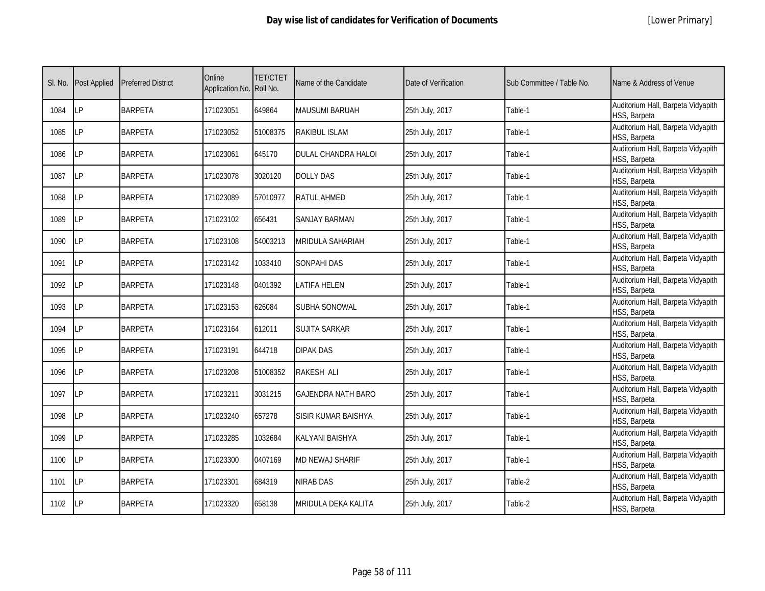|  | [Lower Primary] |
|--|-----------------|
|--|-----------------|

| SI. No. | <b>Post Applied</b> | <b>Preferred District</b> | Online<br>Application No. Roll No. | <b>TET/CTET</b> | Name of the Candidate     | Date of Verification | Sub Committee / Table No. | Name & Address of Venue                            |
|---------|---------------------|---------------------------|------------------------------------|-----------------|---------------------------|----------------------|---------------------------|----------------------------------------------------|
| 1084    | <b>ILP</b>          | <b>BARPETA</b>            | 171023051                          | 649864          | <b>MAUSUMI BARUAH</b>     | 25th July, 2017      | Table-1                   | Auditorium Hall, Barpeta Vidyapith<br>HSS, Barpeta |
| 1085    | <b>ILP</b>          | <b>BARPETA</b>            | 171023052                          | 51008375        | RAKIBUL ISLAM             | 25th July, 2017      | Table-1                   | Auditorium Hall, Barpeta Vidyapith<br>HSS, Barpeta |
| 1086    | <b>LP</b>           | <b>BARPETA</b>            | 171023061                          | 645170          | DULAL CHANDRA HALOI       | 25th July, 2017      | Table-1                   | Auditorium Hall, Barpeta Vidyapith<br>HSS, Barpeta |
| 1087    | LP                  | <b>BARPETA</b>            | 171023078                          | 3020120         | <b>DOLLY DAS</b>          | 25th July, 2017      | Table-1                   | Auditorium Hall, Barpeta Vidyapith<br>HSS, Barpeta |
| 1088    | LP                  | <b>BARPETA</b>            | 171023089                          | 57010977        | RATUL AHMED               | 25th July, 2017      | Table-1                   | Auditorium Hall, Barpeta Vidyapith<br>HSS, Barpeta |
| 1089    | LP                  | <b>BARPETA</b>            | 171023102                          | 656431          | <b>SANJAY BARMAN</b>      | 25th July, 2017      | Table-1                   | Auditorium Hall, Barpeta Vidyapith<br>HSS, Barpeta |
| 1090    | LP                  | <b>BARPETA</b>            | 171023108                          | 54003213        | <b>MRIDULA SAHARIAH</b>   | 25th July, 2017      | Table-1                   | Auditorium Hall, Barpeta Vidyapith<br>HSS, Barpeta |
| 1091    | LP                  | <b>BARPETA</b>            | 171023142                          | 1033410         | <b>SONPAHI DAS</b>        | 25th July, 2017      | Table-1                   | Auditorium Hall, Barpeta Vidyapith<br>HSS, Barpeta |
| 1092    | LΡ                  | <b>BARPETA</b>            | 171023148                          | 0401392         | LATIFA HELEN              | 25th July, 2017      | Table-1                   | Auditorium Hall, Barpeta Vidyapith<br>HSS, Barpeta |
| 1093    | LP                  | <b>BARPETA</b>            | 171023153                          | 626084          | SUBHA SONOWAL             | 25th July, 2017      | Table-1                   | Auditorium Hall, Barpeta Vidyapith<br>HSS, Barpeta |
| 1094    | <b>LP</b>           | <b>BARPETA</b>            | 171023164                          | 612011          | <b>SUJITA SARKAR</b>      | 25th July, 2017      | Table-1                   | Auditorium Hall, Barpeta Vidyapith<br>HSS, Barpeta |
| 1095    | <b>LP</b>           | <b>BARPETA</b>            | 171023191                          | 644718          | DIPAK DAS                 | 25th July, 2017      | Table-1                   | Auditorium Hall, Barpeta Vidyapith<br>HSS, Barpeta |
| 1096    | LP                  | <b>BARPETA</b>            | 171023208                          | 51008352        | <b>RAKESH ALI</b>         | 25th July, 2017      | Table-1                   | Auditorium Hall, Barpeta Vidyapith<br>HSS, Barpeta |
| 1097    | <b>LP</b>           | <b>BARPETA</b>            | 171023211                          | 3031215         | <b>GAJENDRA NATH BARO</b> | 25th July, 2017      | Table-1                   | Auditorium Hall, Barpeta Vidyapith<br>HSS, Barpeta |
| 1098    | LP                  | <b>BARPETA</b>            | 171023240                          | 657278          | SISIR KUMAR BAISHYA       | 25th July, 2017      | Table-1                   | Auditorium Hall, Barpeta Vidyapith<br>HSS, Barpeta |
| 1099    | LP                  | <b>BARPETA</b>            | 171023285                          | 1032684         | KALYANI BAISHYA           | 25th July, 2017      | Table-1                   | Auditorium Hall, Barpeta Vidyapith<br>HSS, Barpeta |
| 1100    | LP                  | <b>BARPETA</b>            | 171023300                          | 0407169         | MD NEWAJ SHARIF           | 25th July, 2017      | Table-1                   | Auditorium Hall, Barpeta Vidyapith<br>HSS, Barpeta |
| 1101    | <b>ILP</b>          | <b>BARPETA</b>            | 171023301                          | 684319          | <b>NIRAB DAS</b>          | 25th July, 2017      | Table-2                   | Auditorium Hall, Barpeta Vidyapith<br>HSS, Barpeta |
| 1102    | LP                  | <b>BARPETA</b>            | 171023320                          | 658138          | MRIDULA DEKA KALITA       | 25th July, 2017      | Table-2                   | Auditorium Hall, Barpeta Vidyapith<br>HSS, Barpeta |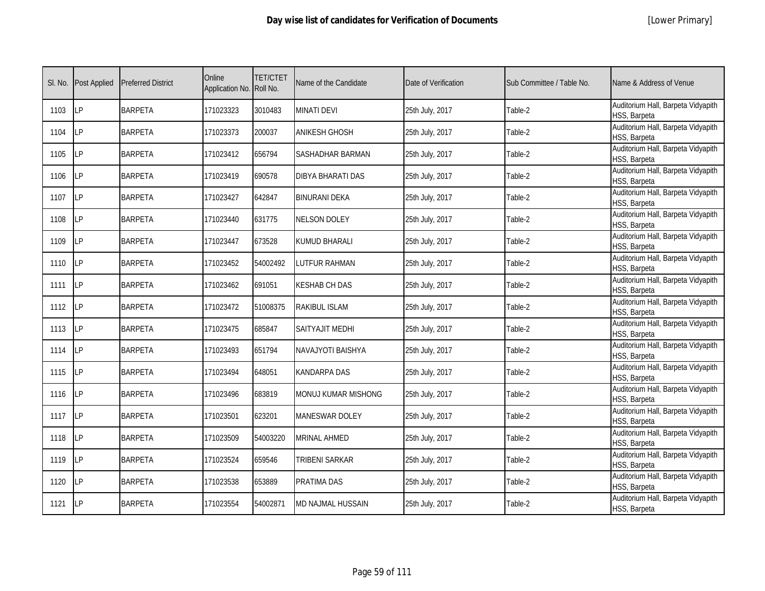|  | [Lower Primary] |
|--|-----------------|
|--|-----------------|

| SI. No. | <b>Post Applied</b> | <b>Preferred District</b> | Online<br>Application No. Roll No. | <b>TET/CTET</b> | Name of the Candidate    | Date of Verification | Sub Committee / Table No. | Name & Address of Venue                            |
|---------|---------------------|---------------------------|------------------------------------|-----------------|--------------------------|----------------------|---------------------------|----------------------------------------------------|
| 1103    | LP                  | <b>BARPETA</b>            | 171023323                          | 3010483         | <b>MINATI DEVI</b>       | 25th July, 2017      | Table-2                   | Auditorium Hall, Barpeta Vidyapith<br>HSS, Barpeta |
| 1104    | <b>ILP</b>          | <b>BARPETA</b>            | 171023373                          | 200037          | <b>ANIKESH GHOSH</b>     | 25th July, 2017      | Table-2                   | Auditorium Hall, Barpeta Vidyapith<br>HSS, Barpeta |
| 1105    | LP                  | <b>BARPETA</b>            | 171023412                          | 656794          | <b>SASHADHAR BARMAN</b>  | 25th July, 2017      | Table-2                   | Auditorium Hall, Barpeta Vidyapith<br>HSS, Barpeta |
| 1106    | LΡ                  | <b>BARPETA</b>            | 171023419                          | 690578          | <b>DIBYA BHARATI DAS</b> | 25th July, 2017      | Table-2                   | Auditorium Hall, Barpeta Vidyapith<br>HSS, Barpeta |
| 1107    | LP                  | <b>BARPETA</b>            | 171023427                          | 642847          | BINURANI DEKA            | 25th July, 2017      | Table-2                   | Auditorium Hall, Barpeta Vidyapith<br>HSS, Barpeta |
| 1108    | LP                  | <b>BARPETA</b>            | 171023440                          | 631775          | <b>NELSON DOLEY</b>      | 25th July, 2017      | Table-2                   | Auditorium Hall, Barpeta Vidyapith<br>HSS, Barpeta |
| 1109    | LP                  | <b>BARPETA</b>            | 171023447                          | 673528          | KUMUD BHARALI            | 25th July, 2017      | Table-2                   | Auditorium Hall, Barpeta Vidyapith<br>HSS, Barpeta |
| 1110    | <b>LP</b>           | <b>BARPETA</b>            | 171023452                          | 54002492        | LUTFUR RAHMAN            | 25th July, 2017      | Table-2                   | Auditorium Hall, Barpeta Vidyapith<br>HSS, Barpeta |
| 1111    | <b>LP</b>           | <b>BARPETA</b>            | 171023462                          | 691051          | <b>(ESHAB CH DAS</b>     | 25th July, 2017      | Table-2                   | Auditorium Hall, Barpeta Vidyapith<br>HSS, Barpeta |
| 1112    | LP                  | <b>BARPETA</b>            | 171023472                          | 51008375        | RAKIBUL ISLAM            | 25th July, 2017      | Table-2                   | Auditorium Hall, Barpeta Vidyapith<br>HSS, Barpeta |
| 1113    | <b>ILP</b>          | <b>BARPETA</b>            | 171023475                          | 685847          | <b>SAITYAJIT MEDHI</b>   | 25th July, 2017      | Table-2                   | Auditorium Hall, Barpeta Vidyapith<br>HSS, Barpeta |
| 1114    | <b>LP</b>           | <b>BARPETA</b>            | 171023493                          | 651794          | NAVAJYOTI BAISHYA        | 25th July, 2017      | Table-2                   | Auditorium Hall, Barpeta Vidyapith<br>HSS, Barpeta |
| 1115    | <b>LP</b>           | <b>BARPETA</b>            | 171023494                          | 648051          | KANDARPA DAS             | 25th July, 2017      | Table-2                   | Auditorium Hall, Barpeta Vidyapith<br>HSS, Barpeta |
| 1116    | <b>LP</b>           | <b>BARPETA</b>            | 171023496                          | 683819          | MONUJ KUMAR MISHONG      | 25th July, 2017      | Table-2                   | Auditorium Hall, Barpeta Vidyapith<br>HSS, Barpeta |
| 1117    | <b>LP</b>           | <b>BARPETA</b>            | 171023501                          | 623201          | <b>MANESWAR DOLEY</b>    | 25th July, 2017      | Table-2                   | Auditorium Hall, Barpeta Vidyapith<br>HSS, Barpeta |
| 1118    | LP                  | <b>BARPETA</b>            | 171023509                          | 54003220        | <b>MRINAL AHMED</b>      | 25th July, 2017      | Table-2                   | Auditorium Hall, Barpeta Vidyapith<br>HSS, Barpeta |
| 1119    | LP                  | <b>BARPETA</b>            | 171023524                          | 659546          | TRIBENI SARKAR           | 25th July, 2017      | Table-2                   | Auditorium Hall, Barpeta Vidyapith<br>HSS, Barpeta |
| 1120    | <b>LP</b>           | <b>BARPETA</b>            | 171023538                          | 653889          | PRATIMA DAS              | 25th July, 2017      | Table-2                   | Auditorium Hall, Barpeta Vidyapith<br>HSS, Barpeta |
| 1121    | <b>ILP</b>          | <b>BARPETA</b>            | 171023554                          | 54002871        | MD NAJMAL HUSSAIN        | 25th July, 2017      | Table-2                   | Auditorium Hall, Barpeta Vidyapith<br>HSS, Barpeta |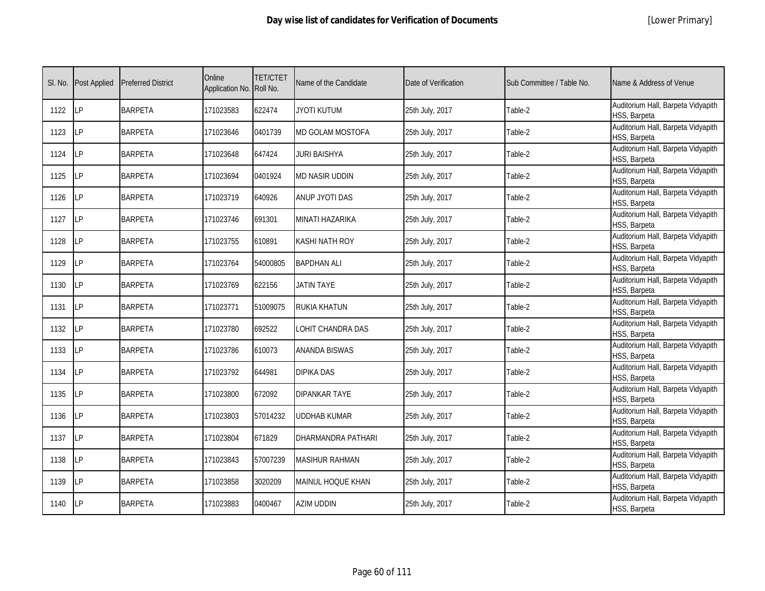|  | [Lower Primary] |
|--|-----------------|
|--|-----------------|

| SI. No. | <b>Post Applied</b> | <b>Preferred District</b> | Online<br>Application No. Roll No. | <b>TET/CTET</b> | Name of the Candidate | Date of Verification | Sub Committee / Table No. | Name & Address of Venue                            |
|---------|---------------------|---------------------------|------------------------------------|-----------------|-----------------------|----------------------|---------------------------|----------------------------------------------------|
| 1122    | LP                  | <b>BARPETA</b>            | 171023583                          | 622474          | <b>JYOTI KUTUM</b>    | 25th July, 2017      | Table-2                   | Auditorium Hall, Barpeta Vidyapith<br>HSS, Barpeta |
| 1123    | LP                  | <b>BARPETA</b>            | 171023646                          | 0401739         | MD GOLAM MOSTOFA      | 25th July, 2017      | Table-2                   | Auditorium Hall, Barpeta Vidyapith<br>HSS, Barpeta |
| 1124    | LP                  | <b>BARPETA</b>            | 171023648                          | 647424          | <b>JURI BAISHYA</b>   | 25th July, 2017      | Table-2                   | Auditorium Hall, Barpeta Vidyapith<br>HSS, Barpeta |
| 1125    | LP                  | <b>BARPETA</b>            | 171023694                          | 0401924         | MD NASIR UDDIN        | 25th July, 2017      | Table-2                   | Auditorium Hall, Barpeta Vidyapith<br>HSS, Barpeta |
| 1126    | LP                  | <b>BARPETA</b>            | 171023719                          | 640926          | ANUP JYOTI DAS        | 25th July, 2017      | Table-2                   | Auditorium Hall, Barpeta Vidyapith<br>HSS, Barpeta |
| 1127    | LP                  | <b>BARPETA</b>            | 171023746                          | 691301          | MINATI HAZARIKA       | 25th July, 2017      | Table-2                   | Auditorium Hall, Barpeta Vidyapith<br>HSS, Barpeta |
| 1128    | LP                  | <b>BARPETA</b>            | 171023755                          | 610891          | KASHI NATH ROY        | 25th July, 2017      | Table-2                   | Auditorium Hall, Barpeta Vidyapith<br>HSS, Barpeta |
| 1129    | LP                  | <b>BARPETA</b>            | 171023764                          | 54000805        | <b>BAPDHAN ALI</b>    | 25th July, 2017      | Table-2                   | Auditorium Hall, Barpeta Vidyapith<br>HSS, Barpeta |
| 1130    | <b>LP</b>           | <b>BARPETA</b>            | 171023769                          | 622156          | <b>JATIN TAYE</b>     | 25th July, 2017      | Table-2                   | Auditorium Hall, Barpeta Vidyapith<br>HSS, Barpeta |
| 1131    | LP                  | <b>BARPETA</b>            | 171023771                          | 51009075        | RUKIA KHATUN          | 25th July, 2017      | Table-2                   | Auditorium Hall, Barpeta Vidyapith<br>HSS, Barpeta |
| 1132    | LP                  | <b>BARPETA</b>            | 171023780                          | 692522          | LOHIT CHANDRA DAS     | 25th July, 2017      | Table-2                   | Auditorium Hall, Barpeta Vidyapith<br>HSS, Barpeta |
| 1133    | LP                  | <b>BARPETA</b>            | 171023786                          | 610073          | <b>ANANDA BISWAS</b>  | 25th July, 2017      | Table-2                   | Auditorium Hall, Barpeta Vidyapith<br>HSS, Barpeta |
| 1134    | LP                  | <b>BARPETA</b>            | 171023792                          | 644981          | <b>DIPIKA DAS</b>     | 25th July, 2017      | Table-2                   | Auditorium Hall, Barpeta Vidyapith<br>HSS, Barpeta |
| 1135    | LP                  | <b>BARPETA</b>            | 171023800                          | 672092          | DIPANKAR TAYE         | 25th July, 2017      | Table-2                   | Auditorium Hall, Barpeta Vidyapith<br>HSS, Barpeta |
| 1136    | LP                  | <b>BARPETA</b>            | 171023803                          | 57014232        | <b>UDDHAB KUMAR</b>   | 25th July, 2017      | Table-2                   | Auditorium Hall, Barpeta Vidyapith<br>HSS, Barpeta |
| 1137    | LP                  | <b>BARPETA</b>            | 171023804                          | 671829          | DHARMANDRA PATHARI    | 25th July, 2017      | Table-2                   | Auditorium Hall, Barpeta Vidyapith<br>HSS, Barpeta |
| 1138    | LP                  | <b>BARPETA</b>            | 171023843                          | 57007239        | MASIHUR RAHMAN        | 25th July, 2017      | Table-2                   | Auditorium Hall, Barpeta Vidyapith<br>HSS, Barpeta |
| 1139    | LP                  | <b>BARPETA</b>            | 171023858                          | 3020209         | MAINUL HOQUE KHAN     | 25th July, 2017      | Table-2                   | Auditorium Hall, Barpeta Vidyapith<br>HSS, Barpeta |
| 1140    | LP                  | <b>BARPETA</b>            | 171023883                          | 0400467         | AZIM UDDIN            | 25th July, 2017      | Table-2                   | Auditorium Hall, Barpeta Vidyapith<br>HSS, Barpeta |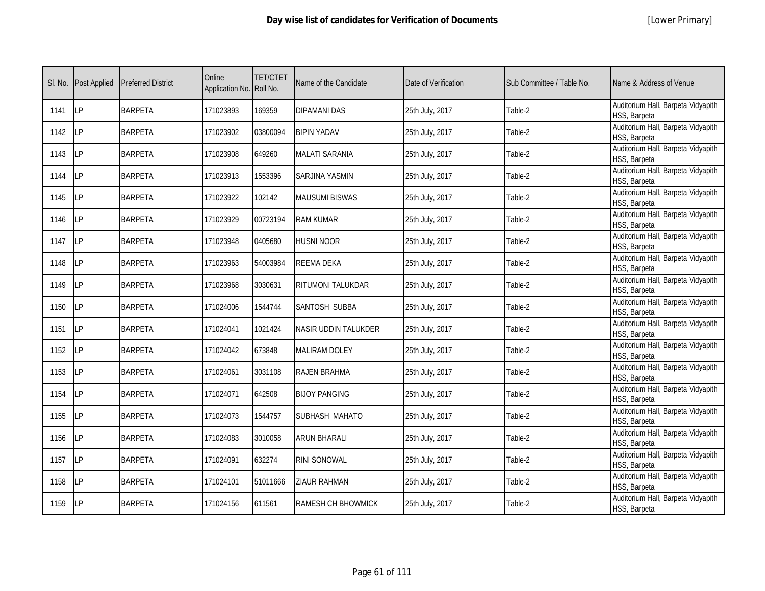| SI. No. | Post Applied | <b>Preferred District</b> | Online<br>Application No. Roll No. | <b>TET/CTET</b> | Name of the Candidate       | Date of Verification | Sub Committee / Table No. | Name & Address of Venue                            |
|---------|--------------|---------------------------|------------------------------------|-----------------|-----------------------------|----------------------|---------------------------|----------------------------------------------------|
| 1141    | LР           | <b>BARPETA</b>            | 171023893                          | 169359          | <b>DIPAMANI DAS</b>         | 25th July, 2017      | Table-2                   | Auditorium Hall, Barpeta Vidyapith<br>HSS, Barpeta |
| 1142    | LP           | <b>BARPETA</b>            | 171023902                          | 03800094        | <b>BIPIN YADAV</b>          | 25th July, 2017      | Table-2                   | Auditorium Hall, Barpeta Vidyapith<br>HSS, Barpeta |
| 1143    | LP           | <b>BARPETA</b>            | 171023908                          | 649260          | <b>MALATI SARANIA</b>       | 25th July, 2017      | Table-2                   | Auditorium Hall, Barpeta Vidyapith<br>HSS, Barpeta |
| 1144    | LP           | <b>BARPETA</b>            | 171023913                          | 1553396         | <b>SARJINA YASMIN</b>       | 25th July, 2017      | Table-2                   | Auditorium Hall, Barpeta Vidyapith<br>HSS, Barpeta |
| 1145    | LΡ           | <b>BARPETA</b>            | 171023922                          | 102142          | <b>MAUSUMI BISWAS</b>       | 25th July, 2017      | Table-2                   | Auditorium Hall, Barpeta Vidyapith<br>HSS, Barpeta |
| 1146    | LP           | <b>BARPETA</b>            | 171023929                          | 00723194        | <b>RAM KUMAR</b>            | 25th July, 2017      | Table-2                   | Auditorium Hall, Barpeta Vidyapith<br>HSS, Barpeta |
| 1147    | LP           | <b>BARPETA</b>            | 171023948                          | 0405680         | husni noor                  | 25th July, 2017      | Table-2                   | Auditorium Hall, Barpeta Vidyapith<br>HSS, Barpeta |
| 1148    | LP           | <b>BARPETA</b>            | 171023963                          | 54003984        | <b>REEMA DEKA</b>           | 25th July, 2017      | Table-2                   | Auditorium Hall, Barpeta Vidyapith<br>HSS, Barpeta |
| 1149    | LP           | <b>BARPETA</b>            | 171023968                          | 3030631         | <b>RITUMONI TALUKDAR</b>    | 25th July, 2017      | Table-2                   | Auditorium Hall, Barpeta Vidyapith<br>HSS, Barpeta |
| 1150    | LP           | <b>BARPETA</b>            | 171024006                          | 1544744         | SANTOSH SUBBA               | 25th July, 2017      | Table-2                   | Auditorium Hall, Barpeta Vidyapith<br>HSS, Barpeta |
| 1151    | LP           | <b>BARPETA</b>            | 171024041                          | 1021424         | <b>NASIR UDDIN TALUKDER</b> | 25th July, 2017      | Table-2                   | Auditorium Hall, Barpeta Vidyapith<br>HSS, Barpeta |
| 1152    | LP           | <b>BARPETA</b>            | 171024042                          | 673848          | <b>MALIRAM DOLEY</b>        | 25th July, 2017      | Table-2                   | Auditorium Hall, Barpeta Vidyapith<br>HSS, Barpeta |
| 1153    | LP           | <b>BARPETA</b>            | 171024061                          | 3031108         | <b>RAJEN BRAHMA</b>         | 25th July, 2017      | Table-2                   | Auditorium Hall, Barpeta Vidyapith<br>HSS, Barpeta |
| 1154    | LP           | <b>BARPETA</b>            | 171024071                          | 642508          | <b>BIJOY PANGING</b>        | 25th July, 2017      | Table-2                   | Auditorium Hall, Barpeta Vidyapith<br>HSS, Barpeta |
| 1155    | LP           | <b>BARPETA</b>            | 171024073                          | 1544757         | SUBHASH MAHATO              | 25th July, 2017      | Table-2                   | Auditorium Hall, Barpeta Vidyapith<br>HSS, Barpeta |
| 1156    | LP           | <b>BARPETA</b>            | 171024083                          | 3010058         | <b>ARUN BHARALI</b>         | 25th July, 2017      | Table-2                   | Auditorium Hall, Barpeta Vidyapith<br>HSS, Barpeta |
| 1157    | LP           | <b>BARPETA</b>            | 171024091                          | 632274          | <b>RINI SONOWAL</b>         | 25th July, 2017      | Table-2                   | Auditorium Hall, Barpeta Vidyapith<br>HSS, Barpeta |
| 1158    | LP           | <b>BARPETA</b>            | 171024101                          | 51011666        | <b>ZIAUR RAHMAN</b>         | 25th July, 2017      | Table-2                   | Auditorium Hall, Barpeta Vidyapith<br>HSS, Barpeta |
| 1159    | LP           | <b>BARPETA</b>            | 171024156                          | 611561          | <b>RAMESH CH BHOWMICK</b>   | 25th July, 2017      | Table-2                   | Auditorium Hall, Barpeta Vidyapith<br>HSS, Barpeta |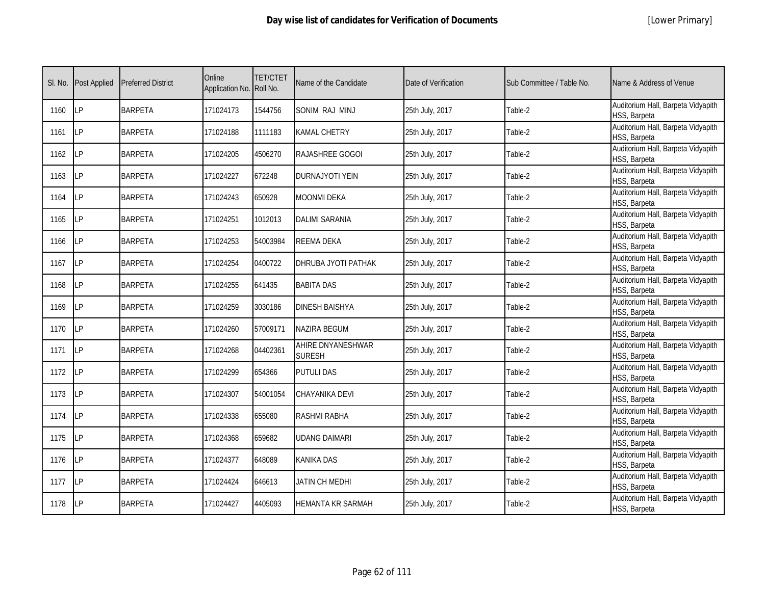|  | [Lower Primary] |
|--|-----------------|
|--|-----------------|

| SI. No. | <b>Post Applied</b> | <b>Preferred District</b> | Online<br>Application No. Roll No. | <b>TET/CTET</b> | Name of the Candidate              | Date of Verification | Sub Committee / Table No. | Name & Address of Venue                            |
|---------|---------------------|---------------------------|------------------------------------|-----------------|------------------------------------|----------------------|---------------------------|----------------------------------------------------|
| 1160    | LP                  | <b>BARPETA</b>            | 171024173                          | 1544756         | SONIM RAJ MINJ                     | 25th July, 2017      | Table-2                   | Auditorium Hall, Barpeta Vidyapith<br>HSS, Barpeta |
| 1161    | LP                  | <b>BARPETA</b>            | 171024188                          | 1111183         | KAMAL CHETRY                       | 25th July, 2017      | Table-2                   | Auditorium Hall, Barpeta Vidyapith<br>HSS, Barpeta |
| 1162    | LP                  | <b>BARPETA</b>            | 171024205                          | 4506270         | RAJASHREE GOGOI                    | 25th July, 2017      | Table-2                   | Auditorium Hall, Barpeta Vidyapith<br>HSS, Barpeta |
| 1163    | <b>LP</b>           | <b>BARPETA</b>            | 171024227                          | 672248          | DURNAJYOTI YEIN                    | 25th July, 2017      | Table-2                   | Auditorium Hall, Barpeta Vidyapith<br>HSS, Barpeta |
| 1164    | LP                  | <b>BARPETA</b>            | 171024243                          | 650928          | MOONMI DEKA                        | 25th July, 2017      | Table-2                   | Auditorium Hall, Barpeta Vidyapith<br>HSS, Barpeta |
| 1165    | LP                  | <b>BARPETA</b>            | 171024251                          | 1012013         | <b>DALIMI SARANIA</b>              | 25th July, 2017      | Table-2                   | Auditorium Hall, Barpeta Vidyapith<br>HSS, Barpeta |
| 1166    | LP                  | <b>BARPETA</b>            | 171024253                          | 54003984        | REEMA DEKA                         | 25th July, 2017      | Table-2                   | Auditorium Hall, Barpeta Vidyapith<br>HSS, Barpeta |
| 1167    | LP                  | <b>BARPETA</b>            | 171024254                          | 0400722         | DHRUBA JYOTI PATHAK                | 25th July, 2017      | Table-2                   | Auditorium Hall, Barpeta Vidyapith<br>HSS, Barpeta |
| 1168    | <b>LP</b>           | <b>BARPETA</b>            | 171024255                          | 641435          | <b>BABITA DAS</b>                  | 25th July, 2017      | Table-2                   | Auditorium Hall, Barpeta Vidyapith<br>HSS, Barpeta |
| 1169    | <b>LP</b>           | <b>BARPETA</b>            | 171024259                          | 3030186         | <b>DINESH BAISHYA</b>              | 25th July, 2017      | Table-2                   | Auditorium Hall, Barpeta Vidyapith<br>HSS, Barpeta |
| 1170    | LP                  | <b>BARPETA</b>            | 171024260                          | 57009171        | NAZIRA BEGUM                       | 25th July, 2017      | Table-2                   | Auditorium Hall, Barpeta Vidyapith<br>HSS, Barpeta |
| 1171    | LP                  | <b>BARPETA</b>            | 171024268                          | 04402361        | AHIRE DNYANESHWAR<br><b>SURESH</b> | 25th July, 2017      | Table-2                   | Auditorium Hall, Barpeta Vidyapith<br>HSS, Barpeta |
| 1172    | LP                  | <b>BARPETA</b>            | 171024299                          | 654366          | PUTULI DAS                         | 25th July, 2017      | Table-2                   | Auditorium Hall, Barpeta Vidyapith<br>HSS, Barpeta |
| 1173    | LP                  | <b>BARPETA</b>            | 171024307                          | 54001054        | CHAYANIKA DEVI                     | 25th July, 2017      | Table-2                   | Auditorium Hall, Barpeta Vidyapith<br>HSS, Barpeta |
| 1174    | LP                  | <b>BARPETA</b>            | 171024338                          | 655080          | RASHMI RABHA                       | 25th July, 2017      | Table-2                   | Auditorium Hall, Barpeta Vidyapith<br>HSS, Barpeta |
| 1175    | LP                  | <b>BARPETA</b>            | 171024368                          | 659682          | UDANG DAIMARI                      | 25th July, 2017      | Table-2                   | Auditorium Hall, Barpeta Vidyapith<br>HSS, Barpeta |
| 1176    | LP                  | <b>BARPETA</b>            | 171024377                          | 648089          | KANIKA DAS                         | 25th July, 2017      | Table-2                   | Auditorium Hall, Barpeta Vidyapith<br>HSS, Barpeta |
| 1177    | LP                  | <b>BARPETA</b>            | 171024424                          | 646613          | JATIN CH MEDHI                     | 25th July, 2017      | Table-2                   | Auditorium Hall, Barpeta Vidyapith<br>HSS, Barpeta |
| 1178    | LP                  | <b>BARPETA</b>            | 171024427                          | 4405093         | HEMANTA KR SARMAH                  | 25th July, 2017      | Table-2                   | Auditorium Hall, Barpeta Vidyapith<br>HSS, Barpeta |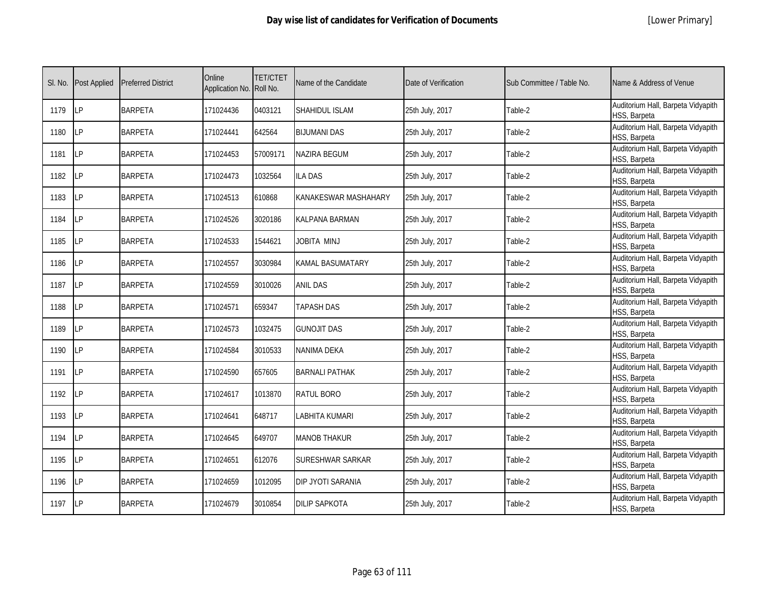|  | [Lower Primary] |
|--|-----------------|
|--|-----------------|

| SI. No. | Post Applied | <b>Preferred District</b> | Online<br>Application No. | <b>TET/CTET</b><br>Roll No. | Name of the Candidate | Date of Verification | Sub Committee / Table No. | Name & Address of Venue                            |
|---------|--------------|---------------------------|---------------------------|-----------------------------|-----------------------|----------------------|---------------------------|----------------------------------------------------|
| 1179    | <b>LP</b>    | <b>BARPETA</b>            | 171024436                 | 0403121                     | SHAHIDUL ISLAM        | 25th July, 2017      | Table-2                   | Auditorium Hall, Barpeta Vidyapith<br>HSS, Barpeta |
| 1180    | LP           | <b>BARPETA</b>            | 171024441                 | 642564                      | <b>BIJUMANI DAS</b>   | 25th July, 2017      | Table-2                   | Auditorium Hall, Barpeta Vidyapith<br>HSS, Barpeta |
| 1181    | LP           | <b>BARPETA</b>            | 171024453                 | 57009171                    | NAZIRA BEGUM          | 25th July, 2017      | Table-2                   | Auditorium Hall, Barpeta Vidyapith<br>HSS, Barpeta |
| 1182    | LP           | <b>BARPETA</b>            | 171024473                 | 1032564                     | <b>ILA DAS</b>        | 25th July, 2017      | Table-2                   | Auditorium Hall, Barpeta Vidyapith<br>HSS, Barpeta |
| 1183    | LP           | <b>BARPETA</b>            | 171024513                 | 610868                      | KANAKESWAR MASHAHARY  | 25th July, 2017      | Table-2                   | Auditorium Hall, Barpeta Vidyapith<br>HSS, Barpeta |
| 1184    | LP           | <b>BARPETA</b>            | 171024526                 | 3020186                     | KALPANA BARMAN        | 25th July, 2017      | Table-2                   | Auditorium Hall, Barpeta Vidyapith<br>HSS, Barpeta |
| 1185    | LP           | <b>BARPETA</b>            | 171024533                 | 1544621                     | JOBITA MINJ           | 25th July, 2017      | Table-2                   | Auditorium Hall, Barpeta Vidyapith<br>HSS, Barpeta |
| 1186    | LP           | <b>BARPETA</b>            | 171024557                 | 3030984                     | KAMAL BASUMATARY      | 25th July, 2017      | Table-2                   | Auditorium Hall, Barpeta Vidyapith<br>HSS, Barpeta |
| 1187    | LP           | <b>BARPETA</b>            | 171024559                 | 3010026                     | <b>ANIL DAS</b>       | 25th July, 2017      | Table-2                   | Auditorium Hall, Barpeta Vidyapith<br>HSS, Barpeta |
| 1188    | LP           | <b>BARPETA</b>            | 171024571                 | 659347                      | <b>TAPASH DAS</b>     | 25th July, 2017      | Table-2                   | Auditorium Hall, Barpeta Vidyapith<br>HSS, Barpeta |
| 1189    | LP           | <b>BARPETA</b>            | 171024573                 | 1032475                     | <b>GUNOJIT DAS</b>    | 25th July, 2017      | Table-2                   | Auditorium Hall, Barpeta Vidyapith<br>HSS, Barpeta |
| 1190    | <b>ILP</b>   | <b>BARPETA</b>            | 171024584                 | 3010533                     | NANIMA DEKA           | 25th July, 2017      | Table-2                   | Auditorium Hall, Barpeta Vidyapith<br>HSS, Barpeta |
| 1191    | <b>ILP</b>   | <b>BARPETA</b>            | 171024590                 | 657605                      | <b>BARNALI PATHAK</b> | 25th July, 2017      | Table-2                   | Auditorium Hall, Barpeta Vidyapith<br>HSS, Barpeta |
| 1192    | <b>ILP</b>   | <b>BARPETA</b>            | 171024617                 | 1013870                     | RATUL BORO            | 25th July, 2017      | Table-2                   | Auditorium Hall, Barpeta Vidyapith<br>HSS, Barpeta |
| 1193    | <b>LP</b>    | <b>BARPETA</b>            | 171024641                 | 648717                      | LABHITA KUMARI        | 25th July, 2017      | Table-2                   | Auditorium Hall, Barpeta Vidyapith<br>HSS, Barpeta |
| 1194    | <b>ILP</b>   | <b>BARPETA</b>            | 171024645                 | 649707                      | <b>MANOB THAKUR</b>   | 25th July, 2017      | Table-2                   | Auditorium Hall, Barpeta Vidyapith<br>HSS, Barpeta |
| 1195    | <b>LP</b>    | <b>BARPETA</b>            | 171024651                 | 612076                      | SURESHWAR SARKAR      | 25th July, 2017      | Table-2                   | Auditorium Hall, Barpeta Vidyapith<br>HSS, Barpeta |
| 1196    | <b>LP</b>    | <b>BARPETA</b>            | 171024659                 | 1012095                     | DIP JYOTI SARANIA     | 25th July, 2017      | Table-2                   | Auditorium Hall, Barpeta Vidyapith<br>HSS, Barpeta |
| 1197    | <b>ILP</b>   | <b>BARPETA</b>            | 171024679                 | 3010854                     | <b>DILIP SAPKOTA</b>  | 25th July, 2017      | Table-2                   | Auditorium Hall, Barpeta Vidyapith<br>HSS, Barpeta |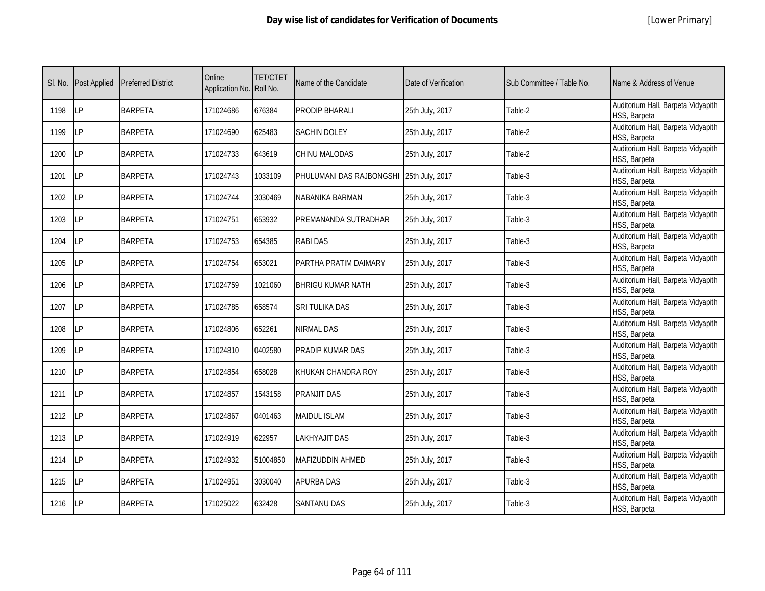|  | [Lower Primary] |
|--|-----------------|
|--|-----------------|

| SI. No. | <b>Post Applied</b> | <b>Preferred District</b> | Online<br>Application No. Roll No. | <b>TET/CTET</b> | Name of the Candidate                    | Date of Verification | Sub Committee / Table No. | Name & Address of Venue                            |
|---------|---------------------|---------------------------|------------------------------------|-----------------|------------------------------------------|----------------------|---------------------------|----------------------------------------------------|
| 1198    | <b>ILP</b>          | <b>BARPETA</b>            | 171024686                          | 676384          | PRODIP BHARALI                           | 25th July, 2017      | Table-2                   | Auditorium Hall, Barpeta Vidyapith<br>HSS, Barpeta |
| 1199    | <b>ILP</b>          | <b>BARPETA</b>            | 171024690                          | 625483          | <b>SACHIN DOLEY</b>                      | 25th July, 2017      | Table-2                   | Auditorium Hall, Barpeta Vidyapith<br>HSS, Barpeta |
| 1200    | LP                  | <b>BARPETA</b>            | 171024733                          | 643619          | CHINU MALODAS                            | 25th July, 2017      | Table-2                   | Auditorium Hall, Barpeta Vidyapith<br>HSS, Barpeta |
| 1201    | LP                  | <b>BARPETA</b>            | 171024743                          | 1033109         | PHULUMANI DAS RAJBONGSHI 25th July, 2017 |                      | Table-3                   | Auditorium Hall, Barpeta Vidyapith<br>HSS, Barpeta |
| 1202    | LP                  | <b>BARPETA</b>            | 171024744                          | 3030469         | NABANIKA BARMAN                          | 25th July, 2017      | Table-3                   | Auditorium Hall, Barpeta Vidyapith<br>HSS, Barpeta |
| 1203    | LP                  | <b>BARPETA</b>            | 171024751                          | 653932          | PREMANANDA SUTRADHAR                     | 25th July, 2017      | Table-3                   | Auditorium Hall, Barpeta Vidyapith<br>HSS, Barpeta |
| 1204    | LP                  | <b>BARPETA</b>            | 171024753                          | 654385          | <b>RABI DAS</b>                          | 25th July, 2017      | Table-3                   | Auditorium Hall, Barpeta Vidyapith<br>HSS, Barpeta |
| 1205    | <b>LP</b>           | <b>BARPETA</b>            | 171024754                          | 653021          | PARTHA PRATIM DAIMARY                    | 25th July, 2017      | Table-3                   | Auditorium Hall, Barpeta Vidyapith<br>HSS, Barpeta |
| 1206    | LΡ                  | <b>BARPETA</b>            | 171024759                          | 1021060         | <b>BHRIGU KUMAR NATH</b>                 | 25th July, 2017      | Table-3                   | Auditorium Hall, Barpeta Vidyapith<br>HSS, Barpeta |
| 1207    | <b>LP</b>           | <b>BARPETA</b>            | 171024785                          | 658574          | SRI TULIKA DAS                           | 25th July, 2017      | Table-3                   | Auditorium Hall, Barpeta Vidyapith<br>HSS, Barpeta |
| 1208    | <b>LP</b>           | <b>BARPETA</b>            | 171024806                          | 652261          | <b>NIRMAL DAS</b>                        | 25th July, 2017      | Table-3                   | Auditorium Hall, Barpeta Vidyapith<br>HSS, Barpeta |
| 1209    | <b>ILP</b>          | <b>BARPETA</b>            | 171024810                          | 0402580         | PRADIP KUMAR DAS                         | 25th July, 2017      | Table-3                   | Auditorium Hall, Barpeta Vidyapith<br>HSS, Barpeta |
| 1210    | <b>ILP</b>          | <b>BARPETA</b>            | 171024854                          | 658028          | KHUKAN CHANDRA ROY                       | 25th July, 2017      | Table-3                   | Auditorium Hall, Barpeta Vidyapith<br>HSS, Barpeta |
| 1211    | LP                  | <b>BARPETA</b>            | 171024857                          | 1543158         | PRANJIT DAS                              | 25th July, 2017      | Table-3                   | Auditorium Hall, Barpeta Vidyapith<br>HSS, Barpeta |
| 1212    | LP                  | <b>BARPETA</b>            | 171024867                          | 0401463         | <b>MAIDUL ISLAM</b>                      | 25th July, 2017      | Table-3                   | Auditorium Hall, Barpeta Vidyapith<br>HSS, Barpeta |
| 1213    | <b>ILP</b>          | <b>BARPETA</b>            | 171024919                          | 622957          | LAKHYAJIT DAS                            | 25th July, 2017      | Table-3                   | Auditorium Hall, Barpeta Vidyapith<br>HSS, Barpeta |
| 1214    | LP                  | <b>BARPETA</b>            | 171024932                          | 51004850        | MAFIZUDDIN AHMED                         | 25th July, 2017      | Table-3                   | Auditorium Hall, Barpeta Vidyapith<br>HSS, Barpeta |
| 1215    | LP                  | <b>BARPETA</b>            | 171024951                          | 3030040         | <b>APURBA DAS</b>                        | 25th July, 2017      | Table-3                   | Auditorium Hall, Barpeta Vidyapith<br>HSS, Barpeta |
| 1216    | <b>ILP</b>          | <b>BARPETA</b>            | 171025022                          | 632428          | <b>SANTANU DAS</b>                       | 25th July, 2017      | Table-3                   | Auditorium Hall, Barpeta Vidyapith<br>HSS, Barpeta |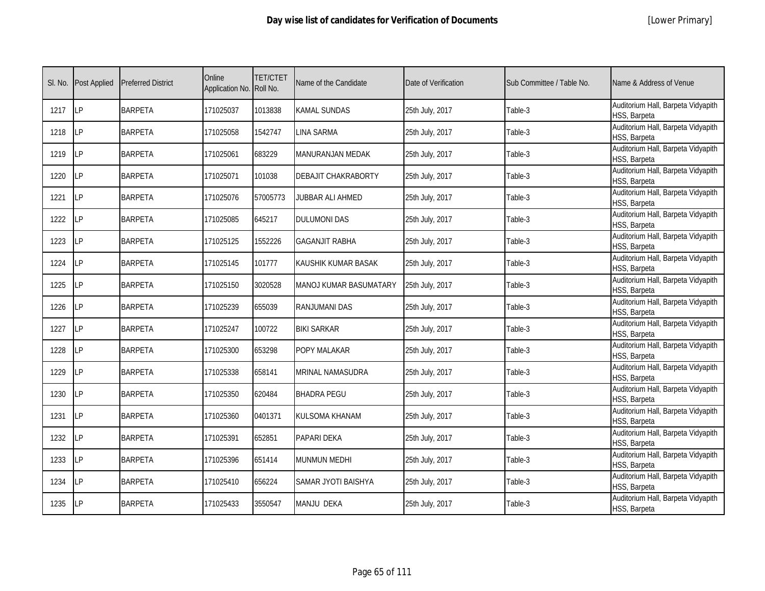|  | [Lower Primary] |
|--|-----------------|
|--|-----------------|

| SI. No. | <b>Post Applied</b> | <b>Preferred District</b> | Online<br>Application No. Roll No. | <b>TET/CTET</b> | Name of the Candidate  | Date of Verification | Sub Committee / Table No. | Name & Address of Venue                            |
|---------|---------------------|---------------------------|------------------------------------|-----------------|------------------------|----------------------|---------------------------|----------------------------------------------------|
| 1217    | LP                  | <b>BARPETA</b>            | 171025037                          | 1013838         | KAMAL SUNDAS           | 25th July, 2017      | Table-3                   | Auditorium Hall, Barpeta Vidyapith<br>HSS, Barpeta |
| 1218    | LP                  | <b>BARPETA</b>            | 171025058                          | 1542747         | LINA SARMA             | 25th July, 2017      | Table-3                   | Auditorium Hall, Barpeta Vidyapith<br>HSS, Barpeta |
| 1219    | LP                  | <b>BARPETA</b>            | 171025061                          | 683229          | MANURANJAN MEDAK       | 25th July, 2017      | Table-3                   | Auditorium Hall, Barpeta Vidyapith<br>HSS, Barpeta |
| 1220    | LP                  | <b>BARPETA</b>            | 171025071                          | 101038          | DEBAJIT CHAKRABORTY    | 25th July, 2017      | Table-3                   | Auditorium Hall, Barpeta Vidyapith<br>HSS, Barpeta |
| 1221    | LP                  | <b>BARPETA</b>            | 171025076                          | 57005773        | JUBBAR ALI AHMED       | 25th July, 2017      | Table-3                   | Auditorium Hall, Barpeta Vidyapith<br>HSS, Barpeta |
| 1222    | LP                  | <b>BARPETA</b>            | 171025085                          | 645217          | DULUMONI DAS           | 25th July, 2017      | Table-3                   | Auditorium Hall, Barpeta Vidyapith<br>HSS, Barpeta |
| 1223    | LP                  | <b>BARPETA</b>            | 171025125                          | 1552226         | <b>GAGANJIT RABHA</b>  | 25th July, 2017      | Table-3                   | Auditorium Hall, Barpeta Vidyapith<br>HSS, Barpeta |
| 1224    | <b>LP</b>           | <b>BARPETA</b>            | 171025145                          | 101777          | KAUSHIK KUMAR BASAK    | 25th July, 2017      | Table-3                   | Auditorium Hall, Barpeta Vidyapith<br>HSS, Barpeta |
| 1225    | LР                  | <b>BARPETA</b>            | 171025150                          | 3020528         | MANOJ KUMAR BASUMATARY | 25th July, 2017      | Table-3                   | Auditorium Hall, Barpeta Vidyapith<br>HSS, Barpeta |
| 1226    | LP                  | <b>BARPETA</b>            | 171025239                          | 655039          | RANJUMANI DAS          | 25th July, 2017      | Table-3                   | Auditorium Hall, Barpeta Vidyapith<br>HSS, Barpeta |
| 1227    | LP                  | <b>BARPETA</b>            | 171025247                          | 100722          | <b>BIKI SARKAR</b>     | 25th July, 2017      | Table-3                   | Auditorium Hall, Barpeta Vidyapith<br>HSS, Barpeta |
| 1228    | LP                  | <b>BARPETA</b>            | 171025300                          | 653298          | POPY MALAKAR           | 25th July, 2017      | Table-3                   | Auditorium Hall, Barpeta Vidyapith<br>HSS, Barpeta |
| 1229    | LP                  | <b>BARPETA</b>            | 171025338                          | 658141          | MRINAL NAMASUDRA       | 25th July, 2017      | Table-3                   | Auditorium Hall, Barpeta Vidyapith<br>HSS, Barpeta |
| 1230    | LP                  | <b>BARPETA</b>            | 171025350                          | 620484          | BHADRA PEGU            | 25th July, 2017      | Table-3                   | Auditorium Hall, Barpeta Vidyapith<br>HSS, Barpeta |
| 1231    | <b>LP</b>           | <b>BARPETA</b>            | 171025360                          | 0401371         | KULSOMA KHANAM         | 25th July, 2017      | Table-3                   | Auditorium Hall, Barpeta Vidyapith<br>HSS, Barpeta |
| 1232    | LP                  | <b>BARPETA</b>            | 171025391                          | 652851          | PAPARI DEKA            | 25th July, 2017      | Table-3                   | Auditorium Hall, Barpeta Vidyapith<br>HSS, Barpeta |
| 1233    | LP                  | <b>BARPETA</b>            | 171025396                          | 651414          | MUNMUN MEDHI           | 25th July, 2017      | Table-3                   | Auditorium Hall, Barpeta Vidyapith<br>HSS, Barpeta |
| 1234    | LP                  | <b>BARPETA</b>            | 171025410                          | 656224          | SAMAR JYOTI BAISHYA    | 25th July, 2017      | Table-3                   | Auditorium Hall, Barpeta Vidyapith<br>HSS, Barpeta |
| 1235    | LP                  | <b>BARPETA</b>            | 171025433                          | 3550547         | MANJU DEKA             | 25th July, 2017      | Table-3                   | Auditorium Hall, Barpeta Vidyapith<br>HSS, Barpeta |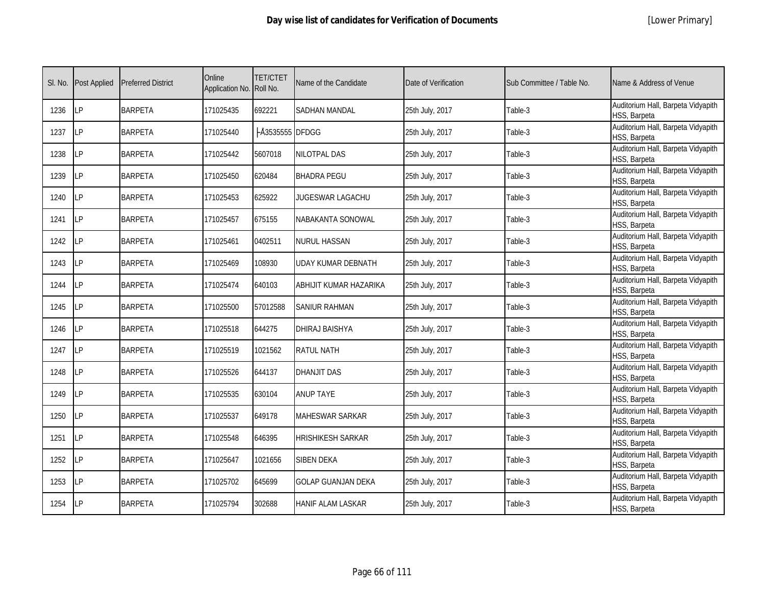|  | [Lower Primary] |
|--|-----------------|
|--|-----------------|

| SI. No. | <b>Post Applied</b> | <b>Preferred District</b> | Online<br>Application No. | <b>TET/CTET</b><br>Roll No. | Name of the Candidate     | Date of Verification | Sub Committee / Table No. | Name & Address of Venue                            |
|---------|---------------------|---------------------------|---------------------------|-----------------------------|---------------------------|----------------------|---------------------------|----------------------------------------------------|
| 1236    | LP                  | <b>BARPETA</b>            | 171025435                 | 692221                      | <b>SADHAN MANDAL</b>      | 25th July, 2017      | Table-3                   | Auditorium Hall, Barpeta Vidyapith<br>HSS, Barpeta |
| 1237    | LP                  | <b>BARPETA</b>            | 171025440                 | A3535555 DFDGG              |                           | 25th July, 2017      | Table-3                   | Auditorium Hall, Barpeta Vidyapith<br>HSS, Barpeta |
| 1238    | <b>LP</b>           | <b>BARPETA</b>            | 171025442                 | 5607018                     | NILOTPAL DAS              | 25th July, 2017      | Table-3                   | Auditorium Hall, Barpeta Vidyapith<br>HSS, Barpeta |
| 1239    | LΡ                  | <b>BARPETA</b>            | 171025450                 | 620484                      | <b>BHADRA PEGU</b>        | 25th July, 2017      | Table-3                   | Auditorium Hall, Barpeta Vidyapith<br>HSS, Barpeta |
| 1240    | LP                  | <b>BARPETA</b>            | 171025453                 | 625922                      | JUGESWAR LAGACHU          | 25th July, 2017      | Table-3                   | Auditorium Hall, Barpeta Vidyapith<br>HSS, Barpeta |
| 1241    | <b>LP</b>           | <b>BARPETA</b>            | 171025457                 | 675155                      | NABAKANTA SONOWAL         | 25th July, 2017      | Table-3                   | Auditorium Hall, Barpeta Vidyapith<br>HSS, Barpeta |
| 1242    | LP                  | <b>BARPETA</b>            | 171025461                 | 0402511                     | NURUL HASSAN              | 25th July, 2017      | Table-3                   | Auditorium Hall, Barpeta Vidyapith<br>HSS, Barpeta |
| 1243    | LP                  | <b>BARPETA</b>            | 171025469                 | 108930                      | UDAY KUMAR DEBNATH        | 25th July, 2017      | Table-3                   | Auditorium Hall, Barpeta Vidyapith<br>HSS, Barpeta |
| 1244    | LP                  | <b>BARPETA</b>            | 171025474                 | 640103                      | ABHIJIT KUMAR HAZARIKA    | 25th July, 2017      | Table-3                   | Auditorium Hall, Barpeta Vidyapith<br>HSS, Barpeta |
| 1245    | LP                  | <b>BARPETA</b>            | 171025500                 | 57012588                    | <b>SANIUR RAHMAN</b>      | 25th July, 2017      | Table-3                   | Auditorium Hall, Barpeta Vidyapith<br>HSS, Barpeta |
| 1246    | LP                  | <b>BARPETA</b>            | 171025518                 | 644275                      | DHIRAJ BAISHYA            | 25th July, 2017      | Table-3                   | Auditorium Hall, Barpeta Vidyapith<br>HSS, Barpeta |
| 1247    | <b>LP</b>           | <b>BARPETA</b>            | 171025519                 | 1021562                     | <b>RATUL NATH</b>         | 25th July, 2017      | Table-3                   | Auditorium Hall, Barpeta Vidyapith<br>HSS, Barpeta |
| 1248    | <b>LP</b>           | <b>BARPETA</b>            | 171025526                 | 644137                      | <b>DHANJIT DAS</b>        | 25th July, 2017      | Table-3                   | Auditorium Hall, Barpeta Vidyapith<br>HSS, Barpeta |
| 1249    | <b>LP</b>           | <b>BARPETA</b>            | 171025535                 | 630104                      | <b>ANUP TAYE</b>          | 25th July, 2017      | Table-3                   | Auditorium Hall, Barpeta Vidyapith<br>HSS, Barpeta |
| 1250    | <b>LP</b>           | <b>BARPETA</b>            | 171025537                 | 649178                      | MAHESWAR SARKAR           | 25th July, 2017      | Table-3                   | Auditorium Hall, Barpeta Vidyapith<br>HSS, Barpeta |
| 1251    | <b>ILP</b>          | <b>BARPETA</b>            | 171025548                 | 646395                      | <b>HRISHIKESH SARKAR</b>  | 25th July, 2017      | Table-3                   | Auditorium Hall, Barpeta Vidyapith<br>HSS, Barpeta |
| 1252    | LP                  | <b>BARPETA</b>            | 171025647                 | 1021656                     | <b>SIBEN DEKA</b>         | 25th July, 2017      | Table-3                   | Auditorium Hall, Barpeta Vidyapith<br>HSS, Barpeta |
| 1253    | LP                  | <b>BARPETA</b>            | 171025702                 | 645699                      | <b>GOLAP GUANJAN DEKA</b> | 25th July, 2017      | Table-3                   | Auditorium Hall, Barpeta Vidyapith<br>HSS, Barpeta |
| 1254    | <b>ILP</b>          | <b>BARPETA</b>            | 171025794                 | 302688                      | HANIF ALAM LASKAR         | 25th July, 2017      | Table-3                   | Auditorium Hall, Barpeta Vidyapith<br>HSS, Barpeta |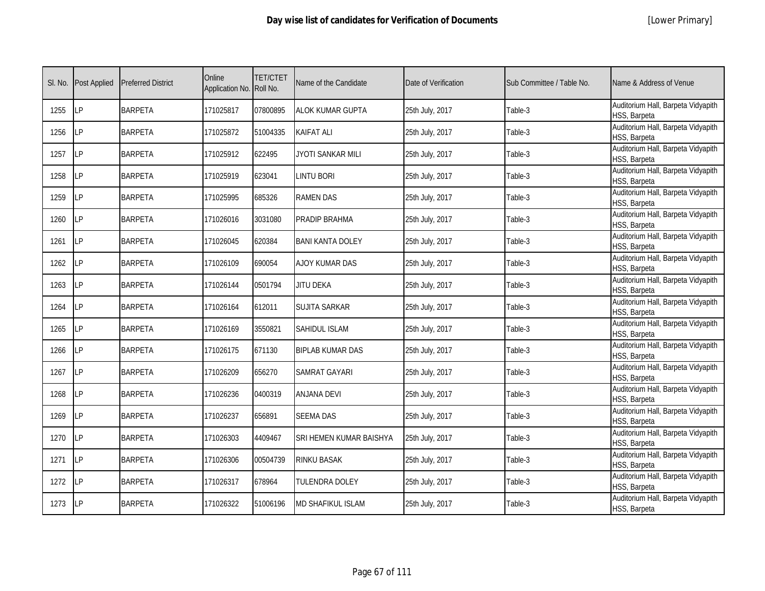|  | [Lower Primary] |
|--|-----------------|
|--|-----------------|

| SI. No. | <b>Post Applied</b> | <b>Preferred District</b> | Online<br>Application No. Roll No. | <b>TET/CTET</b> | Name of the Candidate   | Date of Verification | Sub Committee / Table No. | Name & Address of Venue                            |
|---------|---------------------|---------------------------|------------------------------------|-----------------|-------------------------|----------------------|---------------------------|----------------------------------------------------|
| 1255    | LP                  | <b>BARPETA</b>            | 171025817                          | 07800895        | <b>ALOK KUMAR GUPTA</b> | 25th July, 2017      | Table-3                   | Auditorium Hall, Barpeta Vidyapith<br>HSS, Barpeta |
| 1256    | <b>ILP</b>          | <b>BARPETA</b>            | 171025872                          | 51004335        | KAIFAT ALI              | 25th July, 2017      | Table-3                   | Auditorium Hall, Barpeta Vidyapith<br>HSS, Barpeta |
| 1257    | LP                  | <b>BARPETA</b>            | 171025912                          | 622495          | JYOTI SANKAR MILI       | 25th July, 2017      | Table-3                   | Auditorium Hall, Barpeta Vidyapith<br>HSS, Barpeta |
| 1258    | LΡ                  | <b>BARPETA</b>            | 171025919                          | 623041          | <b>LINTU BORI</b>       | 25th July, 2017      | Table-3                   | Auditorium Hall, Barpeta Vidyapith<br>HSS, Barpeta |
| 1259    | <b>LP</b>           | <b>BARPETA</b>            | 171025995                          | 685326          | <b>RAMEN DAS</b>        | 25th July, 2017      | Table-3                   | Auditorium Hall, Barpeta Vidyapith<br>HSS, Barpeta |
| 1260    | LP                  | <b>BARPETA</b>            | 171026016                          | 3031080         | PRADIP BRAHMA           | 25th July, 2017      | Table-3                   | Auditorium Hall, Barpeta Vidyapith<br>HSS, Barpeta |
| 1261    | LP                  | <b>BARPETA</b>            | 171026045                          | 620384          | <b>BANI KANTA DOLEY</b> | 25th July, 2017      | Table-3                   | Auditorium Hall, Barpeta Vidyapith<br>HSS, Barpeta |
| 1262    | <b>LP</b>           | <b>BARPETA</b>            | 171026109                          | 690054          | AJOY KUMAR DAS          | 25th July, 2017      | Table-3                   | Auditorium Hall, Barpeta Vidyapith<br>HSS, Barpeta |
| 1263    | LP                  | <b>BARPETA</b>            | 171026144                          | 0501794         | JITU DEKA               | 25th July, 2017      | Table-3                   | Auditorium Hall, Barpeta Vidyapith<br>HSS, Barpeta |
| 1264    | LP                  | <b>BARPETA</b>            | 171026164                          | 612011          | SUJITA SARKAR           | 25th July, 2017      | Table-3                   | Auditorium Hall, Barpeta Vidyapith<br>HSS, Barpeta |
| 1265    | LP                  | <b>BARPETA</b>            | 171026169                          | 3550821         | SAHIDUL ISLAM           | 25th July, 2017      | Table-3                   | Auditorium Hall, Barpeta Vidyapith<br>HSS, Barpeta |
| 1266    | <b>LP</b>           | <b>BARPETA</b>            | 171026175                          | 671130          | <b>BIPLAB KUMAR DAS</b> | 25th July, 2017      | Table-3                   | Auditorium Hall, Barpeta Vidyapith<br>HSS, Barpeta |
| 1267    | LP                  | <b>BARPETA</b>            | 171026209                          | 656270          | SAMRAT GAYARI           | 25th July, 2017      | Table-3                   | Auditorium Hall, Barpeta Vidyapith<br>HSS, Barpeta |
| 1268    | <b>LP</b>           | <b>BARPETA</b>            | 171026236                          | 0400319         | ANJANA DEVI             | 25th July, 2017      | Table-3                   | Auditorium Hall, Barpeta Vidyapith<br>HSS, Barpeta |
| 1269    | LP                  | <b>BARPETA</b>            | 171026237                          | 656891          | <b>SEEMA DAS</b>        | 25th July, 2017      | Table-3                   | Auditorium Hall, Barpeta Vidyapith<br>HSS, Barpeta |
| 1270    | <b>LP</b>           | <b>BARPETA</b>            | 171026303                          | 4409467         | SRI HEMEN KUMAR BAISHYA | 25th July, 2017      | Table-3                   | Auditorium Hall, Barpeta Vidyapith<br>HSS, Barpeta |
| 1271    | <b>LP</b>           | <b>BARPETA</b>            | 171026306                          | 00504739        | RINKU BASAK             | 25th July, 2017      | Table-3                   | Auditorium Hall, Barpeta Vidyapith<br>HSS, Barpeta |
| 1272    | <b>LP</b>           | <b>BARPETA</b>            | 171026317                          | 678964          | <b>TULENDRA DOLEY</b>   | 25th July, 2017      | Table-3                   | Auditorium Hall, Barpeta Vidyapith<br>HSS, Barpeta |
| 1273    | <b>ILP</b>          | <b>BARPETA</b>            | 171026322                          | 51006196        | MD SHAFIKUL ISLAM       | 25th July, 2017      | Table-3                   | Auditorium Hall, Barpeta Vidyapith<br>HSS, Barpeta |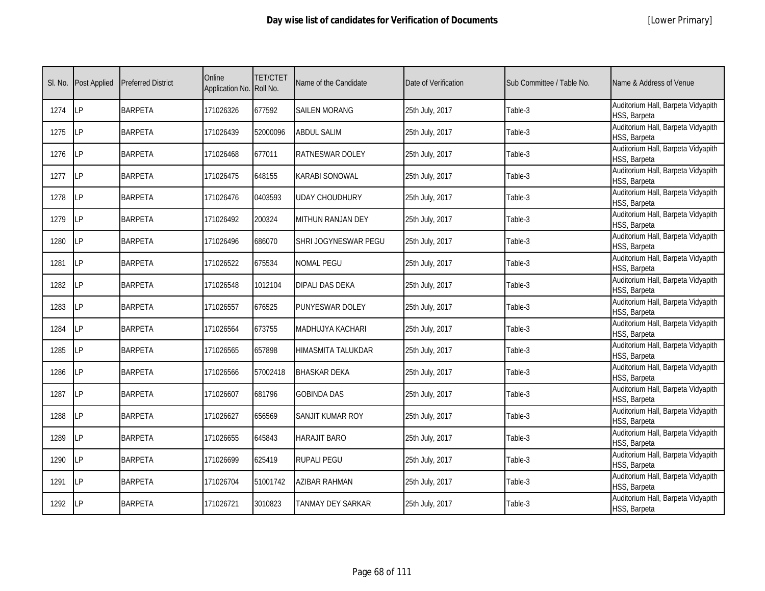| SI. No. | <b>Post Applied</b> | <b>Preferred District</b> | Online<br>Application No. | <b>TET/CTET</b><br>Roll No. | Name of the Candidate | Date of Verification | Sub Committee / Table No. | Name & Address of Venue                            |
|---------|---------------------|---------------------------|---------------------------|-----------------------------|-----------------------|----------------------|---------------------------|----------------------------------------------------|
| 1274    | LP                  | <b>BARPETA</b>            | 171026326                 | 677592                      | <b>SAILEN MORANG</b>  | 25th July, 2017      | Table-3                   | Auditorium Hall, Barpeta Vidyapith<br>HSS, Barpeta |
| 1275    | <b>LP</b>           | <b>BARPETA</b>            | 171026439                 | 52000096                    | <b>ABDUL SALIM</b>    | 25th July, 2017      | Table-3                   | Auditorium Hall, Barpeta Vidyapith<br>HSS, Barpeta |
| 1276    | LP                  | <b>BARPETA</b>            | 171026468                 | 677011                      | RATNESWAR DOLEY       | 25th July, 2017      | Table-3                   | Auditorium Hall, Barpeta Vidyapith<br>HSS, Barpeta |
| 1277    | LP                  | <b>BARPETA</b>            | 171026475                 | 648155                      | KARABI SONOWAL        | 25th July, 2017      | Table-3                   | Auditorium Hall, Barpeta Vidyapith<br>HSS, Barpeta |
| 1278    | LP                  | <b>BARPETA</b>            | 171026476                 | 0403593                     | UDAY CHOUDHURY        | 25th July, 2017      | Table-3                   | Auditorium Hall, Barpeta Vidyapith<br>HSS, Barpeta |
| 1279    | LP                  | <b>BARPETA</b>            | 171026492                 | 200324                      | MITHUN RANJAN DEY     | 25th July, 2017      | Table-3                   | Auditorium Hall, Barpeta Vidyapith<br>HSS, Barpeta |
| 1280    | LP                  | <b>BARPETA</b>            | 171026496                 | 686070                      | SHRI JOGYNESWAR PEGU  | 25th July, 2017      | Table-3                   | Auditorium Hall, Barpeta Vidyapith<br>HSS, Barpeta |
| 1281    | LP                  | <b>BARPETA</b>            | 171026522                 | 675534                      | <b>JOMAL PEGU</b>     | 25th July, 2017      | Table-3                   | Auditorium Hall, Barpeta Vidyapith<br>HSS, Barpeta |
| 1282    | LP                  | <b>BARPETA</b>            | 171026548                 | 1012104                     | DIPALI DAS DEKA       | 25th July, 2017      | Table-3                   | Auditorium Hall, Barpeta Vidyapith<br>HSS, Barpeta |
| 1283    | LP                  | <b>BARPETA</b>            | 171026557                 | 676525                      | PUNYESWAR DOLEY       | 25th July, 2017      | Table-3                   | Auditorium Hall, Barpeta Vidyapith<br>HSS, Barpeta |
| 1284    | LP                  | <b>BARPETA</b>            | 171026564                 | 673755                      | MADHUJYA KACHARI      | 25th July, 2017      | Table-3                   | Auditorium Hall, Barpeta Vidyapith<br>HSS, Barpeta |
| 1285    | LP                  | <b>BARPETA</b>            | 171026565                 | 657898                      | HIMASMITA TALUKDAR    | 25th July, 2017      | Table-3                   | Auditorium Hall, Barpeta Vidyapith<br>HSS, Barpeta |
| 1286    | LP                  | <b>BARPETA</b>            | 171026566                 | 57002418                    | <b>BHASKAR DEKA</b>   | 25th July, 2017      | Table-3                   | Auditorium Hall, Barpeta Vidyapith<br>HSS, Barpeta |
| 1287    | LP                  | <b>BARPETA</b>            | 171026607                 | 681796                      | <b>GOBINDA DAS</b>    | 25th July, 2017      | Table-3                   | Auditorium Hall, Barpeta Vidyapith<br>HSS, Barpeta |
| 1288    | <b>LP</b>           | <b>BARPETA</b>            | 171026627                 | 656569                      | SANJIT KUMAR ROY      | 25th July, 2017      | Table-3                   | Auditorium Hall, Barpeta Vidyapith<br>HSS, Barpeta |
| 1289    | <b>LP</b>           | <b>BARPETA</b>            | 171026655                 | 645843                      | HARAJIT BARO          | 25th July, 2017      | Table-3                   | Auditorium Hall, Barpeta Vidyapith<br>HSS, Barpeta |
| 1290    | LP                  | <b>BARPETA</b>            | 171026699                 | 625419                      | RUPALI PEGU           | 25th July, 2017      | Table-3                   | Auditorium Hall, Barpeta Vidyapith<br>HSS, Barpeta |
| 1291    | LP                  | <b>BARPETA</b>            | 171026704                 | 51001742                    | AZIBAR RAHMAN         | 25th July, 2017      | Table-3                   | Auditorium Hall, Barpeta Vidyapith<br>HSS, Barpeta |
| 1292    | LP                  | <b>BARPETA</b>            | 171026721                 | 3010823                     | TANMAY DEY SARKAR     | 25th July, 2017      | Table-3                   | Auditorium Hall, Barpeta Vidyapith<br>HSS, Barpeta |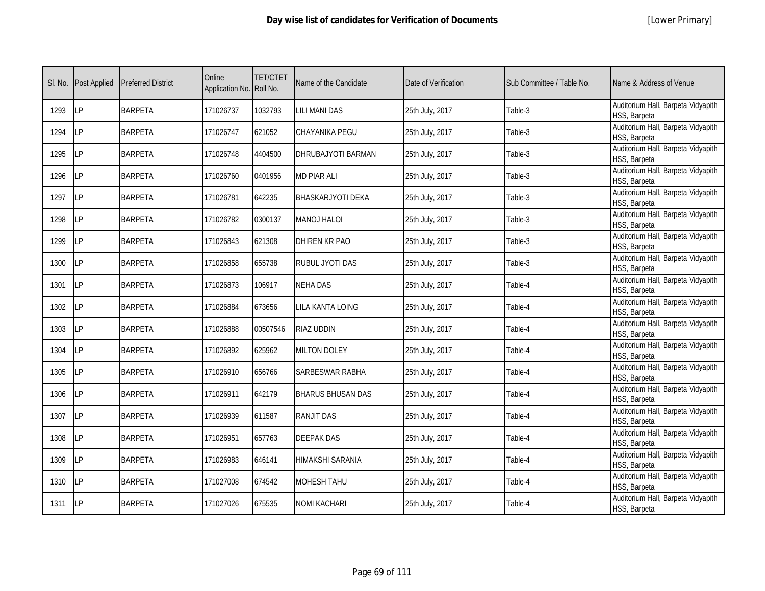|  | [Lower Primary] |
|--|-----------------|
|--|-----------------|

| SI. No. | <b>Post Applied</b> | <b>Preferred District</b> | Online<br>Application No. | <b>TET/CTET</b><br>Roll No. | Name of the Candidate    | Date of Verification | Sub Committee / Table No. | Name & Address of Venue                            |
|---------|---------------------|---------------------------|---------------------------|-----------------------------|--------------------------|----------------------|---------------------------|----------------------------------------------------|
| 1293    | LP                  | <b>BARPETA</b>            | 171026737                 | 1032793                     | <b>LILI MANI DAS</b>     | 25th July, 2017      | Table-3                   | Auditorium Hall, Barpeta Vidyapith<br>HSS, Barpeta |
| 1294    | <b>ILP</b>          | <b>BARPETA</b>            | 171026747                 | 621052                      | CHAYANIKA PEGU           | 25th July, 2017      | Table-3                   | Auditorium Hall, Barpeta Vidyapith<br>HSS, Barpeta |
| 1295    | LP                  | <b>BARPETA</b>            | 171026748                 | 4404500                     | DHRUBAJYOTI BARMAN       | 25th July, 2017      | Table-3                   | Auditorium Hall, Barpeta Vidyapith<br>HSS, Barpeta |
| 1296    | LP                  | <b>BARPETA</b>            | 171026760                 | 0401956                     | <b>MD PIAR ALI</b>       | 25th July, 2017      | Table-3                   | Auditorium Hall, Barpeta Vidyapith<br>HSS, Barpeta |
| 1297    | <b>LP</b>           | <b>BARPETA</b>            | 171026781                 | 642235                      | <b>BHASKARJYOTI DEKA</b> | 25th July, 2017      | Table-3                   | Auditorium Hall, Barpeta Vidyapith<br>HSS, Barpeta |
| 1298    | LP                  | <b>BARPETA</b>            | 171026782                 | 0300137                     | <b>MANOJ HALOI</b>       | 25th July, 2017      | Table-3                   | Auditorium Hall, Barpeta Vidyapith<br>HSS, Barpeta |
| 1299    | <b>LP</b>           | <b>BARPETA</b>            | 171026843                 | 621308                      | DHIREN KR PAO            | 25th July, 2017      | Table-3                   | Auditorium Hall, Barpeta Vidyapith<br>HSS, Barpeta |
| 1300    | <b>LP</b>           | <b>BARPETA</b>            | 171026858                 | 655738                      | RUBUL JYOTI DAS          | 25th July, 2017      | Table-3                   | Auditorium Hall, Barpeta Vidyapith<br>HSS, Barpeta |
| 1301    | LP                  | <b>BARPETA</b>            | 171026873                 | 106917                      | NEHA DAS                 | 25th July, 2017      | Table-4                   | Auditorium Hall, Barpeta Vidyapith<br>HSS, Barpeta |
| 1302    | LP                  | <b>BARPETA</b>            | 171026884                 | 673656                      | LILA KANTA LOING         | 25th July, 2017      | Table-4                   | Auditorium Hall, Barpeta Vidyapith<br>HSS, Barpeta |
| 1303    | LP                  | <b>BARPETA</b>            | 171026888                 | 00507546                    | RIAZ UDDIN               | 25th July, 2017      | Table-4                   | Auditorium Hall, Barpeta Vidyapith<br>HSS, Barpeta |
| 1304    | LP                  | <b>BARPETA</b>            | 171026892                 | 625962                      | <b>MILTON DOLEY</b>      | 25th July, 2017      | Table-4                   | Auditorium Hall, Barpeta Vidyapith<br>HSS, Barpeta |
| 1305    | <b>LP</b>           | <b>BARPETA</b>            | 171026910                 | 656766                      | SARBESWAR RABHA          | 25th July, 2017      | Table-4                   | Auditorium Hall, Barpeta Vidyapith<br>HSS, Barpeta |
| 1306    | LP                  | <b>BARPETA</b>            | 171026911                 | 642179                      | <b>BHARUS BHUSAN DAS</b> | 25th July, 2017      | Table-4                   | Auditorium Hall, Barpeta Vidyapith<br>HSS, Barpeta |
| 1307    | LP                  | <b>BARPETA</b>            | 171026939                 | 611587                      | RANJIT DAS               | 25th July, 2017      | Table-4                   | Auditorium Hall, Barpeta Vidyapith<br>HSS, Barpeta |
| 1308    | LP                  | <b>BARPETA</b>            | 171026951                 | 657763                      | <b>DEEPAK DAS</b>        | 25th July, 2017      | Table-4                   | Auditorium Hall, Barpeta Vidyapith<br>HSS, Barpeta |
| 1309    | LP                  | <b>BARPETA</b>            | 171026983                 | 646141                      | HIMAKSHI SARANIA         | 25th July, 2017      | Table-4                   | Auditorium Hall, Barpeta Vidyapith<br>HSS, Barpeta |
| 1310    | LP                  | <b>BARPETA</b>            | 171027008                 | 674542                      | <b>MOHESH TAHU</b>       | 25th July, 2017      | Table-4                   | Auditorium Hall, Barpeta Vidyapith<br>HSS, Barpeta |
| 1311    | <b>ILP</b>          | <b>BARPETA</b>            | 171027026                 | 675535                      | <b>VOMI KACHARI</b>      | 25th July, 2017      | Table-4                   | Auditorium Hall, Barpeta Vidyapith<br>HSS, Barpeta |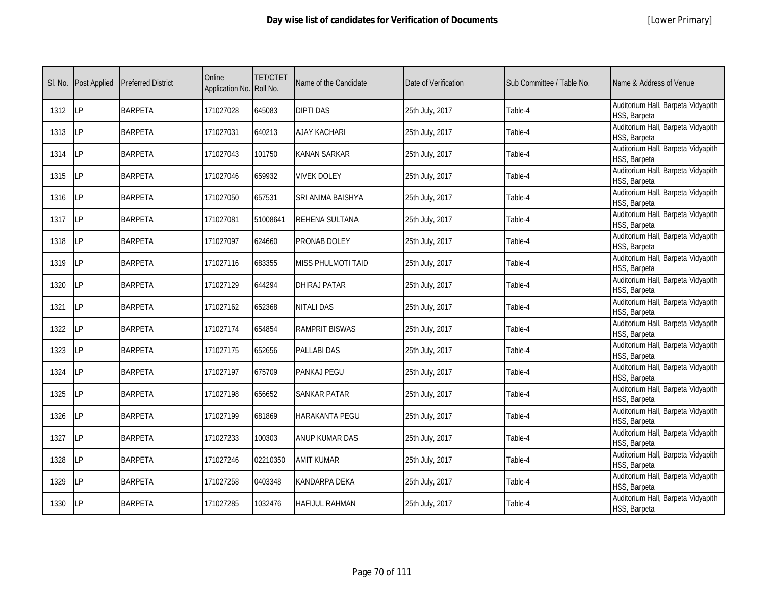|  | [Lower Primary] |
|--|-----------------|
|--|-----------------|

| SI. No. | <b>Post Applied</b> | <b>Preferred District</b> | Online<br>Application No. | <b>TET/CTET</b><br>Roll No. | Name of the Candidate     | Date of Verification | Sub Committee / Table No. | Name & Address of Venue                            |
|---------|---------------------|---------------------------|---------------------------|-----------------------------|---------------------------|----------------------|---------------------------|----------------------------------------------------|
| 1312    | <b>LP</b>           | <b>BARPETA</b>            | 171027028                 | 645083                      | <b>DIPTI DAS</b>          | 25th July, 2017      | Table-4                   | Auditorium Hall, Barpeta Vidyapith<br>HSS, Barpeta |
| 1313    | LP                  | <b>BARPETA</b>            | 171027031                 | 640213                      | <b>AJAY KACHARI</b>       | 25th July, 2017      | Table-4                   | Auditorium Hall, Barpeta Vidyapith<br>HSS, Barpeta |
| 1314    | LP                  | <b>BARPETA</b>            | 171027043                 | 101750                      | KANAN SARKAR              | 25th July, 2017      | Table-4                   | Auditorium Hall, Barpeta Vidyapith<br>HSS, Barpeta |
| 1315    | LP                  | <b>BARPETA</b>            | 171027046                 | 659932                      | <b>VIVEK DOLEY</b>        | 25th July, 2017      | Table-4                   | Auditorium Hall, Barpeta Vidyapith<br>HSS, Barpeta |
| 1316    | LP                  | <b>BARPETA</b>            | 171027050                 | 657531                      | SRI ANIMA BAISHYA         | 25th July, 2017      | Table-4                   | Auditorium Hall, Barpeta Vidyapith<br>HSS, Barpeta |
| 1317    | LP                  | <b>BARPETA</b>            | 171027081                 | 51008641                    | REHENA SULTANA            | 25th July, 2017      | Table-4                   | Auditorium Hall, Barpeta Vidyapith<br>HSS, Barpeta |
| 1318    | LP                  | <b>BARPETA</b>            | 171027097                 | 624660                      | PRONAB DOLEY              | 25th July, 2017      | Table-4                   | Auditorium Hall, Barpeta Vidyapith<br>HSS, Barpeta |
| 1319    | LP                  | <b>BARPETA</b>            | 171027116                 | 683355                      | <b>MISS PHULMOTI TAID</b> | 25th July, 2017      | Table-4                   | Auditorium Hall, Barpeta Vidyapith<br>HSS, Barpeta |
| 1320    | LP                  | <b>BARPETA</b>            | 171027129                 | 644294                      | <b>DHIRAJ PATAR</b>       | 25th July, 2017      | Table-4                   | Auditorium Hall, Barpeta Vidyapith<br>HSS, Barpeta |
| 1321    | <b>LP</b>           | <b>BARPETA</b>            | 171027162                 | 652368                      | <b>NITALI DAS</b>         | 25th July, 2017      | Table-4                   | Auditorium Hall, Barpeta Vidyapith<br>HSS, Barpeta |
| 1322    | LP                  | <b>BARPETA</b>            | 171027174                 | 654854                      | <b>RAMPRIT BISWAS</b>     | 25th July, 2017      | Table-4                   | Auditorium Hall, Barpeta Vidyapith<br>HSS, Barpeta |
| 1323    | LP                  | <b>BARPETA</b>            | 171027175                 | 652656                      | <b>PALLABI DAS</b>        | 25th July, 2017      | Table-4                   | Auditorium Hall, Barpeta Vidyapith<br>HSS, Barpeta |
| 1324    | <b>LP</b>           | <b>BARPETA</b>            | 171027197                 | 675709                      | PANKAJ PEGU               | 25th July, 2017      | Table-4                   | Auditorium Hall, Barpeta Vidyapith<br>HSS, Barpeta |
| 1325    | LP                  | <b>BARPETA</b>            | 171027198                 | 656652                      | <b>SANKAR PATAR</b>       | 25th July, 2017      | Table-4                   | Auditorium Hall, Barpeta Vidyapith<br>HSS, Barpeta |
| 1326    | LP                  | <b>BARPETA</b>            | 171027199                 | 681869                      | HARAKANTA PEGU            | 25th July, 2017      | Table-4                   | Auditorium Hall, Barpeta Vidyapith<br>HSS, Barpeta |
| 1327    | LP                  | <b>BARPETA</b>            | 171027233                 | 100303                      | <b>ANUP KUMAR DAS</b>     | 25th July, 2017      | Table-4                   | Auditorium Hall, Barpeta Vidyapith<br>HSS, Barpeta |
| 1328    | LP                  | <b>BARPETA</b>            | 171027246                 | 02210350                    | <b>AMIT KUMAR</b>         | 25th July, 2017      | Table-4                   | Auditorium Hall, Barpeta Vidyapith<br>HSS, Barpeta |
| 1329    | LP                  | <b>BARPETA</b>            | 171027258                 | 0403348                     | KANDARPA DEKA             | 25th July, 2017      | Table-4                   | Auditorium Hall, Barpeta Vidyapith<br>HSS, Barpeta |
| 1330    | <b>LP</b>           | <b>BARPETA</b>            | 171027285                 | 1032476                     | HAFIJUL RAHMAN            | 25th July, 2017      | Table-4                   | Auditorium Hall, Barpeta Vidyapith<br>HSS, Barpeta |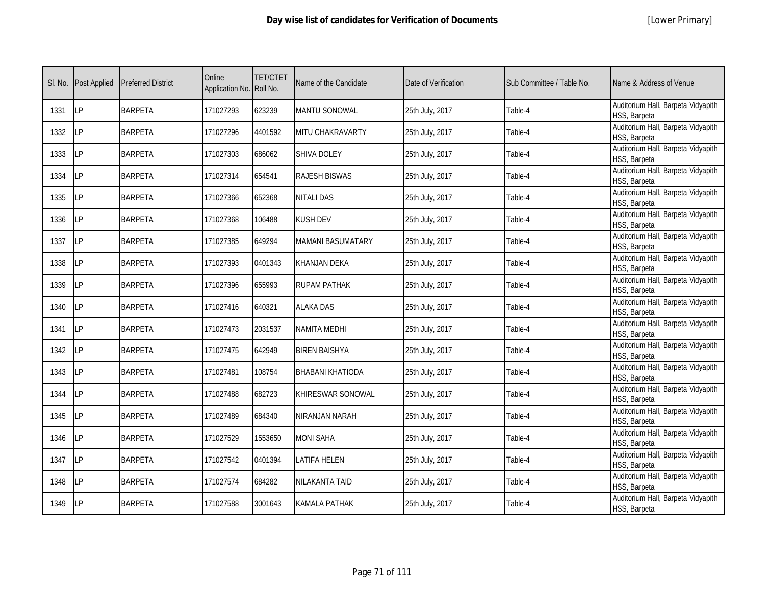|  | [Lower Primary] |
|--|-----------------|
|--|-----------------|

| SI. No. | <b>Post Applied</b> | <b>Preferred District</b> | Online<br>Application No. Roll No. | <b>TET/CTET</b> | Name of the Candidate   | Date of Verification | Sub Committee / Table No. | Name & Address of Venue                            |
|---------|---------------------|---------------------------|------------------------------------|-----------------|-------------------------|----------------------|---------------------------|----------------------------------------------------|
| 1331    | <b>LP</b>           | <b>BARPETA</b>            | 171027293                          | 623239          | <b>MANTU SONOWAL</b>    | 25th July, 2017      | Table-4                   | Auditorium Hall, Barpeta Vidyapith<br>HSS, Barpeta |
| 1332    | <b>ILP</b>          | <b>BARPETA</b>            | 171027296                          | 4401592         | MITU CHAKRAVARTY        | 25th July, 2017      | Table-4                   | Auditorium Hall, Barpeta Vidyapith<br>HSS, Barpeta |
| 1333    | LP                  | <b>BARPETA</b>            | 171027303                          | 686062          | <b>SHIVA DOLEY</b>      | 25th July, 2017      | Table-4                   | Auditorium Hall, Barpeta Vidyapith<br>HSS, Barpeta |
| 1334    | LP                  | <b>BARPETA</b>            | 171027314                          | 654541          | <b>RAJESH BISWAS</b>    | 25th July, 2017      | Table-4                   | Auditorium Hall, Barpeta Vidyapith<br>HSS, Barpeta |
| 1335    | <b>ILP</b>          | <b>BARPETA</b>            | 171027366                          | 652368          | <b>NITALI DAS</b>       | 25th July, 2017      | Table-4                   | Auditorium Hall, Barpeta Vidyapith<br>HSS, Barpeta |
| 1336    | <b>LP</b>           | <b>BARPETA</b>            | 171027368                          | 106488          | <b>KUSH DEV</b>         | 25th July, 2017      | Table-4                   | Auditorium Hall, Barpeta Vidyapith<br>HSS, Barpeta |
| 1337    | LP                  | <b>BARPETA</b>            | 171027385                          | 649294          | MAMANI BASUMATARY       | 25th July, 2017      | Table-4                   | Auditorium Hall, Barpeta Vidyapith<br>HSS, Barpeta |
| 1338    | LP                  | <b>BARPETA</b>            | 171027393                          | 0401343         | KHANJAN DEKA            | 25th July, 2017      | Table-4                   | Auditorium Hall, Barpeta Vidyapith<br>HSS, Barpeta |
| 1339    | LP                  | <b>BARPETA</b>            | 171027396                          | 655993          | RUPAM PATHAK            | 25th July, 2017      | Table-4                   | Auditorium Hall, Barpeta Vidyapith<br>HSS, Barpeta |
| 1340    | LP                  | <b>BARPETA</b>            | 171027416                          | 640321          | <b>ALAKA DAS</b>        | 25th July, 2017      | Table-4                   | Auditorium Hall, Barpeta Vidyapith<br>HSS, Barpeta |
| 1341    | <b>ILP</b>          | <b>BARPETA</b>            | 171027473                          | 2031537         | <b>NAMITA MEDHI</b>     | 25th July, 2017      | Table-4                   | Auditorium Hall, Barpeta Vidyapith<br>HSS, Barpeta |
| 1342    | <b>LP</b>           | <b>BARPETA</b>            | 171027475                          | 642949          | <b>BIREN BAISHYA</b>    | 25th July, 2017      | Table-4                   | Auditorium Hall, Barpeta Vidyapith<br>HSS, Barpeta |
| 1343    | <b>ILP</b>          | <b>BARPETA</b>            | 171027481                          | 108754          | <b>BHABANI KHATIODA</b> | 25th July, 2017      | Table-4                   | Auditorium Hall, Barpeta Vidyapith<br>HSS, Barpeta |
| 1344    | LP                  | <b>BARPETA</b>            | 171027488                          | 682723          | KHIRESWAR SONOWAL       | 25th July, 2017      | Table-4                   | Auditorium Hall, Barpeta Vidyapith<br>HSS, Barpeta |
| 1345    | LP                  | <b>BARPETA</b>            | 171027489                          | 684340          | NIRANJAN NARAH          | 25th July, 2017      | Table-4                   | Auditorium Hall, Barpeta Vidyapith<br>HSS, Barpeta |
| 1346    | LP                  | <b>BARPETA</b>            | 171027529                          | 1553650         | <b>MONI SAHA</b>        | 25th July, 2017      | Table-4                   | Auditorium Hall, Barpeta Vidyapith<br>HSS, Barpeta |
| 1347    | LP                  | <b>BARPETA</b>            | 171027542                          | 0401394         | LATIFA HELEN            | 25th July, 2017      | Table-4                   | Auditorium Hall, Barpeta Vidyapith<br>HSS, Barpeta |
| 1348    | LP                  | <b>BARPETA</b>            | 171027574                          | 684282          | NILAKANTA TAID          | 25th July, 2017      | Table-4                   | Auditorium Hall, Barpeta Vidyapith<br>HSS, Barpeta |
| 1349    | <b>LP</b>           | <b>BARPETA</b>            | 171027588                          | 3001643         | KAMALA PATHAK           | 25th July, 2017      | Table-4                   | Auditorium Hall, Barpeta Vidyapith<br>HSS, Barpeta |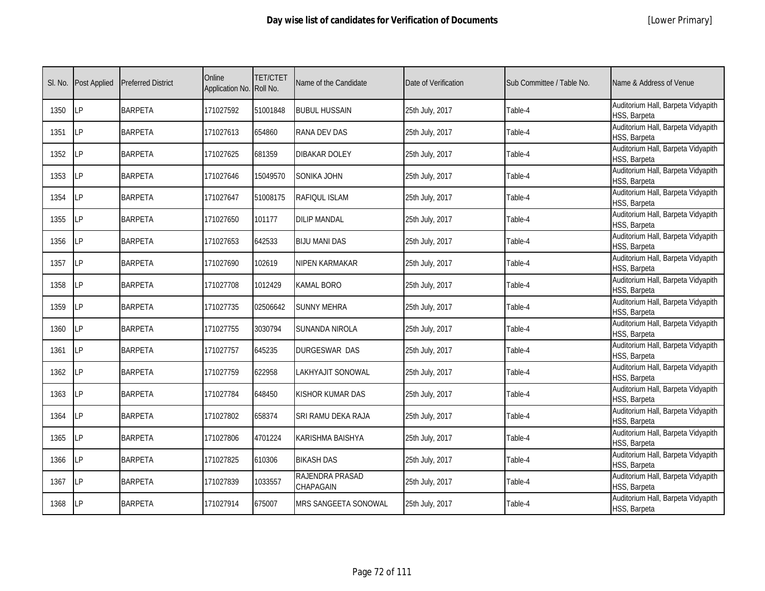|  | [Lower Primary] |
|--|-----------------|
|--|-----------------|

| SI. No. | <b>Post Applied</b> | <b>Preferred District</b> | Online<br>Application No. Roll No. | <b>TET/CTET</b> | Name of the Candidate        | Date of Verification | Sub Committee / Table No. | Name & Address of Venue                            |
|---------|---------------------|---------------------------|------------------------------------|-----------------|------------------------------|----------------------|---------------------------|----------------------------------------------------|
| 1350    | LP                  | <b>BARPETA</b>            | 171027592                          | 51001848        | <b>BUBUL HUSSAIN</b>         | 25th July, 2017      | Table-4                   | Auditorium Hall, Barpeta Vidyapith<br>HSS, Barpeta |
| 1351    | LP                  | <b>BARPETA</b>            | 171027613                          | 654860          | RANA DEV DAS                 | 25th July, 2017      | Table-4                   | Auditorium Hall, Barpeta Vidyapith<br>HSS, Barpeta |
| 1352    | <b>LP</b>           | <b>BARPETA</b>            | 171027625                          | 681359          | DIBAKAR DOLEY                | 25th July, 2017      | Table-4                   | Auditorium Hall, Barpeta Vidyapith<br>HSS, Barpeta |
| 1353    | LP                  | <b>BARPETA</b>            | 171027646                          | 15049570        | SONIKA JOHN                  | 25th July, 2017      | Table-4                   | Auditorium Hall, Barpeta Vidyapith<br>HSS, Barpeta |
| 1354    | LP                  | <b>BARPETA</b>            | 171027647                          | 51008175        | RAFIQUL ISLAM                | 25th July, 2017      | Table-4                   | Auditorium Hall, Barpeta Vidyapith<br>HSS, Barpeta |
| 1355    | <b>LP</b>           | <b>BARPETA</b>            | 171027650                          | 101177          | <b>DILIP MANDAL</b>          | 25th July, 2017      | Table-4                   | Auditorium Hall, Barpeta Vidyapith<br>HSS, Barpeta |
| 1356    | LP                  | <b>BARPETA</b>            | 171027653                          | 642533          | <b>BIJU MANI DAS</b>         | 25th July, 2017      | Table-4                   | Auditorium Hall, Barpeta Vidyapith<br>HSS, Barpeta |
| 1357    | LP                  | <b>BARPETA</b>            | 171027690                          | 102619          | NIPEN KARMAKAR               | 25th July, 2017      | Table-4                   | Auditorium Hall, Barpeta Vidyapith<br>HSS, Barpeta |
| 1358    | LP                  | <b>BARPETA</b>            | 171027708                          | 1012429         | KAMAL BORO                   | 25th July, 2017      | Table-4                   | Auditorium Hall, Barpeta Vidyapith<br>HSS, Barpeta |
| 1359    | <b>LP</b>           | <b>BARPETA</b>            | 171027735                          | 02506642        | SUNNY MEHRA                  | 25th July, 2017      | Table-4                   | Auditorium Hall, Barpeta Vidyapith<br>HSS, Barpeta |
| 1360    | <b>LP</b>           | <b>BARPETA</b>            | 171027755                          | 3030794         | SUNANDA NIROLA               | 25th July, 2017      | Table-4                   | Auditorium Hall, Barpeta Vidyapith<br>HSS, Barpeta |
| 1361    | LP                  | <b>BARPETA</b>            | 171027757                          | 645235          | DURGESWAR DAS                | 25th July, 2017      | Table-4                   | Auditorium Hall, Barpeta Vidyapith<br>HSS, Barpeta |
| 1362    | LP                  | <b>BARPETA</b>            | 171027759                          | 622958          | LAKHYAJIT SONOWAL            | 25th July, 2017      | Table-4                   | Auditorium Hall, Barpeta Vidyapith<br>HSS, Barpeta |
| 1363    | LP                  | <b>BARPETA</b>            | 171027784                          | 648450          | KISHOR KUMAR DAS             | 25th July, 2017      | Table-4                   | Auditorium Hall, Barpeta Vidyapith<br>HSS, Barpeta |
| 1364    | LP                  | <b>BARPETA</b>            | 171027802                          | 658374          | SRI RAMU DEKA RAJA           | 25th July, 2017      | Table-4                   | Auditorium Hall, Barpeta Vidyapith<br>HSS, Barpeta |
| 1365    | LP                  | <b>BARPETA</b>            | 171027806                          | 4701224         | KARISHMA BAISHYA             | 25th July, 2017      | Table-4                   | Auditorium Hall, Barpeta Vidyapith<br>HSS, Barpeta |
| 1366    | LP                  | <b>BARPETA</b>            | 171027825                          | 610306          | <b>BIKASH DAS</b>            | 25th July, 2017      | Table-4                   | Auditorium Hall, Barpeta Vidyapith<br>HSS, Barpeta |
| 1367    | LP                  | <b>BARPETA</b>            | 171027839                          | 1033557         | RAJENDRA PRASAD<br>CHAPAGAIN | 25th July, 2017      | Table-4                   | Auditorium Hall, Barpeta Vidyapith<br>HSS, Barpeta |
| 1368    | LP                  | <b>BARPETA</b>            | 171027914                          | 675007          | MRS SANGEETA SONOWAL         | 25th July, 2017      | Table-4                   | Auditorium Hall, Barpeta Vidyapith<br>HSS, Barpeta |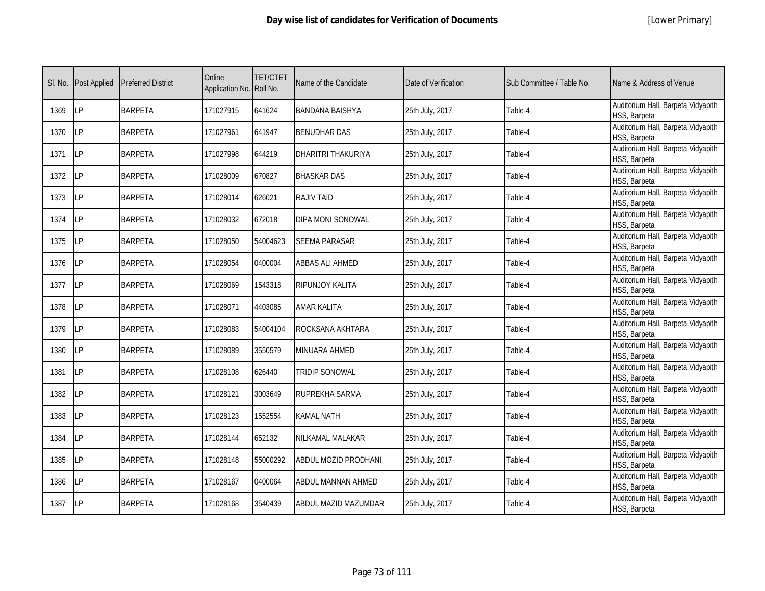|  | [Lower Primary] |
|--|-----------------|
|--|-----------------|

| SI. No. | <b>Post Applied</b> | <b>Preferred District</b> | Online<br>Application No. Roll No. | <b>TET/CTET</b> | Name of the Candidate  | Date of Verification | Sub Committee / Table No. | Name & Address of Venue                            |
|---------|---------------------|---------------------------|------------------------------------|-----------------|------------------------|----------------------|---------------------------|----------------------------------------------------|
| 1369    | LP                  | <b>BARPETA</b>            | 171027915                          | 641624          | <b>BANDANA BAISHYA</b> | 25th July, 2017      | Table-4                   | Auditorium Hall, Barpeta Vidyapith<br>HSS, Barpeta |
| 1370    | <b>ILP</b>          | <b>BARPETA</b>            | 171027961                          | 641947          | <b>BENUDHAR DAS</b>    | 25th July, 2017      | Table-4                   | Auditorium Hall, Barpeta Vidyapith<br>HSS, Barpeta |
| 1371    | LP                  | <b>BARPETA</b>            | 171027998                          | 644219          | DHARITRI THAKURIYA     | 25th July, 2017      | Table-4                   | Auditorium Hall, Barpeta Vidyapith<br>HSS, Barpeta |
| 1372    | LΡ                  | <b>BARPETA</b>            | 171028009                          | 670827          | <b>BHASKAR DAS</b>     | 25th July, 2017      | Table-4                   | Auditorium Hall, Barpeta Vidyapith<br>HSS, Barpeta |
| 1373    | LP                  | <b>BARPETA</b>            | 171028014                          | 626021          | <b>RAJIV TAID</b>      | 25th July, 2017      | Table-4                   | Auditorium Hall, Barpeta Vidyapith<br>HSS, Barpeta |
| 1374    | <b>ILP</b>          | <b>BARPETA</b>            | 171028032                          | 672018          | DIPA MONI SONOWAL      | 25th July, 2017      | Table-4                   | Auditorium Hall, Barpeta Vidyapith<br>HSS, Barpeta |
| 1375    | LP                  | <b>BARPETA</b>            | 171028050                          | 54004623        | <b>SEEMA PARASAR</b>   | 25th July, 2017      | Table-4                   | Auditorium Hall, Barpeta Vidyapith<br>HSS, Barpeta |
| 1376    | LP                  | <b>BARPETA</b>            | 171028054                          | 0400004         | <b>ABBAS ALI AHMED</b> | 25th July, 2017      | Table-4                   | Auditorium Hall, Barpeta Vidyapith<br>HSS, Barpeta |
| 1377    | <b>LP</b>           | <b>BARPETA</b>            | 171028069                          | 1543318         | RIPUNJOY KALITA        | 25th July, 2017      | Table-4                   | Auditorium Hall, Barpeta Vidyapith<br>HSS, Barpeta |
| 1378    | LP                  | <b>BARPETA</b>            | 171028071                          | 4403085         | <b>AMAR KALITA</b>     | 25th July, 2017      | Table-4                   | Auditorium Hall, Barpeta Vidyapith<br>HSS, Barpeta |
| 1379    | <b>ILP</b>          | <b>BARPETA</b>            | 171028083                          | 54004104        | ROCKSANA AKHTARA       | 25th July, 2017      | Table-4                   | Auditorium Hall, Barpeta Vidyapith<br>HSS, Barpeta |
| 1380    | LP                  | <b>BARPETA</b>            | 171028089                          | 3550579         | MINUARA AHMED          | 25th July, 2017      | Table-4                   | Auditorium Hall, Barpeta Vidyapith<br>HSS, Barpeta |
| 1381    | <b>LP</b>           | <b>BARPETA</b>            | 171028108                          | 626440          | <b>TRIDIP SONOWAL</b>  | 25th July, 2017      | Table-4                   | Auditorium Hall, Barpeta Vidyapith<br>HSS, Barpeta |
| 1382    | <b>LP</b>           | <b>BARPETA</b>            | 171028121                          | 3003649         | RUPREKHA SARMA         | 25th July, 2017      | Table-4                   | Auditorium Hall, Barpeta Vidyapith<br>HSS, Barpeta |
| 1383    | LP                  | <b>BARPETA</b>            | 171028123                          | 1552554         | KAMAL NATH             | 25th July, 2017      | Table-4                   | Auditorium Hall, Barpeta Vidyapith<br>HSS, Barpeta |
| 1384    | <b>LP</b>           | <b>BARPETA</b>            | 171028144                          | 652132          | NILKAMAL MALAKAR       | 25th July, 2017      | Table-4                   | Auditorium Hall, Barpeta Vidyapith<br>HSS, Barpeta |
| 1385    | LP                  | <b>BARPETA</b>            | 171028148                          | 55000292        | ABDUL MOZID PRODHANI   | 25th July, 2017      | Table-4                   | Auditorium Hall, Barpeta Vidyapith<br>HSS, Barpeta |
| 1386    | LP                  | <b>BARPETA</b>            | 171028167                          | 0400064         | ABDUL MANNAN AHMED     | 25th July, 2017      | Table-4                   | Auditorium Hall, Barpeta Vidyapith<br>HSS, Barpeta |
| 1387    | <b>LP</b>           | <b>BARPETA</b>            | 171028168                          | 3540439         | ABDUL MAZID MAZUMDAR   | 25th July, 2017      | Table-4                   | Auditorium Hall, Barpeta Vidyapith<br>HSS, Barpeta |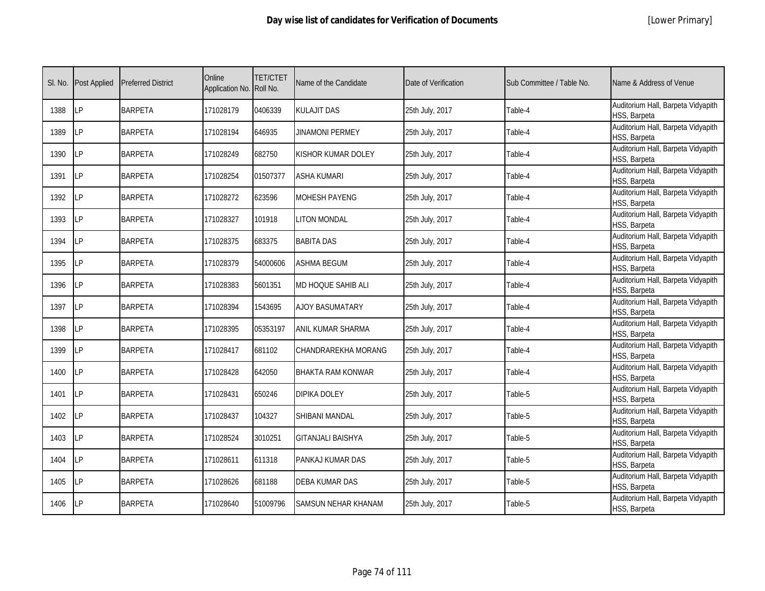|  | [Lower Primary] |
|--|-----------------|
|--|-----------------|

| SI. No. | <b>Post Applied</b> | <b>Preferred District</b> | Online<br>Application No. Roll No. | <b>TET/CTET</b> | Name of the Candidate    | Date of Verification | Sub Committee / Table No. | Name & Address of Venue                            |
|---------|---------------------|---------------------------|------------------------------------|-----------------|--------------------------|----------------------|---------------------------|----------------------------------------------------|
| 1388    | LP                  | <b>BARPETA</b>            | 171028179                          | 0406339         | <b>KULAJIT DAS</b>       | 25th July, 2017      | Table-4                   | Auditorium Hall, Barpeta Vidyapith<br>HSS, Barpeta |
| 1389    | LP                  | <b>BARPETA</b>            | 171028194                          | 646935          | <b>JINAMONI PERMEY</b>   | 25th July, 2017      | Table-4                   | Auditorium Hall, Barpeta Vidyapith<br>HSS, Barpeta |
| 1390    | LP                  | <b>BARPETA</b>            | 171028249                          | 682750          | (ISHOR KUMAR DOLEY       | 25th July, 2017      | Table-4                   | Auditorium Hall, Barpeta Vidyapith<br>HSS, Barpeta |
| 1391    | LP                  | <b>BARPETA</b>            | 171028254                          | 01507377        | <b>ASHA KUMARI</b>       | 25th July, 2017      | Table-4                   | Auditorium Hall, Barpeta Vidyapith<br>HSS, Barpeta |
| 1392    | LP                  | <b>BARPETA</b>            | 171028272                          | 623596          | MOHESH PAYENG            | 25th July, 2017      | Table-4                   | Auditorium Hall, Barpeta Vidyapith<br>HSS, Barpeta |
| 1393    | LP                  | <b>BARPETA</b>            | 171028327                          | 101918          | <b>LITON MONDAL</b>      | 25th July, 2017      | Table-4                   | Auditorium Hall, Barpeta Vidyapith<br>HSS, Barpeta |
| 1394    | LP                  | <b>BARPETA</b>            | 171028375                          | 683375          | <b>BABITA DAS</b>        | 25th July, 2017      | Table-4                   | Auditorium Hall, Barpeta Vidyapith<br>HSS, Barpeta |
| 1395    | LP                  | <b>BARPETA</b>            | 171028379                          | 54000606        | <b>ASHMA BEGUM</b>       | 25th July, 2017      | Table-4                   | Auditorium Hall, Barpeta Vidyapith<br>HSS, Barpeta |
| 1396    | LР                  | <b>BARPETA</b>            | 171028383                          | 5601351         | MD HOQUE SAHIB ALI       | 25th July, 2017      | Table-4                   | Auditorium Hall, Barpeta Vidyapith<br>HSS, Barpeta |
| 1397    | LP                  | <b>BARPETA</b>            | 171028394                          | 1543695         | <b>AJOY BASUMATARY</b>   | 25th July, 2017      | Table-4                   | Auditorium Hall, Barpeta Vidyapith<br>HSS, Barpeta |
| 1398    | LP                  | <b>BARPETA</b>            | 171028395                          | 05353197        | ANIL KUMAR SHARMA        | 25th July, 2017      | Table-4                   | Auditorium Hall, Barpeta Vidyapith<br>HSS, Barpeta |
| 1399    | LP                  | <b>BARPETA</b>            | 171028417                          | 681102          | CHANDRAREKHA MORANG      | 25th July, 2017      | Table-4                   | Auditorium Hall, Barpeta Vidyapith<br>HSS, Barpeta |
| 1400    | LP                  | <b>BARPETA</b>            | 171028428                          | 642050          | <b>BHAKTA RAM KONWAR</b> | 25th July, 2017      | Table-4                   | Auditorium Hall, Barpeta Vidyapith<br>HSS, Barpeta |
| 1401    | LP                  | <b>BARPETA</b>            | 171028431                          | 650246          | DIPIKA DOLEY             | 25th July, 2017      | Table-5                   | Auditorium Hall, Barpeta Vidyapith<br>HSS, Barpeta |
| 1402    | LP                  | <b>BARPETA</b>            | 171028437                          | 104327          | SHIBANI MANDAL           | 25th July, 2017      | Table-5                   | Auditorium Hall, Barpeta Vidyapith<br>HSS, Barpeta |
| 1403    | <b>LP</b>           | <b>BARPETA</b>            | 171028524                          | 3010251         | <b>GITANJALI BAISHYA</b> | 25th July, 2017      | Table-5                   | Auditorium Hall, Barpeta Vidyapith<br>HSS, Barpeta |
| 1404    | LP                  | <b>BARPETA</b>            | 171028611                          | 611318          | PANKAJ KUMAR DAS         | 25th July, 2017      | Table-5                   | Auditorium Hall, Barpeta Vidyapith<br>HSS, Barpeta |
| 1405    | LP                  | <b>BARPETA</b>            | 171028626                          | 681188          | <b>DEBA KUMAR DAS</b>    | 25th July, 2017      | Table-5                   | Auditorium Hall, Barpeta Vidyapith<br>HSS, Barpeta |
| 1406    | LP                  | <b>BARPETA</b>            | 171028640                          | 51009796        | SAMSUN NEHAR KHANAM      | 25th July, 2017      | Table-5                   | Auditorium Hall, Barpeta Vidyapith<br>HSS, Barpeta |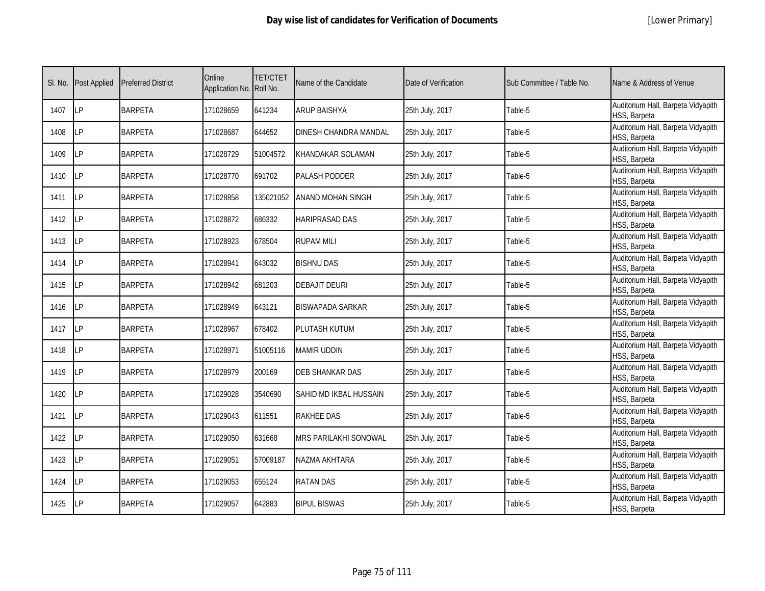| SI. No. | <b>Post Applied</b> | <b>Preferred District</b> | Online<br>Application No. Roll No. | <b>TET/CTET</b> | Name of the Candidate        | Date of Verification | Sub Committee / Table No. | Name & Address of Venue                            |
|---------|---------------------|---------------------------|------------------------------------|-----------------|------------------------------|----------------------|---------------------------|----------------------------------------------------|
| 1407    | <b>LP</b>           | <b>BARPETA</b>            | 171028659                          | 641234          | <b>ARUP BAISHYA</b>          | 25th July, 2017      | Table-5                   | Auditorium Hall, Barpeta Vidyapith<br>HSS, Barpeta |
| 1408    | LP                  | <b>BARPETA</b>            | 171028687                          | 644652          | DINESH CHANDRA MANDAL        | 25th July, 2017      | Table-5                   | Auditorium Hall, Barpeta Vidyapith<br>HSS, Barpeta |
| 1409    | LP                  | <b>BARPETA</b>            | 171028729                          | 51004572        | KHANDAKAR SOLAMAN            | 25th July, 2017      | Table-5                   | Auditorium Hall, Barpeta Vidyapith<br>HSS, Barpeta |
| 1410    | LP                  | <b>BARPETA</b>            | 171028770                          | 691702          | <b>PALASH PODDER</b>         | 25th July, 2017      | Table-5                   | Auditorium Hall, Barpeta Vidyapith<br>HSS, Barpeta |
| 1411    | <b>ILP</b>          | <b>BARPETA</b>            | 171028858                          | 135021052       | <b>ANAND MOHAN SINGH</b>     | 25th July, 2017      | Table-5                   | Auditorium Hall, Barpeta Vidyapith<br>HSS, Barpeta |
| 1412    | <b>LP</b>           | <b>BARPETA</b>            | 171028872                          | 686332          | <b>HARIPRASAD DAS</b>        | 25th July, 2017      | Table-5                   | Auditorium Hall, Barpeta Vidyapith<br>HSS, Barpeta |
| 1413    | LP                  | <b>BARPETA</b>            | 171028923                          | 678504          | <b>RUPAM MILI</b>            | 25th July, 2017      | Table-5                   | Auditorium Hall, Barpeta Vidyapith<br>HSS, Barpeta |
| 1414    | <b>ILP</b>          | <b>BARPETA</b>            | 171028941                          | 643032          | <b>BISHNU DAS</b>            | 25th July, 2017      | Table-5                   | Auditorium Hall, Barpeta Vidyapith<br>HSS, Barpeta |
| 1415    | LP                  | <b>BARPETA</b>            | 171028942                          | 681203          | <b>DEBAJIT DEURI</b>         | 25th July, 2017      | Table-5                   | Auditorium Hall, Barpeta Vidyapith<br>HSS, Barpeta |
| 1416    | LP                  | <b>BARPETA</b>            | 171028949                          | 643121          | <b>BISWAPADA SARKAR</b>      | 25th July, 2017      | Table-5                   | Auditorium Hall, Barpeta Vidyapith<br>HSS, Barpeta |
| 1417    | <b>LP</b>           | <b>BARPETA</b>            | 171028967                          | 678402          | PLUTASH KUTUM                | 25th July, 2017      | Table-5                   | Auditorium Hall, Barpeta Vidyapith<br>HSS, Barpeta |
| 1418    | LP                  | <b>BARPETA</b>            | 171028971                          | 51005116        | <b>MAMIR UDDIN</b>           | 25th July, 2017      | Table-5                   | Auditorium Hall, Barpeta Vidyapith<br>HSS, Barpeta |
| 1419    | <b>LP</b>           | <b>BARPETA</b>            | 171028979                          | 200169          | <b>DEB SHANKAR DAS</b>       | 25th July, 2017      | Table-5                   | Auditorium Hall, Barpeta Vidyapith<br>HSS, Barpeta |
| 1420    | LP                  | <b>BARPETA</b>            | 171029028                          | 3540690         | SAHID MD IKBAL HUSSAIN       | 25th July, 2017      | Table-5                   | Auditorium Hall, Barpeta Vidyapith<br>HSS, Barpeta |
| 1421    | LP                  | <b>BARPETA</b>            | 171029043                          | 611551          | <b>RAKHEE DAS</b>            | 25th July, 2017      | Table-5                   | Auditorium Hall, Barpeta Vidyapith<br>HSS, Barpeta |
| 1422    | LP                  | <b>BARPETA</b>            | 171029050                          | 631668          | <b>MRS PARILAKHI SONOWAL</b> | 25th July, 2017      | Table-5                   | Auditorium Hall, Barpeta Vidyapith<br>HSS, Barpeta |
| 1423    | <b>ILP</b>          | <b>BARPETA</b>            | 171029051                          | 57009187        | NAZMA AKHTARA                | 25th July, 2017      | Table-5                   | Auditorium Hall, Barpeta Vidyapith<br>HSS, Barpeta |
| 1424    | <b>ILP</b>          | <b>BARPETA</b>            | 171029053                          | 655124          | <b>RATAN DAS</b>             | 25th July, 2017      | Table-5                   | Auditorium Hall, Barpeta Vidyapith<br>HSS, Barpeta |
| 1425    | LP                  | <b>BARPETA</b>            | 171029057                          | 642883          | <b>BIPUL BISWAS</b>          | 25th July, 2017      | Table-5                   | Auditorium Hall, Barpeta Vidyapith<br>HSS, Barpeta |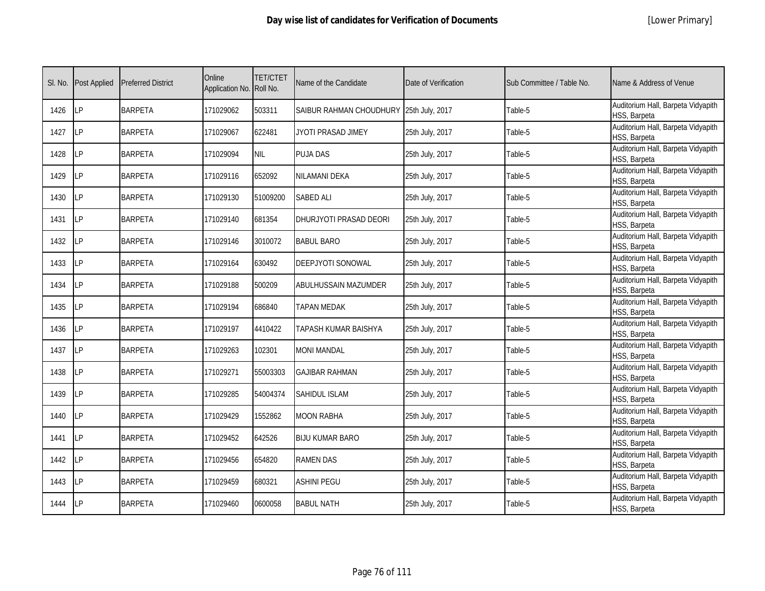| SI. No. | <b>Post Applied</b> | <b>Preferred District</b> | Online<br>Application No. Roll No. | <b>TET/CTET</b> | Name of the Candidate                   | Date of Verification | Sub Committee / Table No. | Name & Address of Venue                            |
|---------|---------------------|---------------------------|------------------------------------|-----------------|-----------------------------------------|----------------------|---------------------------|----------------------------------------------------|
| 1426    | LP                  | <b>BARPETA</b>            | 171029062                          | 503311          | SAIBUR RAHMAN CHOUDHURY 25th July, 2017 |                      | Table-5                   | Auditorium Hall, Barpeta Vidyapith<br>HSS, Barpeta |
| 1427    | LP                  | <b>BARPETA</b>            | 171029067                          | 622481          | JYOTI PRASAD JIMEY                      | 25th July, 2017      | Table-5                   | Auditorium Hall, Barpeta Vidyapith<br>HSS, Barpeta |
| 1428    | LP                  | <b>BARPETA</b>            | 171029094                          | <b>NIL</b>      | <b>PUJA DAS</b>                         | 25th July, 2017      | Table-5                   | Auditorium Hall, Barpeta Vidyapith<br>HSS, Barpeta |
| 1429    | LP                  | <b>BARPETA</b>            | 171029116                          | 652092          | NILAMANI DEKA                           | 25th July, 2017      | Table-5                   | Auditorium Hall, Barpeta Vidyapith<br>HSS, Barpeta |
| 1430    | <b>LP</b>           | <b>BARPETA</b>            | 171029130                          | 51009200        | <b>SABED ALI</b>                        | 25th July, 2017      | Table-5                   | Auditorium Hall, Barpeta Vidyapith<br>HSS, Barpeta |
| 1431    | <b>ILP</b>          | <b>BARPETA</b>            | 171029140                          | 681354          | DHURJYOTI PRASAD DEORI                  | 25th July, 2017      | Table-5                   | Auditorium Hall, Barpeta Vidyapith<br>HSS, Barpeta |
| 1432    | LP                  | <b>BARPETA</b>            | 171029146                          | 3010072         | <b>BABUL BARO</b>                       | 25th July, 2017      | Table-5                   | Auditorium Hall, Barpeta Vidyapith<br>HSS, Barpeta |
| 1433    | <b>ILP</b>          | <b>BARPETA</b>            | 171029164                          | 630492          | DEEPJYOTI SONOWAL                       | 25th July, 2017      | Table-5                   | Auditorium Hall, Barpeta Vidyapith<br>HSS, Barpeta |
| 1434    | LP                  | <b>BARPETA</b>            | 171029188                          | 500209          | <b>ABULHUSSAIN MAZUMDER</b>             | 25th July, 2017      | Table-5                   | Auditorium Hall, Barpeta Vidyapith<br>HSS, Barpeta |
| 1435    | <b>LP</b>           | <b>BARPETA</b>            | 171029194                          | 686840          | TAPAN MEDAK                             | 25th July, 2017      | Table-5                   | Auditorium Hall, Barpeta Vidyapith<br>HSS, Barpeta |
| 1436    | LP                  | <b>BARPETA</b>            | 171029197                          | 4410422         | TAPASH KUMAR BAISHYA                    | 25th July, 2017      | Table-5                   | Auditorium Hall, Barpeta Vidyapith<br>HSS, Barpeta |
| 1437    | LP                  | <b>BARPETA</b>            | 171029263                          | 102301          | <b>MONI MANDAL</b>                      | 25th July, 2017      | Table-5                   | Auditorium Hall, Barpeta Vidyapith<br>HSS, Barpeta |
| 1438    | <b>ILP</b>          | <b>BARPETA</b>            | 171029271                          | 55003303        | <b>GAJIBAR RAHMAN</b>                   | 25th July, 2017      | Table-5                   | Auditorium Hall, Barpeta Vidyapith<br>HSS, Barpeta |
| 1439    | LP                  | <b>BARPETA</b>            | 171029285                          | 54004374        | SAHIDUL ISLAM                           | 25th July, 2017      | Table-5                   | Auditorium Hall, Barpeta Vidyapith<br>HSS, Barpeta |
| 1440    | LP                  | <b>BARPETA</b>            | 171029429                          | 1552862         | <b>MOON RABHA</b>                       | 25th July, 2017      | Table-5                   | Auditorium Hall, Barpeta Vidyapith<br>HSS, Barpeta |
| 1441    | <b>ILP</b>          | <b>BARPETA</b>            | 171029452                          | 642526          | <b>BIJU KUMAR BARO</b>                  | 25th July, 2017      | Table-5                   | Auditorium Hall, Barpeta Vidyapith<br>HSS, Barpeta |
| 1442    | <b>ILP</b>          | <b>BARPETA</b>            | 171029456                          | 654820          | <b>RAMEN DAS</b>                        | 25th July, 2017      | Table-5                   | Auditorium Hall, Barpeta Vidyapith<br>HSS, Barpeta |
| 1443    | <b>ILP</b>          | <b>BARPETA</b>            | 171029459                          | 680321          | <b>ASHINI PEGU</b>                      | 25th July, 2017      | Table-5                   | Auditorium Hall, Barpeta Vidyapith<br>HSS, Barpeta |
| 1444    | LP                  | <b>BARPETA</b>            | 171029460                          | 0600058         | <b>BABUL NATH</b>                       | 25th July, 2017      | Table-5                   | Auditorium Hall, Barpeta Vidyapith<br>HSS, Barpeta |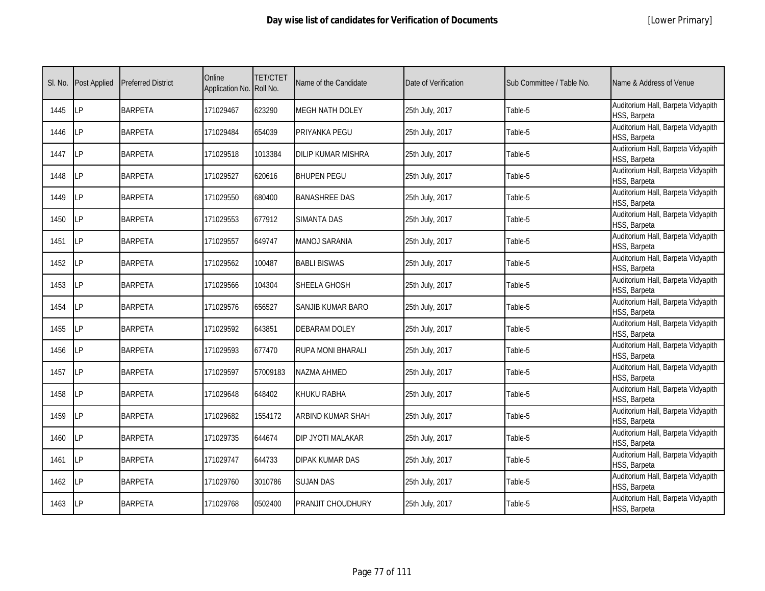|  | [Lower Primary] |
|--|-----------------|
|--|-----------------|

| SI. No. | <b>Post Applied</b> | <b>Preferred District</b> | Online<br>Application No. Roll No. | <b>TET/CTET</b> | Name of the Candidate     | Date of Verification | Sub Committee / Table No. | Name & Address of Venue                            |
|---------|---------------------|---------------------------|------------------------------------|-----------------|---------------------------|----------------------|---------------------------|----------------------------------------------------|
| 1445    | LP                  | <b>BARPETA</b>            | 171029467                          | 623290          | <b>MEGH NATH DOLEY</b>    | 25th July, 2017      | Table-5                   | Auditorium Hall, Barpeta Vidyapith<br>HSS, Barpeta |
| 1446    | <b>ILP</b>          | <b>BARPETA</b>            | 171029484                          | 654039          | PRIYANKA PEGU             | 25th July, 2017      | Table-5                   | Auditorium Hall, Barpeta Vidyapith<br>HSS, Barpeta |
| 1447    | <b>LP</b>           | <b>BARPETA</b>            | 171029518                          | 1013384         | <b>DILIP KUMAR MISHRA</b> | 25th July, 2017      | Table-5                   | Auditorium Hall, Barpeta Vidyapith<br>HSS, Barpeta |
| 1448    | LΡ                  | <b>BARPETA</b>            | 171029527                          | 620616          | <b>BHUPEN PEGU</b>        | 25th July, 2017      | Table-5                   | Auditorium Hall, Barpeta Vidyapith<br>HSS, Barpeta |
| 1449    | <b>LP</b>           | <b>BARPETA</b>            | 171029550                          | 680400          | <b>BANASHREE DAS</b>      | 25th July, 2017      | Table-5                   | Auditorium Hall, Barpeta Vidyapith<br>HSS, Barpeta |
| 1450    | <b>LP</b>           | <b>BARPETA</b>            | 171029553                          | 677912          | <b>SIMANTA DAS</b>        | 25th July, 2017      | Table-5                   | Auditorium Hall, Barpeta Vidyapith<br>HSS, Barpeta |
| 1451    | LP                  | <b>BARPETA</b>            | 171029557                          | 649747          | MANOJ SARANIA             | 25th July, 2017      | Table-5                   | Auditorium Hall, Barpeta Vidyapith<br>HSS, Barpeta |
| 1452    | LP                  | <b>BARPETA</b>            | 171029562                          | 100487          | <b>BABLI BISWAS</b>       | 25th July, 2017      | Table-5                   | Auditorium Hall, Barpeta Vidyapith<br>HSS, Barpeta |
| 1453    | LP                  | <b>BARPETA</b>            | 171029566                          | 104304          | SHEELA GHOSH              | 25th July, 2017      | Table-5                   | Auditorium Hall, Barpeta Vidyapith<br>HSS, Barpeta |
| 1454    | LP                  | <b>BARPETA</b>            | 171029576                          | 656527          | SANJIB KUMAR BARO         | 25th July, 2017      | Table-5                   | Auditorium Hall, Barpeta Vidyapith<br>HSS, Barpeta |
| 1455    | LP                  | <b>BARPETA</b>            | 171029592                          | 643851          | <b>DEBARAM DOLEY</b>      | 25th July, 2017      | Table-5                   | Auditorium Hall, Barpeta Vidyapith<br>HSS, Barpeta |
| 1456    | <b>LP</b>           | <b>BARPETA</b>            | 171029593                          | 677470          | RUPA MONI BHARALI         | 25th July, 2017      | Table-5                   | Auditorium Hall, Barpeta Vidyapith<br>HSS, Barpeta |
| 1457    | LP                  | <b>BARPETA</b>            | 171029597                          | 57009183        | NAZMA AHMED               | 25th July, 2017      | Table-5                   | Auditorium Hall, Barpeta Vidyapith<br>HSS, Barpeta |
| 1458    | <b>LP</b>           | <b>BARPETA</b>            | 171029648                          | 648402          | KHUKU RABHA               | 25th July, 2017      | Table-5                   | Auditorium Hall, Barpeta Vidyapith<br>HSS, Barpeta |
| 1459    | LP                  | <b>BARPETA</b>            | 171029682                          | 1554172         | <b>ARBIND KUMAR SHAH</b>  | 25th July, 2017      | Table-5                   | Auditorium Hall, Barpeta Vidyapith<br>HSS, Barpeta |
| 1460    | LP                  | <b>BARPETA</b>            | 171029735                          | 644674          | DIP JYOTI MALAKAR         | 25th July, 2017      | Table-5                   | Auditorium Hall, Barpeta Vidyapith<br>HSS, Barpeta |
| 1461    | LP                  | <b>BARPETA</b>            | 171029747                          | 644733          | DIPAK KUMAR DAS           | 25th July, 2017      | Table-5                   | Auditorium Hall, Barpeta Vidyapith<br>HSS, Barpeta |
| 1462    | <b>LP</b>           | <b>BARPETA</b>            | 171029760                          | 3010786         | <b>SUJAN DAS</b>          | 25th July, 2017      | Table-5                   | Auditorium Hall, Barpeta Vidyapith<br>HSS, Barpeta |
| 1463    | <b>ILP</b>          | <b>BARPETA</b>            | 171029768                          | 0502400         | PRANJIT CHOUDHURY         | 25th July, 2017      | Table-5                   | Auditorium Hall, Barpeta Vidyapith<br>HSS, Barpeta |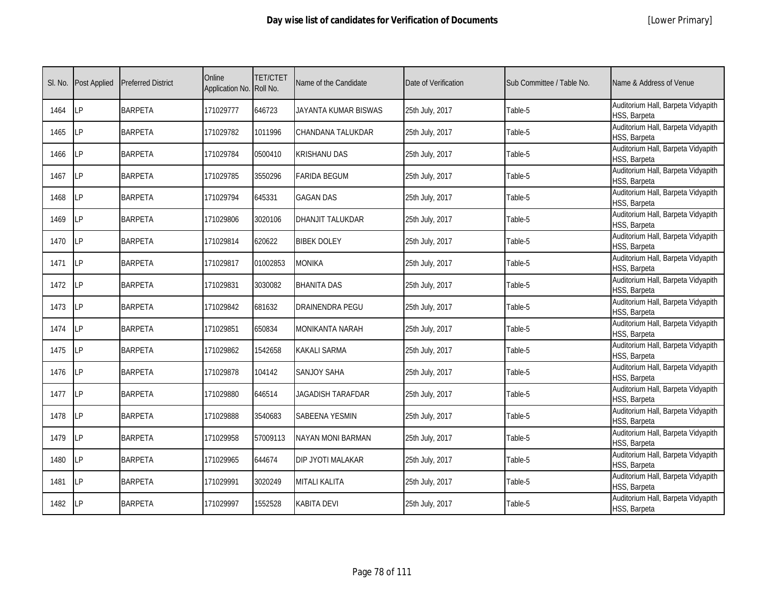| SI. No. | <b>Post Applied</b> | <b>Preferred District</b> | Online<br>Application No. Roll No. | <b>TET/CTET</b> | Name of the Candidate    | Date of Verification | Sub Committee / Table No. | Name & Address of Venue                            |
|---------|---------------------|---------------------------|------------------------------------|-----------------|--------------------------|----------------------|---------------------------|----------------------------------------------------|
| 1464    | <b>ILP</b>          | <b>BARPETA</b>            | 171029777                          | 646723          | JAYANTA KUMAR BISWAS     | 25th July, 2017      | Table-5                   | Auditorium Hall, Barpeta Vidyapith<br>HSS, Barpeta |
| 1465    | <b>LP</b>           | <b>BARPETA</b>            | 171029782                          | 1011996         | <b>CHANDANA TALUKDAR</b> | 25th July, 2017      | Table-5                   | Auditorium Hall, Barpeta Vidyapith<br>HSS, Barpeta |
| 1466    | LP                  | <b>BARPETA</b>            | 171029784                          | 0500410         | <b>KRISHANU DAS</b>      | 25th July, 2017      | Table-5                   | Auditorium Hall, Barpeta Vidyapith<br>HSS, Barpeta |
| 1467    | LΡ                  | <b>BARPETA</b>            | 171029785                          | 3550296         | <b>FARIDA BEGUM</b>      | 25th July, 2017      | Table-5                   | Auditorium Hall, Barpeta Vidyapith<br>HSS, Barpeta |
| 1468    | LP                  | <b>BARPETA</b>            | 171029794                          | 645331          | <b>GAGAN DAS</b>         | 25th July, 2017      | Table-5                   | Auditorium Hall, Barpeta Vidyapith<br>HSS, Barpeta |
| 1469    | <b>LP</b>           | <b>BARPETA</b>            | 171029806                          | 3020106         | <b>DHANJIT TALUKDAR</b>  | 25th July, 2017      | Table-5                   | Auditorium Hall, Barpeta Vidyapith<br>HSS, Barpeta |
| 1470    | LP                  | <b>BARPETA</b>            | 171029814                          | 620622          | <b>BIBEK DOLEY</b>       | 25th July, 2017      | Table-5                   | Auditorium Hall, Barpeta Vidyapith<br>HSS, Barpeta |
| 1471    | <b>ILP</b>          | <b>BARPETA</b>            | 171029817                          | 01002853        | <b>MONIKA</b>            | 25th July, 2017      | Table-5                   | Auditorium Hall, Barpeta Vidyapith<br>HSS, Barpeta |
| 1472    | <b>LP</b>           | <b>BARPETA</b>            | 171029831                          | 3030082         | <b>BHANITA DAS</b>       | 25th July, 2017      | Table-5                   | Auditorium Hall, Barpeta Vidyapith<br>HSS, Barpeta |
| 1473    | <b>ILP</b>          | <b>BARPETA</b>            | 171029842                          | 681632          | <b>DRAINENDRA PEGU</b>   | 25th July, 2017      | Table-5                   | Auditorium Hall, Barpeta Vidyapith<br>HSS, Barpeta |
| 1474    | <b>LP</b>           | <b>BARPETA</b>            | 171029851                          | 650834          | <b>MONIKANTA NARAH</b>   | 25th July, 2017      | Table-5                   | Auditorium Hall, Barpeta Vidyapith<br>HSS, Barpeta |
| 1475    | LP                  | <b>BARPETA</b>            | 171029862                          | 1542658         | KAKALI SARMA             | 25th July, 2017      | Table-5                   | Auditorium Hall, Barpeta Vidyapith<br>HSS, Barpeta |
| 1476    | LP                  | <b>BARPETA</b>            | 171029878                          | 104142          | <b>SANJOY SAHA</b>       | 25th July, 2017      | Table-5                   | Auditorium Hall, Barpeta Vidyapith<br>HSS, Barpeta |
| 1477    | <b>LP</b>           | <b>BARPETA</b>            | 171029880                          | 646514          | JAGADISH TARAFDAR        | 25th July, 2017      | Table-5                   | Auditorium Hall, Barpeta Vidyapith<br>HSS, Barpeta |
| 1478    | LP                  | <b>BARPETA</b>            | 171029888                          | 3540683         | SABEENA YESMIN           | 25th July, 2017      | Table-5                   | Auditorium Hall, Barpeta Vidyapith<br>HSS, Barpeta |
| 1479    | LP                  | <b>BARPETA</b>            | 171029958                          | 57009113        | <b>NAYAN MONI BARMAN</b> | 25th July, 2017      | Table-5                   | Auditorium Hall, Barpeta Vidyapith<br>HSS, Barpeta |
| 1480    | <b>ILP</b>          | <b>BARPETA</b>            | 171029965                          | 644674          | DIP JYOTI MALAKAR        | 25th July, 2017      | Table-5                   | Auditorium Hall, Barpeta Vidyapith<br>HSS, Barpeta |
| 1481    | LP                  | <b>BARPETA</b>            | 171029991                          | 3020249         | <b>MITALI KALITA</b>     | 25th July, 2017      | Table-5                   | Auditorium Hall, Barpeta Vidyapith<br>HSS, Barpeta |
| 1482    | <b>LP</b>           | <b>BARPETA</b>            | 171029997                          | 1552528         | <b>KABITA DEVI</b>       | 25th July, 2017      | Table-5                   | Auditorium Hall, Barpeta Vidyapith<br>HSS, Barpeta |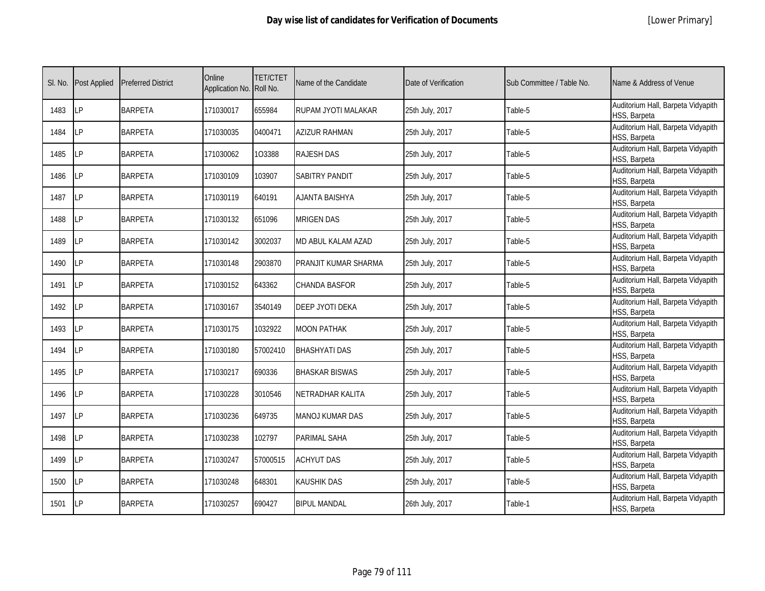|  | [Lower Primary] |
|--|-----------------|
|--|-----------------|

| SI. No. | <b>Post Applied</b> | <b>Preferred District</b> | Online<br>Application No. Roll No. | <b>TET/CTET</b> | Name of the Candidate  | Date of Verification | Sub Committee / Table No. | Name & Address of Venue                            |
|---------|---------------------|---------------------------|------------------------------------|-----------------|------------------------|----------------------|---------------------------|----------------------------------------------------|
| 1483    | <b>ILP</b>          | <b>BARPETA</b>            | 171030017                          | 655984          | RUPAM JYOTI MALAKAR    | 25th July, 2017      | Table-5                   | Auditorium Hall, Barpeta Vidyapith<br>HSS, Barpeta |
| 1484    | LP                  | <b>BARPETA</b>            | 171030035                          | 0400471         | AZIZUR RAHMAN          | 25th July, 2017      | Table-5                   | Auditorium Hall, Barpeta Vidyapith<br>HSS, Barpeta |
| 1485    | LP                  | <b>BARPETA</b>            | 171030062                          | 103388          | <b>RAJESH DAS</b>      | 25th July, 2017      | Table-5                   | Auditorium Hall, Barpeta Vidyapith<br>HSS, Barpeta |
| 1486    | LP                  | <b>BARPETA</b>            | 171030109                          | 103907          | <b>SABITRY PANDIT</b>  | 25th July, 2017      | Table-5                   | Auditorium Hall, Barpeta Vidyapith<br>HSS, Barpeta |
| 1487    | LP                  | <b>BARPETA</b>            | 171030119                          | 640191          | <b>AJANTA BAISHYA</b>  | 25th July, 2017      | Table-5                   | Auditorium Hall, Barpeta Vidyapith<br>HSS, Barpeta |
| 1488    | <b>LP</b>           | <b>BARPETA</b>            | 171030132                          | 651096          | <b>MRIGEN DAS</b>      | 25th July, 2017      | Table-5                   | Auditorium Hall, Barpeta Vidyapith<br>HSS, Barpeta |
| 1489    | LP                  | <b>BARPETA</b>            | 171030142                          | 3002037         | MD ABUL KALAM AZAD     | 25th July, 2017      | Table-5                   | Auditorium Hall, Barpeta Vidyapith<br>HSS, Barpeta |
| 1490    | <b>LP</b>           | <b>BARPETA</b>            | 171030148                          | 2903870         | PRANJIT KUMAR SHARMA   | 25th July, 2017      | Table-5                   | Auditorium Hall, Barpeta Vidyapith<br>HSS, Barpeta |
| 1491    | LP                  | <b>BARPETA</b>            | 171030152                          | 643362          | CHANDA BASFOR          | 25th July, 2017      | Table-5                   | Auditorium Hall, Barpeta Vidyapith<br>HSS, Barpeta |
| 1492    | LP                  | <b>BARPETA</b>            | 171030167                          | 3540149         | <b>DEEP JYOTI DEKA</b> | 25th July, 2017      | Table-5                   | Auditorium Hall, Barpeta Vidyapith<br>HSS, Barpeta |
| 1493    | <b>LP</b>           | <b>BARPETA</b>            | 171030175                          | 1032922         | <b>MOON PATHAK</b>     | 25th July, 2017      | Table-5                   | Auditorium Hall, Barpeta Vidyapith<br>HSS, Barpeta |
| 1494    | <b>LP</b>           | <b>BARPETA</b>            | 171030180                          | 57002410        | <b>BHASHYATI DAS</b>   | 25th July, 2017      | Table-5                   | Auditorium Hall, Barpeta Vidyapith<br>HSS, Barpeta |
| 1495    | <b>LP</b>           | <b>BARPETA</b>            | 171030217                          | 690336          | <b>BHASKAR BISWAS</b>  | 25th July, 2017      | Table-5                   | Auditorium Hall, Barpeta Vidyapith<br>HSS, Barpeta |
| 1496    | <b>LP</b>           | <b>BARPETA</b>            | 171030228                          | 3010546         | NETRADHAR KALITA       | 25th July, 2017      | Table-5                   | Auditorium Hall, Barpeta Vidyapith<br>HSS, Barpeta |
| 1497    | <b>LP</b>           | <b>BARPETA</b>            | 171030236                          | 649735          | MANOJ KUMAR DAS        | 25th July, 2017      | Table-5                   | Auditorium Hall, Barpeta Vidyapith<br>HSS, Barpeta |
| 1498    | <b>LP</b>           | <b>BARPETA</b>            | 171030238                          | 102797          | <b>PARIMAL SAHA</b>    | 25th July, 2017      | Table-5                   | Auditorium Hall, Barpeta Vidyapith<br>HSS, Barpeta |
| 1499    | LP                  | <b>BARPETA</b>            | 171030247                          | 57000515        | <b>ACHYUT DAS</b>      | 25th July, 2017      | Table-5                   | Auditorium Hall, Barpeta Vidyapith<br>HSS, Barpeta |
| 1500    | <b>LP</b>           | <b>BARPETA</b>            | 171030248                          | 648301          | KAUSHIK DAS            | 25th July, 2017      | Table-5                   | Auditorium Hall, Barpeta Vidyapith<br>HSS, Barpeta |
| 1501    | <b>ILP</b>          | <b>BARPETA</b>            | 171030257                          | 690427          | <b>BIPUL MANDAL</b>    | 26th July, 2017      | Table-1                   | Auditorium Hall, Barpeta Vidyapith<br>HSS, Barpeta |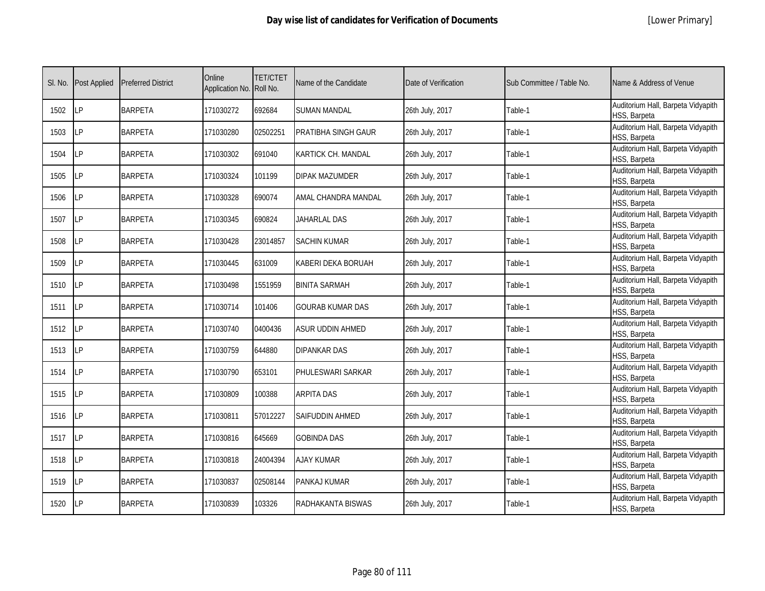|  | [Lower Primary] |
|--|-----------------|
|--|-----------------|

| SI. No. | <b>Post Applied</b> | <b>Preferred District</b> | Online<br>Application No. Roll No. | <b>TET/CTET</b> | Name of the Candidate   | Date of Verification | Sub Committee / Table No. | Name & Address of Venue                            |
|---------|---------------------|---------------------------|------------------------------------|-----------------|-------------------------|----------------------|---------------------------|----------------------------------------------------|
| 1502    | LP                  | <b>BARPETA</b>            | 171030272                          | 692684          | SUMAN MANDAL            | 26th July, 2017      | Table-1                   | Auditorium Hall, Barpeta Vidyapith<br>HSS, Barpeta |
| 1503    | <b>ILP</b>          | <b>BARPETA</b>            | 171030280                          | 02502251        | PRATIBHA SINGH GAUR     | 26th July, 2017      | Table-1                   | Auditorium Hall, Barpeta Vidyapith<br>HSS, Barpeta |
| 1504    | <b>LP</b>           | <b>BARPETA</b>            | 171030302                          | 691040          | KARTICK CH. MANDAL      | 26th July, 2017      | Table-1                   | Auditorium Hall, Barpeta Vidyapith<br>HSS, Barpeta |
| 1505    | LΡ                  | <b>BARPETA</b>            | 171030324                          | 101199          | <b>DIPAK MAZUMDER</b>   | 26th July, 2017      | Table-1                   | Auditorium Hall, Barpeta Vidyapith<br>HSS, Barpeta |
| 1506    | LP                  | <b>BARPETA</b>            | 171030328                          | 690074          | AMAL CHANDRA MANDAL     | 26th July, 2017      | Table-1                   | Auditorium Hall, Barpeta Vidyapith<br>HSS, Barpeta |
| 1507    | LP                  | <b>BARPETA</b>            | 171030345                          | 690824          | JAHARLAL DAS            | 26th July, 2017      | Table-1                   | Auditorium Hall, Barpeta Vidyapith<br>HSS, Barpeta |
| 1508    | <b>LP</b>           | <b>BARPETA</b>            | 171030428                          | 23014857        | <b>SACHIN KUMAR</b>     | 26th July, 2017      | Table-1                   | Auditorium Hall, Barpeta Vidyapith<br>HSS, Barpeta |
| 1509    | <b>LP</b>           | <b>BARPETA</b>            | 171030445                          | 631009          | KABERI DEKA BORUAH      | 26th July, 2017      | Table-1                   | Auditorium Hall, Barpeta Vidyapith<br>HSS, Barpeta |
| 1510    | LP                  | <b>BARPETA</b>            | 171030498                          | 1551959         | <b>BINITA SARMAH</b>    | 26th July, 2017      | Table-1                   | Auditorium Hall, Barpeta Vidyapith<br>HSS, Barpeta |
| 1511    | LP                  | <b>BARPETA</b>            | 171030714                          | 101406          | <b>GOURAB KUMAR DAS</b> | 26th July, 2017      | Table-1                   | Auditorium Hall, Barpeta Vidyapith<br>HSS, Barpeta |
| 1512    | <b>ILP</b>          | <b>BARPETA</b>            | 171030740                          | 0400436         | <b>ASUR UDDIN AHMED</b> | 26th July, 2017      | Table-1                   | Auditorium Hall, Barpeta Vidyapith<br>HSS, Barpeta |
| 1513    | <b>ILP</b>          | <b>BARPETA</b>            | 171030759                          | 644880          | DIPANKAR DAS            | 26th July, 2017      | Table-1                   | Auditorium Hall, Barpeta Vidyapith<br>HSS, Barpeta |
| 1514    | <b>LP</b>           | <b>BARPETA</b>            | 171030790                          | 653101          | PHULESWARI SARKAR       | 26th July, 2017      | Table-1                   | Auditorium Hall, Barpeta Vidyapith<br>HSS, Barpeta |
| 1515    | <b>LP</b>           | <b>BARPETA</b>            | 171030809                          | 100388          | <b>ARPITA DAS</b>       | 26th July, 2017      | Table-1                   | Auditorium Hall, Barpeta Vidyapith<br>HSS, Barpeta |
| 1516    | LP                  | <b>BARPETA</b>            | 171030811                          | 57012227        | SAIFUDDIN AHMED         | 26th July, 2017      | Table-1                   | Auditorium Hall, Barpeta Vidyapith<br>HSS, Barpeta |
| 1517    | LP                  | <b>BARPETA</b>            | 171030816                          | 645669          | GOBINDA DAS             | 26th July, 2017      | Table-1                   | Auditorium Hall, Barpeta Vidyapith<br>HSS, Barpeta |
| 1518    | <b>ILP</b>          | <b>BARPETA</b>            | 171030818                          | 24004394        | AJAY KUMAR              | 26th July, 2017      | Table-1                   | Auditorium Hall, Barpeta Vidyapith<br>HSS, Barpeta |
| 1519    | <b>LP</b>           | <b>BARPETA</b>            | 171030837                          | 02508144        | PANKAJ KUMAR            | 26th July, 2017      | Table-1                   | Auditorium Hall, Barpeta Vidyapith<br>HSS, Barpeta |
| 1520    | <b>LP</b>           | <b>BARPETA</b>            | 171030839                          | 103326          | RADHAKANTA BISWAS       | 26th July, 2017      | Table-1                   | Auditorium Hall, Barpeta Vidyapith<br>HSS, Barpeta |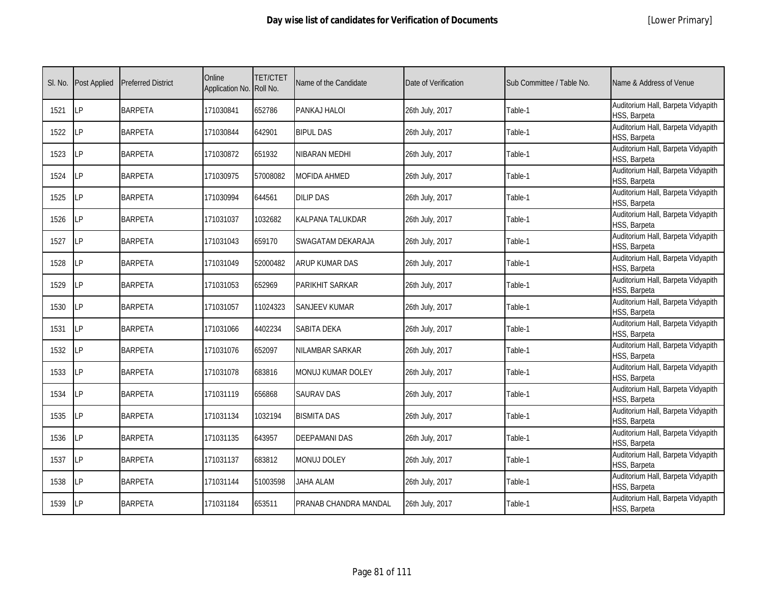|  | [Lower Primary] |
|--|-----------------|
|--|-----------------|

| SI. No. | <b>Post Applied</b> | <b>Preferred District</b> | Online<br>Application No. | <b>TET/CTET</b><br>Roll No. | Name of the Candidate | Date of Verification | Sub Committee / Table No. | Name & Address of Venue                            |
|---------|---------------------|---------------------------|---------------------------|-----------------------------|-----------------------|----------------------|---------------------------|----------------------------------------------------|
| 1521    | <b>ILP</b>          | <b>BARPETA</b>            | 171030841                 | 652786                      | PANKAJ HALOI          | 26th July, 2017      | Table-1                   | Auditorium Hall, Barpeta Vidyapith<br>HSS, Barpeta |
| 1522    | <b>LP</b>           | <b>BARPETA</b>            | 171030844                 | 642901                      | <b>BIPUL DAS</b>      | 26th July, 2017      | Table-1                   | Auditorium Hall, Barpeta Vidyapith<br>HSS, Barpeta |
| 1523    | <b>LP</b>           | <b>BARPETA</b>            | 171030872                 | 651932                      | VIBARAN MEDHI         | 26th July, 2017      | Table-1                   | Auditorium Hall, Barpeta Vidyapith<br>HSS, Barpeta |
| 1524    | LP                  | <b>BARPETA</b>            | 171030975                 | 57008082                    | MOFIDA AHMED          | 26th July, 2017      | Table-1                   | Auditorium Hall, Barpeta Vidyapith<br>HSS, Barpeta |
| 1525    | LP                  | <b>BARPETA</b>            | 171030994                 | 644561                      | <b>DILIP DAS</b>      | 26th July, 2017      | Table-1                   | Auditorium Hall, Barpeta Vidyapith<br>HSS, Barpeta |
| 1526    | LP                  | <b>BARPETA</b>            | 171031037                 | 1032682                     | KALPANA TALUKDAR      | 26th July, 2017      | Table-1                   | Auditorium Hall, Barpeta Vidyapith<br>HSS, Barpeta |
| 1527    | <b>ILP</b>          | <b>BARPETA</b>            | 171031043                 | 659170                      | SWAGATAM DEKARAJA     | 26th July, 2017      | Table-1                   | Auditorium Hall, Barpeta Vidyapith<br>HSS, Barpeta |
| 1528    | <b>LP</b>           | <b>BARPETA</b>            | 171031049                 | 52000482                    | ARUP KUMAR DAS        | 26th July, 2017      | Table-1                   | Auditorium Hall, Barpeta Vidyapith<br>HSS, Barpeta |
| 1529    | LP                  | <b>BARPETA</b>            | 171031053                 | 652969                      | PARIKHIT SARKAR       | 26th July, 2017      | Table-1                   | Auditorium Hall, Barpeta Vidyapith<br>HSS, Barpeta |
| 1530    | LP                  | <b>BARPETA</b>            | 171031057                 | 11024323                    | <b>SANJEEV KUMAR</b>  | 26th July, 2017      | Table-1                   | Auditorium Hall, Barpeta Vidyapith<br>HSS, Barpeta |
| 1531    | <b>ILP</b>          | <b>BARPETA</b>            | 171031066                 | 4402234                     | <b>SABITA DEKA</b>    | 26th July, 2017      | Table-1                   | Auditorium Hall, Barpeta Vidyapith<br>HSS, Barpeta |
| 1532    | LP                  | <b>BARPETA</b>            | 171031076                 | 652097                      | NILAMBAR SARKAR       | 26th July, 2017      | Table-1                   | Auditorium Hall, Barpeta Vidyapith<br>HSS, Barpeta |
| 1533    | LP                  | <b>BARPETA</b>            | 171031078                 | 683816                      | MONUJ KUMAR DOLEY     | 26th July, 2017      | Table-1                   | Auditorium Hall, Barpeta Vidyapith<br>HSS, Barpeta |
| 1534    | <b>LP</b>           | <b>BARPETA</b>            | 171031119                 | 656868                      | <b>SAURAV DAS</b>     | 26th July, 2017      | Table-1                   | Auditorium Hall, Barpeta Vidyapith<br>HSS, Barpeta |
| 1535    | LP                  | <b>BARPETA</b>            | 171031134                 | 1032194                     | <b>BISMITA DAS</b>    | 26th July, 2017      | Table-1                   | Auditorium Hall, Barpeta Vidyapith<br>HSS, Barpeta |
| 1536    | <b>LP</b>           | <b>BARPETA</b>            | 171031135                 | 643957                      | <b>DEEPAMANI DAS</b>  | 26th July, 2017      | Table-1                   | Auditorium Hall, Barpeta Vidyapith<br>HSS, Barpeta |
| 1537    | <b>ILP</b>          | <b>BARPETA</b>            | 171031137                 | 683812                      | <b>MONUJ DOLEY</b>    | 26th July, 2017      | Table-1                   | Auditorium Hall, Barpeta Vidyapith<br>HSS, Barpeta |
| 1538    | LP                  | <b>BARPETA</b>            | 171031144                 | 51003598                    | JAHA ALAM             | 26th July, 2017      | Table-1                   | Auditorium Hall, Barpeta Vidyapith<br>HSS, Barpeta |
| 1539    | LP                  | <b>BARPETA</b>            | 171031184                 | 653511                      | PRANAB CHANDRA MANDAL | 26th July, 2017      | Table-1                   | Auditorium Hall, Barpeta Vidyapith<br>HSS, Barpeta |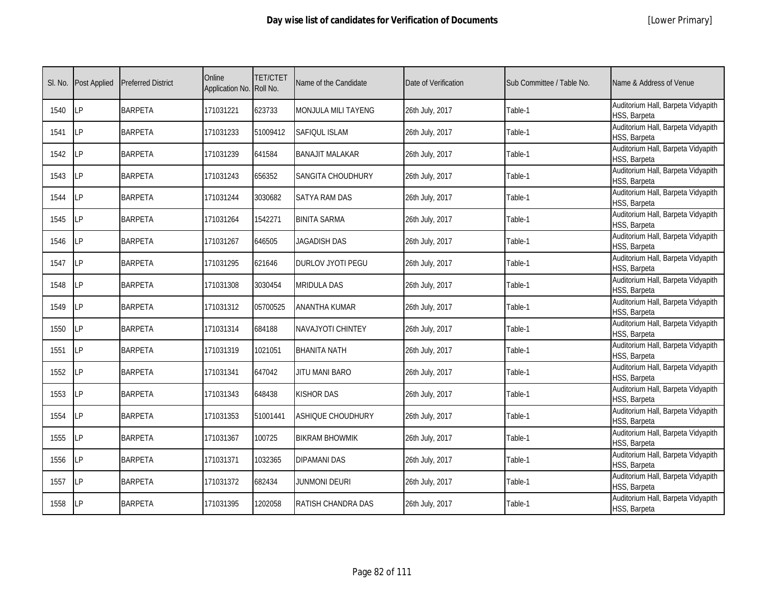| SI. No. | <b>Post Applied</b> | <b>Preferred District</b> | Online<br>Application No. Roll No. | <b>TET/CTET</b> | Name of the Candidate      | Date of Verification | Sub Committee / Table No. | Name & Address of Venue                            |
|---------|---------------------|---------------------------|------------------------------------|-----------------|----------------------------|----------------------|---------------------------|----------------------------------------------------|
| 1540    | <b>ILP</b>          | <b>BARPETA</b>            | 171031221                          | 623733          | <b>MONJULA MILI TAYENG</b> | 26th July, 2017      | Table-1                   | Auditorium Hall, Barpeta Vidyapith<br>HSS, Barpeta |
| 1541    | <b>ILP</b>          | <b>BARPETA</b>            | 171031233                          | 51009412        | SAFIQUL ISLAM              | 26th July, 2017      | Table-1                   | Auditorium Hall, Barpeta Vidyapith<br>HSS, Barpeta |
| 1542    | LP                  | <b>BARPETA</b>            | 171031239                          | 641584          | <b>BANAJIT MALAKAR</b>     | 26th July, 2017      | Table-1                   | Auditorium Hall, Barpeta Vidyapith<br>HSS, Barpeta |
| 1543    | <b>LP</b>           | <b>BARPETA</b>            | 171031243                          | 656352          | SANGITA CHOUDHURY          | 26th July, 2017      | Table-1                   | Auditorium Hall, Barpeta Vidyapith<br>HSS, Barpeta |
| 1544    | LP                  | <b>BARPETA</b>            | 171031244                          | 3030682         | <b>SATYA RAM DAS</b>       | 26th July, 2017      | Table-1                   | Auditorium Hall, Barpeta Vidyapith<br>HSS, Barpeta |
| 1545    | LP                  | <b>BARPETA</b>            | 171031264                          | 1542271         | <b>BINITA SARMA</b>        | 26th July, 2017      | Table-1                   | Auditorium Hall, Barpeta Vidyapith<br>HSS, Barpeta |
| 1546    | LP                  | <b>BARPETA</b>            | 171031267                          | 646505          | JAGADISH DAS               | 26th July, 2017      | Table-1                   | Auditorium Hall, Barpeta Vidyapith<br>HSS, Barpeta |
| 1547    | <b>ILP</b>          | <b>BARPETA</b>            | 171031295                          | 621646          | <b>DURLOV JYOTI PEGU</b>   | 26th July, 2017      | Table-1                   | Auditorium Hall, Barpeta Vidyapith<br>HSS, Barpeta |
| 1548    | LΡ                  | <b>BARPETA</b>            | 171031308                          | 3030454         | <b>MRIDULA DAS</b>         | 26th July, 2017      | Table-1                   | Auditorium Hall, Barpeta Vidyapith<br>HSS, Barpeta |
| 1549    | LP                  | <b>BARPETA</b>            | 171031312                          | 05700525        | <b>ANANTHA KUMAR</b>       | 26th July, 2017      | Table-1                   | Auditorium Hall, Barpeta Vidyapith<br>HSS, Barpeta |
| 1550    | <b>LP</b>           | <b>BARPETA</b>            | 171031314                          | 684188          | <b>NAVAJYOTI CHINTEY</b>   | 26th July, 2017      | Table-1                   | Auditorium Hall, Barpeta Vidyapith<br>HSS, Barpeta |
| 1551    | LP                  | <b>BARPETA</b>            | 171031319                          | 1021051         | <b>BHANITA NATH</b>        | 26th July, 2017      | Table-1                   | Auditorium Hall, Barpeta Vidyapith<br>HSS, Barpeta |
| 1552    | <b>LP</b>           | <b>BARPETA</b>            | 171031341                          | 647042          | JITU MANI BARO             | 26th July, 2017      | Table-1                   | Auditorium Hall, Barpeta Vidyapith<br>HSS, Barpeta |
| 1553    | LP                  | <b>BARPETA</b>            | 171031343                          | 648438          | KISHOR DAS                 | 26th July, 2017      | Table-1                   | Auditorium Hall, Barpeta Vidyapith<br>HSS, Barpeta |
| 1554    | <b>ILP</b>          | <b>BARPETA</b>            | 171031353                          | 51001441        | ASHIQUE CHOUDHURY          | 26th July, 2017      | Table-1                   | Auditorium Hall, Barpeta Vidyapith<br>HSS, Barpeta |
| 1555    | LP                  | <b>BARPETA</b>            | 171031367                          | 100725          | <b>BIKRAM BHOWMIK</b>      | 26th July, 2017      | Table-1                   | Auditorium Hall, Barpeta Vidyapith<br>HSS, Barpeta |
| 1556    | LP                  | <b>BARPETA</b>            | 171031371                          | 1032365         | <b>DIPAMANI DAS</b>        | 26th July, 2017      | Table-1                   | Auditorium Hall, Barpeta Vidyapith<br>HSS, Barpeta |
| 1557    | LP                  | <b>BARPETA</b>            | 171031372                          | 682434          | JUNMONI DEURI              | 26th July, 2017      | Table-1                   | Auditorium Hall, Barpeta Vidyapith<br>HSS, Barpeta |
| 1558    | LP                  | <b>BARPETA</b>            | 171031395                          | 1202058         | RATISH CHANDRA DAS         | 26th July, 2017      | Table-1                   | Auditorium Hall, Barpeta Vidyapith<br>HSS, Barpeta |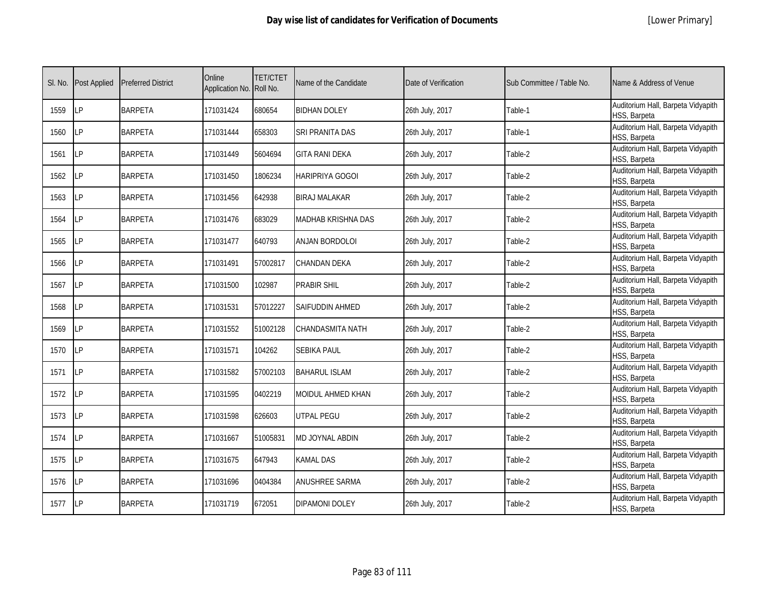|  | [Lower Primary] |
|--|-----------------|
|--|-----------------|

| SI. No. | <b>Post Applied</b> | <b>Preferred District</b> | Online<br>Application No. Roll No. | <b>TET/CTET</b> | Name of the Candidate     | Date of Verification | Sub Committee / Table No. | Name & Address of Venue                            |
|---------|---------------------|---------------------------|------------------------------------|-----------------|---------------------------|----------------------|---------------------------|----------------------------------------------------|
| 1559    | LP                  | <b>BARPETA</b>            | 171031424                          | 680654          | <b>BIDHAN DOLEY</b>       | 26th July, 2017      | Table-1                   | Auditorium Hall, Barpeta Vidyapith<br>HSS, Barpeta |
| 1560    | <b>ILP</b>          | <b>BARPETA</b>            | 171031444                          | 658303          | SRI PRANITA DAS           | 26th July, 2017      | Table-1                   | Auditorium Hall, Barpeta Vidyapith<br>HSS, Barpeta |
| 1561    | LP                  | <b>BARPETA</b>            | 171031449                          | 5604694         | <b>GITA RANI DEKA</b>     | 26th July, 2017      | Table-2                   | Auditorium Hall, Barpeta Vidyapith<br>HSS, Barpeta |
| 1562    | LΡ                  | <b>BARPETA</b>            | 171031450                          | 1806234         | HARIPRIYA GOGOI           | 26th July, 2017      | Table-2                   | Auditorium Hall, Barpeta Vidyapith<br>HSS, Barpeta |
| 1563    | <b>LP</b>           | <b>BARPETA</b>            | 171031456                          | 642938          | BIRAJ MALAKAR             | 26th July, 2017      | Table-2                   | Auditorium Hall, Barpeta Vidyapith<br>HSS, Barpeta |
| 1564    | <b>LP</b>           | <b>BARPETA</b>            | 171031476                          | 683029          | <b>MADHAB KRISHNA DAS</b> | 26th July, 2017      | Table-2                   | Auditorium Hall, Barpeta Vidyapith<br>HSS, Barpeta |
| 1565    | LP                  | <b>BARPETA</b>            | 171031477                          | 640793          | <b>ANJAN BORDOLOI</b>     | 26th July, 2017      | Table-2                   | Auditorium Hall, Barpeta Vidyapith<br>HSS, Barpeta |
| 1566    | <b>LP</b>           | <b>BARPETA</b>            | 171031491                          | 57002817        | <b>CHANDAN DEKA</b>       | 26th July, 2017      | Table-2                   | Auditorium Hall, Barpeta Vidyapith<br>HSS, Barpeta |
| 1567    | LP                  | <b>BARPETA</b>            | 171031500                          | 102987          | Prabir Shil               | 26th July, 2017      | Table-2                   | Auditorium Hall, Barpeta Vidyapith<br>HSS, Barpeta |
| 1568    | LP                  | <b>BARPETA</b>            | 171031531                          | 57012227        | SAIFUDDIN AHMED           | 26th July, 2017      | Table-2                   | Auditorium Hall, Barpeta Vidyapith<br>HSS, Barpeta |
| 1569    | LP                  | <b>BARPETA</b>            | 171031552                          | 51002128        | <b>CHANDASMITA NATH</b>   | 26th July, 2017      | Table-2                   | Auditorium Hall, Barpeta Vidyapith<br>HSS, Barpeta |
| 1570    | LP                  | <b>BARPETA</b>            | 171031571                          | 104262          | SEBIKA PAUL               | 26th July, 2017      | Table-2                   | Auditorium Hall, Barpeta Vidyapith<br>HSS, Barpeta |
| 1571    | LP                  | <b>BARPETA</b>            | 171031582                          | 57002103        | <b>BAHARUL ISLAM</b>      | 26th July, 2017      | Table-2                   | Auditorium Hall, Barpeta Vidyapith<br>HSS, Barpeta |
| 1572    | <b>LP</b>           | <b>BARPETA</b>            | 171031595                          | 0402219         | MOIDUL AHMED KHAN         | 26th July, 2017      | Table-2                   | Auditorium Hall, Barpeta Vidyapith<br>HSS, Barpeta |
| 1573    | LP                  | <b>BARPETA</b>            | 171031598                          | 626603          | UTPAL PEGU                | 26th July, 2017      | Table-2                   | Auditorium Hall, Barpeta Vidyapith<br>HSS, Barpeta |
| 1574    | <b>ILP</b>          | <b>BARPETA</b>            | 171031667                          | 51005831        | <b>MD JOYNAL ABDIN</b>    | 26th July, 2017      | Table-2                   | Auditorium Hall, Barpeta Vidyapith<br>HSS, Barpeta |
| 1575    | <b>ILP</b>          | <b>BARPETA</b>            | 171031675                          | 647943          | KAMAL DAS                 | 26th July, 2017      | Table-2                   | Auditorium Hall, Barpeta Vidyapith<br>HSS, Barpeta |
| 1576    | LP                  | <b>BARPETA</b>            | 171031696                          | 0404384         | ANUSHREE SARMA            | 26th July, 2017      | Table-2                   | Auditorium Hall, Barpeta Vidyapith<br>HSS, Barpeta |
| 1577    | <b>ILP</b>          | <b>BARPETA</b>            | 171031719                          | 672051          | <b>DIPAMONI DOLEY</b>     | 26th July, 2017      | Table-2                   | Auditorium Hall, Barpeta Vidyapith<br>HSS, Barpeta |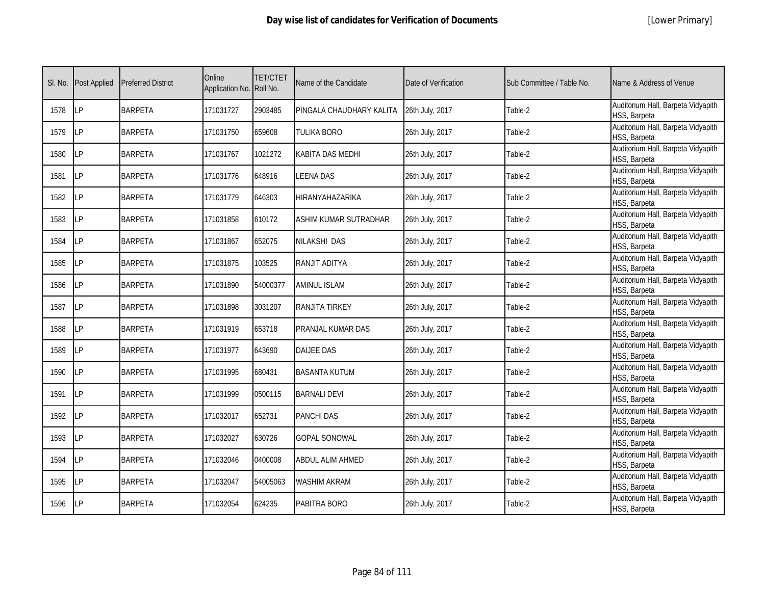| SI. No. | <b>Post Applied</b> | <b>Preferred District</b> | Online<br>Application No. Roll No. | <b>TET/CTET</b> | Name of the Candidate        | Date of Verification | Sub Committee / Table No. | Name & Address of Venue                            |
|---------|---------------------|---------------------------|------------------------------------|-----------------|------------------------------|----------------------|---------------------------|----------------------------------------------------|
| 1578    | LP                  | <b>BARPETA</b>            | 171031727                          | 2903485         | PINGALA CHAUDHARY KALITA     | 26th July, 2017      | Table-2                   | Auditorium Hall, Barpeta Vidyapith<br>HSS, Barpeta |
| 1579    | <b>LP</b>           | <b>BARPETA</b>            | 171031750                          | 659608          | TULIKA BORO                  | 26th July, 2017      | Table-2                   | Auditorium Hall, Barpeta Vidyapith<br>HSS, Barpeta |
| 1580    | LP                  | <b>BARPETA</b>            | 171031767                          | 1021272         | KABITA DAS MEDHI             | 26th July, 2017      | Table-2                   | Auditorium Hall, Barpeta Vidyapith<br>HSS, Barpeta |
| 1581    | LP                  | <b>BARPETA</b>            | 171031776                          | 648916          | LEENA DAS                    | 26th July, 2017      | Table-2                   | Auditorium Hall, Barpeta Vidyapith<br>HSS, Barpeta |
| 1582    | LP                  | <b>BARPETA</b>            | 171031779                          | 646303          | HIRANYAHAZARIKA              | 26th July, 2017      | Table-2                   | Auditorium Hall, Barpeta Vidyapith<br>HSS, Barpeta |
| 1583    | LP                  | <b>BARPETA</b>            | 171031858                          | 610172          | <b>ASHIM KUMAR SUTRADHAR</b> | 26th July, 2017      | Table-2                   | Auditorium Hall, Barpeta Vidyapith<br>HSS, Barpeta |
| 1584    | LP                  | <b>BARPETA</b>            | 171031867                          | 652075          | <b>NILAKSHI DAS</b>          | 26th July, 2017      | Table-2                   | Auditorium Hall, Barpeta Vidyapith<br>HSS, Barpeta |
| 1585    | LP                  | <b>BARPETA</b>            | 171031875                          | 103525          | RANJIT ADITYA                | 26th July, 2017      | Table-2                   | Auditorium Hall, Barpeta Vidyapith<br>HSS, Barpeta |
| 1586    | LP                  | <b>BARPETA</b>            | 171031890                          | 54000377        | <b>AMINUL ISLAM</b>          | 26th July, 2017      | Table-2                   | Auditorium Hall, Barpeta Vidyapith<br>HSS, Barpeta |
| 1587    | LP                  | <b>BARPETA</b>            | 171031898                          | 3031207         | <b>RANJITA TIRKEY</b>        | 26th July, 2017      | Table-2                   | Auditorium Hall, Barpeta Vidyapith<br>HSS, Barpeta |
| 1588    | LP                  | <b>BARPETA</b>            | 171031919                          | 653718          | PRANJAL KUMAR DAS            | 26th July, 2017      | Table-2                   | Auditorium Hall, Barpeta Vidyapith<br>HSS, Barpeta |
| 1589    | LP                  | <b>BARPETA</b>            | 171031977                          | 643690          | <b>DAIJEE DAS</b>            | 26th July, 2017      | Table-2                   | Auditorium Hall, Barpeta Vidyapith<br>HSS, Barpeta |
| 1590    | LP                  | <b>BARPETA</b>            | 171031995                          | 680431          | <b>BASANTA KUTUM</b>         | 26th July, 2017      | Table-2                   | Auditorium Hall, Barpeta Vidyapith<br>HSS, Barpeta |
| 1591    | LP                  | <b>BARPETA</b>            | 171031999                          | 0500115         | <b>BARNALI DEVI</b>          | 26th July, 2017      | Table-2                   | Auditorium Hall, Barpeta Vidyapith<br>HSS, Barpeta |
| 1592    | LP                  | <b>BARPETA</b>            | 171032017                          | 652731          | <b>PANCHI DAS</b>            | 26th July, 2017      | Table-2                   | Auditorium Hall, Barpeta Vidyapith<br>HSS, Barpeta |
| 1593    | LP                  | <b>BARPETA</b>            | 171032027                          | 630726          | <b>GOPAL SONOWAL</b>         | 26th July, 2017      | Table-2                   | Auditorium Hall, Barpeta Vidyapith<br>HSS, Barpeta |
| 1594    | LP                  | <b>BARPETA</b>            | 171032046                          | 0400008         | ABDUL ALIM AHMED             | 26th July, 2017      | Table-2                   | Auditorium Hall, Barpeta Vidyapith<br>HSS, Barpeta |
| 1595    | LP                  | <b>BARPETA</b>            | 171032047                          | 54005063        | <b>WASHIM AKRAM</b>          | 26th July, 2017      | Table-2                   | Auditorium Hall, Barpeta Vidyapith<br>HSS, Barpeta |
| 1596    | LP                  | <b>BARPETA</b>            | 171032054                          | 624235          | PABITRA BORO                 | 26th July, 2017      | Table-2                   | Auditorium Hall, Barpeta Vidyapith<br>HSS, Barpeta |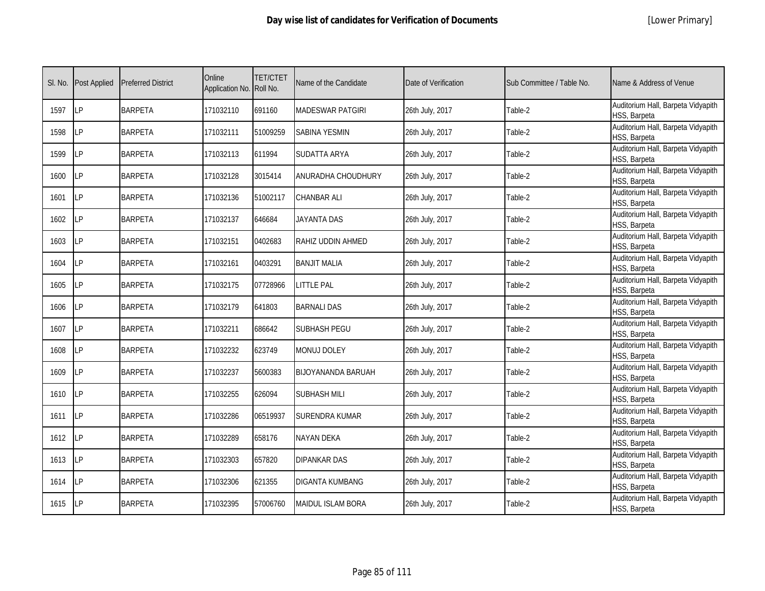|  | [Lower Primary] |
|--|-----------------|
|--|-----------------|

| SI. No. | <b>Post Applied</b> | <b>Preferred District</b> | Online<br>Application No. Roll No. | <b>TET/CTET</b> | Name of the Candidate     | Date of Verification | Sub Committee / Table No. | Name & Address of Venue                            |
|---------|---------------------|---------------------------|------------------------------------|-----------------|---------------------------|----------------------|---------------------------|----------------------------------------------------|
| 1597    | <b>LP</b>           | <b>BARPETA</b>            | 171032110                          | 691160          | <b>MADESWAR PATGIRI</b>   | 26th July, 2017      | Table-2                   | Auditorium Hall, Barpeta Vidyapith<br>HSS, Barpeta |
| 1598    | <b>ILP</b>          | <b>BARPETA</b>            | 171032111                          | 51009259        | SABINA YESMIN             | 26th July, 2017      | Table-2                   | Auditorium Hall, Barpeta Vidyapith<br>HSS, Barpeta |
| 1599    | <b>LP</b>           | <b>BARPETA</b>            | 171032113                          | 611994          | SUDATTA ARYA              | 26th July, 2017      | Table-2                   | Auditorium Hall, Barpeta Vidyapith<br>HSS, Barpeta |
| 1600    | LP                  | <b>BARPETA</b>            | 171032128                          | 3015414         | ANURADHA CHOUDHURY        | 26th July, 2017      | Table-2                   | Auditorium Hall, Barpeta Vidyapith<br>HSS, Barpeta |
| 1601    | <b>ILP</b>          | <b>BARPETA</b>            | 171032136                          | 51002117        | <b>CHANBAR ALI</b>        | 26th July, 2017      | Table-2                   | Auditorium Hall, Barpeta Vidyapith<br>HSS, Barpeta |
| 1602    | LP                  | <b>BARPETA</b>            | 171032137                          | 646684          | <b>JAYANTA DAS</b>        | 26th July, 2017      | Table-2                   | Auditorium Hall, Barpeta Vidyapith<br>HSS, Barpeta |
| 1603    | LP                  | <b>BARPETA</b>            | 171032151                          | 0402683         | RAHIZ UDDIN AHMED         | 26th July, 2017      | Table-2                   | Auditorium Hall, Barpeta Vidyapith<br>HSS, Barpeta |
| 1604    | LP                  | <b>BARPETA</b>            | 171032161                          | 0403291         | <b>BANJIT MALIA</b>       | 26th July, 2017      | Table-2                   | Auditorium Hall, Barpeta Vidyapith<br>HSS, Barpeta |
| 1605    | LP                  | <b>BARPETA</b>            | 171032175                          | 07728966        | <b>LITTLE PAL</b>         | 26th July, 2017      | Table-2                   | Auditorium Hall, Barpeta Vidyapith<br>HSS, Barpeta |
| 1606    | LP                  | <b>BARPETA</b>            | 171032179                          | 641803          | <b>BARNALI DAS</b>        | 26th July, 2017      | Table-2                   | Auditorium Hall, Barpeta Vidyapith<br>HSS, Barpeta |
| 1607    | LP                  | <b>BARPETA</b>            | 171032211                          | 686642          | <b>SUBHASH PEGU</b>       | 26th July, 2017      | Table-2                   | Auditorium Hall, Barpeta Vidyapith<br>HSS, Barpeta |
| 1608    | LP                  | <b>BARPETA</b>            | 171032232                          | 623749          | <b>MONUJ DOLEY</b>        | 26th July, 2017      | Table-2                   | Auditorium Hall, Barpeta Vidyapith<br>HSS, Barpeta |
| 1609    | <b>LP</b>           | <b>BARPETA</b>            | 171032237                          | 5600383         | <b>BIJOYANANDA BARUAH</b> | 26th July, 2017      | Table-2                   | Auditorium Hall, Barpeta Vidyapith<br>HSS, Barpeta |
| 1610    | LP                  | <b>BARPETA</b>            | 171032255                          | 626094          | SUBHASH MILI              | 26th July, 2017      | Table-2                   | Auditorium Hall, Barpeta Vidyapith<br>HSS, Barpeta |
| 1611    | LP                  | <b>BARPETA</b>            | 171032286                          | 06519937        | SURENDRA KUMAR            | 26th July, 2017      | Table-2                   | Auditorium Hall, Barpeta Vidyapith<br>HSS, Barpeta |
| 1612    | LP                  | <b>BARPETA</b>            | 171032289                          | 658176          | <b>NAYAN DEKA</b>         | 26th July, 2017      | Table-2                   | Auditorium Hall, Barpeta Vidyapith<br>HSS, Barpeta |
| 1613    | LP                  | <b>BARPETA</b>            | 171032303                          | 657820          | DIPANKAR DAS              | 26th July, 2017      | Table-2                   | Auditorium Hall, Barpeta Vidyapith<br>HSS, Barpeta |
| 1614    | LP                  | <b>BARPETA</b>            | 171032306                          | 621355          | <b>DIGANTA KUMBANG</b>    | 26th July, 2017      | Table-2                   | Auditorium Hall, Barpeta Vidyapith<br>HSS, Barpeta |
| 1615    | <b>ILP</b>          | <b>BARPETA</b>            | 171032395                          | 57006760        | <b>MAIDUL ISLAM BORA</b>  | 26th July, 2017      | Table-2                   | Auditorium Hall, Barpeta Vidyapith<br>HSS, Barpeta |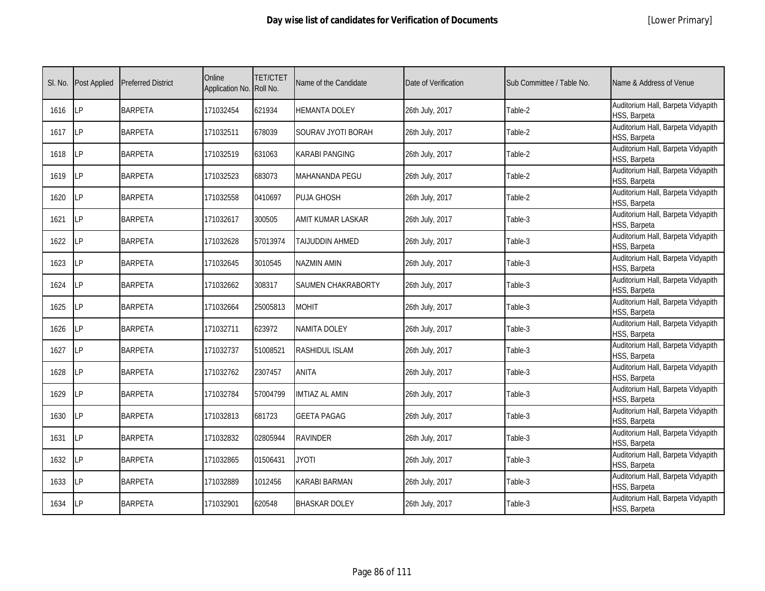|  | [Lower Primary] |
|--|-----------------|
|--|-----------------|

| SI. No. | <b>Post Applied</b> | <b>Preferred District</b> | Online<br>Application No. Roll No. | <b>TET/CTET</b> | Name of the Candidate | Date of Verification | Sub Committee / Table No. | Name & Address of Venue                            |
|---------|---------------------|---------------------------|------------------------------------|-----------------|-----------------------|----------------------|---------------------------|----------------------------------------------------|
| 1616    | <b>ILP</b>          | <b>BARPETA</b>            | 171032454                          | 621934          | HEMANTA DOLEY         | 26th July, 2017      | Table-2                   | Auditorium Hall, Barpeta Vidyapith<br>HSS, Barpeta |
| 1617    | <b>LP</b>           | <b>BARPETA</b>            | 171032511                          | 678039          | SOURAV JYOTI BORAH    | 26th July, 2017      | Table-2                   | Auditorium Hall, Barpeta Vidyapith<br>HSS, Barpeta |
| 1618    | LP                  | <b>BARPETA</b>            | 171032519                          | 631063          | KARABI PANGING        | 26th July, 2017      | Table-2                   | Auditorium Hall, Barpeta Vidyapith<br>HSS, Barpeta |
| 1619    | LP                  | <b>BARPETA</b>            | 171032523                          | 683073          | MAHANANDA PEGU        | 26th July, 2017      | Table-2                   | Auditorium Hall, Barpeta Vidyapith<br>HSS, Barpeta |
| 1620    | LP                  | <b>BARPETA</b>            | 171032558                          | 0410697         | <b>PUJA GHOSH</b>     | 26th July, 2017      | Table-2                   | Auditorium Hall, Barpeta Vidyapith<br>HSS, Barpeta |
| 1621    | LP                  | <b>BARPETA</b>            | 171032617                          | 300505          | AMIT KUMAR LASKAR     | 26th July, 2017      | Table-3                   | Auditorium Hall, Barpeta Vidyapith<br>HSS, Barpeta |
| 1622    | LP                  | <b>BARPETA</b>            | 171032628                          | 57013974        | TAIJUDDIN AHMED       | 26th July, 2017      | Table-3                   | Auditorium Hall, Barpeta Vidyapith<br>HSS, Barpeta |
| 1623    | <b>LP</b>           | <b>BARPETA</b>            | 171032645                          | 3010545         | NAZMIN AMIN           | 26th July, 2017      | Table-3                   | Auditorium Hall, Barpeta Vidyapith<br>HSS, Barpeta |
| 1624    | LΡ                  | <b>BARPETA</b>            | 171032662                          | 308317          | SAUMEN CHAKRABORTY    | 26th July, 2017      | Table-3                   | Auditorium Hall, Barpeta Vidyapith<br>HSS, Barpeta |
| 1625    | LP                  | <b>BARPETA</b>            | 171032664                          | 25005813        | <b>MOHIT</b>          | 26th July, 2017      | Table-3                   | Auditorium Hall, Barpeta Vidyapith<br>HSS, Barpeta |
| 1626    | <b>LP</b>           | <b>BARPETA</b>            | 171032711                          | 623972          | <b>NAMITA DOLEY</b>   | 26th July, 2017      | Table-3                   | Auditorium Hall, Barpeta Vidyapith<br>HSS, Barpeta |
| 1627    | LP                  | <b>BARPETA</b>            | 171032737                          | 51008521        | RASHIDUL ISLAM        | 26th July, 2017      | Table-3                   | Auditorium Hall, Barpeta Vidyapith<br>HSS, Barpeta |
| 1628    | LP                  | <b>BARPETA</b>            | 171032762                          | 2307457         | <b>ANITA</b>          | 26th July, 2017      | Table-3                   | Auditorium Hall, Barpeta Vidyapith<br>HSS, Barpeta |
| 1629    | LP                  | <b>BARPETA</b>            | 171032784                          | 57004799        | <b>IMTIAZ AL AMIN</b> | 26th July, 2017      | Table-3                   | Auditorium Hall, Barpeta Vidyapith<br>HSS, Barpeta |
| 1630    | LP                  | <b>BARPETA</b>            | 171032813                          | 681723          | <b>GEETA PAGAG</b>    | 26th July, 2017      | Table-3                   | Auditorium Hall, Barpeta Vidyapith<br>HSS, Barpeta |
| 1631    | <b>ILP</b>          | <b>BARPETA</b>            | 171032832                          | 02805944        | <b>RAVINDER</b>       | 26th July, 2017      | Table-3                   | Auditorium Hall, Barpeta Vidyapith<br>HSS, Barpeta |
| 1632    | <b>ILP</b>          | <b>BARPETA</b>            | 171032865                          | 01506431        | <b>JYOTI</b>          | 26th July, 2017      | Table-3                   | Auditorium Hall, Barpeta Vidyapith<br>HSS, Barpeta |
| 1633    | LP                  | <b>BARPETA</b>            | 171032889                          | 1012456         | <b>KARABI BARMAN</b>  | 26th July, 2017      | Table-3                   | Auditorium Hall, Barpeta Vidyapith<br>HSS, Barpeta |
| 1634    | <b>LP</b>           | <b>BARPETA</b>            | 171032901                          | 620548          | <b>BHASKAR DOLEY</b>  | 26th July, 2017      | Table-3                   | Auditorium Hall, Barpeta Vidyapith<br>HSS, Barpeta |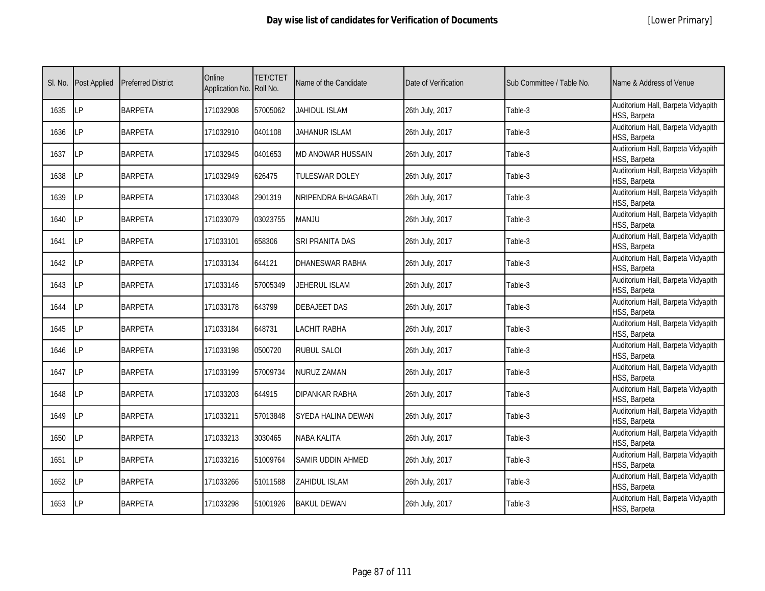|  | [Lower Primary] |
|--|-----------------|
|--|-----------------|

| SI. No. | <b>Post Applied</b> | <b>Preferred District</b> | Online<br>Application No. Roll No. | <b>TET/CTET</b> | Name of the Candidate  | Date of Verification | Sub Committee / Table No. | Name & Address of Venue                            |
|---------|---------------------|---------------------------|------------------------------------|-----------------|------------------------|----------------------|---------------------------|----------------------------------------------------|
| 1635    | LP                  | <b>BARPETA</b>            | 171032908                          | 57005062        | <b>JAHIDUL ISLAM</b>   | 26th July, 2017      | Table-3                   | Auditorium Hall, Barpeta Vidyapith<br>HSS, Barpeta |
| 1636    | LP                  | <b>BARPETA</b>            | 171032910                          | 0401108         | JAHANUR ISLAM          | 26th July, 2017      | Table-3                   | Auditorium Hall, Barpeta Vidyapith<br>HSS, Barpeta |
| 1637    | LP                  | <b>BARPETA</b>            | 171032945                          | 0401653         | MD ANOWAR HUSSAIN      | 26th July, 2017      | Table-3                   | Auditorium Hall, Barpeta Vidyapith<br>HSS, Barpeta |
| 1638    | LP                  | <b>BARPETA</b>            | 171032949                          | 626475          | TULESWAR DOLEY         | 26th July, 2017      | Table-3                   | Auditorium Hall, Barpeta Vidyapith<br>HSS, Barpeta |
| 1639    | LP                  | <b>BARPETA</b>            | 171033048                          | 2901319         | NRIPENDRA BHAGABATI    | 26th July, 2017      | Table-3                   | Auditorium Hall, Barpeta Vidyapith<br>HSS, Barpeta |
| 1640    | <b>LP</b>           | <b>BARPETA</b>            | 171033079                          | 03023755        | <b>MANJU</b>           | 26th July, 2017      | Table-3                   | Auditorium Hall, Barpeta Vidyapith<br>HSS, Barpeta |
| 1641    | LP                  | <b>BARPETA</b>            | 171033101                          | 658306          | SRI PRANITA DAS        | 26th July, 2017      | Table-3                   | Auditorium Hall, Barpeta Vidyapith<br>HSS, Barpeta |
| 1642    | LP                  | <b>BARPETA</b>            | 171033134                          | 644121          | <b>DHANESWAR RABHA</b> | 26th July, 2017      | Table-3                   | Auditorium Hall, Barpeta Vidyapith<br>HSS, Barpeta |
| 1643    | LР                  | <b>BARPETA</b>            | 171033146                          | 57005349        | JEHERUL ISLAM          | 26th July, 2017      | Table-3                   | Auditorium Hall, Barpeta Vidyapith<br>HSS, Barpeta |
| 1644    | LP                  | <b>BARPETA</b>            | 171033178                          | 643799          | DEBAJEET DAS           | 26th July, 2017      | Table-3                   | Auditorium Hall, Barpeta Vidyapith<br>HSS, Barpeta |
| 1645    | <b>LP</b>           | <b>BARPETA</b>            | 171033184                          | 648731          | LACHIT RABHA           | 26th July, 2017      | Table-3                   | Auditorium Hall, Barpeta Vidyapith<br>HSS, Barpeta |
| 1646    | LP                  | <b>BARPETA</b>            | 171033198                          | 0500720         | RUBUL SALOI            | 26th July, 2017      | Table-3                   | Auditorium Hall, Barpeta Vidyapith<br>HSS, Barpeta |
| 1647    | LP                  | <b>BARPETA</b>            | 171033199                          | 57009734        | NURUZ ZAMAN            | 26th July, 2017      | Table-3                   | Auditorium Hall, Barpeta Vidyapith<br>HSS, Barpeta |
| 1648    | LP                  | <b>BARPETA</b>            | 171033203                          | 644915          | DIPANKAR RABHA         | 26th July, 2017      | Table-3                   | Auditorium Hall, Barpeta Vidyapith<br>HSS, Barpeta |
| 1649    | LP                  | <b>BARPETA</b>            | 171033211                          | 57013848        | SYEDA HALINA DEWAN     | 26th July, 2017      | Table-3                   | Auditorium Hall, Barpeta Vidyapith<br>HSS, Barpeta |
| 1650    | LP                  | <b>BARPETA</b>            | 171033213                          | 3030465         | NABA KALITA            | 26th July, 2017      | Table-3                   | Auditorium Hall, Barpeta Vidyapith<br>HSS, Barpeta |
| 1651    | LP                  | <b>BARPETA</b>            | 171033216                          | 51009764        | SAMIR UDDIN AHMED      | 26th July, 2017      | Table-3                   | Auditorium Hall, Barpeta Vidyapith<br>HSS, Barpeta |
| 1652    | LP                  | <b>BARPETA</b>            | 171033266                          | 51011588        | ZAHIDUL ISLAM          | 26th July, 2017      | Table-3                   | Auditorium Hall, Barpeta Vidyapith<br>HSS, Barpeta |
| 1653    | LP                  | <b>BARPETA</b>            | 171033298                          | 51001926        | <b>BAKUL DEWAN</b>     | 26th July, 2017      | Table-3                   | Auditorium Hall, Barpeta Vidyapith<br>HSS, Barpeta |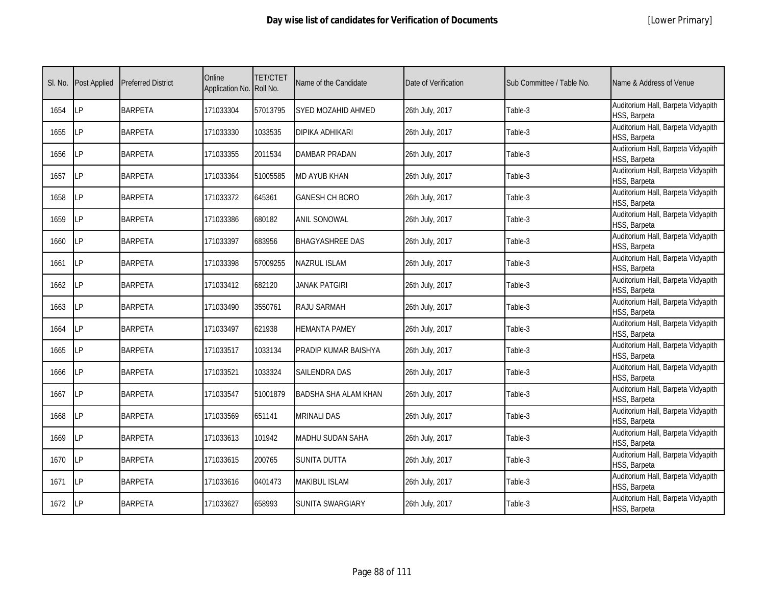|  | [Lower Primary] |
|--|-----------------|
|--|-----------------|

| SI. No. | <b>Post Applied</b> | <b>Preferred District</b> | Online<br>Application No. Roll No. | <b>TET/CTET</b> | Name of the Candidate     | Date of Verification | Sub Committee / Table No. | Name & Address of Venue                            |
|---------|---------------------|---------------------------|------------------------------------|-----------------|---------------------------|----------------------|---------------------------|----------------------------------------------------|
| 1654    | <b>ILP</b>          | <b>BARPETA</b>            | 171033304                          | 57013795        | <b>SYED MOZAHID AHMED</b> | 26th July, 2017      | Table-3                   | Auditorium Hall, Barpeta Vidyapith<br>HSS, Barpeta |
| 1655    | LP                  | <b>BARPETA</b>            | 171033330                          | 1033535         | DIPIKA ADHIKARI           | 26th July, 2017      | Table-3                   | Auditorium Hall, Barpeta Vidyapith<br>HSS, Barpeta |
| 1656    | <b>LP</b>           | <b>BARPETA</b>            | 171033355                          | 2011534         | <b>DAMBAR PRADAN</b>      | 26th July, 2017      | Table-3                   | Auditorium Hall, Barpeta Vidyapith<br>HSS, Barpeta |
| 1657    | <b>LP</b>           | <b>BARPETA</b>            | 171033364                          | 51005585        | <b>MD AYUB KHAN</b>       | 26th July, 2017      | Table-3                   | Auditorium Hall, Barpeta Vidyapith<br>HSS, Barpeta |
| 1658    | <b>LP</b>           | <b>BARPETA</b>            | 171033372                          | 645361          | GANESH CH BORO            | 26th July, 2017      | Table-3                   | Auditorium Hall, Barpeta Vidyapith<br>HSS, Barpeta |
| 1659    | LP                  | <b>BARPETA</b>            | 171033386                          | 680182          | <b>ANIL SONOWAL</b>       | 26th July, 2017      | Table-3                   | Auditorium Hall, Barpeta Vidyapith<br>HSS, Barpeta |
| 1660    | LP                  | <b>BARPETA</b>            | 171033397                          | 683956          | <b>BHAGYASHREE DAS</b>    | 26th July, 2017      | Table-3                   | Auditorium Hall, Barpeta Vidyapith<br>HSS, Barpeta |
| 1661    | LP                  | <b>BARPETA</b>            | 171033398                          | 57009255        | <b>NAZRUL ISLAM</b>       | 26th July, 2017      | Table-3                   | Auditorium Hall, Barpeta Vidyapith<br>HSS, Barpeta |
| 1662    | LΡ                  | <b>BARPETA</b>            | 171033412                          | 682120          | <b>JANAK PATGIRI</b>      | 26th July, 2017      | Table-3                   | Auditorium Hall, Barpeta Vidyapith<br>HSS, Barpeta |
| 1663    | LP                  | <b>BARPETA</b>            | 171033490                          | 3550761         | RAJU SARMAH               | 26th July, 2017      | Table-3                   | Auditorium Hall, Barpeta Vidyapith<br>HSS, Barpeta |
| 1664    | <b>LP</b>           | <b>BARPETA</b>            | 171033497                          | 621938          | <b>HEMANTA PAMEY</b>      | 26th July, 2017      | Table-3                   | Auditorium Hall, Barpeta Vidyapith<br>HSS, Barpeta |
| 1665    | LP                  | <b>BARPETA</b>            | 171033517                          | 1033134         | PRADIP KUMAR BAISHYA      | 26th July, 2017      | Table-3                   | Auditorium Hall, Barpeta Vidyapith<br>HSS, Barpeta |
| 1666    | LP                  | <b>BARPETA</b>            | 171033521                          | 1033324         | SAILENDRA DAS             | 26th July, 2017      | Table-3                   | Auditorium Hall, Barpeta Vidyapith<br>HSS, Barpeta |
| 1667    | <b>LP</b>           | <b>BARPETA</b>            | 171033547                          | 51001879        | BADSHA SHA ALAM KHAN      | 26th July, 2017      | Table-3                   | Auditorium Hall, Barpeta Vidyapith<br>HSS, Barpeta |
| 1668    | LP                  | <b>BARPETA</b>            | 171033569                          | 651141          | <b>MRINALI DAS</b>        | 26th July, 2017      | Table-3                   | Auditorium Hall, Barpeta Vidyapith<br>HSS, Barpeta |
| 1669    | LP                  | <b>BARPETA</b>            | 171033613                          | 101942          | <b>MADHU SUDAN SAHA</b>   | 26th July, 2017      | Table-3                   | Auditorium Hall, Barpeta Vidyapith<br>HSS, Barpeta |
| 1670    | <b>ILP</b>          | <b>BARPETA</b>            | 171033615                          | 200765          | <b>SUNITA DUTTA</b>       | 26th July, 2017      | Table-3                   | Auditorium Hall, Barpeta Vidyapith<br>HSS, Barpeta |
| 1671    | <b>ILP</b>          | <b>BARPETA</b>            | 171033616                          | 0401473         | <b>MAKIBUL ISLAM</b>      | 26th July, 2017      | Table-3                   | Auditorium Hall, Barpeta Vidyapith<br>HSS, Barpeta |
| 1672    | LP                  | <b>BARPETA</b>            | 171033627                          | 658993          | <b>SUNITA SWARGIARY</b>   | 26th July, 2017      | Table-3                   | Auditorium Hall, Barpeta Vidyapith<br>HSS, Barpeta |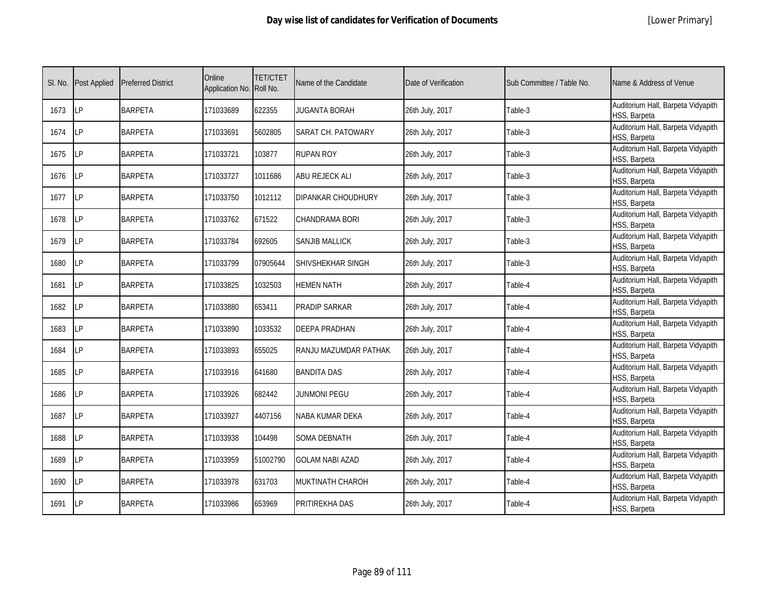|  | [Lower Primary] |
|--|-----------------|
|--|-----------------|

| SI. No. | <b>Post Applied</b> | <b>Preferred District</b> | Online<br>Application No. | <b>TET/CTET</b><br>Roll No. | Name of the Candidate     | Date of Verification | Sub Committee / Table No. | Name & Address of Venue                            |
|---------|---------------------|---------------------------|---------------------------|-----------------------------|---------------------------|----------------------|---------------------------|----------------------------------------------------|
| 1673    | <b>LP</b>           | <b>BARPETA</b>            | 171033689                 | 622355                      | <b>JUGANTA BORAH</b>      | 26th July, 2017      | Table-3                   | Auditorium Hall, Barpeta Vidyapith<br>HSS, Barpeta |
| 1674    | <b>ILP</b>          | <b>BARPETA</b>            | 171033691                 | 5602805                     | SARAT CH. PATOWARY        | 26th July, 2017      | Table-3                   | Auditorium Hall, Barpeta Vidyapith<br>HSS, Barpeta |
| 1675    | <b>LP</b>           | <b>BARPETA</b>            | 171033721                 | 103877                      | RUPAN ROY                 | 26th July, 2017      | Table-3                   | Auditorium Hall, Barpeta Vidyapith<br>HSS, Barpeta |
| 1676    | LP                  | <b>BARPETA</b>            | 171033727                 | 1011686                     | ABU REJECK ALI            | 26th July, 2017      | Table-3                   | Auditorium Hall, Barpeta Vidyapith<br>HSS, Barpeta |
| 1677    | <b>ILP</b>          | <b>BARPETA</b>            | 171033750                 | 1012112                     | <b>DIPANKAR CHOUDHURY</b> | 26th July, 2017      | Table-3                   | Auditorium Hall, Barpeta Vidyapith<br>HSS, Barpeta |
| 1678    | LP                  | <b>BARPETA</b>            | 171033762                 | 671522                      | CHANDRAMA BORI            | 26th July, 2017      | Table-3                   | Auditorium Hall, Barpeta Vidyapith<br>HSS, Barpeta |
| 1679    | LP                  | <b>BARPETA</b>            | 171033784                 | 692605                      | SANJIB MALLICK            | 26th July, 2017      | Table-3                   | Auditorium Hall, Barpeta Vidyapith<br>HSS, Barpeta |
| 1680    | LP                  | <b>BARPETA</b>            | 171033799                 | 07905644                    | SHIVSHEKHAR SINGH         | 26th July, 2017      | Table-3                   | Auditorium Hall, Barpeta Vidyapith<br>HSS, Barpeta |
| 1681    | LP                  | <b>BARPETA</b>            | 171033825                 | 1032503                     | HEMEN NATH                | 26th July, 2017      | Table-4                   | Auditorium Hall, Barpeta Vidyapith<br>HSS, Barpeta |
| 1682    | LP                  | <b>BARPETA</b>            | 171033880                 | 653411                      | PRADIP SARKAR             | 26th July, 2017      | Table-4                   | Auditorium Hall, Barpeta Vidyapith<br>HSS, Barpeta |
| 1683    | LP                  | <b>BARPETA</b>            | 171033890                 | 1033532                     | <b>DEEPA PRADHAN</b>      | 26th July, 2017      | Table-4                   | Auditorium Hall, Barpeta Vidyapith<br>HSS, Barpeta |
| 1684    | LP                  | <b>BARPETA</b>            | 171033893                 | 655025                      | RANJU MAZUMDAR PATHAK     | 26th July, 2017      | Table-4                   | Auditorium Hall, Barpeta Vidyapith<br>HSS, Barpeta |
| 1685    | LP                  | <b>BARPETA</b>            | 171033916                 | 641680                      | <b>BANDITA DAS</b>        | 26th July, 2017      | Table-4                   | Auditorium Hall, Barpeta Vidyapith<br>HSS, Barpeta |
| 1686    | LP                  | <b>BARPETA</b>            | 171033926                 | 682442                      | <b>JUNMONI PEGU</b>       | 26th July, 2017      | Table-4                   | Auditorium Hall, Barpeta Vidyapith<br>HSS, Barpeta |
| 1687    | LP                  | <b>BARPETA</b>            | 171033927                 | 4407156                     | NABA KUMAR DEKA           | 26th July, 2017      | Table-4                   | Auditorium Hall, Barpeta Vidyapith<br>HSS, Barpeta |
| 1688    | <b>LP</b>           | <b>BARPETA</b>            | 171033938                 | 104498                      | <b>SOMA DEBNATH</b>       | 26th July, 2017      | Table-4                   | Auditorium Hall, Barpeta Vidyapith<br>HSS, Barpeta |
| 1689    | LP                  | <b>BARPETA</b>            | 171033959                 | 51002790                    | <b>GOLAM NABI AZAD</b>    | 26th July, 2017      | Table-4                   | Auditorium Hall, Barpeta Vidyapith<br>HSS, Barpeta |
| 1690    | <b>LP</b>           | <b>BARPETA</b>            | 171033978                 | 631703                      | <b>MUKTINATH CHAROH</b>   | 26th July, 2017      | Table-4                   | Auditorium Hall, Barpeta Vidyapith<br>HSS, Barpeta |
| 1691    | <b>ILP</b>          | <b>BARPETA</b>            | 171033986                 | 653969                      | PRITIREKHA DAS            | 26th July, 2017      | Table-4                   | Auditorium Hall, Barpeta Vidyapith<br>HSS, Barpeta |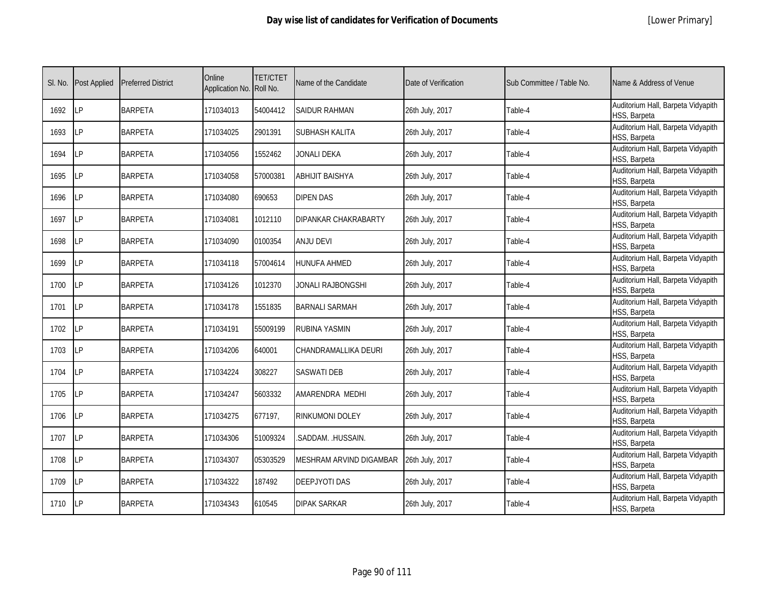|  | [Lower Primary] |
|--|-----------------|
|--|-----------------|

| SI. No. | <b>Post Applied</b> | <b>Preferred District</b> | Online<br>Application No. Roll No. | <b>TET/CTET</b> | Name of the Candidate       | Date of Verification | Sub Committee / Table No. | Name & Address of Venue                            |
|---------|---------------------|---------------------------|------------------------------------|-----------------|-----------------------------|----------------------|---------------------------|----------------------------------------------------|
| 1692    | LP                  | <b>BARPETA</b>            | 171034013                          | 54004412        | <b>SAIDUR RAHMAN</b>        | 26th July, 2017      | Table-4                   | Auditorium Hall, Barpeta Vidyapith<br>HSS, Barpeta |
| 1693    | LP                  | <b>BARPETA</b>            | 171034025                          | 2901391         | SUBHASH KALITA              | 26th July, 2017      | Table-4                   | Auditorium Hall, Barpeta Vidyapith<br>HSS, Barpeta |
| 1694    | <b>LP</b>           | <b>BARPETA</b>            | 171034056                          | 1552462         | <b>JONALI DEKA</b>          | 26th July, 2017      | Table-4                   | Auditorium Hall, Barpeta Vidyapith<br>HSS, Barpeta |
| 1695    | LP                  | <b>BARPETA</b>            | 171034058                          | 57000381        | <b>ABHIJIT BAISHYA</b>      | 26th July, 2017      | Table-4                   | Auditorium Hall, Barpeta Vidyapith<br>HSS, Barpeta |
| 1696    | LP                  | <b>BARPETA</b>            | 171034080                          | 690653          | DIPEN DAS                   | 26th July, 2017      | Table-4                   | Auditorium Hall, Barpeta Vidyapith<br>HSS, Barpeta |
| 1697    | LP                  | <b>BARPETA</b>            | 171034081                          | 1012110         | <b>DIPANKAR CHAKRABARTY</b> | 26th July, 2017      | Table-4                   | Auditorium Hall, Barpeta Vidyapith<br>HSS, Barpeta |
| 1698    | LP                  | <b>BARPETA</b>            | 171034090                          | 0100354         | ANJU DEVI                   | 26th July, 2017      | Table-4                   | Auditorium Hall, Barpeta Vidyapith<br>HSS, Barpeta |
| 1699    | LP                  | <b>BARPETA</b>            | 171034118                          | 57004614        | HUNUFA AHMED                | 26th July, 2017      | Table-4                   | Auditorium Hall, Barpeta Vidyapith<br>HSS, Barpeta |
| 1700    | <b>LP</b>           | <b>BARPETA</b>            | 171034126                          | 1012370         | JONALI RAJBONGSHI           | 26th July, 2017      | Table-4                   | Auditorium Hall, Barpeta Vidyapith<br>HSS, Barpeta |
| 1701    | LP                  | <b>BARPETA</b>            | 171034178                          | 1551835         | <b>BARNALI SARMAH</b>       | 26th July, 2017      | Table-4                   | Auditorium Hall, Barpeta Vidyapith<br>HSS, Barpeta |
| 1702    | LP                  | <b>BARPETA</b>            | 171034191                          | 55009199        | RUBINA YASMIN               | 26th July, 2017      | Table-4                   | Auditorium Hall, Barpeta Vidyapith<br>HSS, Barpeta |
| 1703    | LP                  | <b>BARPETA</b>            | 171034206                          | 640001          | CHANDRAMALLIKA DEURI        | 26th July, 2017      | Table-4                   | Auditorium Hall, Barpeta Vidyapith<br>HSS, Barpeta |
| 1704    | LP                  | <b>BARPETA</b>            | 171034224                          | 308227          | <b>SASWATI DEB</b>          | 26th July, 2017      | Table-4                   | Auditorium Hall, Barpeta Vidyapith<br>HSS, Barpeta |
| 1705    | LP                  | <b>BARPETA</b>            | 171034247                          | 5603332         | AMARENDRA MEDHI             | 26th July, 2017      | Table-4                   | Auditorium Hall, Barpeta Vidyapith<br>HSS, Barpeta |
| 1706    | LP                  | <b>BARPETA</b>            | 171034275                          | 677197,         | RINKUMONI DOLEY             | 26th July, 2017      | Table-4                   | Auditorium Hall, Barpeta Vidyapith<br>HSS, Barpeta |
| 1707    | LP                  | <b>BARPETA</b>            | 171034306                          | 51009324        | .SADDAM. .HUSSAIN.          | 26th July, 2017      | Table-4                   | Auditorium Hall, Barpeta Vidyapith<br>HSS, Barpeta |
| 1708    | LP                  | <b>BARPETA</b>            | 171034307                          | 05303529        | MESHRAM ARVIND DIGAMBAR     | 26th July, 2017      | Table-4                   | Auditorium Hall, Barpeta Vidyapith<br>HSS, Barpeta |
| 1709    | LP                  | <b>BARPETA</b>            | 171034322                          | 187492          | <b>DEEPJYOTI DAS</b>        | 26th July, 2017      | Table-4                   | Auditorium Hall, Barpeta Vidyapith<br>HSS, Barpeta |
| 1710    | LP                  | <b>BARPETA</b>            | 171034343                          | 610545          | DIPAK SARKAR                | 26th July, 2017      | Table-4                   | Auditorium Hall, Barpeta Vidyapith<br>HSS, Barpeta |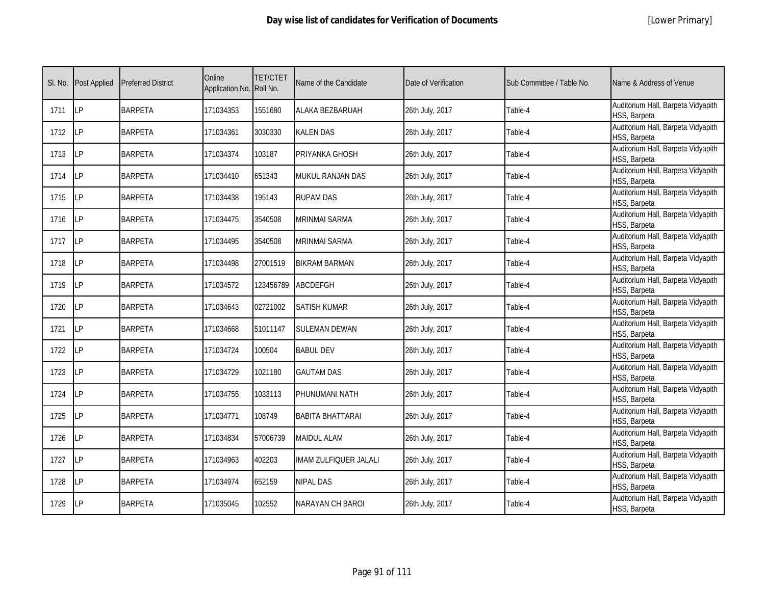|  | [Lower Primary] |
|--|-----------------|
|--|-----------------|

| SI. No. | <b>Post Applied</b> | <b>Preferred District</b> | Online<br>Application No. Roll No. | <b>TET/CTET</b> | Name of the Candidate   | Date of Verification | Sub Committee / Table No. | Name & Address of Venue                            |
|---------|---------------------|---------------------------|------------------------------------|-----------------|-------------------------|----------------------|---------------------------|----------------------------------------------------|
| 1711    | LP                  | <b>BARPETA</b>            | 171034353                          | 1551680         | ALAKA BEZBARUAH         | 26th July, 2017      | Table-4                   | Auditorium Hall, Barpeta Vidyapith<br>HSS, Barpeta |
| 1712    | LP                  | <b>BARPETA</b>            | 171034361                          | 3030330         | KALEN DAS               | 26th July, 2017      | Table-4                   | Auditorium Hall, Barpeta Vidyapith<br>HSS, Barpeta |
| 1713    | LP                  | <b>BARPETA</b>            | 171034374                          | 103187          | PRIYANKA GHOSH          | 26th July, 2017      | Table-4                   | Auditorium Hall, Barpeta Vidyapith<br>HSS, Barpeta |
| 1714    | LP                  | <b>BARPETA</b>            | 171034410                          | 651343          | MUKUL RANJAN DAS        | 26th July, 2017      | Table-4                   | Auditorium Hall, Barpeta Vidyapith<br>HSS, Barpeta |
| 1715    | LP                  | <b>BARPETA</b>            | 171034438                          | 195143          | RUPAM DAS               | 26th July, 2017      | Table-4                   | Auditorium Hall, Barpeta Vidyapith<br>HSS, Barpeta |
| 1716    | LP                  | <b>BARPETA</b>            | 171034475                          | 3540508         | <b>MRINMAI SARMA</b>    | 26th July, 2017      | Table-4                   | Auditorium Hall, Barpeta Vidyapith<br>HSS, Barpeta |
| 1717    | LP                  | <b>BARPETA</b>            | 171034495                          | 3540508         | MRINMAI SARMA           | 26th July, 2017      | Table-4                   | Auditorium Hall, Barpeta Vidyapith<br>HSS, Barpeta |
| 1718    | LP                  | <b>BARPETA</b>            | 171034498                          | 27001519        | <b>BIKRAM BARMAN</b>    | 26th July, 2017      | Table-4                   | Auditorium Hall, Barpeta Vidyapith<br>HSS, Barpeta |
| 1719    | <b>LP</b>           | <b>BARPETA</b>            | 171034572                          | 123456789       | <b>ABCDEFGH</b>         | 26th July, 2017      | Table-4                   | Auditorium Hall, Barpeta Vidyapith<br>HSS, Barpeta |
| 1720    | LP                  | <b>BARPETA</b>            | 171034643                          | 02721002        | <b>SATISH KUMAR</b>     | 26th July, 2017      | Table-4                   | Auditorium Hall, Barpeta Vidyapith<br>HSS, Barpeta |
| 1721    | LP                  | <b>BARPETA</b>            | 171034668                          | 51011147        | <b>SULEMAN DEWAN</b>    | 26th July, 2017      | Table-4                   | Auditorium Hall, Barpeta Vidyapith<br>HSS, Barpeta |
| 1722    | LP                  | <b>BARPETA</b>            | 171034724                          | 100504          | <b>BABUL DEV</b>        | 26th July, 2017      | Table-4                   | Auditorium Hall, Barpeta Vidyapith<br>HSS, Barpeta |
| 1723    | LP                  | <b>BARPETA</b>            | 171034729                          | 1021180         | <b>GAUTAM DAS</b>       | 26th July, 2017      | Table-4                   | Auditorium Hall, Barpeta Vidyapith<br>HSS, Barpeta |
| 1724    | LP                  | <b>BARPETA</b>            | 171034755                          | 1033113         | PHUNUMANI NATH          | 26th July, 2017      | Table-4                   | Auditorium Hall, Barpeta Vidyapith<br>HSS, Barpeta |
| 1725    | <b>LP</b>           | <b>BARPETA</b>            | 171034771                          | 108749          | <b>BABITA BHATTARAI</b> | 26th July, 2017      | Table-4                   | Auditorium Hall, Barpeta Vidyapith<br>HSS, Barpeta |
| 1726    | LP                  | <b>BARPETA</b>            | 171034834                          | 57006739        | <b>MAIDUL ALAM</b>      | 26th July, 2017      | Table-4                   | Auditorium Hall, Barpeta Vidyapith<br>HSS, Barpeta |
| 1727    | LP                  | <b>BARPETA</b>            | 171034963                          | 402203          | IMAM ZULFIQUER JALALI   | 26th July, 2017      | Table-4                   | Auditorium Hall, Barpeta Vidyapith<br>HSS, Barpeta |
| 1728    | LP                  | <b>BARPETA</b>            | 171034974                          | 652159          | NIPAL DAS               | 26th July, 2017      | Table-4                   | Auditorium Hall, Barpeta Vidyapith<br>HSS, Barpeta |
| 1729    | LP                  | <b>BARPETA</b>            | 171035045                          | 102552          | NARAYAN CH BAROI        | 26th July, 2017      | Table-4                   | Auditorium Hall, Barpeta Vidyapith<br>HSS, Barpeta |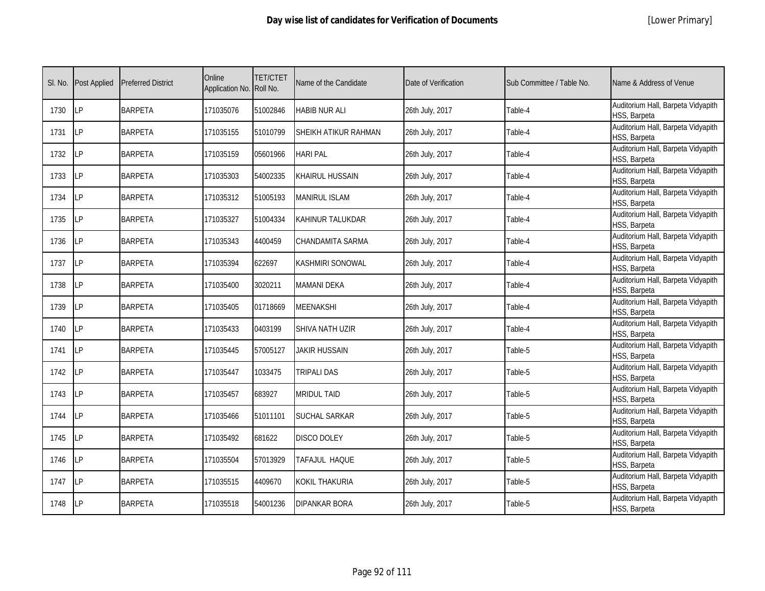| SI. No. | <b>Post Applied</b> | <b>Preferred District</b> | Online<br>Application No. Roll No. | <b>TET/CTET</b> | Name of the Candidate   | Date of Verification | Sub Committee / Table No. | Name & Address of Venue                            |
|---------|---------------------|---------------------------|------------------------------------|-----------------|-------------------------|----------------------|---------------------------|----------------------------------------------------|
| 1730    | <b>LP</b>           | <b>BARPETA</b>            | 171035076                          | 51002846        | <b>HABIB NUR ALI</b>    | 26th July, 2017      | Table-4                   | Auditorium Hall, Barpeta Vidyapith<br>HSS, Barpeta |
| 1731    | <b>ILP</b>          | <b>BARPETA</b>            | 171035155                          | 51010799        | SHEIKH ATIKUR RAHMAN    | 26th July, 2017      | Table-4                   | Auditorium Hall, Barpeta Vidyapith<br>HSS, Barpeta |
| 1732    | <b>LP</b>           | <b>BARPETA</b>            | 171035159                          | 05601966        | <b>HARI PAL</b>         | 26th July, 2017      | Table-4                   | Auditorium Hall, Barpeta Vidyapith<br>HSS, Barpeta |
| 1733    | <b>LP</b>           | <b>BARPETA</b>            | 171035303                          | 54002335        | <b>KHAIRUL HUSSAIN</b>  | 26th July, 2017      | Table-4                   | Auditorium Hall, Barpeta Vidyapith<br>HSS, Barpeta |
| 1734    | <b>ILP</b>          | <b>BARPETA</b>            | 171035312                          | 51005193        | <b>MANIRUL ISLAM</b>    | 26th July, 2017      | Table-4                   | Auditorium Hall, Barpeta Vidyapith<br>HSS, Barpeta |
| 1735    | LP                  | <b>BARPETA</b>            | 171035327                          | 51004334        | <b>KAHINUR TALUKDAR</b> | 26th July, 2017      | Table-4                   | Auditorium Hall, Barpeta Vidyapith<br>HSS, Barpeta |
| 1736    | <b>LP</b>           | <b>BARPETA</b>            | 171035343                          | 4400459         | CHANDAMITA SARMA        | 26th July, 2017      | Table-4                   | Auditorium Hall, Barpeta Vidyapith<br>HSS, Barpeta |
| 1737    | LP                  | <b>BARPETA</b>            | 171035394                          | 622697          | KASHMIRI SONOWAL        | 26th July, 2017      | Table-4                   | Auditorium Hall, Barpeta Vidyapith<br>HSS, Barpeta |
| 1738    | LP                  | <b>BARPETA</b>            | 171035400                          | 3020211         | <b>MAMANI DEKA</b>      | 26th July, 2017      | Table-4                   | Auditorium Hall, Barpeta Vidyapith<br>HSS, Barpeta |
| 1739    | <b>LP</b>           | <b>BARPETA</b>            | 171035405                          | 01718669        | <b>MEENAKSHI</b>        | 26th July, 2017      | Table-4                   | Auditorium Hall, Barpeta Vidyapith<br>HSS, Barpeta |
| 1740    | LP                  | <b>BARPETA</b>            | 171035433                          | 0403199         | <b>SHIVA NATH UZIR</b>  | 26th July, 2017      | Table-4                   | Auditorium Hall, Barpeta Vidyapith<br>HSS, Barpeta |
| 1741    | LP                  | <b>BARPETA</b>            | 171035445                          | 57005127        | <b>JAKIR HUSSAIN</b>    | 26th July, 2017      | Table-5                   | Auditorium Hall, Barpeta Vidyapith<br>HSS, Barpeta |
| 1742    | <b>LP</b>           | <b>BARPETA</b>            | 171035447                          | 1033475         | TRIPALI DAS             | 26th July, 2017      | Table-5                   | Auditorium Hall, Barpeta Vidyapith<br>HSS, Barpeta |
| 1743    | LP                  | <b>BARPETA</b>            | 171035457                          | 683927          | <b>MRIDUL TAID</b>      | 26th July, 2017      | Table-5                   | Auditorium Hall, Barpeta Vidyapith<br>HSS, Barpeta |
| 1744    | LP                  | <b>BARPETA</b>            | 171035466                          | 51011101        | <b>SUCHAL SARKAR</b>    | 26th July, 2017      | Table-5                   | Auditorium Hall, Barpeta Vidyapith<br>HSS, Barpeta |
| 1745    | LP                  | <b>BARPETA</b>            | 171035492                          | 681622          | <b>DISCO DOLEY</b>      | 26th July, 2017      | Table-5                   | Auditorium Hall, Barpeta Vidyapith<br>HSS, Barpeta |
| 1746    | <b>ILP</b>          | <b>BARPETA</b>            | 171035504                          | 57013929        | TAFAJUL HAQUE           | 26th July, 2017      | Table-5                   | Auditorium Hall, Barpeta Vidyapith<br>HSS, Barpeta |
| 1747    | LP                  | <b>BARPETA</b>            | 171035515                          | 4409670         | <b>KOKIL THAKURIA</b>   | 26th July, 2017      | Table-5                   | Auditorium Hall, Barpeta Vidyapith<br>HSS, Barpeta |
| 1748    | LP                  | <b>BARPETA</b>            | 171035518                          | 54001236        | <b>DIPANKAR BORA</b>    | 26th July, 2017      | Table-5                   | Auditorium Hall, Barpeta Vidyapith<br>HSS, Barpeta |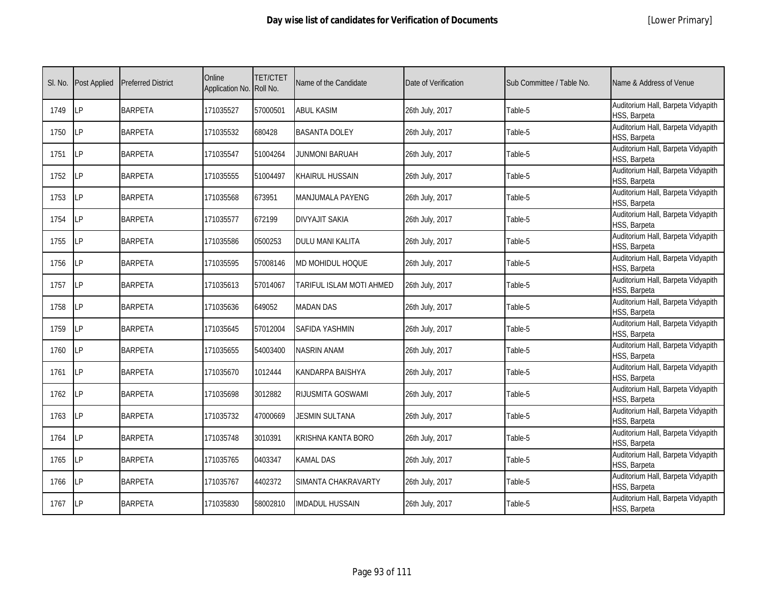|  | [Lower Primary] |
|--|-----------------|
|--|-----------------|

| SI. No. | <b>Post Applied</b> | <b>Preferred District</b> | Online<br>Application No. Roll No. | <b>TET/CTET</b> | Name of the Candidate    | Date of Verification | Sub Committee / Table No. | Name & Address of Venue                            |
|---------|---------------------|---------------------------|------------------------------------|-----------------|--------------------------|----------------------|---------------------------|----------------------------------------------------|
| 1749    | LP                  | <b>BARPETA</b>            | 171035527                          | 57000501        | <b>ABUL KASIM</b>        | 26th July, 2017      | Table-5                   | Auditorium Hall, Barpeta Vidyapith<br>HSS, Barpeta |
| 1750    | LP                  | <b>BARPETA</b>            | 171035532                          | 680428          | <b>BASANTA DOLEY</b>     | 26th July, 2017      | Table-5                   | Auditorium Hall, Barpeta Vidyapith<br>HSS, Barpeta |
| 1751    | LP                  | <b>BARPETA</b>            | 171035547                          | 51004264        | JUNMONI BARUAH           | 26th July, 2017      | Table-5                   | Auditorium Hall, Barpeta Vidyapith<br>HSS, Barpeta |
| 1752    | LP                  | <b>BARPETA</b>            | 171035555                          | 51004497        | <b>KHAIRUL HUSSAIN</b>   | 26th July, 2017      | Table-5                   | Auditorium Hall, Barpeta Vidyapith<br>HSS, Barpeta |
| 1753    | LP                  | <b>BARPETA</b>            | 171035568                          | 673951          | MANJUMALA PAYENG         | 26th July, 2017      | Table-5                   | Auditorium Hall, Barpeta Vidyapith<br>HSS, Barpeta |
| 1754    | LP                  | <b>BARPETA</b>            | 171035577                          | 672199          | <b>DIVYAJIT SAKIA</b>    | 26th July, 2017      | Table-5                   | Auditorium Hall, Barpeta Vidyapith<br>HSS, Barpeta |
| 1755    | LP                  | <b>BARPETA</b>            | 171035586                          | 0500253         | DULU MANI KALITA         | 26th July, 2017      | Table-5                   | Auditorium Hall, Barpeta Vidyapith<br>HSS, Barpeta |
| 1756    | LP                  | <b>BARPETA</b>            | 171035595                          | 57008146        | MD MOHIDUL HOQUE         | 26th July, 2017      | Table-5                   | Auditorium Hall, Barpeta Vidyapith<br>HSS, Barpeta |
| 1757    | <b>LP</b>           | <b>BARPETA</b>            | 171035613                          | 57014067        | TARIFUL ISLAM MOTI AHMED | 26th July, 2017      | Table-5                   | Auditorium Hall, Barpeta Vidyapith<br>HSS, Barpeta |
| 1758    | LP                  | <b>BARPETA</b>            | 171035636                          | 649052          | <b>MADAN DAS</b>         | 26th July, 2017      | Table-5                   | Auditorium Hall, Barpeta Vidyapith<br>HSS, Barpeta |
| 1759    | LP                  | <b>BARPETA</b>            | 171035645                          | 57012004        | <b>SAFIDA YASHMIN</b>    | 26th July, 2017      | Table-5                   | Auditorium Hall, Barpeta Vidyapith<br>HSS, Barpeta |
| 1760    | LP                  | <b>BARPETA</b>            | 171035655                          | 54003400        | <b>NASRIN ANAM</b>       | 26th July, 2017      | Table-5                   | Auditorium Hall, Barpeta Vidyapith<br>HSS, Barpeta |
| 1761    | LP                  | <b>BARPETA</b>            | 171035670                          | 1012444         | KANDARPA BAISHYA         | 26th July, 2017      | Table-5                   | Auditorium Hall, Barpeta Vidyapith<br>HSS, Barpeta |
| 1762    | LP                  | <b>BARPETA</b>            | 171035698                          | 3012882         | RIJUSMITA GOSWAMI        | 26th July, 2017      | Table-5                   | Auditorium Hall, Barpeta Vidyapith<br>HSS, Barpeta |
| 1763    | <b>LP</b>           | <b>BARPETA</b>            | 171035732                          | 47000669        | <b>JESMIN SULTANA</b>    | 26th July, 2017      | Table-5                   | Auditorium Hall, Barpeta Vidyapith<br>HSS, Barpeta |
| 1764    | LP                  | <b>BARPETA</b>            | 171035748                          | 3010391         | KRISHNA KANTA BORO       | 26th July, 2017      | Table-5                   | Auditorium Hall, Barpeta Vidyapith<br>HSS, Barpeta |
| 1765    | LP                  | <b>BARPETA</b>            | 171035765                          | 0403347         | <b>KAMAL DAS</b>         | 26th July, 2017      | Table-5                   | Auditorium Hall, Barpeta Vidyapith<br>HSS, Barpeta |
| 1766    | LP                  | <b>BARPETA</b>            | 171035767                          | 4402372         | SIMANTA CHAKRAVARTY      | 26th July, 2017      | Table-5                   | Auditorium Hall, Barpeta Vidyapith<br>HSS, Barpeta |
| 1767    | LP                  | <b>BARPETA</b>            | 171035830                          | 58002810        | IMDADUL HUSSAIN          | 26th July, 2017      | Table-5                   | Auditorium Hall, Barpeta Vidyapith<br>HSS, Barpeta |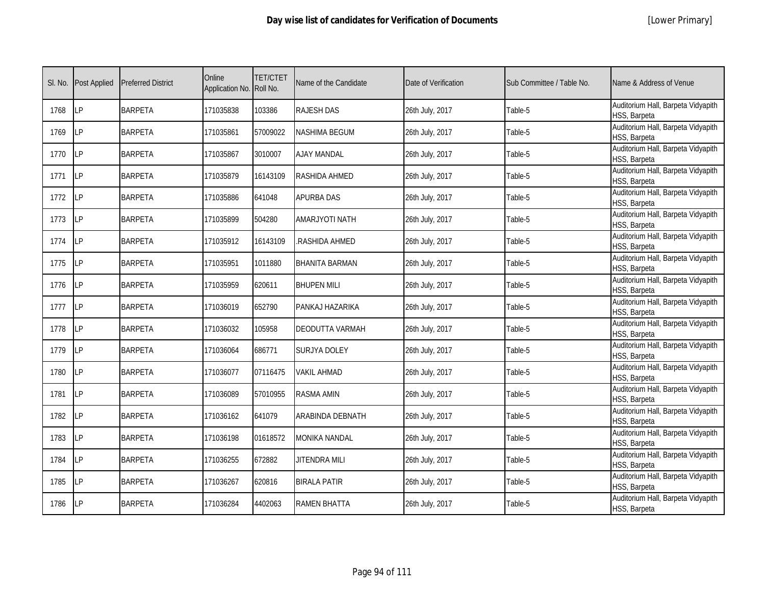| SI. No. | <b>Post Applied</b> | <b>Preferred District</b> | Online<br>Application No. Roll No. | <b>TET/CTET</b> | Name of the Candidate | Date of Verification | Sub Committee / Table No. | Name & Address of Venue                            |
|---------|---------------------|---------------------------|------------------------------------|-----------------|-----------------------|----------------------|---------------------------|----------------------------------------------------|
| 1768    | LP                  | <b>BARPETA</b>            | 171035838                          | 103386          | <b>RAJESH DAS</b>     | 26th July, 2017      | Table-5                   | Auditorium Hall, Barpeta Vidyapith<br>HSS, Barpeta |
| 1769    | LP                  | <b>BARPETA</b>            | 171035861                          | 57009022        | NASHIMA BEGUM         | 26th July, 2017      | Table-5                   | Auditorium Hall, Barpeta Vidyapith<br>HSS, Barpeta |
| 1770    | LP                  | <b>BARPETA</b>            | 171035867                          | 3010007         | <b>AJAY MANDAL</b>    | 26th July, 2017      | Table-5                   | Auditorium Hall, Barpeta Vidyapith<br>HSS, Barpeta |
| 1771    | LP                  | <b>BARPETA</b>            | 171035879                          | 16143109        | RASHIDA AHMED         | 26th July, 2017      | Table-5                   | Auditorium Hall, Barpeta Vidyapith<br>HSS, Barpeta |
| 1772    | LP                  | <b>BARPETA</b>            | 171035886                          | 641048          | <b>APURBA DAS</b>     | 26th July, 2017      | Table-5                   | Auditorium Hall, Barpeta Vidyapith<br>HSS, Barpeta |
| 1773    | LP                  | <b>BARPETA</b>            | 171035899                          | 504280          | AMARJYOTI NATH        | 26th July, 2017      | Table-5                   | Auditorium Hall, Barpeta Vidyapith<br>HSS, Barpeta |
| 1774    | LP                  | <b>BARPETA</b>            | 171035912                          | 16143109        | RASHIDA AHMED.        | 26th July, 2017      | Table-5                   | Auditorium Hall, Barpeta Vidyapith<br>HSS, Barpeta |
| 1775    | LP                  | <b>BARPETA</b>            | 171035951                          | 1011880         | <b>BHANITA BARMAN</b> | 26th July, 2017      | Table-5                   | Auditorium Hall, Barpeta Vidyapith<br>HSS, Barpeta |
| 1776    | LР                  | <b>BARPETA</b>            | 171035959                          | 620611          | <b>BHUPEN MILI</b>    | 26th July, 2017      | Table-5                   | Auditorium Hall, Barpeta Vidyapith<br>HSS, Barpeta |
| 1777    | LP                  | <b>BARPETA</b>            | 171036019                          | 652790          | PANKAJ HAZARIKA       | 26th July, 2017      | Table-5                   | Auditorium Hall, Barpeta Vidyapith<br>HSS, Barpeta |
| 1778    | LP                  | <b>BARPETA</b>            | 171036032                          | 105958          | DEODUTTA VARMAH       | 26th July, 2017      | Table-5                   | Auditorium Hall, Barpeta Vidyapith<br>HSS, Barpeta |
| 1779    | LP                  | <b>BARPETA</b>            | 171036064                          | 686771          | SURJYA DOLEY          | 26th July, 2017      | Table-5                   | Auditorium Hall, Barpeta Vidyapith<br>HSS, Barpeta |
| 1780    | LP                  | <b>BARPETA</b>            | 171036077                          | 07116475        | <b>VAKIL AHMAD</b>    | 26th July, 2017      | Table-5                   | Auditorium Hall, Barpeta Vidyapith<br>HSS, Barpeta |
| 1781    | LP                  | <b>BARPETA</b>            | 171036089                          | 57010955        | RASMA AMIN            | 26th July, 2017      | Table-5                   | Auditorium Hall, Barpeta Vidyapith<br>HSS, Barpeta |
| 1782    | LP                  | <b>BARPETA</b>            | 171036162                          | 641079          | ARABINDA DEBNATH      | 26th July, 2017      | Table-5                   | Auditorium Hall, Barpeta Vidyapith<br>HSS, Barpeta |
| 1783    | LP                  | <b>BARPETA</b>            | 171036198                          | 01618572        | MONIKA NANDAL         | 26th July, 2017      | Table-5                   | Auditorium Hall, Barpeta Vidyapith<br>HSS, Barpeta |
| 1784    | LP                  | <b>BARPETA</b>            | 171036255                          | 672882          | JITENDRA MILI         | 26th July, 2017      | Table-5                   | Auditorium Hall, Barpeta Vidyapith<br>HSS, Barpeta |
| 1785    | LP                  | <b>BARPETA</b>            | 171036267                          | 620816          | <b>BIRALA PATIR</b>   | 26th July, 2017      | Table-5                   | Auditorium Hall, Barpeta Vidyapith<br>HSS, Barpeta |
| 1786    | LP                  | <b>BARPETA</b>            | 171036284                          | 4402063         | RAMEN BHATTA          | 26th July, 2017      | Table-5                   | Auditorium Hall, Barpeta Vidyapith<br>HSS, Barpeta |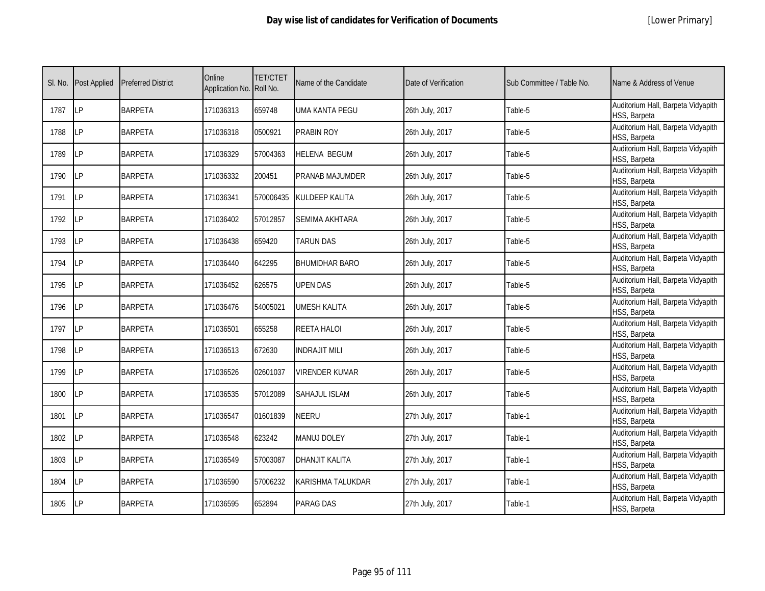|  | [Lower Primary] |
|--|-----------------|
|--|-----------------|

| SI. No. | <b>Post Applied</b> | <b>Preferred District</b> | Online<br>Application No. Roll No. | <b>TET/CTET</b> | Name of the Candidate | Date of Verification | Sub Committee / Table No. | Name & Address of Venue                            |
|---------|---------------------|---------------------------|------------------------------------|-----------------|-----------------------|----------------------|---------------------------|----------------------------------------------------|
| 1787    | <b>ILP</b>          | <b>BARPETA</b>            | 171036313                          | 659748          | UMA KANTA PEGU        | 26th July, 2017      | Table-5                   | Auditorium Hall, Barpeta Vidyapith<br>HSS, Barpeta |
| 1788    | <b>ILP</b>          | <b>BARPETA</b>            | 171036318                          | 0500921         | PRABIN ROY            | 26th July, 2017      | Table-5                   | Auditorium Hall, Barpeta Vidyapith<br>HSS, Barpeta |
| 1789    | <b>LP</b>           | <b>BARPETA</b>            | 171036329                          | 57004363        | <b>HELENA BEGUM</b>   | 26th July, 2017      | Table-5                   | Auditorium Hall, Barpeta Vidyapith<br>HSS, Barpeta |
| 1790    | LP                  | <b>BARPETA</b>            | 171036332                          | 200451          | PRANAB MAJUMDER       | 26th July, 2017      | Table-5                   | Auditorium Hall, Barpeta Vidyapith<br>HSS, Barpeta |
| 1791    | <b>ILP</b>          | <b>BARPETA</b>            | 171036341                          | 570006435       | <b>KULDEEP KALITA</b> | 26th July, 2017      | Table-5                   | Auditorium Hall, Barpeta Vidyapith<br>HSS, Barpeta |
| 1792    | <b>ILP</b>          | <b>BARPETA</b>            | 171036402                          | 57012857        | <b>SEMIMA AKHTARA</b> | 26th July, 2017      | Table-5                   | Auditorium Hall, Barpeta Vidyapith<br>HSS, Barpeta |
| 1793    | <b>ILP</b>          | <b>BARPETA</b>            | 171036438                          | 659420          | TARUN DAS             | 26th July, 2017      | Table-5                   | Auditorium Hall, Barpeta Vidyapith<br>HSS, Barpeta |
| 1794    | LP                  | <b>BARPETA</b>            | 171036440                          | 642295          | <b>BHUMIDHAR BARO</b> | 26th July, 2017      | Table-5                   | Auditorium Hall, Barpeta Vidyapith<br>HSS, Barpeta |
| 1795    | LΡ                  | <b>BARPETA</b>            | 171036452                          | 626575          | <b>UPEN DAS</b>       | 26th July, 2017      | Table-5                   | Auditorium Hall, Barpeta Vidyapith<br>HSS, Barpeta |
| 1796    | LP                  | <b>BARPETA</b>            | 171036476                          | 54005021        | <b>UMESH KALITA</b>   | 26th July, 2017      | Table-5                   | Auditorium Hall, Barpeta Vidyapith<br>HSS, Barpeta |
| 1797    | <b>LP</b>           | <b>BARPETA</b>            | 171036501                          | 655258          | <b>REETA HALOI</b>    | 26th July, 2017      | Table-5                   | Auditorium Hall, Barpeta Vidyapith<br>HSS, Barpeta |
| 1798    | LP                  | <b>BARPETA</b>            | 171036513                          | 672630          | <b>INDRAJIT MILI</b>  | 26th July, 2017      | Table-5                   | Auditorium Hall, Barpeta Vidyapith<br>HSS, Barpeta |
| 1799    | <b>LP</b>           | <b>BARPETA</b>            | 171036526                          | 02601037        | <b>VIRENDER KUMAR</b> | 26th July, 2017      | Table-5                   | Auditorium Hall, Barpeta Vidyapith<br>HSS, Barpeta |
| 1800    | LP                  | <b>BARPETA</b>            | 171036535                          | 57012089        | <b>SAHAJUL ISLAM</b>  | 26th July, 2017      | Table-5                   | Auditorium Hall, Barpeta Vidyapith<br>HSS, Barpeta |
| 1801    | LP                  | <b>BARPETA</b>            | 171036547                          | 01601839        | NEERU                 | 27th July, 2017      | Table-1                   | Auditorium Hall, Barpeta Vidyapith<br>HSS, Barpeta |
| 1802    | LP                  | <b>BARPETA</b>            | 171036548                          | 623242          | <b>MANUJ DOLEY</b>    | 27th July, 2017      | Table-1                   | Auditorium Hall, Barpeta Vidyapith<br>HSS, Barpeta |
| 1803    | <b>ILP</b>          | <b>BARPETA</b>            | 171036549                          | 57003087        | <b>DHANJIT KALITA</b> | 27th July, 2017      | Table-1                   | Auditorium Hall, Barpeta Vidyapith<br>HSS, Barpeta |
| 1804    | LP                  | <b>BARPETA</b>            | 171036590                          | 57006232        | KARISHMA TALUKDAR     | 27th July, 2017      | Table-1                   | Auditorium Hall, Barpeta Vidyapith<br>HSS, Barpeta |
| 1805    | LP                  | <b>BARPETA</b>            | 171036595                          | 652894          | PARAG DAS             | 27th July, 2017      | Table-1                   | Auditorium Hall, Barpeta Vidyapith<br>HSS, Barpeta |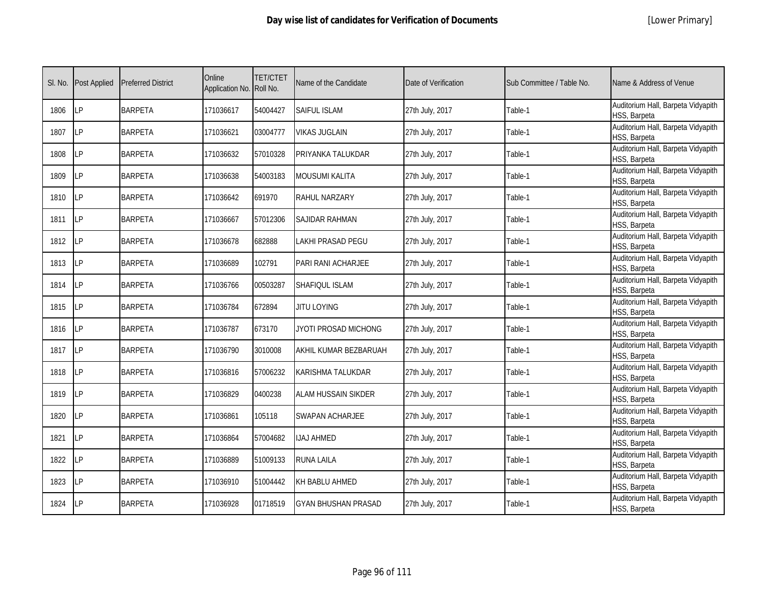|  | [Lower Primary] |  |
|--|-----------------|--|
|--|-----------------|--|

| SI. No. | <b>Post Applied</b> | <b>Preferred District</b> | Online<br>Application No. | <b>TET/CTET</b><br>Roll No. | Name of the Candidate      | Date of Verification | Sub Committee / Table No. | Name & Address of Venue                            |
|---------|---------------------|---------------------------|---------------------------|-----------------------------|----------------------------|----------------------|---------------------------|----------------------------------------------------|
| 1806    | LP                  | <b>BARPETA</b>            | 171036617                 | 54004427                    | <b>SAIFUL ISLAM</b>        | 27th July, 2017      | Table-1                   | Auditorium Hall, Barpeta Vidyapith<br>HSS, Barpeta |
| 1807    | LP                  | <b>BARPETA</b>            | 171036621                 | 03004777                    | <b>VIKAS JUGLAIN</b>       | 27th July, 2017      | Table-1                   | Auditorium Hall, Barpeta Vidyapith<br>HSS, Barpeta |
| 1808    | LP                  | <b>BARPETA</b>            | 171036632                 | 57010328                    | PRIYANKA TALUKDAR          | 27th July, 2017      | Table-1                   | Auditorium Hall, Barpeta Vidyapith<br>HSS, Barpeta |
| 1809    | <b>LP</b>           | <b>BARPETA</b>            | 171036638                 | 54003183                    | MOUSUMI KALITA             | 27th July, 2017      | Table-1                   | Auditorium Hall, Barpeta Vidyapith<br>HSS, Barpeta |
| 1810    | LP                  | <b>BARPETA</b>            | 171036642                 | 691970                      | RAHUL NARZARY              | 27th July, 2017      | Table-1                   | Auditorium Hall, Barpeta Vidyapith<br>HSS, Barpeta |
| 1811    | LP                  | <b>BARPETA</b>            | 171036667                 | 57012306                    | SAJIDAR RAHMAN             | 27th July, 2017      | Table-1                   | Auditorium Hall, Barpeta Vidyapith<br>HSS, Barpeta |
| 1812    | LP                  | <b>BARPETA</b>            | 171036678                 | 682888                      | LAKHI PRASAD PEGU          | 27th July, 2017      | Table-1                   | Auditorium Hall, Barpeta Vidyapith<br>HSS, Barpeta |
| 1813    | LP                  | <b>BARPETA</b>            | 171036689                 | 102791                      | PARI RANI ACHARJEE         | 27th July, 2017      | Table-1                   | Auditorium Hall, Barpeta Vidyapith<br>HSS, Barpeta |
| 1814    | LP                  | <b>BARPETA</b>            | 171036766                 | 00503287                    | SHAFIQUL ISLAM             | 27th July, 2017      | Table-1                   | Auditorium Hall, Barpeta Vidyapith<br>HSS, Barpeta |
| 1815    | LP                  | <b>BARPETA</b>            | 171036784                 | 672894                      | <b>JITU LOYING</b>         | 27th July, 2017      | Table-1                   | Auditorium Hall, Barpeta Vidyapith<br>HSS, Barpeta |
| 1816    | LP                  | <b>BARPETA</b>            | 171036787                 | 673170                      | JYOTI PROSAD MICHONG       | 27th July, 2017      | Table-1                   | Auditorium Hall, Barpeta Vidyapith<br>HSS, Barpeta |
| 1817    | LP                  | <b>BARPETA</b>            | 171036790                 | 3010008                     | AKHIL KUMAR BEZBARUAH      | 27th July, 2017      | Table-1                   | Auditorium Hall, Barpeta Vidyapith<br>HSS, Barpeta |
| 1818    | LP                  | <b>BARPETA</b>            | 171036816                 | 57006232                    | KARISHMA TALUKDAR          | 27th July, 2017      | Table-1                   | Auditorium Hall, Barpeta Vidyapith<br>HSS, Barpeta |
| 1819    | LP                  | <b>BARPETA</b>            | 171036829                 | 0400238                     | ALAM HUSSAIN SIKDER        | 27th July, 2017      | Table-1                   | Auditorium Hall, Barpeta Vidyapith<br>HSS, Barpeta |
| 1820    | <b>LP</b>           | <b>BARPETA</b>            | 171036861                 | 105118                      | SWAPAN ACHARJEE            | 27th July, 2017      | Table-1                   | Auditorium Hall, Barpeta Vidyapith<br>HSS, Barpeta |
| 1821    | <b>LP</b>           | <b>BARPETA</b>            | 171036864                 | 57004682                    | <b>IJAJ AHMED</b>          | 27th July, 2017      | Table-1                   | Auditorium Hall, Barpeta Vidyapith<br>HSS, Barpeta |
| 1822    | LP                  | <b>BARPETA</b>            | 171036889                 | 51009133                    | RUNA LAILA                 | 27th July, 2017      | Table-1                   | Auditorium Hall, Barpeta Vidyapith<br>HSS, Barpeta |
| 1823    | LP                  | <b>BARPETA</b>            | 171036910                 | 51004442                    | KH BABLU AHMED             | 27th July, 2017      | Table-1                   | Auditorium Hall, Barpeta Vidyapith<br>HSS, Barpeta |
| 1824    | LP                  | <b>BARPETA</b>            | 171036928                 | 01718519                    | <b>GYAN BHUSHAN PRASAD</b> | 27th July, 2017      | Table-1                   | Auditorium Hall, Barpeta Vidyapith<br>HSS, Barpeta |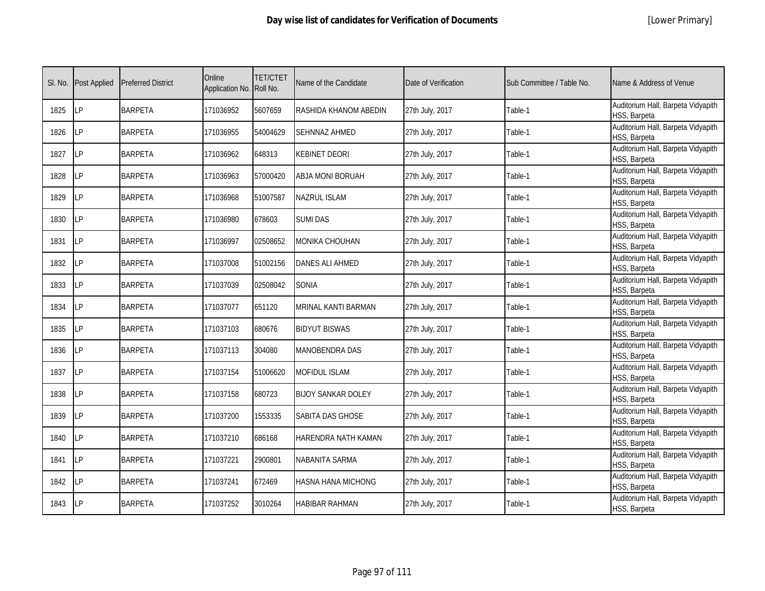|  | [Lower Primary] |
|--|-----------------|
|--|-----------------|

| SI. No. | <b>Post Applied</b> | <b>Preferred District</b> | Online<br>Application No. Roll No. | <b>TET/CTET</b> | Name of the Candidate     | Date of Verification | Sub Committee / Table No. | Name & Address of Venue                            |
|---------|---------------------|---------------------------|------------------------------------|-----------------|---------------------------|----------------------|---------------------------|----------------------------------------------------|
| 1825    | <b>LP</b>           | <b>BARPETA</b>            | 171036952                          | 5607659         | RASHIDA KHANOM ABEDIN     | 27th July, 2017      | Table-1                   | Auditorium Hall, Barpeta Vidyapith<br>HSS, Barpeta |
| 1826    | LP                  | <b>BARPETA</b>            | 171036955                          | 54004629        | <b>SEHNNAZ AHMED</b>      | 27th July, 2017      | Table-1                   | Auditorium Hall, Barpeta Vidyapith<br>HSS, Barpeta |
| 1827    | LP                  | <b>BARPETA</b>            | 171036962                          | 648313          | KEBINET DEORI             | 27th July, 2017      | Table-1                   | Auditorium Hall, Barpeta Vidyapith<br>HSS, Barpeta |
| 1828    | LP                  | <b>BARPETA</b>            | 171036963                          | 57000420        | ABJA MONI BORUAH          | 27th July, 2017      | Table-1                   | Auditorium Hall, Barpeta Vidyapith<br>HSS, Barpeta |
| 1829    | LP                  | <b>BARPETA</b>            | 171036968                          | 51007587        | <b>NAZRUL ISLAM</b>       | 27th July, 2017      | Table-1                   | Auditorium Hall, Barpeta Vidyapith<br>HSS, Barpeta |
| 1830    | <b>LP</b>           | <b>BARPETA</b>            | 171036980                          | 678603          | <b>SUMI DAS</b>           | 27th July, 2017      | Table-1                   | Auditorium Hall, Barpeta Vidyapith<br>HSS, Barpeta |
| 1831    | LP                  | <b>BARPETA</b>            | 171036997                          | 02508652        | MONIKA CHOUHAN            | 27th July, 2017      | Table-1                   | Auditorium Hall, Barpeta Vidyapith<br>HSS, Barpeta |
| 1832    | <b>ILP</b>          | <b>BARPETA</b>            | 171037008                          | 51002156        | <b>DANES ALI AHMED</b>    | 27th July, 2017      | Table-1                   | Auditorium Hall, Barpeta Vidyapith<br>HSS, Barpeta |
| 1833    | LP                  | <b>BARPETA</b>            | 171037039                          | 02508042        | <b>SONIA</b>              | 27th July, 2017      | Table-1                   | Auditorium Hall, Barpeta Vidyapith<br>HSS, Barpeta |
| 1834    | <b>LP</b>           | <b>BARPETA</b>            | 171037077                          | 651120          | MRINAL KANTI BARMAN       | 27th July, 2017      | Table-1                   | Auditorium Hall, Barpeta Vidyapith<br>HSS, Barpeta |
| 1835    | LP                  | <b>BARPETA</b>            | 171037103                          | 680676          | <b>BIDYUT BISWAS</b>      | 27th July, 2017      | Table-1                   | Auditorium Hall, Barpeta Vidyapith<br>HSS, Barpeta |
| 1836    | <b>LP</b>           | <b>BARPETA</b>            | 171037113                          | 304080          | MANOBENDRA DAS            | 27th July, 2017      | Table-1                   | Auditorium Hall, Barpeta Vidyapith<br>HSS, Barpeta |
| 1837    | <b>LP</b>           | <b>BARPETA</b>            | 171037154                          | 51006620        | <b>MOFIDUL ISLAM</b>      | 27th July, 2017      | Table-1                   | Auditorium Hall, Barpeta Vidyapith<br>HSS, Barpeta |
| 1838    | LP                  | <b>BARPETA</b>            | 171037158                          | 680723          | <b>BIJOY SANKAR DOLEY</b> | 27th July, 2017      | Table-1                   | Auditorium Hall, Barpeta Vidyapith<br>HSS, Barpeta |
| 1839    | <b>LP</b>           | <b>BARPETA</b>            | 171037200                          | 1553335         | SABITA DAS GHOSE          | 27th July, 2017      | Table-1                   | Auditorium Hall, Barpeta Vidyapith<br>HSS, Barpeta |
| 1840    | LP                  | <b>BARPETA</b>            | 171037210                          | 686168          | HARENDRA NATH KAMAN       | 27th July, 2017      | Table-1                   | Auditorium Hall, Barpeta Vidyapith<br>HSS, Barpeta |
| 1841    | LP                  | <b>BARPETA</b>            | 171037221                          | 2900801         | NABANITA SARMA            | 27th July, 2017      | Table-1                   | Auditorium Hall, Barpeta Vidyapith<br>HSS, Barpeta |
| 1842    | <b>LP</b>           | <b>BARPETA</b>            | 171037241                          | 672469          | HASNA HANA MICHONG        | 27th July, 2017      | Table-1                   | Auditorium Hall, Barpeta Vidyapith<br>HSS, Barpeta |
| 1843    | <b>ILP</b>          | <b>BARPETA</b>            | 171037252                          | 3010264         | HABIBAR RAHMAN            | 27th July, 2017      | Table-1                   | Auditorium Hall, Barpeta Vidyapith<br>HSS, Barpeta |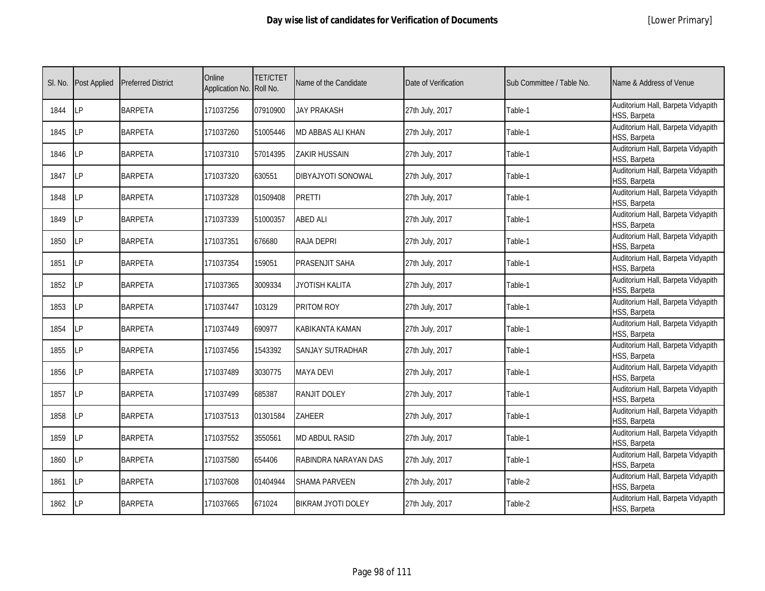|  | [Lower Primary] |  |
|--|-----------------|--|
|--|-----------------|--|

| SI. No. | <b>Post Applied</b> | <b>Preferred District</b> | Online<br>Application No. Roll No. | <b>TET/CTET</b> | Name of the Candidate  | Date of Verification | Sub Committee / Table No. | Name & Address of Venue                            |
|---------|---------------------|---------------------------|------------------------------------|-----------------|------------------------|----------------------|---------------------------|----------------------------------------------------|
| 1844    | <b>LP</b>           | <b>BARPETA</b>            | 171037256                          | 07910900        | <b>JAY PRAKASH</b>     | 27th July, 2017      | Table-1                   | Auditorium Hall, Barpeta Vidyapith<br>HSS, Barpeta |
| 1845    | LP                  | <b>BARPETA</b>            | 171037260                          | 51005446        | MD ABBAS ALI KHAN      | 27th July, 2017      | Table-1                   | Auditorium Hall, Barpeta Vidyapith<br>HSS, Barpeta |
| 1846    | LP                  | <b>BARPETA</b>            | 171037310                          | 57014395        | <b>ZAKIR HUSSAIN</b>   | 27th July, 2017      | Table-1                   | Auditorium Hall, Barpeta Vidyapith<br>HSS, Barpeta |
| 1847    | LP                  | <b>BARPETA</b>            | 171037320                          | 630551          | DIBYAJYOTI SONOWAL     | 27th July, 2017      | Table-1                   | Auditorium Hall, Barpeta Vidyapith<br>HSS, Barpeta |
| 1848    | LP                  | <b>BARPETA</b>            | 171037328                          | 01509408        | <b>PRETTI</b>          | 27th July, 2017      | Table-1                   | Auditorium Hall, Barpeta Vidyapith<br>HSS, Barpeta |
| 1849    | LP                  | <b>BARPETA</b>            | 171037339                          | 51000357        | <b>ABED ALI</b>        | 27th July, 2017      | Table-1                   | Auditorium Hall, Barpeta Vidyapith<br>HSS, Barpeta |
| 1850    | <b>LP</b>           | <b>BARPETA</b>            | 171037351                          | 676680          | RAJA DEPRI             | 27th July, 2017      | Table-1                   | Auditorium Hall, Barpeta Vidyapith<br>HSS, Barpeta |
| 1851    | LP                  | <b>BARPETA</b>            | 171037354                          | 159051          | PRASENJIT SAHA         | 27th July, 2017      | Table-1                   | Auditorium Hall, Barpeta Vidyapith<br>HSS, Barpeta |
| 1852    | <b>LP</b>           | <b>BARPETA</b>            | 171037365                          | 3009334         | JYOTISH KALITA         | 27th July, 2017      | Table-1                   | Auditorium Hall, Barpeta Vidyapith<br>HSS, Barpeta |
| 1853    | LP                  | <b>BARPETA</b>            | 171037447                          | 103129          | PRITOM ROY             | 27th July, 2017      | Table-1                   | Auditorium Hall, Barpeta Vidyapith<br>HSS, Barpeta |
| 1854    | <b>ILP</b>          | <b>BARPETA</b>            | 171037449                          | 690977          | <b>KABIKANTA KAMAN</b> | 27th July, 2017      | Table-1                   | Auditorium Hall, Barpeta Vidyapith<br>HSS, Barpeta |
| 1855    | <b>ILP</b>          | <b>BARPETA</b>            | 171037456                          | 1543392         | SANJAY SUTRADHAR       | 27th July, 2017      | Table-1                   | Auditorium Hall, Barpeta Vidyapith<br>HSS, Barpeta |
| 1856    | LP                  | <b>BARPETA</b>            | 171037489                          | 3030775         | <b>MAYA DEVI</b>       | 27th July, 2017      | Table-1                   | Auditorium Hall, Barpeta Vidyapith<br>HSS, Barpeta |
| 1857    | LP                  | <b>BARPETA</b>            | 171037499                          | 685387          | RANJIT DOLEY           | 27th July, 2017      | Table-1                   | Auditorium Hall, Barpeta Vidyapith<br>HSS, Barpeta |
| 1858    | LP                  | <b>BARPETA</b>            | 171037513                          | 01301584        | ZAHEER                 | 27th July, 2017      | Table-1                   | Auditorium Hall, Barpeta Vidyapith<br>HSS, Barpeta |
| 1859    | LP                  | <b>BARPETA</b>            | 171037552                          | 3550561         | <b>MD ABDUL RASID</b>  | 27th July, 2017      | Table-1                   | Auditorium Hall, Barpeta Vidyapith<br>HSS, Barpeta |
| 1860    | LP                  | <b>BARPETA</b>            | 171037580                          | 654406          | RABINDRA NARAYAN DAS   | 27th July, 2017      | Table-1                   | Auditorium Hall, Barpeta Vidyapith<br>HSS, Barpeta |
| 1861    | LP                  | <b>BARPETA</b>            | 171037608                          | 01404944        | <b>SHAMA PARVEEN</b>   | 27th July, 2017      | Table-2                   | Auditorium Hall, Barpeta Vidyapith<br>HSS, Barpeta |
| 1862    | <b>LP</b>           | <b>BARPETA</b>            | 171037665                          | 671024          | BIKRAM JYOTI DOLEY     | 27th July, 2017      | Table-2                   | Auditorium Hall, Barpeta Vidyapith<br>HSS, Barpeta |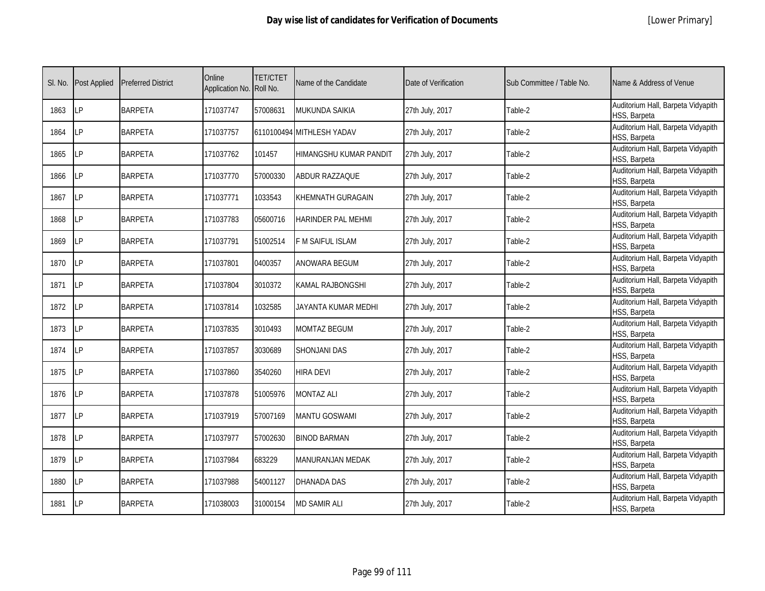| SI. No. | <b>Post Applied</b> | <b>Preferred District</b> | Online<br>Application No. Roll No. | <b>TET/CTET</b> | Name of the Candidate     | Date of Verification | Sub Committee / Table No. | Name & Address of Venue                            |
|---------|---------------------|---------------------------|------------------------------------|-----------------|---------------------------|----------------------|---------------------------|----------------------------------------------------|
| 1863    | LP                  | <b>BARPETA</b>            | 171037747                          | 57008631        | <b>MUKUNDA SAIKIA</b>     | 27th July, 2017      | Table-2                   | Auditorium Hall, Barpeta Vidyapith<br>HSS, Barpeta |
| 1864    | LP                  | <b>BARPETA</b>            | 171037757                          |                 | 6110100494 MITHLESH YADAV | 27th July, 2017      | Table-2                   | Auditorium Hall, Barpeta Vidyapith<br>HSS, Barpeta |
| 1865    | LP                  | <b>BARPETA</b>            | 171037762                          | 101457          | HIMANGSHU KUMAR PANDIT    | 27th July, 2017      | Table-2                   | Auditorium Hall, Barpeta Vidyapith<br>HSS, Barpeta |
| 1866    | LP                  | <b>BARPETA</b>            | 171037770                          | 57000330        | ABDUR RAZZAQUE            | 27th July, 2017      | Table-2                   | Auditorium Hall, Barpeta Vidyapith<br>HSS, Barpeta |
| 1867    | LP                  | <b>BARPETA</b>            | 171037771                          | 1033543         | KHEMNATH GURAGAIN         | 27th July, 2017      | Table-2                   | Auditorium Hall, Barpeta Vidyapith<br>HSS, Barpeta |
| 1868    | LP                  | <b>BARPETA</b>            | 171037783                          | 05600716        | <b>HARINDER PAL MEHMI</b> | 27th July, 2017      | Table-2                   | Auditorium Hall, Barpeta Vidyapith<br>HSS, Barpeta |
| 1869    | LP                  | <b>BARPETA</b>            | 171037791                          | 51002514        | <b>F M SAIFUL ISLAM</b>   | 27th July, 2017      | Table-2                   | Auditorium Hall, Barpeta Vidyapith<br>HSS, Barpeta |
| 1870    | <b>LP</b>           | <b>BARPETA</b>            | 171037801                          | 0400357         | ANOWARA BEGUM             | 27th July, 2017      | Table-2                   | Auditorium Hall, Barpeta Vidyapith<br>HSS, Barpeta |
| 1871    | LР                  | <b>BARPETA</b>            | 171037804                          | 3010372         | KAMAL RAJBONGSHI          | 27th July, 2017      | Table-2                   | Auditorium Hall, Barpeta Vidyapith<br>HSS, Barpeta |
| 1872    | LP                  | <b>BARPETA</b>            | 171037814                          | 1032585         | JAYANTA KUMAR MEDHI       | 27th July, 2017      | Table-2                   | Auditorium Hall, Barpeta Vidyapith<br>HSS, Barpeta |
| 1873    | LP                  | <b>BARPETA</b>            | 171037835                          | 3010493         | <b>MOMTAZ BEGUM</b>       | 27th July, 2017      | Table-2                   | Auditorium Hall, Barpeta Vidyapith<br>HSS, Barpeta |
| 1874    | <b>LP</b>           | <b>BARPETA</b>            | 171037857                          | 3030689         | <b>SHONJANI DAS</b>       | 27th July, 2017      | Table-2                   | Auditorium Hall, Barpeta Vidyapith<br>HSS, Barpeta |
| 1875    | <b>LP</b>           | <b>BARPETA</b>            | 171037860                          | 3540260         | <b>HIRA DEVI</b>          | 27th July, 2017      | Table-2                   | Auditorium Hall, Barpeta Vidyapith<br>HSS, Barpeta |
| 1876    | LP                  | <b>BARPETA</b>            | 171037878                          | 51005976        | <b>MONTAZ ALI</b>         | 27th July, 2017      | Table-2                   | Auditorium Hall, Barpeta Vidyapith<br>HSS, Barpeta |
| 1877    | <b>LP</b>           | <b>BARPETA</b>            | 171037919                          | 57007169        | <b>MANTU GOSWAMI</b>      | 27th July, 2017      | Table-2                   | Auditorium Hall, Barpeta Vidyapith<br>HSS, Barpeta |
| 1878    | LP                  | <b>BARPETA</b>            | 171037977                          | 57002630        | <b>BINOD BARMAN</b>       | 27th July, 2017      | Table-2                   | Auditorium Hall, Barpeta Vidyapith<br>HSS, Barpeta |
| 1879    | LР                  | <b>BARPETA</b>            | 171037984                          | 683229          | MANURANJAN MEDAK          | 27th July, 2017      | Table-2                   | Auditorium Hall, Barpeta Vidyapith<br>HSS, Barpeta |
| 1880    | <b>LP</b>           | <b>BARPETA</b>            | 171037988                          | 54001127        | <b>DHANADA DAS</b>        | 27th July, 2017      | Table-2                   | Auditorium Hall, Barpeta Vidyapith<br>HSS, Barpeta |
| 1881    | LР                  | <b>BARPETA</b>            | 171038003                          | 31000154        | <b>MD SAMIR ALI</b>       | 27th July, 2017      | Table-2                   | Auditorium Hall, Barpeta Vidyapith<br>HSS, Barpeta |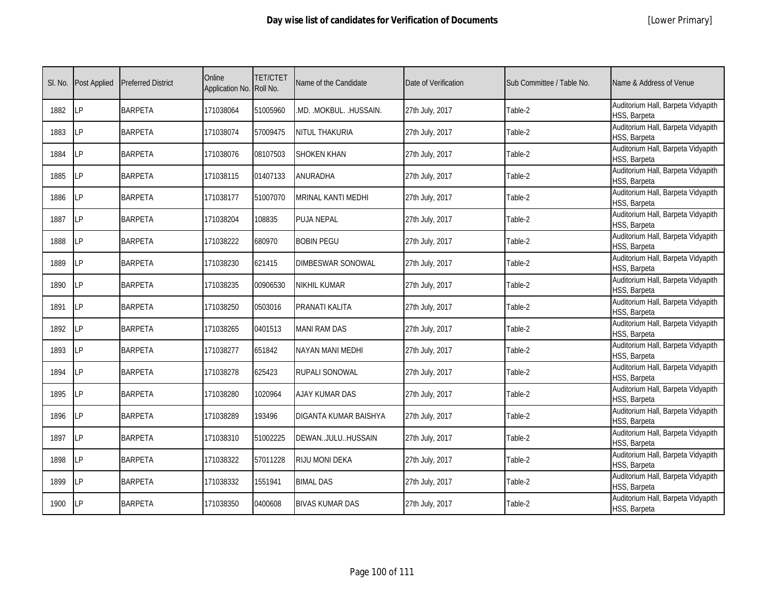| SI. No. | <b>Post Applied</b> | <b>Preferred District</b> | Online<br>Application No. Roll No. | <b>TET/CTET</b> | Name of the Candidate    | Date of Verification | Sub Committee / Table No. | Name & Address of Venue                            |
|---------|---------------------|---------------------------|------------------------------------|-----------------|--------------------------|----------------------|---------------------------|----------------------------------------------------|
| 1882    | <b>LP</b>           | <b>BARPETA</b>            | 171038064                          | 51005960        | .MD. .MOKBUL. .HUSSAIN.  | 27th July, 2017      | Table-2                   | Auditorium Hall, Barpeta Vidyapith<br>HSS, Barpeta |
| 1883    | LP                  | <b>BARPETA</b>            | 171038074                          | 57009475        | NITUL THAKURIA           | 27th July, 2017      | Table-2                   | Auditorium Hall, Barpeta Vidyapith<br>HSS, Barpeta |
| 1884    | <b>LP</b>           | <b>BARPETA</b>            | 171038076                          | 08107503        | <b>SHOKEN KHAN</b>       | 27th July, 2017      | Table-2                   | Auditorium Hall, Barpeta Vidyapith<br>HSS, Barpeta |
| 1885    | LΡ                  | <b>BARPETA</b>            | 171038115                          | 01407133        | <b>ANURADHA</b>          | 27th July, 2017      | Table-2                   | Auditorium Hall, Barpeta Vidyapith<br>HSS, Barpeta |
| 1886    | LP                  | <b>BARPETA</b>            | 171038177                          | 51007070        | MRINAL KANTI MEDHI       | 27th July, 2017      | Table-2                   | Auditorium Hall, Barpeta Vidyapith<br>HSS, Barpeta |
| 1887    | LP                  | <b>BARPETA</b>            | 171038204                          | 108835          | <b>PUJA NEPAL</b>        | 27th July, 2017      | Table-2                   | Auditorium Hall, Barpeta Vidyapith<br>HSS, Barpeta |
| 1888    | LP                  | <b>BARPETA</b>            | 171038222                          | 680970          | <b>BOBIN PEGU</b>        | 27th July, 2017      | Table-2                   | Auditorium Hall, Barpeta Vidyapith<br>HSS, Barpeta |
| 1889    | LP                  | <b>BARPETA</b>            | 171038230                          | 621415          | <b>DIMBESWAR SONOWAL</b> | 27th July, 2017      | Table-2                   | Auditorium Hall, Barpeta Vidyapith<br>HSS, Barpeta |
| 1890    | LΡ                  | <b>BARPETA</b>            | 171038235                          | 00906530        | NIKHIL KUMAR             | 27th July, 2017      | Table-2                   | Auditorium Hall, Barpeta Vidyapith<br>HSS, Barpeta |
| 1891    | LP                  | <b>BARPETA</b>            | 171038250                          | 0503016         | PRANATI KALITA           | 27th July, 2017      | Table-2                   | Auditorium Hall, Barpeta Vidyapith<br>HSS, Barpeta |
| 1892    | LP                  | <b>BARPETA</b>            | 171038265                          | 0401513         | <b>MANI RAM DAS</b>      | 27th July, 2017      | Table-2                   | Auditorium Hall, Barpeta Vidyapith<br>HSS, Barpeta |
| 1893    | LP                  | <b>BARPETA</b>            | 171038277                          | 651842          | <b>NAYAN MANI MEDHI</b>  | 27th July, 2017      | Table-2                   | Auditorium Hall, Barpeta Vidyapith<br>HSS, Barpeta |
| 1894    | <b>LP</b>           | <b>BARPETA</b>            | 171038278                          | 625423          | RUPALI SONOWAL           | 27th July, 2017      | Table-2                   | Auditorium Hall, Barpeta Vidyapith<br>HSS, Barpeta |
| 1895    | LP                  | <b>BARPETA</b>            | 171038280                          | 1020964         | <b>AJAY KUMAR DAS</b>    | 27th July, 2017      | Table-2                   | Auditorium Hall, Barpeta Vidyapith<br>HSS, Barpeta |
| 1896    | LP                  | <b>BARPETA</b>            | 171038289                          | 193496          | DIGANTA KUMAR BAISHYA    | 27th July, 2017      | Table-2                   | Auditorium Hall, Barpeta Vidyapith<br>HSS, Barpeta |
| 1897    | LP                  | <b>BARPETA</b>            | 171038310                          | 51002225        | DEWANJULUHUSSAIN         | 27th July, 2017      | Table-2                   | Auditorium Hall, Barpeta Vidyapith<br>HSS, Barpeta |
| 1898    | <b>ILP</b>          | <b>BARPETA</b>            | 171038322                          | 57011228        | <b>RIJU MONI DEKA</b>    | 27th July, 2017      | Table-2                   | Auditorium Hall, Barpeta Vidyapith<br>HSS, Barpeta |
| 1899    | <b>LP</b>           | <b>BARPETA</b>            | 171038332                          | 1551941         | <b>BIMAL DAS</b>         | 27th July, 2017      | Table-2                   | Auditorium Hall, Barpeta Vidyapith<br>HSS, Barpeta |
| 1900    | <b>LP</b>           | <b>BARPETA</b>            | 171038350                          | 0400608         | <b>BIVAS KUMAR DAS</b>   | 27th July, 2017      | Table-2                   | Auditorium Hall, Barpeta Vidyapith<br>HSS, Barpeta |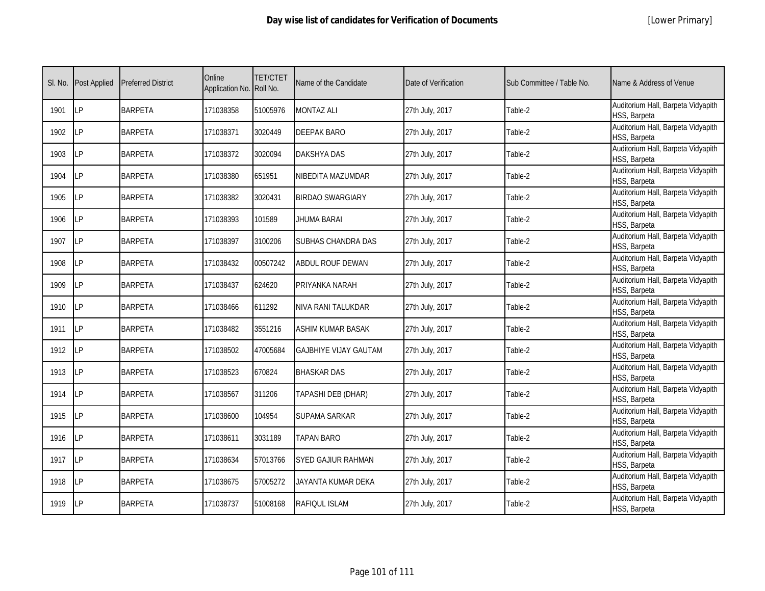|  | [Lower Primary] |
|--|-----------------|
|--|-----------------|

| SI. No. | <b>Post Applied</b> | <b>Preferred District</b> | Online<br>Application No. | <b>TET/CTET</b><br>Roll No. | Name of the Candidate        | Date of Verification | Sub Committee / Table No. | Name & Address of Venue                            |
|---------|---------------------|---------------------------|---------------------------|-----------------------------|------------------------------|----------------------|---------------------------|----------------------------------------------------|
| 1901    | LP                  | <b>BARPETA</b>            | 171038358                 | 51005976                    | <b>MONTAZ ALI</b>            | 27th July, 2017      | Table-2                   | Auditorium Hall, Barpeta Vidyapith<br>HSS, Barpeta |
| 1902    | LP                  | <b>BARPETA</b>            | 171038371                 | 3020449                     | <b>DEEPAK BARO</b>           | 27th July, 2017      | Table-2                   | Auditorium Hall, Barpeta Vidyapith<br>HSS, Barpeta |
| 1903    | LP                  | <b>BARPETA</b>            | 171038372                 | 3020094                     | <b>DAKSHYA DAS</b>           | 27th July, 2017      | Table-2                   | Auditorium Hall, Barpeta Vidyapith<br>HSS, Barpeta |
| 1904    | LP                  | <b>BARPETA</b>            | 171038380                 | 651951                      | NIBEDITA MAZUMDAR            | 27th July, 2017      | Table-2                   | Auditorium Hall, Barpeta Vidyapith<br>HSS, Barpeta |
| 1905    | LP                  | <b>BARPETA</b>            | 171038382                 | 3020431                     | BIRDAO SWARGIARY             | 27th July, 2017      | Table-2                   | Auditorium Hall, Barpeta Vidyapith<br>HSS, Barpeta |
| 1906    | LP                  | <b>BARPETA</b>            | 171038393                 | 101589                      | JHUMA BARAI                  | 27th July, 2017      | Table-2                   | Auditorium Hall, Barpeta Vidyapith<br>HSS, Barpeta |
| 1907    | LP                  | <b>BARPETA</b>            | 171038397                 | 3100206                     | SUBHAS CHANDRA DAS           | 27th July, 2017      | Table-2                   | Auditorium Hall, Barpeta Vidyapith<br>HSS, Barpeta |
| 1908    | <b>LP</b>           | <b>BARPETA</b>            | 171038432                 | 00507242                    | ABDUL ROUF DEWAN             | 27th July, 2017      | Table-2                   | Auditorium Hall, Barpeta Vidyapith<br>HSS, Barpeta |
| 1909    | LP                  | <b>BARPETA</b>            | 171038437                 | 624620                      | PRIYANKA NARAH               | 27th July, 2017      | Table-2                   | Auditorium Hall, Barpeta Vidyapith<br>HSS, Barpeta |
| 1910    | LP                  | <b>BARPETA</b>            | 171038466                 | 611292                      | NIVA RANI TALUKDAR           | 27th July, 2017      | Table-2                   | Auditorium Hall, Barpeta Vidyapith<br>HSS, Barpeta |
| 1911    | LP                  | <b>BARPETA</b>            | 171038482                 | 3551216                     | <b>ASHIM KUMAR BASAK</b>     | 27th July, 2017      | Table-2                   | Auditorium Hall, Barpeta Vidyapith<br>HSS, Barpeta |
| 1912    | LP                  | <b>BARPETA</b>            | 171038502                 | 47005684                    | <b>GAJBHIYE VIJAY GAUTAM</b> | 27th July, 2017      | Table-2                   | Auditorium Hall, Barpeta Vidyapith<br>HSS, Barpeta |
| 1913    | LP                  | <b>BARPETA</b>            | 171038523                 | 670824                      | <b>BHASKAR DAS</b>           | 27th July, 2017      | Table-2                   | Auditorium Hall, Barpeta Vidyapith<br>HSS, Barpeta |
| 1914    | <b>LP</b>           | <b>BARPETA</b>            | 171038567                 | 311206                      | TAPASHI DEB (DHAR)           | 27th July, 2017      | Table-2                   | Auditorium Hall, Barpeta Vidyapith<br>HSS, Barpeta |
| 1915    | <b>LP</b>           | <b>BARPETA</b>            | 171038600                 | 104954                      | SUPAMA SARKAR                | 27th July, 2017      | Table-2                   | Auditorium Hall, Barpeta Vidyapith<br>HSS, Barpeta |
| 1916    | LP                  | <b>BARPETA</b>            | 171038611                 | 3031189                     | <b>TAPAN BARO</b>            | 27th July, 2017      | Table-2                   | Auditorium Hall, Barpeta Vidyapith<br>HSS, Barpeta |
| 1917    | LP                  | <b>BARPETA</b>            | 171038634                 | 57013766                    | SYED GAJIUR RAHMAN           | 27th July, 2017      | Table-2                   | Auditorium Hall, Barpeta Vidyapith<br>HSS, Barpeta |
| 1918    | <b>LP</b>           | <b>BARPETA</b>            | 171038675                 | 57005272                    | JAYANTA KUMAR DEKA           | 27th July, 2017      | Table-2                   | Auditorium Hall, Barpeta Vidyapith<br>HSS, Barpeta |
| 1919    | LP                  | <b>BARPETA</b>            | 171038737                 | 51008168                    | RAFIQUL ISLAM                | 27th July, 2017      | Table-2                   | Auditorium Hall, Barpeta Vidyapith<br>HSS, Barpeta |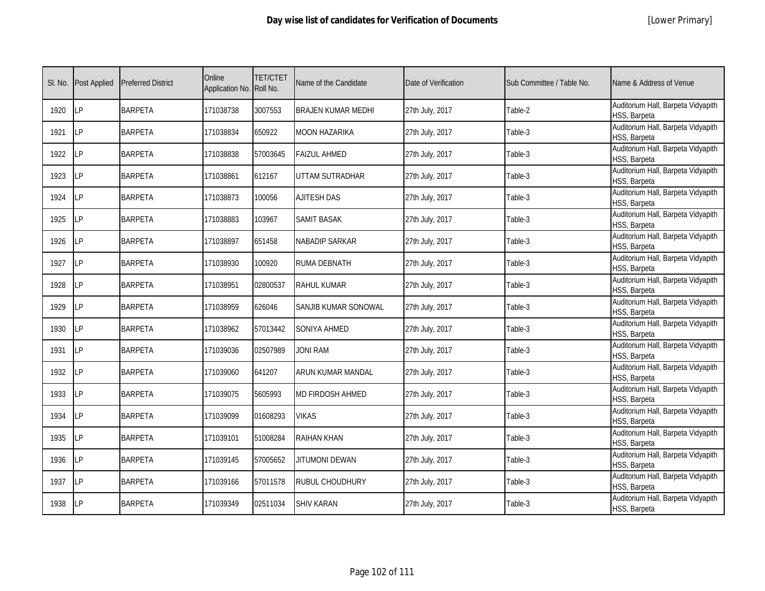|  | [Lower Primary] |
|--|-----------------|
|--|-----------------|

| SI. No. | <b>Post Applied</b> | <b>Preferred District</b> | Online<br>Application No. Roll No. | <b>TET/CTET</b> | Name of the Candidate     | Date of Verification | Sub Committee / Table No. | Name & Address of Venue                            |
|---------|---------------------|---------------------------|------------------------------------|-----------------|---------------------------|----------------------|---------------------------|----------------------------------------------------|
| 1920    | <b>LP</b>           | <b>BARPETA</b>            | 171038738                          | 3007553         | <b>BRAJEN KUMAR MEDHI</b> | 27th July, 2017      | Table-2                   | Auditorium Hall, Barpeta Vidyapith<br>HSS, Barpeta |
| 1921    | LP                  | <b>BARPETA</b>            | 171038834                          | 650922          | MOON HAZARIKA             | 27th July, 2017      | Table-3                   | Auditorium Hall, Barpeta Vidyapith<br>HSS, Barpeta |
| 1922    | <b>LP</b>           | <b>BARPETA</b>            | 171038838                          | 57003645        | <b>FAIZUL AHMED</b>       | 27th July, 2017      | Table-3                   | Auditorium Hall, Barpeta Vidyapith<br>HSS, Barpeta |
| 1923    | LP                  | <b>BARPETA</b>            | 171038861                          | 612167          | UTTAM SUTRADHAR           | 27th July, 2017      | Table-3                   | Auditorium Hall, Barpeta Vidyapith<br>HSS, Barpeta |
| 1924    | LP                  | <b>BARPETA</b>            | 171038873                          | 100056          | <b>AJITESH DAS</b>        | 27th July, 2017      | Table-3                   | Auditorium Hall, Barpeta Vidyapith<br>HSS, Barpeta |
| 1925    | LP                  | <b>BARPETA</b>            | 171038883                          | 103967          | <b>SAMIT BASAK</b>        | 27th July, 2017      | Table-3                   | Auditorium Hall, Barpeta Vidyapith<br>HSS, Barpeta |
| 1926    | LP                  | <b>BARPETA</b>            | 171038897                          | 651458          | NABADIP SARKAR            | 27th July, 2017      | Table-3                   | Auditorium Hall, Barpeta Vidyapith<br>HSS, Barpeta |
| 1927    | <b>ILP</b>          | <b>BARPETA</b>            | 171038930                          | 100920          | RUMA DEBNATH              | 27th July, 2017      | Table-3                   | Auditorium Hall, Barpeta Vidyapith<br>HSS, Barpeta |
| 1928    | <b>LP</b>           | <b>BARPETA</b>            | 171038951                          | 02800537        | <b>RAHUL KUMAR</b>        | 27th July, 2017      | Table-3                   | Auditorium Hall, Barpeta Vidyapith<br>HSS, Barpeta |
| 1929    | <b>LP</b>           | <b>BARPETA</b>            | 171038959                          | 626046          | SANJIB KUMAR SONOWAL      | 27th July, 2017      | Table-3                   | Auditorium Hall, Barpeta Vidyapith<br>HSS, Barpeta |
| 1930    | <b>LP</b>           | <b>BARPETA</b>            | 171038962                          | 57013442        | <b>SONIYA AHMED</b>       | 27th July, 2017      | Table-3                   | Auditorium Hall, Barpeta Vidyapith<br>HSS, Barpeta |
| 1931    | LP                  | <b>BARPETA</b>            | 171039036                          | 02507989        | <b>JONI RAM</b>           | 27th July, 2017      | Table-3                   | Auditorium Hall, Barpeta Vidyapith<br>HSS, Barpeta |
| 1932    | <b>LP</b>           | <b>BARPETA</b>            | 171039060                          | 641207          | ARUN KUMAR MANDAL         | 27th July, 2017      | Table-3                   | Auditorium Hall, Barpeta Vidyapith<br>HSS, Barpeta |
| 1933    | <b>ILP</b>          | <b>BARPETA</b>            | 171039075                          | 5605993         | MD FIRDOSH AHMED          | 27th July, 2017      | Table-3                   | Auditorium Hall, Barpeta Vidyapith<br>HSS, Barpeta |
| 1934    | LP                  | <b>BARPETA</b>            | 171039099                          | 01608293        | <b>VIKAS</b>              | 27th July, 2017      | Table-3                   | Auditorium Hall, Barpeta Vidyapith<br>HSS, Barpeta |
| 1935    | LP                  | <b>BARPETA</b>            | 171039101                          | 51008284        | <b>RAIHAN KHAN</b>        | 27th July, 2017      | Table-3                   | Auditorium Hall, Barpeta Vidyapith<br>HSS, Barpeta |
| 1936    | LP                  | <b>BARPETA</b>            | 171039145                          | 57005652        | JITUMONI DEWAN            | 27th July, 2017      | Table-3                   | Auditorium Hall, Barpeta Vidyapith<br>HSS, Barpeta |
| 1937    | <b>LP</b>           | <b>BARPETA</b>            | 171039166                          | 57011578        | RUBUL CHOUDHURY           | 27th July, 2017      | Table-3                   | Auditorium Hall, Barpeta Vidyapith<br>HSS, Barpeta |
| 1938    | <b>LP</b>           | <b>BARPETA</b>            | 171039349                          | 02511034        | <b>SHIV KARAN</b>         | 27th July, 2017      | Table-3                   | Auditorium Hall, Barpeta Vidyapith<br>HSS, Barpeta |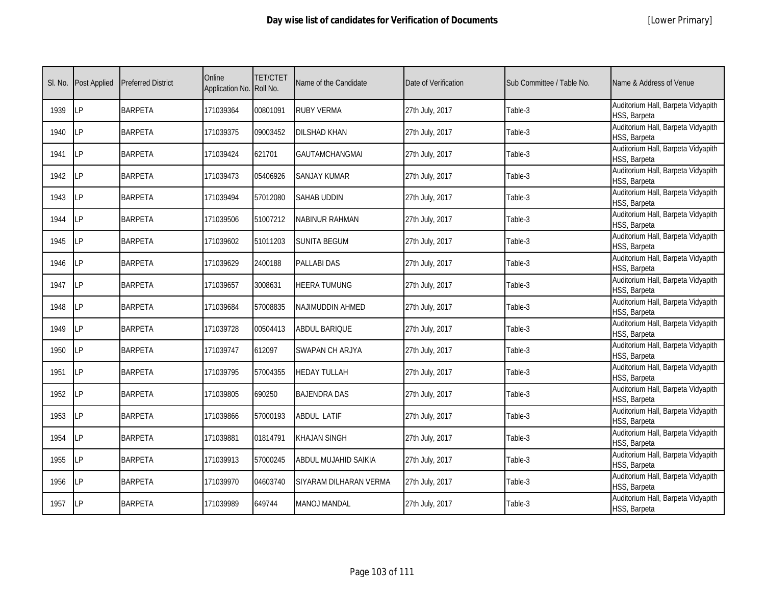| SI. No. | <b>Post Applied</b> | <b>Preferred District</b> | Online<br>Application No. Roll No. | <b>TET/CTET</b> | Name of the Candidate  | Date of Verification | Sub Committee / Table No. | Name & Address of Venue                            |
|---------|---------------------|---------------------------|------------------------------------|-----------------|------------------------|----------------------|---------------------------|----------------------------------------------------|
| 1939    | LP                  | <b>BARPETA</b>            | 171039364                          | 00801091        | <b>RUBY VERMA</b>      | 27th July, 2017      | Table-3                   | Auditorium Hall, Barpeta Vidyapith<br>HSS, Barpeta |
| 1940    | <b>ILP</b>          | <b>BARPETA</b>            | 171039375                          | 09003452        | <b>DILSHAD KHAN</b>    | 27th July, 2017      | Table-3                   | Auditorium Hall, Barpeta Vidyapith<br>HSS, Barpeta |
| 1941    | LP                  | <b>BARPETA</b>            | 171039424                          | 621701          | <b>GAUTAMCHANGMAI</b>  | 27th July, 2017      | Table-3                   | Auditorium Hall, Barpeta Vidyapith<br>HSS, Barpeta |
| 1942    | LΡ                  | <b>BARPETA</b>            | 171039473                          | 05406926        | <b>SANJAY KUMAR</b>    | 27th July, 2017      | Table-3                   | Auditorium Hall, Barpeta Vidyapith<br>HSS, Barpeta |
| 1943    | LP                  | <b>BARPETA</b>            | 171039494                          | 57012080        | <b>SAHAB UDDIN</b>     | 27th July, 2017      | Table-3                   | Auditorium Hall, Barpeta Vidyapith<br>HSS, Barpeta |
| 1944    | <b>LP</b>           | <b>BARPETA</b>            | 171039506                          | 51007212        | <b>NABINUR RAHMAN</b>  | 27th July, 2017      | Table-3                   | Auditorium Hall, Barpeta Vidyapith<br>HSS, Barpeta |
| 1945    | LP                  | <b>BARPETA</b>            | 171039602                          | 51011203        | <b>SUNITA BEGUM</b>    | 27th July, 2017      | Table-3                   | Auditorium Hall, Barpeta Vidyapith<br>HSS, Barpeta |
| 1946    | <b>LP</b>           | <b>BARPETA</b>            | 171039629                          | 2400188         | <b>PALLABI DAS</b>     | 27th July, 2017      | Table-3                   | Auditorium Hall, Barpeta Vidyapith<br>HSS, Barpeta |
| 1947    | LP                  | <b>BARPETA</b>            | 171039657                          | 3008631         | <b>HEERA TUMUNG</b>    | 27th July, 2017      | Table-3                   | Auditorium Hall, Barpeta Vidyapith<br>HSS, Barpeta |
| 1948    | LP                  | <b>BARPETA</b>            | 171039684                          | 57008835        | NAJIMUDDIN AHMED       | 27th July, 2017      | Table-3                   | Auditorium Hall, Barpeta Vidyapith<br>HSS, Barpeta |
| 1949    | LP                  | <b>BARPETA</b>            | 171039728                          | 00504413        | <b>ABDUL BARIQUE</b>   | 27th July, 2017      | Table-3                   | Auditorium Hall, Barpeta Vidyapith<br>HSS, Barpeta |
| 1950    | <b>LP</b>           | <b>BARPETA</b>            | 171039747                          | 612097          | SWAPAN CH ARJYA        | 27th July, 2017      | Table-3                   | Auditorium Hall, Barpeta Vidyapith<br>HSS, Barpeta |
| 1951    | LP                  | <b>BARPETA</b>            | 171039795                          | 57004355        | <b>HEDAY TULLAH</b>    | 27th July, 2017      | Table-3                   | Auditorium Hall, Barpeta Vidyapith<br>HSS, Barpeta |
| 1952    | LP                  | <b>BARPETA</b>            | 171039805                          | 690250          | BAJENDRA DAS           | 27th July, 2017      | Table-3                   | Auditorium Hall, Barpeta Vidyapith<br>HSS, Barpeta |
| 1953    | LP                  | <b>BARPETA</b>            | 171039866                          | 57000193        | <b>ABDUL LATIF</b>     | 27th July, 2017      | Table-3                   | Auditorium Hall, Barpeta Vidyapith<br>HSS, Barpeta |
| 1954    | LP                  | <b>BARPETA</b>            | 171039881                          | 01814791        | <b>KHAJAN SINGH</b>    | 27th July, 2017      | Table-3                   | Auditorium Hall, Barpeta Vidyapith<br>HSS, Barpeta |
| 1955    | LP                  | <b>BARPETA</b>            | 171039913                          | 57000245        | ABDUL MUJAHID SAIKIA   | 27th July, 2017      | Table-3                   | Auditorium Hall, Barpeta Vidyapith<br>HSS, Barpeta |
| 1956    | <b>LP</b>           | <b>BARPETA</b>            | 171039970                          | 04603740        | SIYARAM DILHARAN VERMA | 27th July, 2017      | Table-3                   | Auditorium Hall, Barpeta Vidyapith<br>HSS, Barpeta |
| 1957    | <b>ILP</b>          | <b>BARPETA</b>            | 171039989                          | 649744          | MANOJ MANDAL           | 27th July, 2017      | Table-3                   | Auditorium Hall, Barpeta Vidyapith<br>HSS, Barpeta |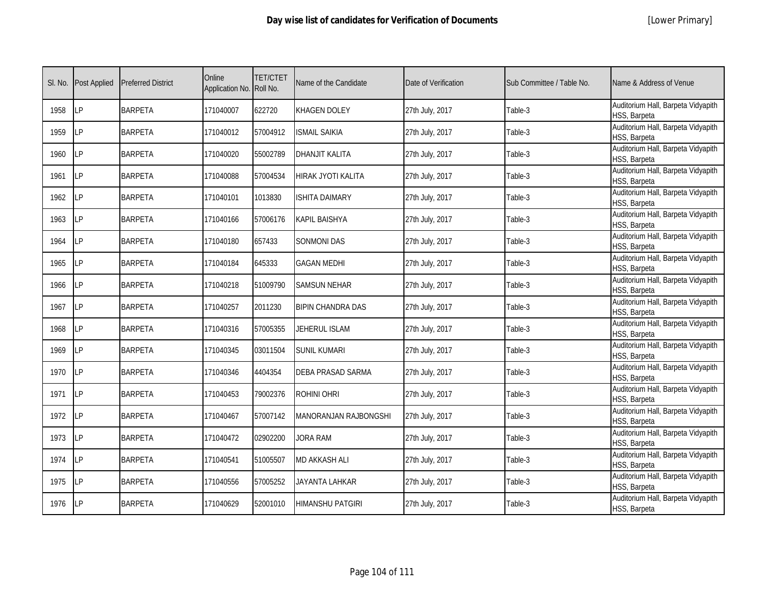| SI. No. | <b>Post Applied</b> | <b>Preferred District</b> | Online<br>Application No. | <b>TET/CTET</b><br>Roll No. | Name of the Candidate    | Date of Verification | Sub Committee / Table No. | Name & Address of Venue                            |
|---------|---------------------|---------------------------|---------------------------|-----------------------------|--------------------------|----------------------|---------------------------|----------------------------------------------------|
| 1958    | LP                  | <b>BARPETA</b>            | 171040007                 | 622720                      | KHAGEN DOLEY             | 27th July, 2017      | Table-3                   | Auditorium Hall, Barpeta Vidyapith<br>HSS, Barpeta |
| 1959    | LP                  | <b>BARPETA</b>            | 171040012                 | 57004912                    | ISMAIL SAIKIA            | 27th July, 2017      | Table-3                   | Auditorium Hall, Barpeta Vidyapith<br>HSS, Barpeta |
| 1960    | LP                  | <b>BARPETA</b>            | 171040020                 | 55002789                    | DHANJIT KALITA           | 27th July, 2017      | Table-3                   | Auditorium Hall, Barpeta Vidyapith<br>HSS, Barpeta |
| 1961    | LP                  | <b>BARPETA</b>            | 171040088                 | 57004534                    | HIRAK JYOTI KALITA       | 27th July, 2017      | Table-3                   | Auditorium Hall, Barpeta Vidyapith<br>HSS, Barpeta |
| 1962    | LP                  | <b>BARPETA</b>            | 171040101                 | 1013830                     | <b>ISHITA DAIMARY</b>    | 27th July, 2017      | Table-3                   | Auditorium Hall, Barpeta Vidyapith<br>HSS, Barpeta |
| 1963    | LP                  | <b>BARPETA</b>            | 171040166                 | 57006176                    | <b>KAPIL BAISHYA</b>     | 27th July, 2017      | Table-3                   | Auditorium Hall, Barpeta Vidyapith<br>HSS, Barpeta |
| 1964    | <b>LP</b>           | <b>BARPETA</b>            | 171040180                 | 657433                      | <b>SONMONI DAS</b>       | 27th July, 2017      | Table-3                   | Auditorium Hall, Barpeta Vidyapith<br>HSS, Barpeta |
| 1965    | LP                  | <b>BARPETA</b>            | 171040184                 | 645333                      | GAGAN MEDHI              | 27th July, 2017      | Table-3                   | Auditorium Hall, Barpeta Vidyapith<br>HSS, Barpeta |
| 1966    | <b>LP</b>           | <b>BARPETA</b>            | 171040218                 | 51009790                    | <b>SAMSUN NEHAR</b>      | 27th July, 2017      | Table-3                   | Auditorium Hall, Barpeta Vidyapith<br>HSS, Barpeta |
| 1967    | LP                  | <b>BARPETA</b>            | 171040257                 | 2011230                     | <b>BIPIN CHANDRA DAS</b> | 27th July, 2017      | Table-3                   | Auditorium Hall, Barpeta Vidyapith<br>HSS, Barpeta |
| 1968    | LP                  | <b>BARPETA</b>            | 171040316                 | 57005355                    | JEHERUL ISLAM            | 27th July, 2017      | Table-3                   | Auditorium Hall, Barpeta Vidyapith<br>HSS, Barpeta |
| 1969    | LP                  | <b>BARPETA</b>            | 171040345                 | 03011504                    | SUNIL KUMARI             | 27th July, 2017      | Table-3                   | Auditorium Hall, Barpeta Vidyapith<br>HSS, Barpeta |
| 1970    | LP                  | <b>BARPETA</b>            | 171040346                 | 4404354                     | DEBA PRASAD SARMA        | 27th July, 2017      | Table-3                   | Auditorium Hall, Barpeta Vidyapith<br>HSS, Barpeta |
| 1971    | <b>LP</b>           | <b>BARPETA</b>            | 171040453                 | 79002376                    | ROHINI OHRI              | 27th July, 2017      | Table-3                   | Auditorium Hall, Barpeta Vidyapith<br>HSS, Barpeta |
| 1972    | LP                  | <b>BARPETA</b>            | 171040467                 | 57007142                    | MANORANJAN RAJBONGSHI    | 27th July, 2017      | Table-3                   | Auditorium Hall, Barpeta Vidyapith<br>HSS, Barpeta |
| 1973    | LP                  | <b>BARPETA</b>            | 171040472                 | 02902200                    | <b>JORA RAM</b>          | 27th July, 2017      | Table-3                   | Auditorium Hall, Barpeta Vidyapith<br>HSS, Barpeta |
| 1974    | LP                  | <b>BARPETA</b>            | 171040541                 | 51005507                    | MD AKKASH ALI            | 27th July, 2017      | Table-3                   | Auditorium Hall, Barpeta Vidyapith<br>HSS, Barpeta |
| 1975    | LP                  | <b>BARPETA</b>            | 171040556                 | 57005252                    | JAYANTA LAHKAR           | 27th July, 2017      | Table-3                   | Auditorium Hall, Barpeta Vidyapith<br>HSS, Barpeta |
| 1976    | LP                  | <b>BARPETA</b>            | 171040629                 | 52001010                    | HIMANSHU PATGIRI         | 27th July, 2017      | Table-3                   | Auditorium Hall, Barpeta Vidyapith<br>HSS, Barpeta |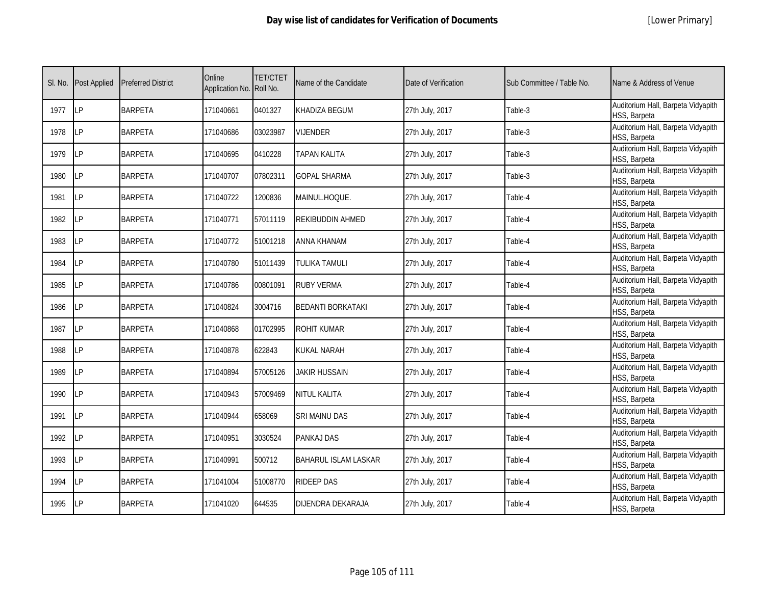|  | [Lower Primary] |
|--|-----------------|
|--|-----------------|

| SI. No. | <b>Post Applied</b> | <b>Preferred District</b> | Online<br>Application No. | <b>TET/CTET</b><br>Roll No. | Name of the Candidate       | Date of Verification | Sub Committee / Table No. | Name & Address of Venue                            |
|---------|---------------------|---------------------------|---------------------------|-----------------------------|-----------------------------|----------------------|---------------------------|----------------------------------------------------|
| 1977    | <b>ILP</b>          | <b>BARPETA</b>            | 171040661                 | 0401327                     | KHADIZA BEGUM               | 27th July, 2017      | Table-3                   | Auditorium Hall, Barpeta Vidyapith<br>HSS, Barpeta |
| 1978    | LP                  | <b>BARPETA</b>            | 171040686                 | 03023987                    | <b>VIJENDER</b>             | 27th July, 2017      | Table-3                   | Auditorium Hall, Barpeta Vidyapith<br>HSS, Barpeta |
| 1979    | <b>LP</b>           | <b>BARPETA</b>            | 171040695                 | 0410228                     | <b>TAPAN KALITA</b>         | 27th July, 2017      | Table-3                   | Auditorium Hall, Barpeta Vidyapith<br>HSS, Barpeta |
| 1980    | LΡ                  | <b>BARPETA</b>            | 171040707                 | 07802311                    | <b>GOPAL SHARMA</b>         | 27th July, 2017      | Table-3                   | Auditorium Hall, Barpeta Vidyapith<br>HSS, Barpeta |
| 1981    | LP                  | <b>BARPETA</b>            | 171040722                 | 1200836                     | MAINUL.HOQUE.               | 27th July, 2017      | Table-4                   | Auditorium Hall, Barpeta Vidyapith<br>HSS, Barpeta |
| 1982    | <b>LP</b>           | <b>BARPETA</b>            | 171040771                 | 57011119                    | REKIBUDDIN AHMED            | 27th July, 2017      | Table-4                   | Auditorium Hall, Barpeta Vidyapith<br>HSS, Barpeta |
| 1983    | <b>LP</b>           | <b>BARPETA</b>            | 171040772                 | 51001218                    | ANNA KHANAM                 | 27th July, 2017      | Table-4                   | Auditorium Hall, Barpeta Vidyapith<br>HSS, Barpeta |
| 1984    | LP                  | <b>BARPETA</b>            | 171040780                 | 51011439                    | TULIKA TAMULI               | 27th July, 2017      | Table-4                   | Auditorium Hall, Barpeta Vidyapith<br>HSS, Barpeta |
| 1985    | LP                  | <b>BARPETA</b>            | 171040786                 | 00801091                    | <b>RUBY VERMA</b>           | 27th July, 2017      | Table-4                   | Auditorium Hall, Barpeta Vidyapith<br>HSS, Barpeta |
| 1986    | LP                  | <b>BARPETA</b>            | 171040824                 | 3004716                     | <b>BEDANTI BORKATAKI</b>    | 27th July, 2017      | Table-4                   | Auditorium Hall, Barpeta Vidyapith<br>HSS, Barpeta |
| 1987    | LP                  | <b>BARPETA</b>            | 171040868                 | 01702995                    | <b>ROHIT KUMAR</b>          | 27th July, 2017      | Table-4                   | Auditorium Hall, Barpeta Vidyapith<br>HSS, Barpeta |
| 1988    | <b>LP</b>           | <b>BARPETA</b>            | 171040878                 | 622843                      | KUKAL NARAH                 | 27th July, 2017      | Table-4                   | Auditorium Hall, Barpeta Vidyapith<br>HSS, Barpeta |
| 1989    | <b>LP</b>           | <b>BARPETA</b>            | 171040894                 | 57005126                    | JAKIR HUSSAIN               | 27th July, 2017      | Table-4                   | Auditorium Hall, Barpeta Vidyapith<br>HSS, Barpeta |
| 1990    | <b>LP</b>           | <b>BARPETA</b>            | 171040943                 | 57009469                    | NITUL KALITA                | 27th July, 2017      | Table-4                   | Auditorium Hall, Barpeta Vidyapith<br>HSS, Barpeta |
| 1991    | LP                  | <b>BARPETA</b>            | 171040944                 | 658069                      | SRI MAINU DAS               | 27th July, 2017      | Table-4                   | Auditorium Hall, Barpeta Vidyapith<br>HSS, Barpeta |
| 1992    | <b>LP</b>           | <b>BARPETA</b>            | 171040951                 | 3030524                     | PANKAJ DAS                  | 27th July, 2017      | Table-4                   | Auditorium Hall, Barpeta Vidyapith<br>HSS, Barpeta |
| 1993    | LP                  | <b>BARPETA</b>            | 171040991                 | 500712                      | <b>BAHARUL ISLAM LASKAR</b> | 27th July, 2017      | Table-4                   | Auditorium Hall, Barpeta Vidyapith<br>HSS, Barpeta |
| 1994    | LP                  | <b>BARPETA</b>            | 171041004                 | 51008770                    | <b>RIDEEP DAS</b>           | 27th July, 2017      | Table-4                   | Auditorium Hall, Barpeta Vidyapith<br>HSS, Barpeta |
| 1995    | <b>LP</b>           | <b>BARPETA</b>            | 171041020                 | 644535                      | DIJENDRA DEKARAJA           | 27th July, 2017      | Table-4                   | Auditorium Hall, Barpeta Vidyapith<br>HSS, Barpeta |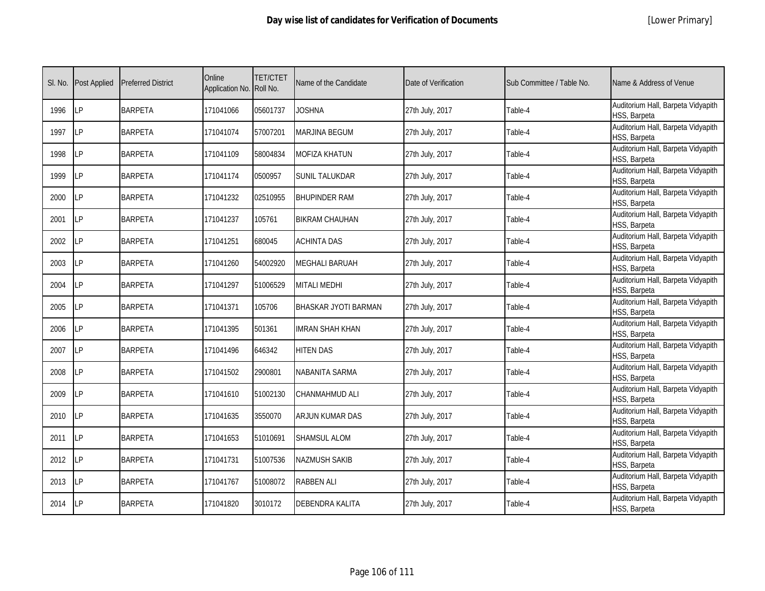| SI. No. | <b>Post Applied</b> | <b>Preferred District</b> | Online<br>Application No. Roll No. | <b>TET/CTET</b> | Name of the Candidate | Date of Verification | Sub Committee / Table No. | Name & Address of Venue                            |
|---------|---------------------|---------------------------|------------------------------------|-----------------|-----------------------|----------------------|---------------------------|----------------------------------------------------|
| 1996    | LP                  | <b>BARPETA</b>            | 171041066                          | 05601737        | <b>JOSHNA</b>         | 27th July, 2017      | Table-4                   | Auditorium Hall, Barpeta Vidyapith<br>HSS, Barpeta |
| 1997    | LP                  | <b>BARPETA</b>            | 171041074                          | 57007201        | <b>MARJINA BEGUM</b>  | 27th July, 2017      | Table-4                   | Auditorium Hall, Barpeta Vidyapith<br>HSS, Barpeta |
| 1998    | LP                  | <b>BARPETA</b>            | 171041109                          | 58004834        | MOFIZA KHATUN         | 27th July, 2017      | Table-4                   | Auditorium Hall, Barpeta Vidyapith<br>HSS, Barpeta |
| 1999    | LP                  | <b>BARPETA</b>            | 171041174                          | 0500957         | SUNIL TALUKDAR        | 27th July, 2017      | Table-4                   | Auditorium Hall, Barpeta Vidyapith<br>HSS, Barpeta |
| 2000    | LP                  | <b>BARPETA</b>            | 171041232                          | 02510955        | <b>BHUPINDER RAM</b>  | 27th July, 2017      | Table-4                   | Auditorium Hall, Barpeta Vidyapith<br>HSS, Barpeta |
| 2001    | LP                  | <b>BARPETA</b>            | 171041237                          | 105761          | <b>BIKRAM CHAUHAN</b> | 27th July, 2017      | Table-4                   | Auditorium Hall, Barpeta Vidyapith<br>HSS, Barpeta |
| 2002    | LP                  | <b>BARPETA</b>            | 171041251                          | 680045          | <b>ACHINTA DAS</b>    | 27th July, 2017      | Table-4                   | Auditorium Hall, Barpeta Vidyapith<br>HSS, Barpeta |
| 2003    | LP                  | <b>BARPETA</b>            | 171041260                          | 54002920        | <b>MEGHALI BARUAH</b> | 27th July, 2017      | Table-4                   | Auditorium Hall, Barpeta Vidyapith<br>HSS, Barpeta |
| 2004    | LР                  | <b>BARPETA</b>            | 171041297                          | 51006529        | <b>MITALI MEDHI</b>   | 27th July, 2017      | Table-4                   | Auditorium Hall, Barpeta Vidyapith<br>HSS, Barpeta |
| 2005    | LP                  | <b>BARPETA</b>            | 171041371                          | 105706          | BHASKAR JYOTI BARMAN  | 27th July, 2017      | Table-4                   | Auditorium Hall, Barpeta Vidyapith<br>HSS, Barpeta |
| 2006    | <b>LP</b>           | <b>BARPETA</b>            | 171041395                          | 501361          | IMRAN SHAH KHAN       | 27th July, 2017      | Table-4                   | Auditorium Hall, Barpeta Vidyapith<br>HSS, Barpeta |
| 2007    | LP                  | <b>BARPETA</b>            | 171041496                          | 646342          | <b>HITEN DAS</b>      | 27th July, 2017      | Table-4                   | Auditorium Hall, Barpeta Vidyapith<br>HSS, Barpeta |
| 2008    | <b>LP</b>           | <b>BARPETA</b>            | 171041502                          | 2900801         | NABANITA SARMA        | 27th July, 2017      | Table-4                   | Auditorium Hall, Barpeta Vidyapith<br>HSS, Barpeta |
| 2009    | LP                  | <b>BARPETA</b>            | 171041610                          | 51002130        | CHANMAHMUD ALI        | 27th July, 2017      | Table-4                   | Auditorium Hall, Barpeta Vidyapith<br>HSS, Barpeta |
| 2010    | LP                  | <b>BARPETA</b>            | 171041635                          | 3550070         | ARJUN KUMAR DAS       | 27th July, 2017      | Table-4                   | Auditorium Hall, Barpeta Vidyapith<br>HSS, Barpeta |
| 2011    | LP                  | <b>BARPETA</b>            | 171041653                          | 51010691        | <b>SHAMSUL ALOM</b>   | 27th July, 2017      | Table-4                   | Auditorium Hall, Barpeta Vidyapith<br>HSS, Barpeta |
| 2012    | LP                  | <b>BARPETA</b>            | 171041731                          | 51007536        | NAZMUSH SAKIB         | 27th July, 2017      | Table-4                   | Auditorium Hall, Barpeta Vidyapith<br>HSS, Barpeta |
| 2013    | LP                  | <b>BARPETA</b>            | 171041767                          | 51008072        | <b>RABBEN ALI</b>     | 27th July, 2017      | Table-4                   | Auditorium Hall, Barpeta Vidyapith<br>HSS, Barpeta |
| 2014    | LP                  | <b>BARPETA</b>            | 171041820                          | 3010172         | DEBENDRA KALITA       | 27th July, 2017      | Table-4                   | Auditorium Hall, Barpeta Vidyapith<br>HSS, Barpeta |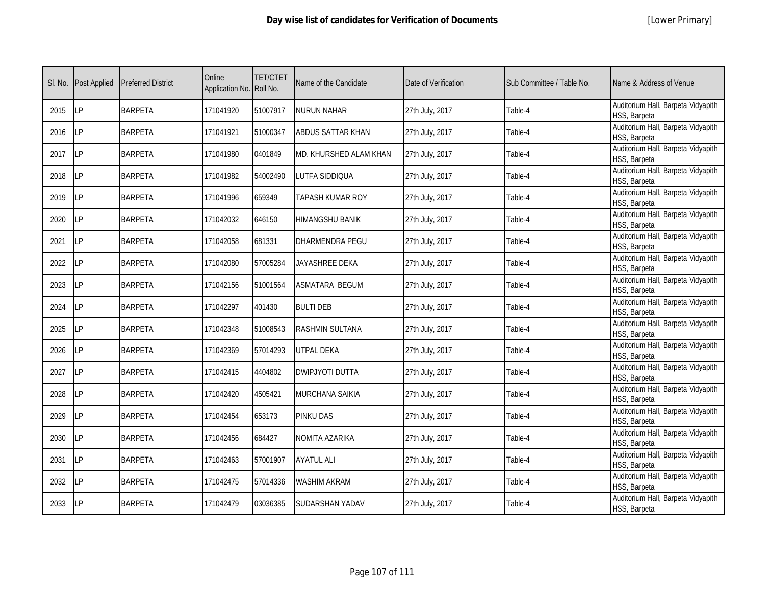| SI. No. | <b>Post Applied</b> | <b>Preferred District</b> | Online<br>Application No. Roll No. | <b>TET/CTET</b> | Name of the Candidate    | Date of Verification | Sub Committee / Table No. | Name & Address of Venue                            |
|---------|---------------------|---------------------------|------------------------------------|-----------------|--------------------------|----------------------|---------------------------|----------------------------------------------------|
| 2015    | <b>ILP</b>          | <b>BARPETA</b>            | 171041920                          | 51007917        | <b>NURUN NAHAR</b>       | 27th July, 2017      | Table-4                   | Auditorium Hall, Barpeta Vidyapith<br>HSS, Barpeta |
| 2016    | LP                  | <b>BARPETA</b>            | 171041921                          | 51000347        | <b>ABDUS SATTAR KHAN</b> | 27th July, 2017      | Table-4                   | Auditorium Hall, Barpeta Vidyapith<br>HSS, Barpeta |
| 2017    | LP                  | <b>BARPETA</b>            | 171041980                          | 0401849         | MD. KHURSHED ALAM KHAN   | 27th July, 2017      | Table-4                   | Auditorium Hall, Barpeta Vidyapith<br>HSS, Barpeta |
| 2018    | LΡ                  | <b>BARPETA</b>            | 171041982                          | 54002490        | LUTFA SIDDIQUA           | 27th July, 2017      | Table-4                   | Auditorium Hall, Barpeta Vidyapith<br>HSS, Barpeta |
| 2019    | LP                  | <b>BARPETA</b>            | 171041996                          | 659349          | TAPASH KUMAR ROY         | 27th July, 2017      | Table-4                   | Auditorium Hall, Barpeta Vidyapith<br>HSS, Barpeta |
| 2020    | <b>LP</b>           | <b>BARPETA</b>            | 171042032                          | 646150          | <b>HIMANGSHU BANIK</b>   | 27th July, 2017      | Table-4                   | Auditorium Hall, Barpeta Vidyapith<br>HSS, Barpeta |
| 2021    | LP                  | <b>BARPETA</b>            | 171042058                          | 681331          | DHARMENDRA PEGU          | 27th July, 2017      | Table-4                   | Auditorium Hall, Barpeta Vidyapith<br>HSS, Barpeta |
| 2022    | <b>ILP</b>          | <b>BARPETA</b>            | 171042080                          | 57005284        | JAYASHREE DEKA           | 27th July, 2017      | Table-4                   | Auditorium Hall, Barpeta Vidyapith<br>HSS, Barpeta |
| 2023    | LP                  | <b>BARPETA</b>            | 171042156                          | 51001564        | <b>ASMATARA BEGUM</b>    | 27th July, 2017      | Table-4                   | Auditorium Hall, Barpeta Vidyapith<br>HSS, Barpeta |
| 2024    | LP                  | <b>BARPETA</b>            | 171042297                          | 401430          | <b>BULTI DEB</b>         | 27th July, 2017      | Table-4                   | Auditorium Hall, Barpeta Vidyapith<br>HSS, Barpeta |
| 2025    | <b>LP</b>           | <b>BARPETA</b>            | 171042348                          | 51008543        | <b>RASHMIN SULTANA</b>   | 27th July, 2017      | Table-4                   | Auditorium Hall, Barpeta Vidyapith<br>HSS, Barpeta |
| 2026    | <b>LP</b>           | <b>BARPETA</b>            | 171042369                          | 57014293        | <b>UTPAL DEKA</b>        | 27th July, 2017      | Table-4                   | Auditorium Hall, Barpeta Vidyapith<br>HSS, Barpeta |
| 2027    | LP                  | <b>BARPETA</b>            | 171042415                          | 4404802         | <b>DWIPJYOTI DUTTA</b>   | 27th July, 2017      | Table-4                   | Auditorium Hall, Barpeta Vidyapith<br>HSS, Barpeta |
| 2028    | LP                  | <b>BARPETA</b>            | 171042420                          | 4505421         | <b>MURCHANA SAIKIA</b>   | 27th July, 2017      | Table-4                   | Auditorium Hall, Barpeta Vidyapith<br>HSS, Barpeta |
| 2029    | LP                  | <b>BARPETA</b>            | 171042454                          | 653173          | <b>PINKU DAS</b>         | 27th July, 2017      | Table-4                   | Auditorium Hall, Barpeta Vidyapith<br>HSS, Barpeta |
| 2030    | LP                  | <b>BARPETA</b>            | 171042456                          | 684427          | <b>NOMITA AZARIKA</b>    | 27th July, 2017      | Table-4                   | Auditorium Hall, Barpeta Vidyapith<br>HSS, Barpeta |
| 2031    | LP                  | <b>BARPETA</b>            | 171042463                          | 57001907        | <b>AYATUL ALI</b>        | 27th July, 2017      | Table-4                   | Auditorium Hall, Barpeta Vidyapith<br>HSS, Barpeta |
| 2032    | <b>ILP</b>          | <b>BARPETA</b>            | 171042475                          | 57014336        | <b>WASHIM AKRAM</b>      | 27th July, 2017      | Table-4                   | Auditorium Hall, Barpeta Vidyapith<br>HSS, Barpeta |
| 2033    | LP                  | <b>BARPETA</b>            | 171042479                          | 03036385        | SUDARSHAN YADAV          | 27th July, 2017      | Table-4                   | Auditorium Hall, Barpeta Vidyapith<br>HSS, Barpeta |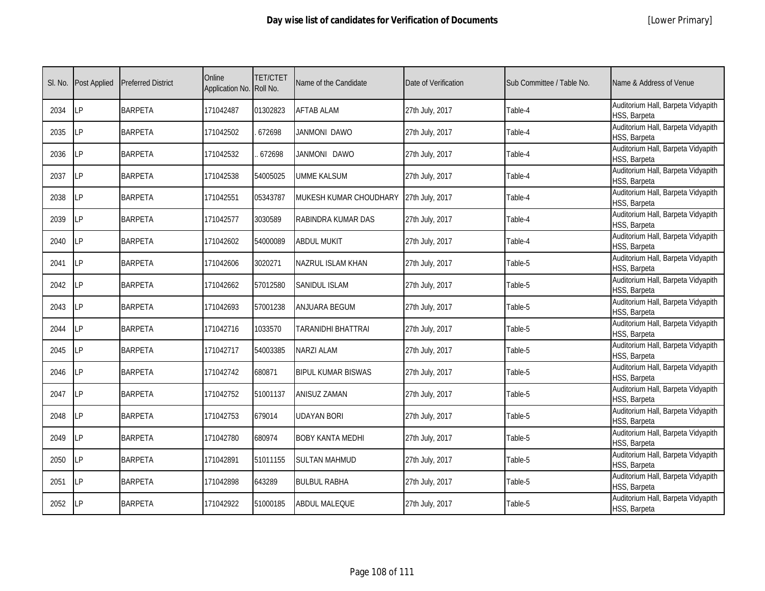|  | [Lower Primary] |
|--|-----------------|
|--|-----------------|

| SI. No. | <b>Post Applied</b> | <b>Preferred District</b> | Online<br>Application No. Roll No. | <b>TET/CTET</b> | Name of the Candidate     | Date of Verification | Sub Committee / Table No. | Name & Address of Venue                            |
|---------|---------------------|---------------------------|------------------------------------|-----------------|---------------------------|----------------------|---------------------------|----------------------------------------------------|
| 2034    | <b>LP</b>           | <b>BARPETA</b>            | 171042487                          | 01302823        | <b>AFTAB ALAM</b>         | 27th July, 2017      | Table-4                   | Auditorium Hall, Barpeta Vidyapith<br>HSS, Barpeta |
| 2035    | <b>ILP</b>          | <b>BARPETA</b>            | 171042502                          | 672698          | JANMONI DAWO              | 27th July, 2017      | Table-4                   | Auditorium Hall, Barpeta Vidyapith<br>HSS, Barpeta |
| 2036    | <b>LP</b>           | <b>BARPETA</b>            | 171042532                          | 672698          | JANMONI DAWO              | 27th July, 2017      | Table-4                   | Auditorium Hall, Barpeta Vidyapith<br>HSS, Barpeta |
| 2037    | LP                  | <b>BARPETA</b>            | 171042538                          | 54005025        | <b>UMME KALSUM</b>        | 27th July, 2017      | Table-4                   | Auditorium Hall, Barpeta Vidyapith<br>HSS, Barpeta |
| 2038    | LP                  | <b>BARPETA</b>            | 171042551                          | 05343787        | MUKESH KUMAR CHOUDHARY    | 27th July, 2017      | Table-4                   | Auditorium Hall, Barpeta Vidyapith<br>HSS, Barpeta |
| 2039    | <b>LP</b>           | <b>BARPETA</b>            | 171042577                          | 3030589         | RABINDRA KUMAR DAS        | 27th July, 2017      | Table-4                   | Auditorium Hall, Barpeta Vidyapith<br>HSS, Barpeta |
| 2040    | LP                  | <b>BARPETA</b>            | 171042602                          | 54000089        | <b>ABDUL MUKIT</b>        | 27th July, 2017      | Table-4                   | Auditorium Hall, Barpeta Vidyapith<br>HSS, Barpeta |
| 2041    | <b>LP</b>           | <b>BARPETA</b>            | 171042606                          | 3020271         | NAZRUL ISLAM KHAN         | 27th July, 2017      | Table-5                   | Auditorium Hall, Barpeta Vidyapith<br>HSS, Barpeta |
| 2042    | LP                  | <b>BARPETA</b>            | 171042662                          | 57012580        | <b>SANIDUL ISLAM</b>      | 27th July, 2017      | Table-5                   | Auditorium Hall, Barpeta Vidyapith<br>HSS, Barpeta |
| 2043    | LP                  | <b>BARPETA</b>            | 171042693                          | 57001238        | ANJUARA BEGUM             | 27th July, 2017      | Table-5                   | Auditorium Hall, Barpeta Vidyapith<br>HSS, Barpeta |
| 2044    | <b>LP</b>           | <b>BARPETA</b>            | 171042716                          | 1033570         | TARANIDHI BHATTRAI        | 27th July, 2017      | Table-5                   | Auditorium Hall, Barpeta Vidyapith<br>HSS, Barpeta |
| 2045    | <b>ILP</b>          | <b>BARPETA</b>            | 171042717                          | 54003385        | NARZI ALAM                | 27th July, 2017      | Table-5                   | Auditorium Hall, Barpeta Vidyapith<br>HSS, Barpeta |
| 2046    | <b>ILP</b>          | <b>BARPETA</b>            | 171042742                          | 680871          | <b>BIPUL KUMAR BISWAS</b> | 27th July, 2017      | Table-5                   | Auditorium Hall, Barpeta Vidyapith<br>HSS, Barpeta |
| 2047    | LP                  | <b>BARPETA</b>            | 171042752                          | 51001137        | <b>ANISUZ ZAMAN</b>       | 27th July, 2017      | Table-5                   | Auditorium Hall, Barpeta Vidyapith<br>HSS, Barpeta |
| 2048    | <b>LP</b>           | <b>BARPETA</b>            | 171042753                          | 679014          | UDAYAN BORI               | 27th July, 2017      | Table-5                   | Auditorium Hall, Barpeta Vidyapith<br>HSS, Barpeta |
| 2049    | <b>LP</b>           | <b>BARPETA</b>            | 171042780                          | 680974          | <b>BOBY KANTA MEDHI</b>   | 27th July, 2017      | Table-5                   | Auditorium Hall, Barpeta Vidyapith<br>HSS, Barpeta |
| 2050    | LP                  | <b>BARPETA</b>            | 171042891                          | 51011155        | <b>SULTAN MAHMUD</b>      | 27th July, 2017      | Table-5                   | Auditorium Hall, Barpeta Vidyapith<br>HSS, Barpeta |
| 2051    | LP                  | <b>BARPETA</b>            | 171042898                          | 643289          | <b>BULBUL RABHA</b>       | 27th July, 2017      | Table-5                   | Auditorium Hall, Barpeta Vidyapith<br>HSS, Barpeta |
| 2052    | <b>LP</b>           | <b>BARPETA</b>            | 171042922                          | 51000185        | <b>ABDUL MALEQUE</b>      | 27th July, 2017      | Table-5                   | Auditorium Hall, Barpeta Vidyapith<br>HSS, Barpeta |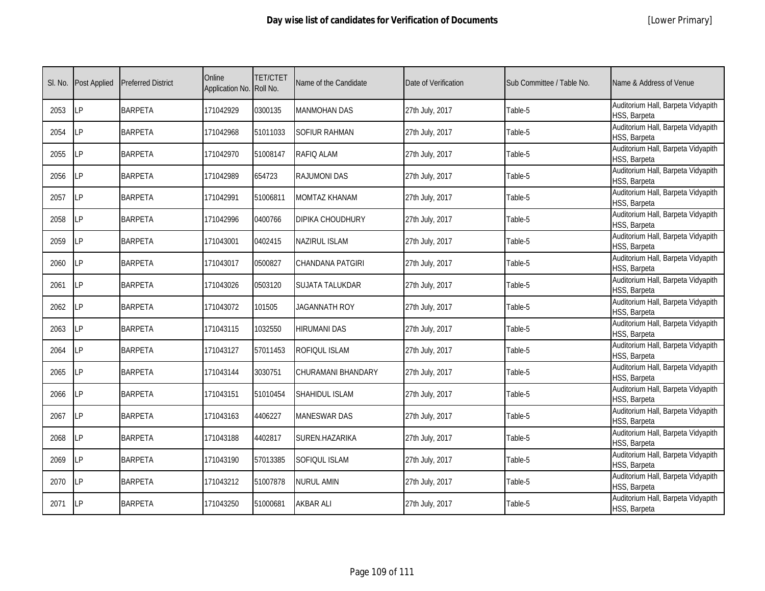|  | [Lower Primary] |
|--|-----------------|
|--|-----------------|

| SI. No. | <b>Post Applied</b> | <b>Preferred District</b> | Online<br>Application No. Roll No. | <b>TET/CTET</b> | Name of the Candidate   | Date of Verification | Sub Committee / Table No. | Name & Address of Venue                            |
|---------|---------------------|---------------------------|------------------------------------|-----------------|-------------------------|----------------------|---------------------------|----------------------------------------------------|
| 2053    | <b>ILP</b>          | <b>BARPETA</b>            | 171042929                          | 0300135         | <b>MANMOHAN DAS</b>     | 27th July, 2017      | Table-5                   | Auditorium Hall, Barpeta Vidyapith<br>HSS, Barpeta |
| 2054    | <b>ILP</b>          | <b>BARPETA</b>            | 171042968                          | 51011033        | SOFIUR RAHMAN           | 27th July, 2017      | Table-5                   | Auditorium Hall, Barpeta Vidyapith<br>HSS, Barpeta |
| 2055    | <b>LP</b>           | <b>BARPETA</b>            | 171042970                          | 51008147        | RAFIQ ALAM              | 27th July, 2017      | Table-5                   | Auditorium Hall, Barpeta Vidyapith<br>HSS, Barpeta |
| 2056    | LP                  | <b>BARPETA</b>            | 171042989                          | 654723          | RAJUMONI DAS            | 27th July, 2017      | Table-5                   | Auditorium Hall, Barpeta Vidyapith<br>HSS, Barpeta |
| 2057    | <b>ILP</b>          | <b>BARPETA</b>            | 171042991                          | 51006811        | MOMTAZ KHANAM           | 27th July, 2017      | Table-5                   | Auditorium Hall, Barpeta Vidyapith<br>HSS, Barpeta |
| 2058    | LP                  | <b>BARPETA</b>            | 171042996                          | 0400766         | <b>DIPIKA CHOUDHURY</b> | 27th July, 2017      | Table-5                   | Auditorium Hall, Barpeta Vidyapith<br>HSS, Barpeta |
| 2059    | <b>LP</b>           | <b>BARPETA</b>            | 171043001                          | 0402415         | NAZIRUL ISLAM           | 27th July, 2017      | Table-5                   | Auditorium Hall, Barpeta Vidyapith<br>HSS, Barpeta |
| 2060    | LP                  | <b>BARPETA</b>            | 171043017                          | 0500827         | CHANDANA PATGIRI        | 27th July, 2017      | Table-5                   | Auditorium Hall, Barpeta Vidyapith<br>HSS, Barpeta |
| 2061    | <b>LP</b>           | <b>BARPETA</b>            | 171043026                          | 0503120         | <b>SUJATA TALUKDAR</b>  | 27th July, 2017      | Table-5                   | Auditorium Hall, Barpeta Vidyapith<br>HSS, Barpeta |
| 2062    | LP                  | <b>BARPETA</b>            | 171043072                          | 101505          | <b>JAGANNATH ROY</b>    | 27th July, 2017      | Table-5                   | Auditorium Hall, Barpeta Vidyapith<br>HSS, Barpeta |
| 2063    | LP                  | <b>BARPETA</b>            | 171043115                          | 1032550         | <b>HIRUMANI DAS</b>     | 27th July, 2017      | Table-5                   | Auditorium Hall, Barpeta Vidyapith<br>HSS, Barpeta |
| 2064    | <b>LP</b>           | <b>BARPETA</b>            | 171043127                          | 57011453        | ROFIQUL ISLAM           | 27th July, 2017      | Table-5                   | Auditorium Hall, Barpeta Vidyapith<br>HSS, Barpeta |
| 2065    | <b>LP</b>           | <b>BARPETA</b>            | 171043144                          | 3030751         | CHURAMANI BHANDARY      | 27th July, 2017      | Table-5                   | Auditorium Hall, Barpeta Vidyapith<br>HSS, Barpeta |
| 2066    | LP                  | <b>BARPETA</b>            | 171043151                          | 51010454        | SHAHIDUL ISLAM          | 27th July, 2017      | Table-5                   | Auditorium Hall, Barpeta Vidyapith<br>HSS, Barpeta |
| 2067    | <b>LP</b>           | <b>BARPETA</b>            | 171043163                          | 4406227         | <b>MANESWAR DAS</b>     | 27th July, 2017      | Table-5                   | Auditorium Hall, Barpeta Vidyapith<br>HSS, Barpeta |
| 2068    | LP                  | <b>BARPETA</b>            | 171043188                          | 4402817         | SUREN.HAZARIKA          | 27th July, 2017      | Table-5                   | Auditorium Hall, Barpeta Vidyapith<br>HSS, Barpeta |
| 2069    | LP                  | <b>BARPETA</b>            | 171043190                          | 57013385        | SOFIQUL ISLAM           | 27th July, 2017      | Table-5                   | Auditorium Hall, Barpeta Vidyapith<br>HSS, Barpeta |
| 2070    | LP                  | <b>BARPETA</b>            | 171043212                          | 51007878        | NURUL AMIN              | 27th July, 2017      | Table-5                   | Auditorium Hall, Barpeta Vidyapith<br>HSS, Barpeta |
| 2071    | <b>ILP</b>          | <b>BARPETA</b>            | 171043250                          | 51000681        | AKBAR ALI               | 27th July, 2017      | Table-5                   | Auditorium Hall, Barpeta Vidyapith<br>HSS, Barpeta |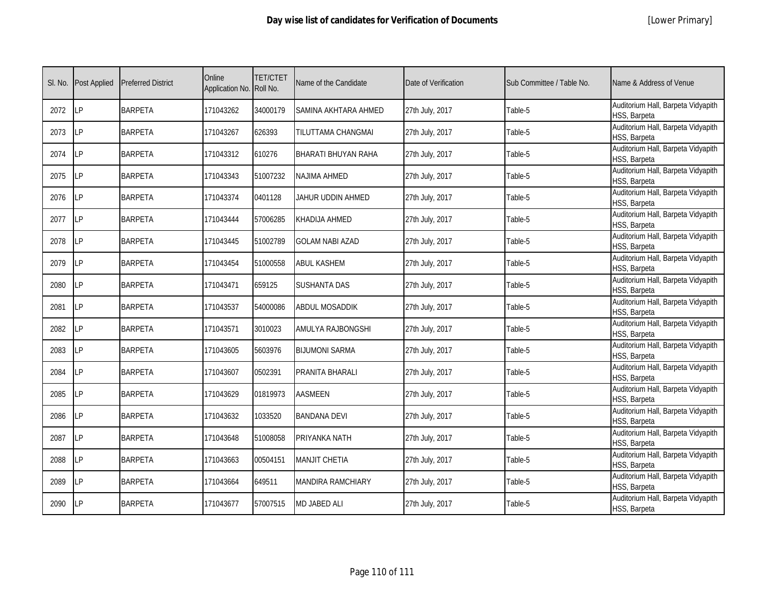| SI. No. | <b>Post Applied</b> | <b>Preferred District</b> | Online<br>Application No. Roll No. | <b>TET/CTET</b> | Name of the Candidate    | Date of Verification | Sub Committee / Table No. | Name & Address of Venue                            |
|---------|---------------------|---------------------------|------------------------------------|-----------------|--------------------------|----------------------|---------------------------|----------------------------------------------------|
| 2072    | <b>ILP</b>          | <b>BARPETA</b>            | 171043262                          | 34000179        | SAMINA AKHTARA AHMED     | 27th July, 2017      | Table-5                   | Auditorium Hall, Barpeta Vidyapith<br>HSS, Barpeta |
| 2073    | <b>LP</b>           | <b>BARPETA</b>            | 171043267                          | 626393          | TILUTTAMA CHANGMAI       | 27th July, 2017      | Table-5                   | Auditorium Hall, Barpeta Vidyapith<br>HSS, Barpeta |
| 2074    | <b>ILP</b>          | <b>BARPETA</b>            | 171043312                          | 610276          | BHARATI BHUYAN RAHA      | 27th July, 2017      | Table-5                   | Auditorium Hall, Barpeta Vidyapith<br>HSS, Barpeta |
| 2075    | LP                  | <b>BARPETA</b>            | 171043343                          | 51007232        | <b>NAJIMA AHMED</b>      | 27th July, 2017      | Table-5                   | Auditorium Hall, Barpeta Vidyapith<br>HSS, Barpeta |
| 2076    | LP                  | <b>BARPETA</b>            | 171043374                          | 0401128         | JAHUR UDDIN AHMED        | 27th July, 2017      | Table-5                   | Auditorium Hall, Barpeta Vidyapith<br>HSS, Barpeta |
| 2077    | <b>ILP</b>          | <b>BARPETA</b>            | 171043444                          | 57006285        | <b>KHADIJA AHMED</b>     | 27th July, 2017      | Table-5                   | Auditorium Hall, Barpeta Vidyapith<br>HSS, Barpeta |
| 2078    | <b>LP</b>           | <b>BARPETA</b>            | 171043445                          | 51002789        | <b>GOLAM NABI AZAD</b>   | 27th July, 2017      | Table-5                   | Auditorium Hall, Barpeta Vidyapith<br>HSS, Barpeta |
| 2079    | <b>ILP</b>          | <b>BARPETA</b>            | 171043454                          | 51000558        | <b>ABUL KASHEM</b>       | 27th July, 2017      | Table-5                   | Auditorium Hall, Barpeta Vidyapith<br>HSS, Barpeta |
| 2080    | <b>LP</b>           | <b>BARPETA</b>            | 171043471                          | 659125          | SUSHANTA DAS             | 27th July, 2017      | Table-5                   | Auditorium Hall, Barpeta Vidyapith<br>HSS, Barpeta |
| 2081    | <b>LP</b>           | <b>BARPETA</b>            | 171043537                          | 54000086        | <b>ABDUL MOSADDIK</b>    | 27th July, 2017      | Table-5                   | Auditorium Hall, Barpeta Vidyapith<br>HSS, Barpeta |
| 2082    | LP                  | <b>BARPETA</b>            | 171043571                          | 3010023         | AMULYA RAJBONGSHI        | 27th July, 2017      | Table-5                   | Auditorium Hall, Barpeta Vidyapith<br>HSS, Barpeta |
| 2083    | <b>ILP</b>          | <b>BARPETA</b>            | 171043605                          | 5603976         | <b>BIJUMONI SARMA</b>    | 27th July, 2017      | Table-5                   | Auditorium Hall, Barpeta Vidyapith<br>HSS, Barpeta |
| 2084    | <b>LP</b>           | <b>BARPETA</b>            | 171043607                          | 0502391         | PRANITA BHARALI          | 27th July, 2017      | Table-5                   | Auditorium Hall, Barpeta Vidyapith<br>HSS, Barpeta |
| 2085    | LP                  | <b>BARPETA</b>            | 171043629                          | 01819973        | <b>AASMEEN</b>           | 27th July, 2017      | Table-5                   | Auditorium Hall, Barpeta Vidyapith<br>HSS, Barpeta |
| 2086    | LP                  | <b>BARPETA</b>            | 171043632                          | 1033520         | <b>BANDANA DEVI</b>      | 27th July, 2017      | Table-5                   | Auditorium Hall, Barpeta Vidyapith<br>HSS, Barpeta |
| 2087    | <b>LP</b>           | <b>BARPETA</b>            | 171043648                          | 51008058        | PRIYANKA NATH            | 27th July, 2017      | Table-5                   | Auditorium Hall, Barpeta Vidyapith<br>HSS, Barpeta |
| 2088    | <b>ILP</b>          | <b>BARPETA</b>            | 171043663                          | 00504151        | <b>MANJIT CHETIA</b>     | 27th July, 2017      | Table-5                   | Auditorium Hall, Barpeta Vidyapith<br>HSS, Barpeta |
| 2089    | LP                  | <b>BARPETA</b>            | 171043664                          | 649511          | <b>MANDIRA RAMCHIARY</b> | 27th July, 2017      | Table-5                   | Auditorium Hall, Barpeta Vidyapith<br>HSS, Barpeta |
| 2090    | LP                  | <b>BARPETA</b>            | 171043677                          | 57007515        | <b>MD JABED ALI</b>      | 27th July, 2017      | Table-5                   | Auditorium Hall, Barpeta Vidyapith<br>HSS, Barpeta |